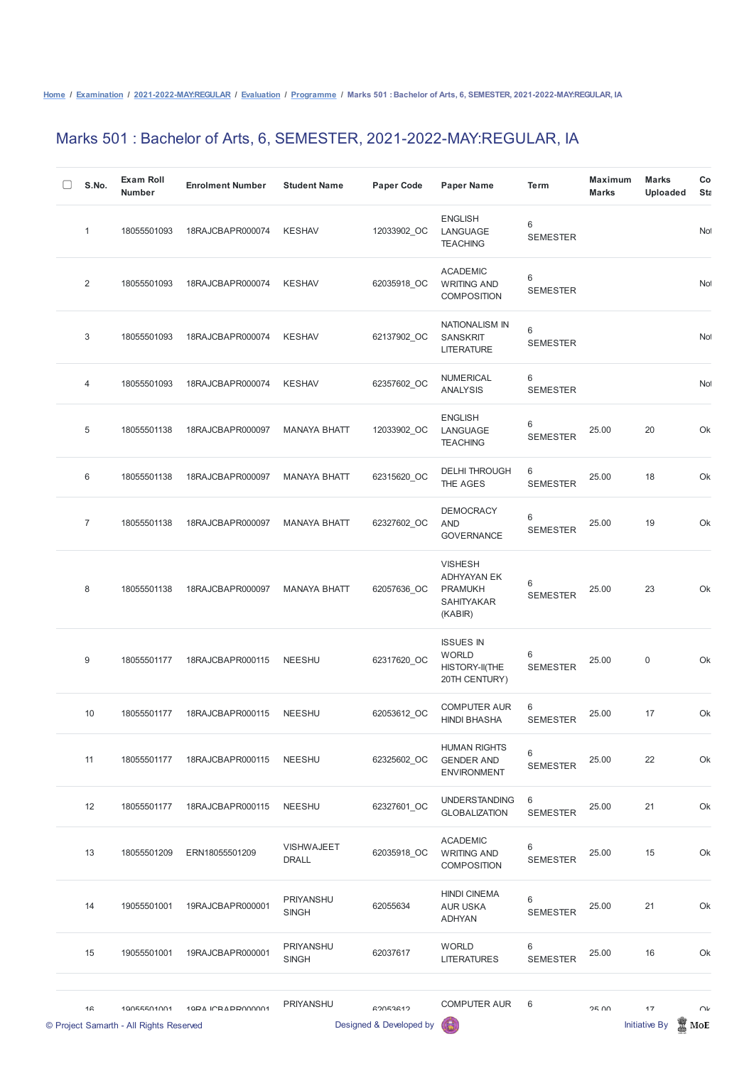## Marks 501 : Bachelor of Arts, 6, SEMESTER, 2021-2022-MAY:REGULAR, IA

| S.No.            | <b>Exam Roll</b><br><b>Number</b>                      | <b>Enrolment Number</b> | <b>Student Name</b>               | <b>Paper Code</b>                   | <b>Paper Name</b>                                                                      | <b>Term</b>              | <b>Maximum</b><br><b>Marks</b> | <b>Marks</b><br><b>Uploaded</b> | Co<br>Stz       |
|------------------|--------------------------------------------------------|-------------------------|-----------------------------------|-------------------------------------|----------------------------------------------------------------------------------------|--------------------------|--------------------------------|---------------------------------|-----------------|
| 1                | 18055501093                                            | 18RAJCBAPR000074        | <b>KESHAV</b>                     | 12033902_OC                         | <b>ENGLISH</b><br>LANGUAGE<br><b>TEACHING</b>                                          | 6<br><b>SEMESTER</b>     |                                |                                 | No              |
| $\overline{2}$   | 18055501093                                            | 18RAJCBAPR000074        | <b>KESHAV</b>                     | 62035918_OC                         | <b>ACADEMIC</b><br><b>WRITING AND</b><br><b>COMPOSITION</b>                            | $\,6$<br><b>SEMESTER</b> |                                |                                 | No <sup>1</sup> |
| 3                | 18055501093                                            | 18RAJCBAPR000074        | <b>KESHAV</b>                     | 62137902_OC                         | <b>NATIONALISM IN</b><br><b>SANSKRIT</b><br><b>LITERATURE</b>                          | 6<br><b>SEMESTER</b>     |                                |                                 | Not             |
| $\overline{4}$   | 18055501093                                            | 18RAJCBAPR000074        | <b>KESHAV</b>                     | 62357602_OC                         | <b>NUMERICAL</b><br><b>ANALYSIS</b>                                                    | 6<br><b>SEMESTER</b>     |                                |                                 | <b>No</b>       |
| $\sqrt{5}$       | 18055501138                                            | 18RAJCBAPR000097        | <b>MANAYA BHATT</b>               | 12033902_OC                         | <b>ENGLISH</b><br>LANGUAGE<br><b>TEACHING</b>                                          | 6<br><b>SEMESTER</b>     | 25.00                          | 20                              | Ok              |
| 6                | 18055501138                                            | 18RAJCBAPR000097        | <b>MANAYA BHATT</b>               | 62315620_OC                         | <b>DELHI THROUGH</b><br>THE AGES                                                       | 6<br><b>SEMESTER</b>     | 25.00                          | 18                              | Ok              |
| $\overline{7}$   | 18055501138                                            | 18RAJCBAPR000097        | <b>MANAYA BHATT</b>               | 62327602_OC                         | <b>DEMOCRACY</b><br><b>AND</b><br><b>GOVERNANCE</b>                                    | 6<br><b>SEMESTER</b>     | 25.00                          | 19                              | Ok              |
| 8                | 18055501138                                            | 18RAJCBAPR000097        | <b>MANAYA BHATT</b>               | 62057636_OC                         | <b>VISHESH</b><br><b>ADHYAYAN EK</b><br><b>PRAMUKH</b><br><b>SAHITYAKAR</b><br>(KABIR) | 6<br><b>SEMESTER</b>     | 25.00                          | 23                              | Ok              |
| $\boldsymbol{9}$ | 18055501177                                            | 18RAJCBAPR000115        | <b>NEESHU</b>                     | 62317620_OC                         | <b>ISSUES IN</b><br><b>WORLD</b><br>HISTORY-II(THE<br>20TH CENTURY)                    | 6<br><b>SEMESTER</b>     | 25.00                          | $\mathbf 0$                     | Ok              |
| 10               | 18055501177                                            | 18RAJCBAPR000115        | <b>NEESHU</b>                     | 62053612_OC                         | <b>COMPUTER AUR</b><br><b>HINDI BHASHA</b>                                             | 6<br><b>SEMESTER</b>     | 25.00                          | 17                              | Ok              |
| 11               | 18055501177                                            | 18RAJCBAPR000115        | <b>NEESHU</b>                     | 62325602_OC                         | <b>HUMAN RIGHTS</b><br><b>GENDER AND</b><br><b>ENVIRONMENT</b>                         | 6<br><b>SEMESTER</b>     | 25.00                          | 22                              | Ok              |
| 12               | 18055501177                                            | 18RAJCBAPR000115        | <b>NEESHU</b>                     | 62327601_OC                         | <b>UNDERSTANDING</b><br><b>GLOBALIZATION</b>                                           | 6<br><b>SEMESTER</b>     | 25.00                          | 21                              | Ok              |
| 13               | 18055501209                                            | ERN18055501209          | <b>VISHWAJEET</b><br><b>DRALL</b> | 62035918_OC                         | <b>ACADEMIC</b><br><b>WRITING AND</b><br><b>COMPOSITION</b>                            | 6<br><b>SEMESTER</b>     | 25.00                          | 15                              | Ok              |
| 14               | 19055501001                                            | 19RAJCBAPR000001        | PRIYANSHU<br><b>SINGH</b>         | 62055634                            | <b>HINDI CINEMA</b><br><b>AUR USKA</b><br><b>ADHYAN</b>                                | 6<br><b>SEMESTER</b>     | 25.00                          | 21                              | Ok              |
| 15               | 19055501001                                            | 19RAJCBAPR000001        | PRIYANSHU<br><b>SINGH</b>         | 62037617                            | <b>WORLD</b><br><b>LITERATURES</b>                                                     | 6<br><b>SEMESTER</b>     | 25.00                          | 16                              | Ok              |
| 1 <sub>6</sub>   | 10055501001<br>© Project Samarth - All Rights Reserved | 10DA ICRADD000001       | PRIYANSHU                         | GOOF3G12<br>Designed & Developed by | <b>COMPUTER AUR</b>                                                                    | 6                        | OE UU                          | 17<br><b>Initiative By</b>      | $\cap$<br>MoE   |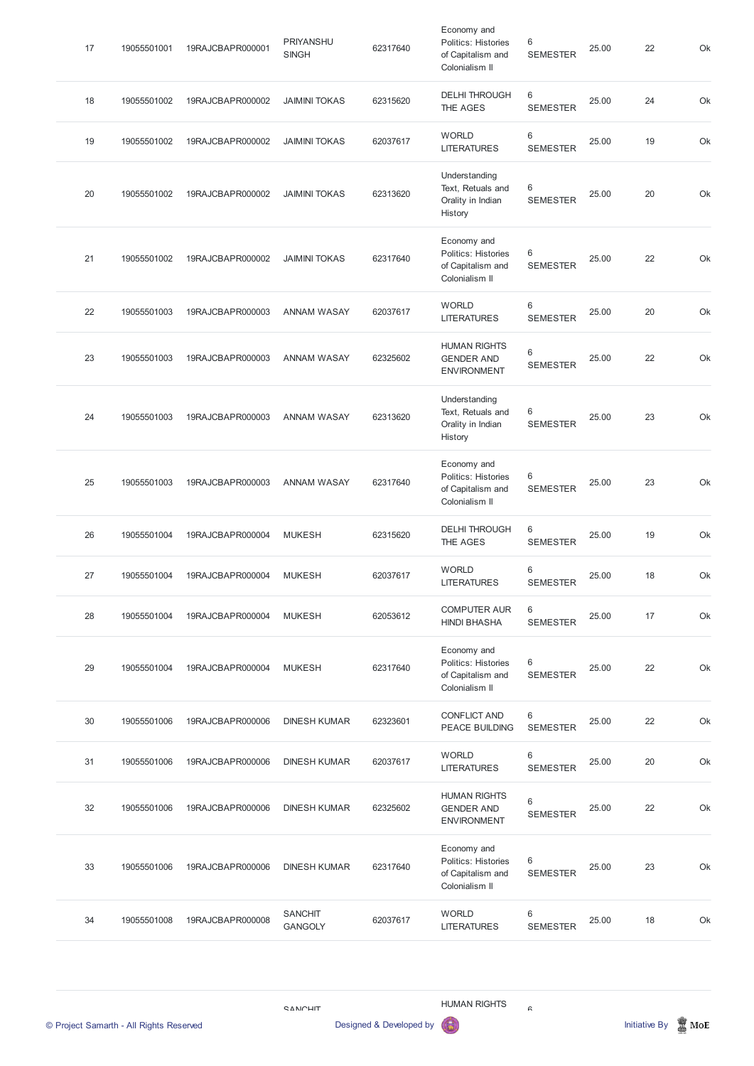|    | Project Samarth - All Rights Reserved |                  |                                  | Designed & Developed by | G                                                                         |                                    |       | <b>Initiative By</b> | $\mathbb{\overline{M}}$ MoE |
|----|---------------------------------------|------------------|----------------------------------|-------------------------|---------------------------------------------------------------------------|------------------------------------|-------|----------------------|-----------------------------|
|    |                                       |                  | <b>CANCHIT</b>                   |                         | <b>HUMAN RIGHTS</b>                                                       | $\mathbin{\mathsf{c}}$             |       |                      |                             |
|    |                                       |                  |                                  |                         |                                                                           |                                    |       |                      |                             |
| 34 | 19055501008                           | 19RAJCBAPR000008 | <b>SANCHIT</b><br><b>GANGOLY</b> | 62037617                | <b>WORLD</b><br><b>LITERATURES</b>                                        | $\,6$<br><b>SEMESTER</b>           | 25.00 | 18                   | Ok                          |
| 33 | 19055501006                           | 19RAJCBAPR000006 | <b>DINESH KUMAR</b>              | 62317640                | Economy and<br>Politics: Histories<br>of Capitalism and<br>Colonialism II | $\,6\,$<br><b>SEMESTER</b>         | 25.00 | 23                   | Ok                          |
| 32 | 19055501006                           | 19RAJCBAPR000006 | <b>DINESH KUMAR</b>              | 62325602                | <b>HUMAN RIGHTS</b><br><b>GENDER AND</b><br><b>ENVIRONMENT</b>            | $6\phantom{1}6$<br><b>SEMESTER</b> | 25.00 | 22                   | Ok                          |
| 31 | 19055501006                           | 19RAJCBAPR000006 | <b>DINESH KUMAR</b>              | 62037617                | <b>WORLD</b><br><b>LITERATURES</b>                                        | 6<br><b>SEMESTER</b>               | 25.00 | 20                   | Ok                          |
| 30 | 19055501006                           | 19RAJCBAPR000006 | <b>DINESH KUMAR</b>              | 62323601                | <b>CONFLICT AND</b><br>PEACE BUILDING                                     | $6\phantom{1}6$<br><b>SEMESTER</b> | 25.00 | 22                   | Ok                          |
| 29 | 19055501004                           | 19RAJCBAPR000004 | <b>MUKESH</b>                    | 62317640                | Economy and<br>Politics: Histories<br>of Capitalism and<br>Colonialism II | $6\,$<br><b>SEMESTER</b>           | 25.00 | 22                   | Ok                          |
| 28 | 19055501004                           | 19RAJCBAPR000004 | <b>MUKESH</b>                    | 62053612                | <b>COMPUTER AUR</b><br><b>HINDI BHASHA</b>                                | $\,6\,$<br><b>SEMESTER</b>         | 25.00 | 17                   | Ok                          |
| 27 | 19055501004                           | 19RAJCBAPR000004 | <b>MUKESH</b>                    | 62037617                | <b>WORLD</b><br><b>LITERATURES</b>                                        | $\,6\,$<br><b>SEMESTER</b>         | 25.00 | 18                   | Ok                          |
| 26 | 19055501004                           | 19RAJCBAPR000004 | <b>MUKESH</b>                    | 62315620                | <b>DELHI THROUGH</b><br>THE AGES                                          | $\,6\,$<br><b>SEMESTER</b>         | 25.00 | 19                   | Ok                          |
| 25 | 19055501003                           | 19RAJCBAPR000003 | <b>ANNAM WASAY</b>               | 62317640                | Economy and<br>Politics: Histories<br>of Capitalism and<br>Colonialism II | $\,6\,$<br><b>SEMESTER</b>         | 25.00 | 23                   | Ok                          |
| 24 | 19055501003                           | 19RAJCBAPR000003 | <b>ANNAM WASAY</b>               | 62313620                | Understanding<br>Text, Retuals and<br>Orality in Indian<br>History        | 6<br><b>SEMESTER</b>               | 25.00 | 23                   | Ok                          |
| 23 | 19055501003                           | 19RAJCBAPR000003 | <b>ANNAM WASAY</b>               | 62325602                | <b>HUMAN RIGHTS</b><br><b>GENDER AND</b><br><b>ENVIRONMENT</b>            | 6<br><b>SEMESTER</b>               | 25.00 | 22                   | Ok                          |
| 22 | 19055501003                           | 19RAJCBAPR000003 | <b>ANNAM WASAY</b>               | 62037617                | <b>WORLD</b><br><b>LITERATURES</b>                                        | $\,6$<br><b>SEMESTER</b>           | 25.00 | 20                   | Ok                          |
| 21 | 19055501002                           | 19RAJCBAPR000002 | <b>JAIMINI TOKAS</b>             | 62317640                | Economy and<br>Politics: Histories<br>of Capitalism and<br>Colonialism II | 6<br><b>SEMESTER</b>               | 25.00 | 22                   | Ok                          |
| 20 | 19055501002                           | 19RAJCBAPR000002 | <b>JAIMINI TOKAS</b>             | 62313620                | Understanding<br>Text, Retuals and<br>Orality in Indian<br>History        | 6<br><b>SEMESTER</b>               | 25.00 | 20                   | Ok                          |
| 19 | 19055501002                           | 19RAJCBAPR000002 | <b>JAIMINI TOKAS</b>             | 62037617                | <b>WORLD</b><br><b>LITERATURES</b>                                        | $\,6\,$<br><b>SEMESTER</b>         | 25.00 | 19                   | Ok                          |
| 18 | 19055501002                           | 19RAJCBAPR000002 | <b>JAIMINI TOKAS</b>             | 62315620                | <b>DELHI THROUGH</b><br>THE AGES                                          | $\,6\,$<br><b>SEMESTER</b>         | 25.00 | 24                   | Ok                          |
| 17 | 19055501001                           | 19RAJCBAPR000001 | PRIYANSHU<br><b>SINGH</b>        | 62317640                | Economy and<br>Politics: Histories<br>of Capitalism and<br>Colonialism II | 6<br><b>SEMESTER</b>               | 25.00 | 22                   | Ok                          |



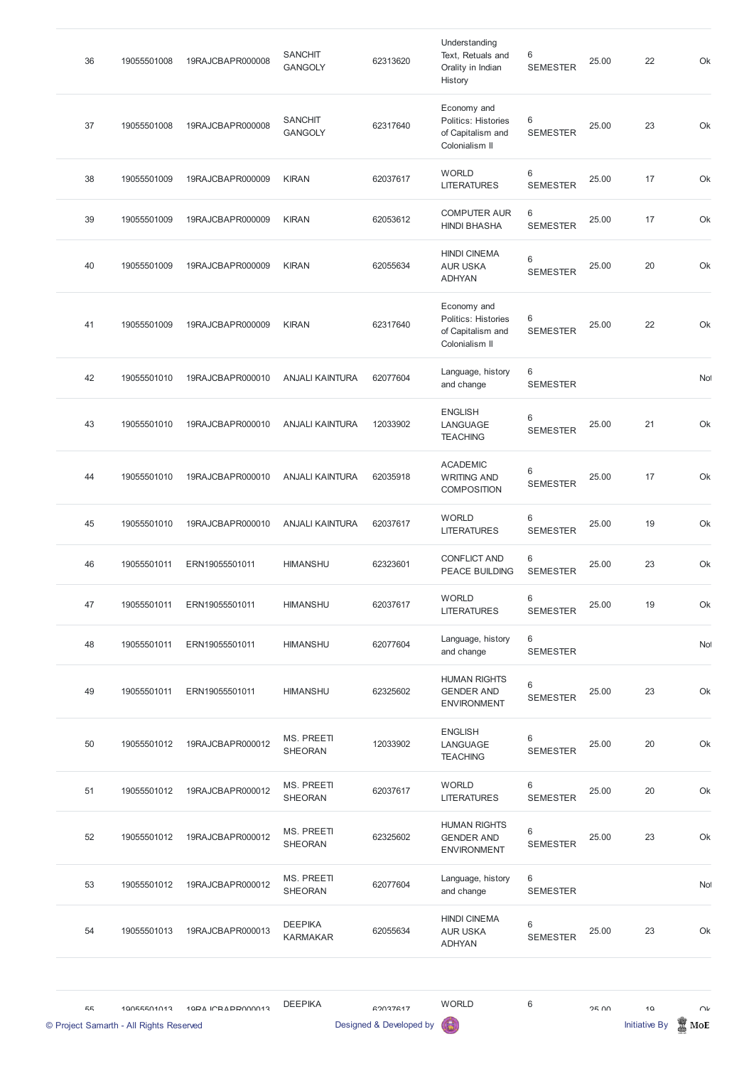| 36 | 19055501008 | 19RAJCBAPR000008 | <b>SANCHIT</b><br><b>GANGOLY</b> | 62313620 | Understanding<br>Text, Retuals and<br>Orality in Indian<br>History        | 6<br><b>SEMESTER</b>     | 25.00 | 22 | Ok        |
|----|-------------|------------------|----------------------------------|----------|---------------------------------------------------------------------------|--------------------------|-------|----|-----------|
| 37 | 19055501008 | 19RAJCBAPR000008 | <b>SANCHIT</b><br><b>GANGOLY</b> | 62317640 | Economy and<br>Politics: Histories<br>of Capitalism and<br>Colonialism II | 6<br><b>SEMESTER</b>     | 25.00 | 23 | Ok        |
| 38 | 19055501009 | 19RAJCBAPR000009 | <b>KIRAN</b>                     | 62037617 | <b>WORLD</b><br><b>LITERATURES</b>                                        | 6<br><b>SEMESTER</b>     | 25.00 | 17 | Ok        |
| 39 | 19055501009 | 19RAJCBAPR000009 | <b>KIRAN</b>                     | 62053612 | <b>COMPUTER AUR</b><br><b>HINDI BHASHA</b>                                | 6<br><b>SEMESTER</b>     | 25.00 | 17 | Ok        |
| 40 | 19055501009 | 19RAJCBAPR000009 | <b>KIRAN</b>                     | 62055634 | <b>HINDI CINEMA</b><br><b>AUR USKA</b><br><b>ADHYAN</b>                   | 6<br><b>SEMESTER</b>     | 25.00 | 20 | Ok        |
| 41 | 19055501009 | 19RAJCBAPR000009 | <b>KIRAN</b>                     | 62317640 | Economy and<br>Politics: Histories<br>of Capitalism and<br>Colonialism II | 6<br><b>SEMESTER</b>     | 25.00 | 22 | Ok        |
| 42 | 19055501010 | 19RAJCBAPR000010 | <b>ANJALI KAINTURA</b>           | 62077604 | Language, history<br>and change                                           | $\,6$<br><b>SEMESTER</b> |       |    | <b>No</b> |
| 43 | 19055501010 | 19RAJCBAPR000010 | <b>ANJALI KAINTURA</b>           | 12033902 | <b>ENGLISH</b><br>LANGUAGE<br><b>TEACHING</b>                             | 6<br><b>SEMESTER</b>     | 25.00 | 21 | Ok        |
| 44 | 19055501010 | 19RAJCBAPR000010 | <b>ANJALI KAINTURA</b>           | 62035918 | <b>ACADEMIC</b><br><b>WRITING AND</b><br><b>COMPOSITION</b>               | 6<br><b>SEMESTER</b>     | 25.00 | 17 | Ok        |
| 45 | 19055501010 | 19RAJCBAPR000010 | <b>ANJALI KAINTURA</b>           | 62037617 | <b>WORLD</b><br><b>LITERATURES</b>                                        | 6<br><b>SEMESTER</b>     | 25.00 | 19 | Ok        |
| 46 | 19055501011 | ERN19055501011   | <b>HIMANSHU</b>                  | 62323601 | <b>CONFLICT AND</b><br>PEACE BUILDING                                     | 6<br><b>SEMESTER</b>     | 25.00 | 23 | Ok        |
| 47 | 19055501011 | ERN19055501011   | <b>HIMANSHU</b>                  | 62037617 | <b>WORLD</b><br><b>LITERATURES</b>                                        | 6<br><b>SEMESTER</b>     | 25.00 | 19 | Ok        |
| 48 | 19055501011 | ERN19055501011   | <b>HIMANSHU</b>                  | 62077604 | Language, history<br>and change                                           | 6<br><b>SEMESTER</b>     |       |    | Not       |
| 49 | 19055501011 | ERN19055501011   | <b>HIMANSHU</b>                  | 62325602 | <b>HUMAN RIGHTS</b><br><b>GENDER AND</b><br><b>ENVIRONMENT</b>            | 6<br><b>SEMESTER</b>     | 25.00 | 23 | Ok        |
| 50 | 19055501012 | 19RAJCBAPR000012 | MS. PREETI<br>SHEORAN            | 12033902 | <b>ENGLISH</b><br>LANGUAGE<br><b>TEACHING</b>                             | 6<br><b>SEMESTER</b>     | 25.00 | 20 | Ok        |
| 51 | 19055501012 | 19RAJCBAPR000012 | MS. PREETI<br><b>SHEORAN</b>     | 62037617 | <b>WORLD</b><br><b>LITERATURES</b>                                        | 6<br><b>SEMESTER</b>     | 25.00 | 20 | Ok        |

|    | © Project Samarth - All Rights Reserved |                   |                                   | Designed & Developed by | 6                                                              |                          |              | <b>Initiative By</b> | MoE    |
|----|-----------------------------------------|-------------------|-----------------------------------|-------------------------|----------------------------------------------------------------|--------------------------|--------------|----------------------|--------|
| 55 | 10055501013                             | 10PA ICRAPPO00013 | <b>DEEPIKA</b>                    | 62037617                | <b>WORLD</b>                                                   | $\,6\,$                  | <b>25.00</b> | 10                   | $\cap$ |
| 54 | 19055501013                             | 19RAJCBAPR000013  | <b>DEEPIKA</b><br><b>KARMAKAR</b> | 62055634                | <b>HINDI CINEMA</b><br><b>AUR USKA</b><br><b>ADHYAN</b>        | 6<br><b>SEMESTER</b>     | 25.00        | 23                   | Ok     |
| 53 | 19055501012                             | 19RAJCBAPR000012  | MS. PREETI<br><b>SHEORAN</b>      | 62077604                | Language, history<br>and change                                | 6<br><b>SEMESTER</b>     |              |                      | No     |
| 52 | 19055501012                             | 19RAJCBAPR000012  | MS. PREETI<br><b>SHEORAN</b>      | 62325602                | <b>HUMAN RIGHTS</b><br><b>GENDER AND</b><br><b>ENVIRONMENT</b> | $6\,$<br><b>SEMESTER</b> | 25.00        | 23                   | Ok     |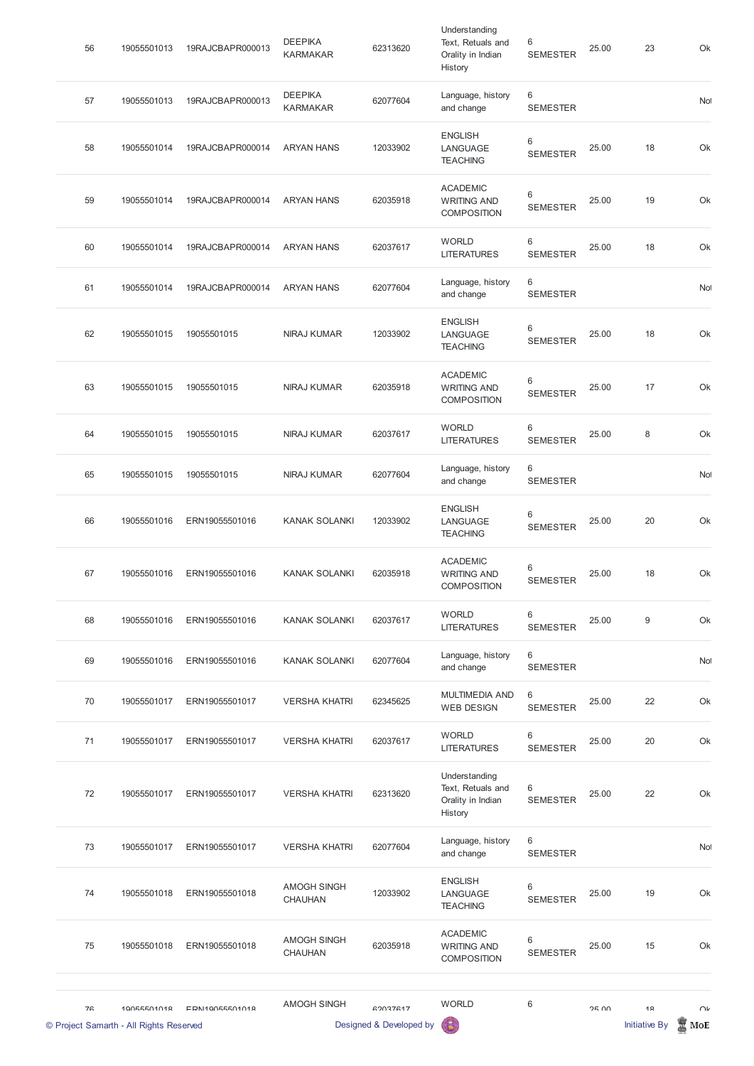| <b>DEEPIKA</b><br>6<br>Language, history<br>62077604<br>57<br>19055501013<br>19RAJCBAPR000013<br><b>KARMAKAR</b><br>and change<br><b>SEMESTER</b><br><b>ENGLISH</b><br>6<br>58<br>19055501014<br><b>ARYAN HANS</b><br>12033902<br>25.00<br>19RAJCBAPR000014<br>LANGUAGE<br><b>SEMESTER</b><br><b>TEACHING</b><br><b>ACADEMIC</b><br>6<br>59<br>19055501014<br>19RAJCBAPR000014<br>62035918<br>25.00<br><b>ARYAN HANS</b><br><b>WRITING AND</b><br><b>SEMESTER</b><br><b>COMPOSITION</b><br><b>WORLD</b><br>6<br>60<br>62037617<br>25.00<br>19055501014<br>19RAJCBAPR000014<br><b>ARYAN HANS</b><br><b>LITERATURES</b><br><b>SEMESTER</b><br>6<br>Language, history<br>61<br>62077604<br>19055501014<br>19RAJCBAPR000014<br><b>ARYAN HANS</b><br>and change<br><b>SEMESTER</b><br><b>ENGLISH</b><br>6<br>62<br>19055501015<br>19055501015<br>NIRAJ KUMAR<br>12033902<br>25.00<br>LANGUAGE<br><b>SEMESTER</b><br><b>TEACHING</b><br><b>ACADEMIC</b><br>6<br>19055501015<br>19055501015<br><b>NIRAJ KUMAR</b><br>62035918<br>25.00<br>63<br><b>WRITING AND</b><br><b>SEMESTER</b><br><b>COMPOSITION</b><br><b>WORLD</b><br>6<br>25.00<br>64<br>19055501015<br>19055501015<br><b>NIRAJ KUMAR</b><br>62037617<br><b>LITERATURES</b><br><b>SEMESTER</b><br>6<br>Language, history<br>65<br>19055501015<br>19055501015<br>NIRAJ KUMAR<br>62077604<br>and change<br><b>SEMESTER</b><br><b>ENGLISH</b><br>6<br>66<br>19055501016<br><b>KANAK SOLANKI</b><br>12033902<br>25.00<br>ERN19055501016<br>LANGUAGE<br><b>SEMESTER</b><br><b>TEACHING</b><br><b>ACADEMIC</b><br>6<br>67<br><b>KANAK SOLANKI</b><br>62035918<br>25.00<br>19055501016<br>ERN19055501016<br><b>WRITING AND</b><br><b>SEMESTER</b><br><b>COMPOSITION</b><br>$\,6$<br><b>WORLD</b> |          |  |  |  | 68 |
|----------------------------------------------------------------------------------------------------------------------------------------------------------------------------------------------------------------------------------------------------------------------------------------------------------------------------------------------------------------------------------------------------------------------------------------------------------------------------------------------------------------------------------------------------------------------------------------------------------------------------------------------------------------------------------------------------------------------------------------------------------------------------------------------------------------------------------------------------------------------------------------------------------------------------------------------------------------------------------------------------------------------------------------------------------------------------------------------------------------------------------------------------------------------------------------------------------------------------------------------------------------------------------------------------------------------------------------------------------------------------------------------------------------------------------------------------------------------------------------------------------------------------------------------------------------------------------------------------------------------------------------------------------------------------------------------------------------------------------------------|----------|--|--|--|----|
|                                                                                                                                                                                                                                                                                                                                                                                                                                                                                                                                                                                                                                                                                                                                                                                                                                                                                                                                                                                                                                                                                                                                                                                                                                                                                                                                                                                                                                                                                                                                                                                                                                                                                                                                              |          |  |  |  |    |
|                                                                                                                                                                                                                                                                                                                                                                                                                                                                                                                                                                                                                                                                                                                                                                                                                                                                                                                                                                                                                                                                                                                                                                                                                                                                                                                                                                                                                                                                                                                                                                                                                                                                                                                                              | 20<br>18 |  |  |  |    |
|                                                                                                                                                                                                                                                                                                                                                                                                                                                                                                                                                                                                                                                                                                                                                                                                                                                                                                                                                                                                                                                                                                                                                                                                                                                                                                                                                                                                                                                                                                                                                                                                                                                                                                                                              |          |  |  |  |    |
|                                                                                                                                                                                                                                                                                                                                                                                                                                                                                                                                                                                                                                                                                                                                                                                                                                                                                                                                                                                                                                                                                                                                                                                                                                                                                                                                                                                                                                                                                                                                                                                                                                                                                                                                              | 8        |  |  |  |    |
|                                                                                                                                                                                                                                                                                                                                                                                                                                                                                                                                                                                                                                                                                                                                                                                                                                                                                                                                                                                                                                                                                                                                                                                                                                                                                                                                                                                                                                                                                                                                                                                                                                                                                                                                              | 17       |  |  |  |    |
|                                                                                                                                                                                                                                                                                                                                                                                                                                                                                                                                                                                                                                                                                                                                                                                                                                                                                                                                                                                                                                                                                                                                                                                                                                                                                                                                                                                                                                                                                                                                                                                                                                                                                                                                              |          |  |  |  |    |
|                                                                                                                                                                                                                                                                                                                                                                                                                                                                                                                                                                                                                                                                                                                                                                                                                                                                                                                                                                                                                                                                                                                                                                                                                                                                                                                                                                                                                                                                                                                                                                                                                                                                                                                                              | 18       |  |  |  |    |
|                                                                                                                                                                                                                                                                                                                                                                                                                                                                                                                                                                                                                                                                                                                                                                                                                                                                                                                                                                                                                                                                                                                                                                                                                                                                                                                                                                                                                                                                                                                                                                                                                                                                                                                                              | 18       |  |  |  |    |
|                                                                                                                                                                                                                                                                                                                                                                                                                                                                                                                                                                                                                                                                                                                                                                                                                                                                                                                                                                                                                                                                                                                                                                                                                                                                                                                                                                                                                                                                                                                                                                                                                                                                                                                                              |          |  |  |  |    |
|                                                                                                                                                                                                                                                                                                                                                                                                                                                                                                                                                                                                                                                                                                                                                                                                                                                                                                                                                                                                                                                                                                                                                                                                                                                                                                                                                                                                                                                                                                                                                                                                                                                                                                                                              | 19       |  |  |  |    |
|                                                                                                                                                                                                                                                                                                                                                                                                                                                                                                                                                                                                                                                                                                                                                                                                                                                                                                                                                                                                                                                                                                                                                                                                                                                                                                                                                                                                                                                                                                                                                                                                                                                                                                                                              | 18       |  |  |  |    |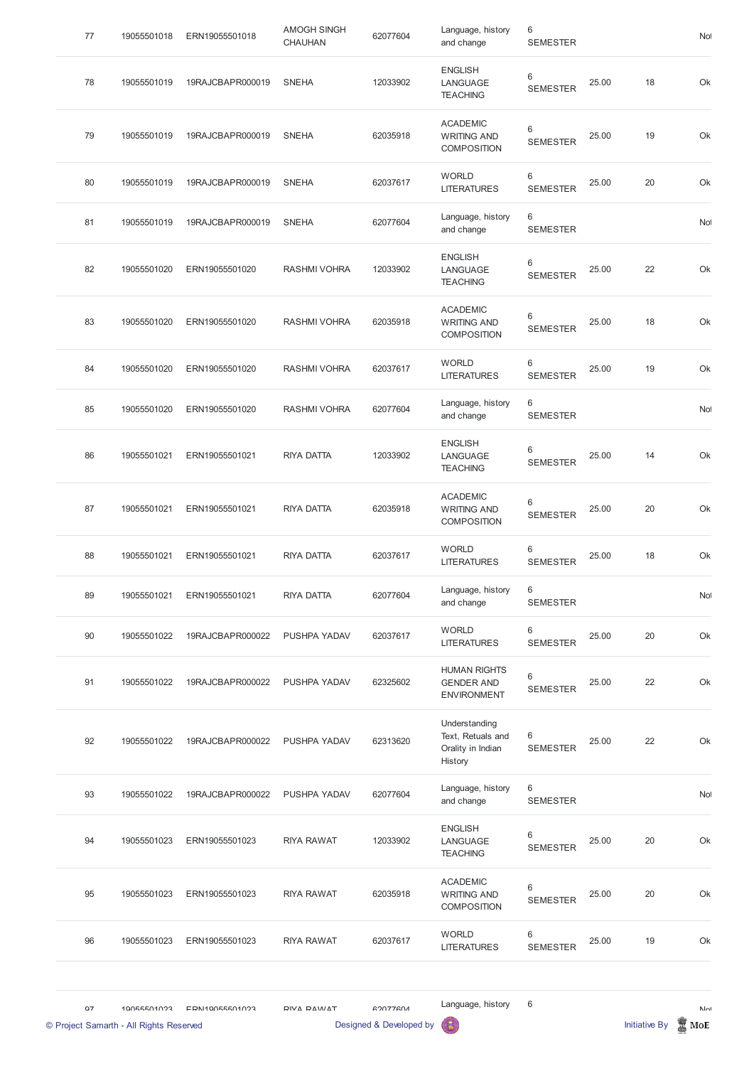| 77                                            | 19055501018 | ERN19055501018   | <b>AMOGH SINGH</b><br><b>CHAUHAN</b> | 62077604                                   | Language, history<br>and change                                    | 6<br><b>SEMESTER</b>       |       |                      | Not                 |
|-----------------------------------------------|-------------|------------------|--------------------------------------|--------------------------------------------|--------------------------------------------------------------------|----------------------------|-------|----------------------|---------------------|
| 78                                            | 19055501019 | 19RAJCBAPR000019 | <b>SNEHA</b>                         | 12033902                                   | <b>ENGLISH</b><br>LANGUAGE<br><b>TEACHING</b>                      | 6<br><b>SEMESTER</b>       | 25.00 | 18                   | Ok                  |
| 79                                            | 19055501019 | 19RAJCBAPR000019 | <b>SNEHA</b>                         | 62035918                                   | <b>ACADEMIC</b><br><b>WRITING AND</b><br><b>COMPOSITION</b>        | $\,6$<br><b>SEMESTER</b>   | 25.00 | 19                   | Ok                  |
| 80                                            | 19055501019 | 19RAJCBAPR000019 | <b>SNEHA</b>                         | 62037617                                   | <b>WORLD</b><br><b>LITERATURES</b>                                 | 6<br><b>SEMESTER</b>       | 25.00 | 20                   | Ok                  |
| 81                                            | 19055501019 | 19RAJCBAPR000019 | <b>SNEHA</b>                         | 62077604                                   | Language, history<br>and change                                    | 6<br><b>SEMESTER</b>       |       |                      | Not                 |
| 82                                            | 19055501020 | ERN19055501020   | <b>RASHMI VOHRA</b>                  | 12033902                                   | <b>ENGLISH</b><br>LANGUAGE<br><b>TEACHING</b>                      | $\,6\,$<br><b>SEMESTER</b> | 25.00 | 22                   | Ok                  |
| 83                                            | 19055501020 | ERN19055501020   | <b>RASHMI VOHRA</b>                  | 62035918                                   | <b>ACADEMIC</b><br><b>WRITING AND</b><br><b>COMPOSITION</b>        | 6<br><b>SEMESTER</b>       | 25.00 | 18                   | Ok                  |
| 84                                            | 19055501020 | ERN19055501020   | <b>RASHMI VOHRA</b>                  | 62037617                                   | <b>WORLD</b><br><b>LITERATURES</b>                                 | 6<br><b>SEMESTER</b>       | 25.00 | 19                   | Ok                  |
| 85                                            | 19055501020 | ERN19055501020   | <b>RASHMI VOHRA</b>                  | 62077604                                   | Language, history<br>and change                                    | 6<br><b>SEMESTER</b>       |       |                      | Not                 |
| 86                                            | 19055501021 | ERN19055501021   | <b>RIYA DATTA</b>                    | 12033902                                   | <b>ENGLISH</b><br>LANGUAGE<br><b>TEACHING</b>                      | 6<br><b>SEMESTER</b>       | 25.00 | 14                   | Ok                  |
| 87                                            | 19055501021 | ERN19055501021   | <b>RIYA DATTA</b>                    | 62035918                                   | <b>ACADEMIC</b><br><b>WRITING AND</b><br><b>COMPOSITION</b>        | 6<br><b>SEMESTER</b>       | 25.00 | 20                   | Ok                  |
| 88                                            | 19055501021 | ERN19055501021   | <b>RIYA DATTA</b>                    | 62037617                                   | <b>WORLD</b><br><b>LITERATURES</b>                                 | $\,6$<br><b>SEMESTER</b>   | 25.00 | 18                   | Ok                  |
| 89                                            | 19055501021 | ERN19055501021   | <b>RIYA DATTA</b>                    | 62077604                                   | Language, history<br>and change                                    | 6<br><b>SEMESTER</b>       |       |                      | Not                 |
| 90                                            | 19055501022 | 19RAJCBAPR000022 | PUSHPA YADAV                         | 62037617                                   | <b>WORLD</b><br><b>LITERATURES</b>                                 | 6<br><b>SEMESTER</b>       | 25.00 | 20                   | Ok                  |
| 91                                            | 19055501022 | 19RAJCBAPR000022 | PUSHPA YADAV                         | 62325602                                   | <b>HUMAN RIGHTS</b><br><b>GENDER AND</b><br><b>ENVIRONMENT</b>     | $\,6$<br><b>SEMESTER</b>   | 25.00 | 22                   | Ok                  |
| 92                                            | 19055501022 | 19RAJCBAPR000022 | PUSHPA YADAV                         | 62313620                                   | Understanding<br>Text, Retuals and<br>Orality in Indian<br>History | 6<br><b>SEMESTER</b>       | 25.00 | 22                   | Ok                  |
| 93                                            | 19055501022 | 19RAJCBAPR000022 | PUSHPA YADAV                         | 62077604                                   | Language, history<br>and change                                    | $\,6$<br><b>SEMESTER</b>   |       |                      | No                  |
| 94                                            | 19055501023 | ERN19055501023   | <b>RIYA RAWAT</b>                    | 12033902                                   | <b>ENGLISH</b><br>LANGUAGE<br><b>TEACHING</b>                      | $\,6\,$<br><b>SEMESTER</b> | 25.00 | 20                   | Ok                  |
| 95                                            | 19055501023 | ERN19055501023   | <b>RIYA RAWAT</b>                    | 62035918                                   | <b>ACADEMIC</b><br><b>WRITING AND</b><br><b>COMPOSITION</b>        | $\,6\,$<br><b>SEMESTER</b> | 25.00 | 20                   | Ok                  |
| 96                                            | 19055501023 | ERN19055501023   | <b>RIYA RAWAT</b>                    | 62037617                                   | <b>WORLD</b><br><b>LITERATURES</b>                                 | $\,6$<br><b>SEMESTER</b>   | 25.00 | 19                   | Ok                  |
| 07<br>© Project Samarth - All Rights Reserved | 10055501022 | EDN110055501023  | DIVA DAMAT                           | <b>GOOZZGOA</b><br>Designed & Developed by | Language, history                                                  | $\,6$                      |       | <b>Initiative By</b> | $N_{\Omega}$<br>MoE |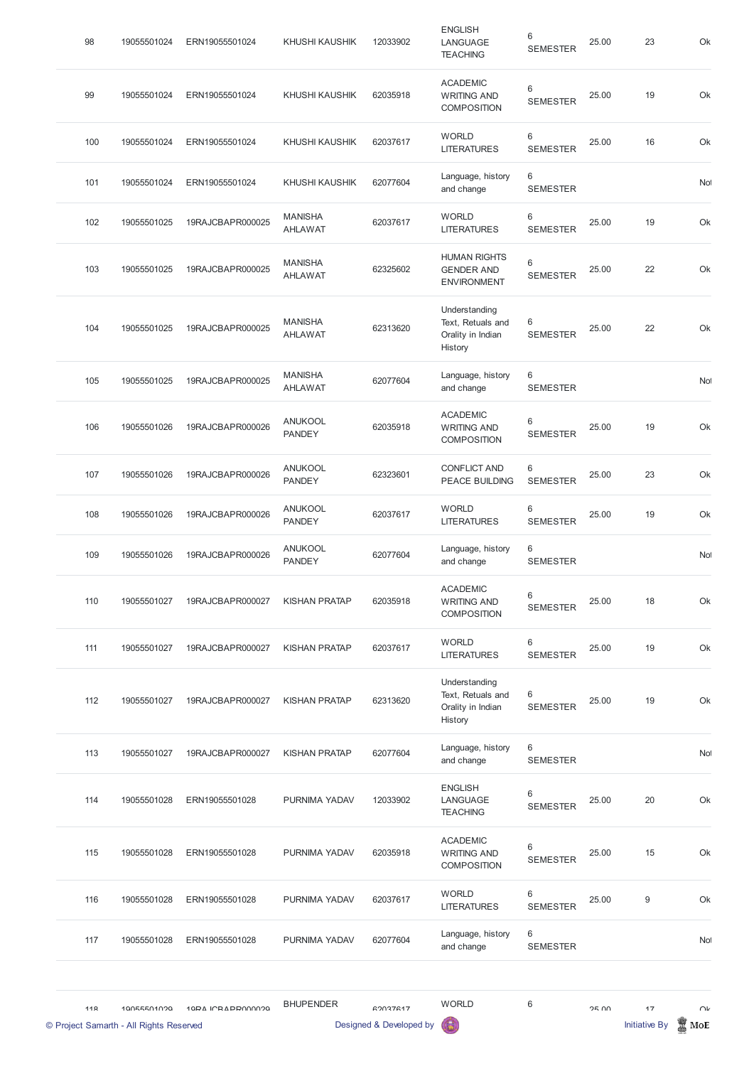| 98  | 19055501024 | ERN19055501024   | <b>KHUSHI KAUSHIK</b>            | 12033902 | <b>ENGLISH</b><br>LANGUAGE<br><b>TEACHING</b>                      | 6<br><b>SEMESTER</b> | 25.00 | 23 | Ok        |
|-----|-------------|------------------|----------------------------------|----------|--------------------------------------------------------------------|----------------------|-------|----|-----------|
| 99  | 19055501024 | ERN19055501024   | <b>KHUSHI KAUSHIK</b>            | 62035918 | <b>ACADEMIC</b><br><b>WRITING AND</b><br><b>COMPOSITION</b>        | 6<br><b>SEMESTER</b> | 25.00 | 19 | Ok        |
| 100 | 19055501024 | ERN19055501024   | <b>KHUSHI KAUSHIK</b>            | 62037617 | <b>WORLD</b><br><b>LITERATURES</b>                                 | 6<br><b>SEMESTER</b> | 25.00 | 16 | Ok        |
| 101 | 19055501024 | ERN19055501024   | <b>KHUSHI KAUSHIK</b>            | 62077604 | Language, history<br>and change                                    | 6<br><b>SEMESTER</b> |       |    | Not       |
| 102 | 19055501025 | 19RAJCBAPR000025 | <b>MANISHA</b><br><b>AHLAWAT</b> | 62037617 | <b>WORLD</b><br><b>LITERATURES</b>                                 | 6<br><b>SEMESTER</b> | 25.00 | 19 | Ok        |
| 103 | 19055501025 | 19RAJCBAPR000025 | <b>MANISHA</b><br><b>AHLAWAT</b> | 62325602 | <b>HUMAN RIGHTS</b><br><b>GENDER AND</b><br><b>ENVIRONMENT</b>     | 6<br><b>SEMESTER</b> | 25.00 | 22 | Ok        |
| 104 | 19055501025 | 19RAJCBAPR000025 | <b>MANISHA</b><br><b>AHLAWAT</b> | 62313620 | Understanding<br>Text, Retuals and<br>Orality in Indian<br>History | 6<br><b>SEMESTER</b> | 25.00 | 22 | Ok        |
| 105 | 19055501025 | 19RAJCBAPR000025 | <b>MANISHA</b><br><b>AHLAWAT</b> | 62077604 | Language, history<br>and change                                    | 6<br><b>SEMESTER</b> |       |    | Not       |
| 106 | 19055501026 | 19RAJCBAPR000026 | <b>ANUKOOL</b><br><b>PANDEY</b>  | 62035918 | <b>ACADEMIC</b><br><b>WRITING AND</b><br><b>COMPOSITION</b>        | 6<br><b>SEMESTER</b> | 25.00 | 19 | Ok        |
| 107 | 19055501026 | 19RAJCBAPR000026 | <b>ANUKOOL</b><br><b>PANDEY</b>  | 62323601 | <b>CONFLICT AND</b><br>PEACE BUILDING                              | 6<br><b>SEMESTER</b> | 25.00 | 23 | Ok        |
| 108 | 19055501026 | 19RAJCBAPR000026 | <b>ANUKOOL</b><br><b>PANDEY</b>  | 62037617 | <b>WORLD</b><br><b>LITERATURES</b>                                 | 6<br><b>SEMESTER</b> | 25.00 | 19 | Ok        |
| 109 | 19055501026 | 19RAJCBAPR000026 | <b>ANUKOOL</b><br><b>PANDEY</b>  | 62077604 | Language, history<br>and change                                    | 6<br><b>SEMESTER</b> |       |    | <b>No</b> |
| 110 | 19055501027 | 19RAJCBAPR000027 | <b>KISHAN PRATAP</b>             | 62035918 | <b>ACADEMIC</b><br><b>WRITING AND</b><br><b>COMPOSITION</b>        | 6<br><b>SEMESTER</b> | 25.00 | 18 | Ok        |
| 111 | 19055501027 | 19RAJCBAPR000027 | <b>KISHAN PRATAP</b>             | 62037617 | <b>WORLD</b><br><b>LITERATURES</b>                                 | 6<br><b>SEMESTER</b> | 25.00 | 19 | Ok        |
| 112 | 19055501027 | 19RAJCBAPR000027 | <b>KISHAN PRATAP</b>             | 62313620 | Understanding<br>Text, Retuals and<br>Orality in Indian<br>History | 6<br><b>SEMESTER</b> | 25.00 | 19 | Ok        |
| 113 | 19055501027 | 19RAJCBAPR000027 | <b>KISHAN PRATAP</b>             | 62077604 | Language, history<br>and change                                    | 6<br><b>SEMESTER</b> |       |    | No        |
| 114 | 19055501028 | ERN19055501028   | PURNIMA YADAV                    | 12033902 | <b>ENGLISH</b><br>LANGUAGE<br><b>TEACURIC</b>                      | 6<br><b>SEMESTER</b> | 25.00 | 20 | Ok        |

TEACHING

|                 | © Project Samarth - All Rights Reserved |                  |                  | Designed & Developed by | 6                                                           |                          |       | <b>Initiative By</b> | MoE    |
|-----------------|-----------------------------------------|------------------|------------------|-------------------------|-------------------------------------------------------------|--------------------------|-------|----------------------|--------|
| 11 <sub>Q</sub> | 10055501020                             | 10PA ICRAPPOOOOO | <b>BHUPENDER</b> | 62037617                | <b>WORLD</b>                                                | 6                        | 2500  | 17                   | $\cap$ |
| 117             | 19055501028                             | ERN19055501028   | PURNIMA YADAV    | 62077604                | Language, history<br>and change                             | 6<br><b>SEMESTER</b>     |       |                      | Not    |
| 116             | 19055501028                             | ERN19055501028   | PURNIMA YADAV    | 62037617                | <b>WORLD</b><br><b>LITERATURES</b>                          | 6<br><b>SEMESTER</b>     | 25.00 | $9\,$                | Ok     |
| 115             | 19055501028                             | ERN19055501028   | PURNIMA YADAV    | 62035918                | <b>ACADEMIC</b><br><b>WRITING AND</b><br><b>COMPOSITION</b> | $\,6$<br><b>SEMESTER</b> | 25.00 | 15                   | Ok     |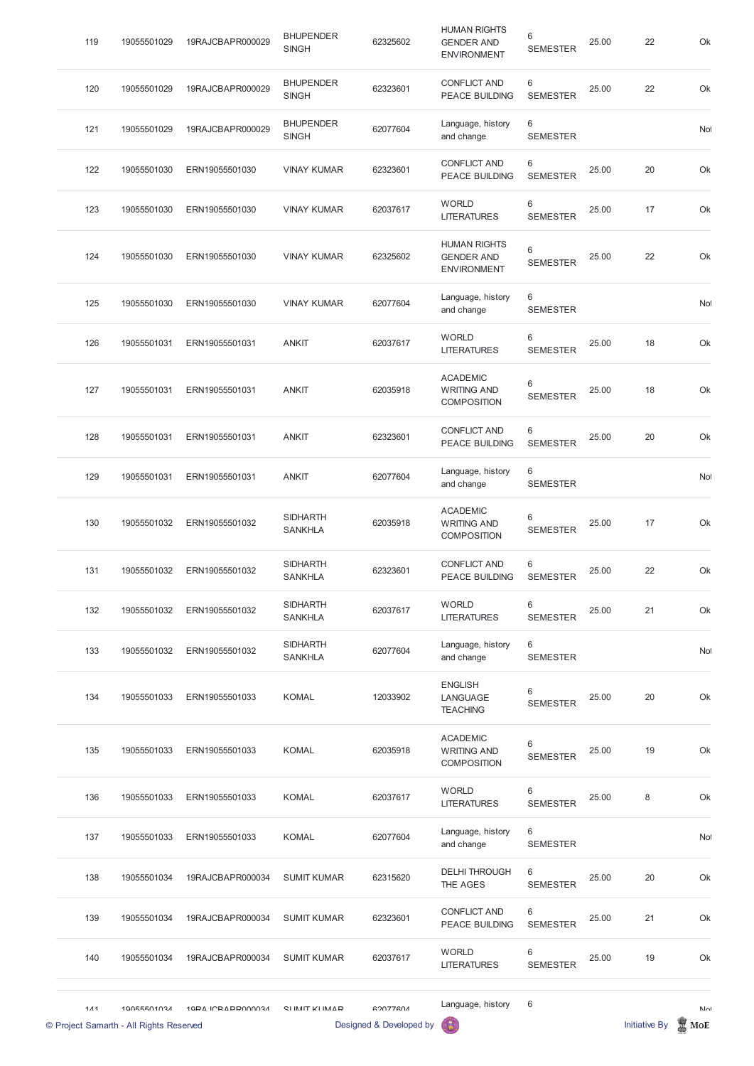| 119                                              | 19055501029 | 19RAJCBAPR000029         | <b>BHUPENDER</b><br><b>SINGH</b>  | 62325602                                   | <b>HUMAN RIGHTS</b><br><b>GENDER AND</b><br><b>ENVIRONMENT</b> | 6<br><b>SEMESTER</b> | 25.00 | 22                   | Ok                  |
|--------------------------------------------------|-------------|--------------------------|-----------------------------------|--------------------------------------------|----------------------------------------------------------------|----------------------|-------|----------------------|---------------------|
| 120                                              | 19055501029 | 19RAJCBAPR000029         | <b>BHUPENDER</b><br><b>SINGH</b>  | 62323601                                   | <b>CONFLICT AND</b><br><b>PEACE BUILDING</b>                   | 6<br><b>SEMESTER</b> | 25.00 | 22                   | Ok                  |
| 121                                              | 19055501029 | 19RAJCBAPR000029         | <b>BHUPENDER</b><br><b>SINGH</b>  | 62077604                                   | Language, history<br>and change                                | 6<br><b>SEMESTER</b> |       |                      | No                  |
| 122                                              | 19055501030 | ERN19055501030           | <b>VINAY KUMAR</b>                | 62323601                                   | <b>CONFLICT AND</b><br><b>PEACE BUILDING</b>                   | 6<br><b>SEMESTER</b> | 25.00 | 20                   | Ok                  |
| 123                                              | 19055501030 | ERN19055501030           | <b>VINAY KUMAR</b>                | 62037617                                   | <b>WORLD</b><br><b>LITERATURES</b>                             | 6<br><b>SEMESTER</b> | 25.00 | 17                   | Ok                  |
| 124                                              | 19055501030 | ERN19055501030           | <b>VINAY KUMAR</b>                | 62325602                                   | <b>HUMAN RIGHTS</b><br><b>GENDER AND</b><br><b>ENVIRONMENT</b> | 6<br><b>SEMESTER</b> | 25.00 | 22                   | Ok                  |
| 125                                              | 19055501030 | ERN19055501030           | <b>VINAY KUMAR</b>                | 62077604                                   | Language, history<br>and change                                | 6<br><b>SEMESTER</b> |       |                      | No                  |
| 126                                              | 19055501031 | ERN19055501031           | <b>ANKIT</b>                      | 62037617                                   | <b>WORLD</b><br><b>LITERATURES</b>                             | 6<br><b>SEMESTER</b> | 25.00 | 18                   | Ok                  |
| 127                                              | 19055501031 | ERN19055501031           | <b>ANKIT</b>                      | 62035918                                   | <b>ACADEMIC</b><br><b>WRITING AND</b><br><b>COMPOSITION</b>    | 6<br><b>SEMESTER</b> | 25.00 | 18                   | Ok                  |
| 128                                              | 19055501031 | ERN19055501031           | <b>ANKIT</b>                      | 62323601                                   | <b>CONFLICT AND</b><br><b>PEACE BUILDING</b>                   | 6<br><b>SEMESTER</b> | 25.00 | 20                   | Ok                  |
| 129                                              | 19055501031 | ERN19055501031           | <b>ANKIT</b>                      | 62077604                                   | Language, history<br>and change                                | 6<br><b>SEMESTER</b> |       |                      | No                  |
| 130                                              | 19055501032 | ERN19055501032           | <b>SIDHARTH</b><br><b>SANKHLA</b> | 62035918                                   | <b>ACADEMIC</b><br><b>WRITING AND</b><br><b>COMPOSITION</b>    | 6<br><b>SEMESTER</b> | 25.00 | 17                   | Ok                  |
| 131                                              | 19055501032 | ERN19055501032           | <b>SIDHARTH</b><br><b>SANKHLA</b> | 62323601                                   | <b>CONFLICT AND</b><br><b>PEACE BUILDING</b>                   | 6<br><b>SEMESTER</b> | 25.00 | 22                   | Ok                  |
| 132                                              | 19055501032 | ERN19055501032           | <b>SIDHARTH</b><br><b>SANKHLA</b> | 62037617                                   | <b>WORLD</b><br><b>LITERATURES</b>                             | 6<br><b>SEMESTER</b> | 25.00 | 21                   | Ok                  |
| 133                                              | 19055501032 | ERN19055501032           | <b>SIDHARTH</b><br><b>SANKHLA</b> | 62077604                                   | Language, history<br>and change                                | 6<br><b>SEMESTER</b> |       |                      | Not                 |
| 134                                              | 19055501033 | ERN19055501033           | <b>KOMAL</b>                      | 12033902                                   | <b>ENGLISH</b><br>LANGUAGE<br><b>TEACHING</b>                  | 6<br><b>SEMESTER</b> | 25.00 | 20                   | Ok                  |
| 135                                              | 19055501033 | ERN19055501033           | <b>KOMAL</b>                      | 62035918                                   | <b>ACADEMIC</b><br><b>WRITING AND</b><br><b>COMPOSITION</b>    | 6<br><b>SEMESTER</b> | 25.00 | 19                   | Ok                  |
| 136                                              | 19055501033 | ERN19055501033           | <b>KOMAL</b>                      | 62037617                                   | <b>WORLD</b><br><b>LITERATURES</b>                             | 6<br><b>SEMESTER</b> | 25.00 | $\,8\,$              | Ok                  |
| 137                                              | 19055501033 | ERN19055501033           | <b>KOMAL</b>                      | 62077604                                   | Language, history<br>and change                                | 6<br><b>SEMESTER</b> |       |                      | No                  |
| 138                                              | 19055501034 | 19RAJCBAPR000034         | <b>SUMIT KUMAR</b>                | 62315620                                   | <b>DELHI THROUGH</b><br>THE AGES                               | 6<br><b>SEMESTER</b> | 25.00 | 20                   | Ok                  |
| 139                                              | 19055501034 | 19RAJCBAPR000034         | <b>SUMIT KUMAR</b>                | 62323601                                   | <b>CONFLICT AND</b><br>PEACE BUILDING                          | 6<br><b>SEMESTER</b> | 25.00 | 21                   | Ok                  |
| 140                                              | 19055501034 | 19RAJCBAPR000034         | <b>SUMIT KUMAR</b>                | 62037617                                   | <b>WORLD</b><br><b>LITERATURES</b>                             | 6<br><b>SEMESTER</b> | 25.00 | 19                   | Ok                  |
| $111$<br>© Project Samarth - All Rights Reserved | 10055501024 | <b>10DA ICRADDO00034</b> | CIIMIT KIIMAD                     | <b>GOOZZGOA</b><br>Designed & Developed by | Language, history                                              | 6                    |       | <b>Initiative By</b> | $N_{\Omega}$<br>MoE |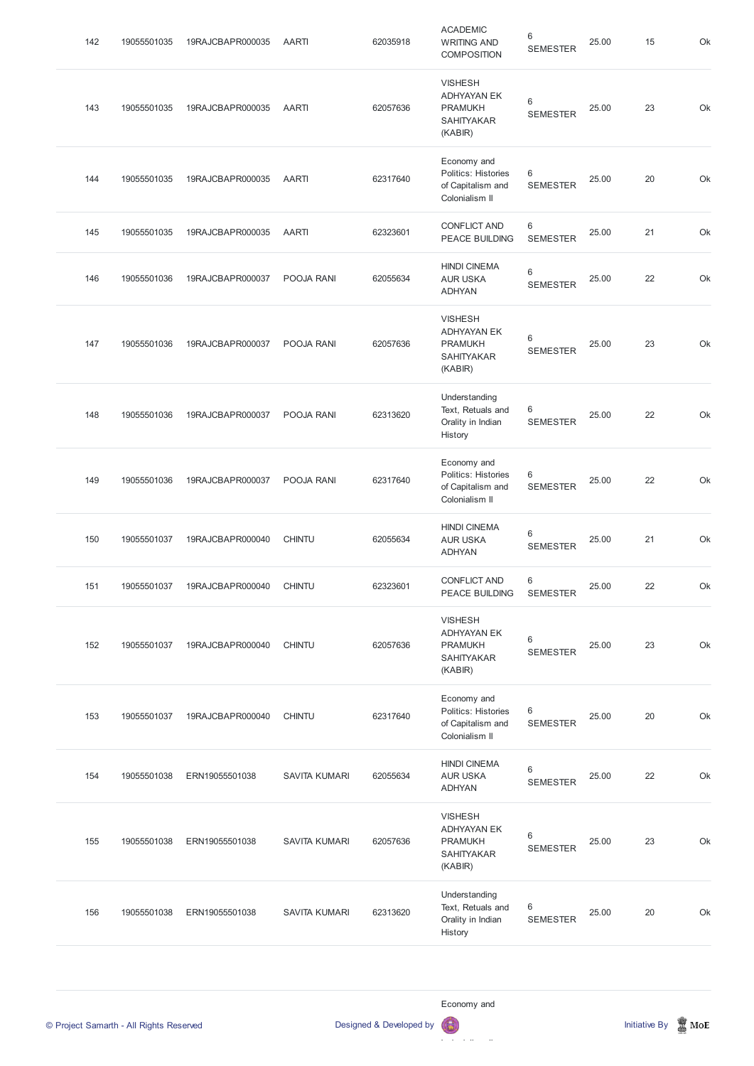| 142 | 19055501035 | 19RAJCBAPR000035 | <b>AARTI</b>         | 62035918 | <b>ACADEMIC</b><br><b>WRITING AND</b><br><b>COMPOSITION</b>                            | 6<br><b>SEMESTER</b> | 25.00 | 15 | Ok |
|-----|-------------|------------------|----------------------|----------|----------------------------------------------------------------------------------------|----------------------|-------|----|----|
| 143 | 19055501035 | 19RAJCBAPR000035 | <b>AARTI</b>         | 62057636 | <b>VISHESH</b><br><b>ADHYAYAN EK</b><br><b>PRAMUKH</b><br><b>SAHITYAKAR</b><br>(KABIR) | 6<br><b>SEMESTER</b> | 25.00 | 23 | Ok |
| 144 | 19055501035 | 19RAJCBAPR000035 | <b>AARTI</b>         | 62317640 | Economy and<br>Politics: Histories<br>of Capitalism and<br>Colonialism II              | 6<br><b>SEMESTER</b> | 25.00 | 20 | Ok |
| 145 | 19055501035 | 19RAJCBAPR000035 | <b>AARTI</b>         | 62323601 | <b>CONFLICT AND</b><br>PEACE BUILDING                                                  | 6<br><b>SEMESTER</b> | 25.00 | 21 | Ok |
| 146 | 19055501036 | 19RAJCBAPR000037 | POOJA RANI           | 62055634 | <b>HINDI CINEMA</b><br><b>AUR USKA</b><br><b>ADHYAN</b>                                | 6<br><b>SEMESTER</b> | 25.00 | 22 | Ok |
| 147 | 19055501036 | 19RAJCBAPR000037 | POOJA RANI           | 62057636 | <b>VISHESH</b><br><b>ADHYAYAN EK</b><br><b>PRAMUKH</b><br><b>SAHITYAKAR</b><br>(KABIR) | 6<br><b>SEMESTER</b> | 25.00 | 23 | Ok |
| 148 | 19055501036 | 19RAJCBAPR000037 | POOJA RANI           | 62313620 | Understanding<br>Text, Retuals and<br>Orality in Indian<br>History                     | 6<br><b>SEMESTER</b> | 25.00 | 22 | Ok |
| 149 | 19055501036 | 19RAJCBAPR000037 | POOJA RANI           | 62317640 | Economy and<br>Politics: Histories<br>of Capitalism and<br>Colonialism II              | 6<br><b>SEMESTER</b> | 25.00 | 22 | Ok |
| 150 | 19055501037 | 19RAJCBAPR000040 | <b>CHINTU</b>        | 62055634 | <b>HINDI CINEMA</b><br><b>AUR USKA</b><br><b>ADHYAN</b>                                | 6<br><b>SEMESTER</b> | 25.00 | 21 | Ok |
| 151 | 19055501037 | 19RAJCBAPR000040 | <b>CHINTU</b>        | 62323601 | <b>CONFLICT AND</b><br>PEACE BUILDING                                                  | 6<br><b>SEMESTER</b> | 25.00 | 22 | Ok |
| 152 | 19055501037 | 19RAJCBAPR000040 | <b>CHINTU</b>        | 62057636 | <b>VISHESH</b><br><b>ADHYAYAN EK</b><br><b>PRAMUKH</b><br>SAHITYAKAR<br>(KABIR)        | 6<br><b>SEMESTER</b> | 25.00 | 23 | Ok |
| 153 | 19055501037 | 19RAJCBAPR000040 | <b>CHINTU</b>        | 62317640 | Economy and<br>Politics: Histories<br>of Capitalism and<br>Colonialism II              | 6<br><b>SEMESTER</b> | 25.00 | 20 | Ok |
| 154 | 19055501038 | ERN19055501038   | <b>SAVITA KUMARI</b> | 62055634 | <b>HINDI CINEMA</b><br><b>AUR USKA</b><br><b>ADHYAN</b>                                | 6<br><b>SEMESTER</b> | 25.00 | 22 | Ok |

| 155 | 19055501038 | ERN19055501038 | <b>SAVITA KUMARI</b> | 62057636 | <b>VISHESH</b><br>ADHYAYAN EK<br><b>PRAMUKH</b><br><b>SAHITYAKAR</b><br>(KABIR) | 6<br><b>SEMESTER</b> | 25.00 | 23 | Ok |
|-----|-------------|----------------|----------------------|----------|---------------------------------------------------------------------------------|----------------------|-------|----|----|
| 156 | 19055501038 | ERN19055501038 | <b>SAVITA KUMARI</b> | 62313620 | Understanding<br>Text, Retuals and<br>Orality in Indian<br>History              | 6<br><b>SEMESTER</b> | 25.00 | 20 | Ok |

Economy and

© Project Samarth - All Rights Reserved **Designed & Developed by Initiative By Initiative By Initiative By Initiative By Initiative By Initiative By Initiative By Initiative By Initiative By Initiative By Initiative By Ini** Politics: Histories: Histories: Histories: Histories: Histories: Histories: Histories: Histories: Histories: H  $\mathbf{G}$ 

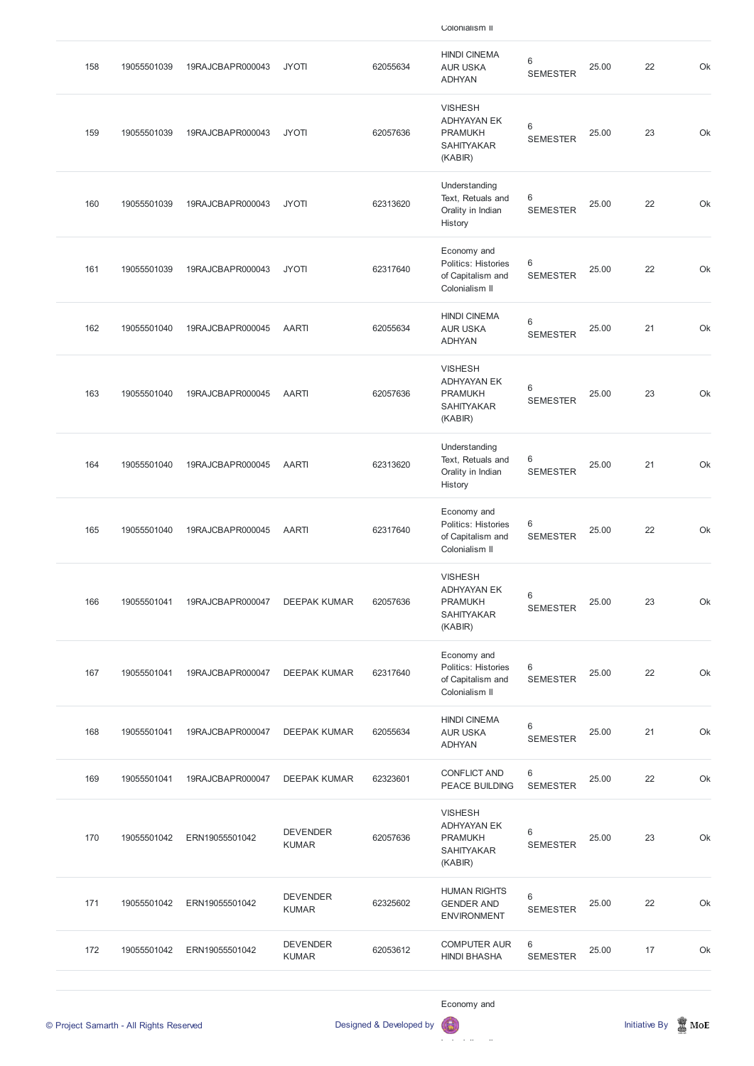| 158 | 19055501039 | 19RAJCBAPR000043 | <b>JYOTI</b>        | 62055634 | <b>HINDI CINEMA</b><br><b>AUR USKA</b><br><b>ADHYAN</b>                                | 6<br><b>SEMESTER</b> | 25.00 | 22 | Ok |
|-----|-------------|------------------|---------------------|----------|----------------------------------------------------------------------------------------|----------------------|-------|----|----|
| 159 | 19055501039 | 19RAJCBAPR000043 | <b>JYOTI</b>        | 62057636 | <b>VISHESH</b><br><b>ADHYAYAN EK</b><br><b>PRAMUKH</b><br><b>SAHITYAKAR</b><br>(KABIR) | 6<br><b>SEMESTER</b> | 25.00 | 23 | Ok |
| 160 | 19055501039 | 19RAJCBAPR000043 | <b>JYOTI</b>        | 62313620 | Understanding<br>Text, Retuals and<br>Orality in Indian<br>History                     | 6<br><b>SEMESTER</b> | 25.00 | 22 | Ok |
| 161 | 19055501039 | 19RAJCBAPR000043 | <b>JYOTI</b>        | 62317640 | Economy and<br>Politics: Histories<br>of Capitalism and<br>Colonialism II              | 6<br><b>SEMESTER</b> | 25.00 | 22 | Ok |
| 162 | 19055501040 | 19RAJCBAPR000045 | <b>AARTI</b>        | 62055634 | <b>HINDI CINEMA</b><br><b>AUR USKA</b><br><b>ADHYAN</b>                                | 6<br><b>SEMESTER</b> | 25.00 | 21 | Ok |
| 163 | 19055501040 | 19RAJCBAPR000045 | <b>AARTI</b>        | 62057636 | <b>VISHESH</b><br><b>ADHYAYAN EK</b><br><b>PRAMUKH</b><br><b>SAHITYAKAR</b><br>(KABIR) | 6<br><b>SEMESTER</b> | 25.00 | 23 | Ok |
| 164 | 19055501040 | 19RAJCBAPR000045 | <b>AARTI</b>        | 62313620 | Understanding<br>Text, Retuals and<br>Orality in Indian<br>History                     | 6<br><b>SEMESTER</b> | 25.00 | 21 | Ok |
| 165 | 19055501040 | 19RAJCBAPR000045 | <b>AARTI</b>        | 62317640 | Economy and<br>Politics: Histories<br>of Capitalism and<br>Colonialism II              | 6<br><b>SEMESTER</b> | 25.00 | 22 | Ok |
| 166 | 19055501041 | 19RAJCBAPR000047 | <b>DEEPAK KUMAR</b> | 62057636 | <b>VISHESH</b><br><b>ADHYAYAN EK</b><br><b>PRAMUKH</b><br><b>SAHITYAKAR</b><br>(KABIR) | 6<br><b>SEMESTER</b> | 25.00 | 23 | Ok |
| 167 | 19055501041 | 19RAJCBAPR000047 | <b>DEEPAK KUMAR</b> | 62317640 | Economy and<br>Politics: Histories<br>of Capitalism and<br>Colonialism II              | 6<br><b>SEMESTER</b> | 25.00 | 22 | Ok |
| 168 | 19055501041 | 19RAJCBAPR000047 | <b>DEEPAK KUMAR</b> | 62055634 | <b>HINDI CINEMA</b><br><b>AUR USKA</b><br><b>ADHYAN</b>                                | 6<br><b>SEMESTER</b> | 25.00 | 21 | Ok |
| 169 | 19055501041 | 19RAJCBAPR000047 | <b>DEEPAK KUMAR</b> | 62323601 | <b>CONFLICT AND</b><br>PEACE BUILDING                                                  | 6<br><b>SEMESTER</b> | 25.00 | 22 | Ok |

|     | © Project Samarth - All Rights Reserved |                |                                 | Designed & Developed by | Economy and<br>6                                                                       |                      |       | <b>Initiative By</b> | $\mathbb Z$ MoE |
|-----|-----------------------------------------|----------------|---------------------------------|-------------------------|----------------------------------------------------------------------------------------|----------------------|-------|----------------------|-----------------|
| 172 | 19055501042                             | ERN19055501042 | <b>DEVENDER</b><br><b>KUMAR</b> | 62053612                | <b>COMPUTER AUR</b><br><b>HINDI BHASHA</b>                                             | 6<br><b>SEMESTER</b> | 25.00 | 17                   | Ok              |
| 171 | 19055501042                             | ERN19055501042 | <b>DEVENDER</b><br><b>KUMAR</b> | 62325602                | <b>HUMAN RIGHTS</b><br><b>GENDER AND</b><br><b>ENVIRONMENT</b>                         | 6<br><b>SEMESTER</b> | 25.00 | 22                   | Ok              |
| 170 | 19055501042                             | ERN19055501042 | <b>DEVENDER</b><br><b>KUMAR</b> | 62057636                | <b>VISHESH</b><br><b>ADHYAYAN EK</b><br><b>PRAMUKH</b><br><b>SAHITYAKAR</b><br>(KABIR) | 6<br><b>SEMESTER</b> | 25.00 | 23                   | Ok              |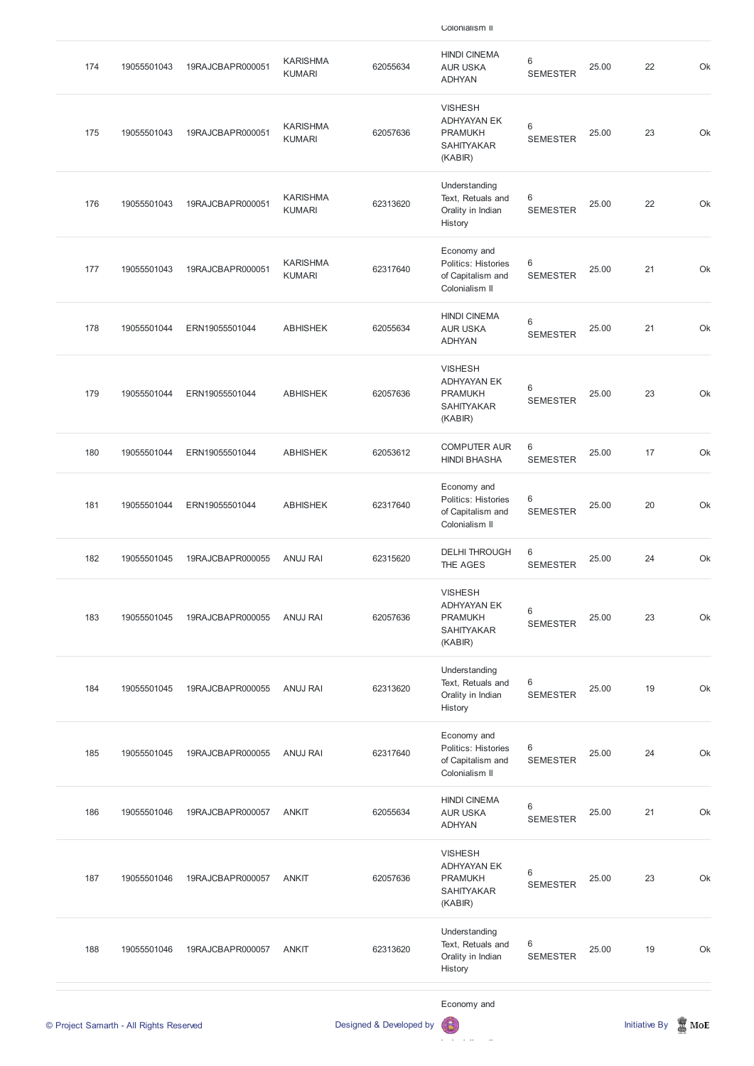| 174                                     | 19055501043 | 19RAJCBAPR000051 | <b>KARISHMA</b><br><b>KUMARI</b> | 62055634                | <b>HINDI CINEMA</b><br><b>AUR USKA</b><br><b>ADHYAN</b>                                | 6<br><b>SEMESTER</b> | 25.00 | 22                   | Ok  |
|-----------------------------------------|-------------|------------------|----------------------------------|-------------------------|----------------------------------------------------------------------------------------|----------------------|-------|----------------------|-----|
| 175                                     | 19055501043 | 19RAJCBAPR000051 | <b>KARISHMA</b><br><b>KUMARI</b> | 62057636                | <b>VISHESH</b><br><b>ADHYAYAN EK</b><br><b>PRAMUKH</b><br><b>SAHITYAKAR</b><br>(KABIR) | 6<br><b>SEMESTER</b> | 25.00 | 23                   | Ok  |
| 176                                     | 19055501043 | 19RAJCBAPR000051 | <b>KARISHMA</b><br><b>KUMARI</b> | 62313620                | Understanding<br>Text, Retuals and<br>Orality in Indian<br>History                     | 6<br><b>SEMESTER</b> | 25.00 | 22                   | Ok  |
| 177                                     | 19055501043 | 19RAJCBAPR000051 | <b>KARISHMA</b><br><b>KUMARI</b> | 62317640                | Economy and<br>Politics: Histories<br>of Capitalism and<br>Colonialism II              | 6<br><b>SEMESTER</b> | 25.00 | 21                   | Ok  |
| 178                                     | 19055501044 | ERN19055501044   | <b>ABHISHEK</b>                  | 62055634                | <b>HINDI CINEMA</b><br><b>AUR USKA</b><br><b>ADHYAN</b>                                | 6<br><b>SEMESTER</b> | 25.00 | 21                   | Ok  |
| 179                                     | 19055501044 | ERN19055501044   | <b>ABHISHEK</b>                  | 62057636                | <b>VISHESH</b><br><b>ADHYAYAN EK</b><br><b>PRAMUKH</b><br><b>SAHITYAKAR</b><br>(KABIR) | 6<br><b>SEMESTER</b> | 25.00 | 23                   | Ok  |
| 180                                     | 19055501044 | ERN19055501044   | <b>ABHISHEK</b>                  | 62053612                | <b>COMPUTER AUR</b><br><b>HINDI BHASHA</b>                                             | 6<br><b>SEMESTER</b> | 25.00 | 17                   | Ok  |
| 181                                     | 19055501044 | ERN19055501044   | <b>ABHISHEK</b>                  | 62317640                | Economy and<br>Politics: Histories<br>of Capitalism and<br>Colonialism II              | 6<br><b>SEMESTER</b> | 25.00 | 20                   | Ok  |
| 182                                     | 19055501045 | 19RAJCBAPR000055 | <b>ANUJ RAI</b>                  | 62315620                | <b>DELHI THROUGH</b><br>THE AGES                                                       | 6<br><b>SEMESTER</b> | 25.00 | 24                   | Ok  |
| 183                                     | 19055501045 | 19RAJCBAPR000055 | <b>ANUJ RAI</b>                  | 62057636                | <b>VISHESH</b><br><b>ADHYAYAN EK</b><br><b>PRAMUKH</b><br><b>SAHITYAKAR</b><br>(KABIR) | 6<br><b>SEMESTER</b> | 25.00 | 23                   | Ok  |
| 184                                     | 19055501045 | 19RAJCBAPR000055 | <b>ANUJ RAI</b>                  | 62313620                | Understanding<br>Text, Retuals and<br>Orality in Indian<br>History                     | 6<br><b>SEMESTER</b> | 25.00 | 19                   | Ok  |
| 185                                     | 19055501045 | 19RAJCBAPR000055 | <b>ANUJ RAI</b>                  | 62317640                | Economy and<br>Politics: Histories<br>of Capitalism and<br>Colonialism II              | 6<br><b>SEMESTER</b> | 25.00 | 24                   | Ok  |
| 186                                     | 19055501046 | 19RAJCBAPR000057 | <b>ANKIT</b>                     | 62055634                | <b>HINDI CINEMA</b><br><b>AUR USKA</b><br><b>ADHYAN</b>                                | 6<br><b>SEMESTER</b> | 25.00 | 21                   | Ok  |
| 187                                     | 19055501046 | 19RAJCBAPR000057 | <b>ANKIT</b>                     | 62057636                | <b>VISHESH</b><br><b>ADHYAYAN EK</b><br><b>PRAMUKH</b><br><b>SAHITYAKAR</b><br>(KABIR) | 6<br><b>SEMESTER</b> | 25.00 | 23                   | Ok  |
| 188                                     | 19055501046 | 19RAJCBAPR000057 | <b>ANKIT</b>                     | 62313620                | Understanding<br>Text, Retuals and<br>Orality in Indian<br>History                     | 6<br><b>SEMESTER</b> | 25.00 | 19                   | Ok  |
| © Project Samarth - All Rights Reserved |             |                  |                                  | Designed & Developed by | Economy and                                                                            |                      |       | <b>Initiative By</b> | MoE |
|                                         |             |                  |                                  |                         |                                                                                        |                      |       |                      |     |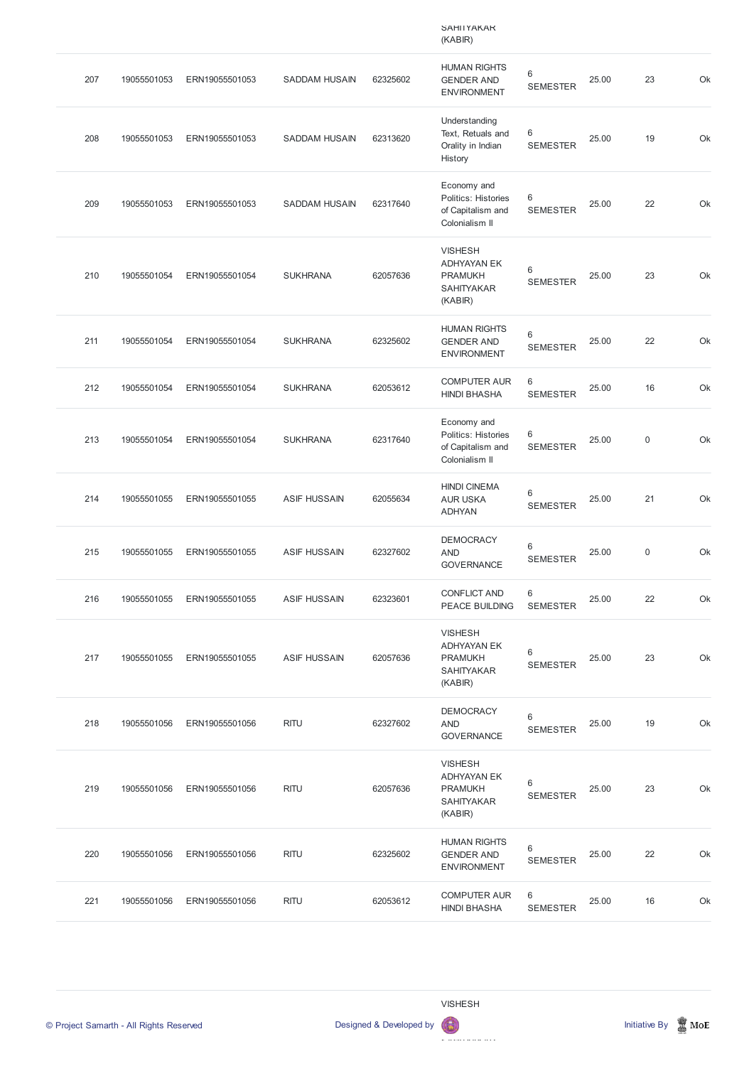|     |             |                |                      |          | <b>SAHIIYAKAK</b><br>(KABIR)                                                           |                            |       |             |    |
|-----|-------------|----------------|----------------------|----------|----------------------------------------------------------------------------------------|----------------------------|-------|-------------|----|
| 207 | 19055501053 | ERN19055501053 | <b>SADDAM HUSAIN</b> | 62325602 | <b>HUMAN RIGHTS</b><br><b>GENDER AND</b><br><b>ENVIRONMENT</b>                         | $\,6$<br><b>SEMESTER</b>   | 25.00 | 23          | Ok |
| 208 | 19055501053 | ERN19055501053 | <b>SADDAM HUSAIN</b> | 62313620 | Understanding<br>Text, Retuals and<br>Orality in Indian<br>History                     | 6<br><b>SEMESTER</b>       | 25.00 | 19          | Ok |
| 209 | 19055501053 | ERN19055501053 | <b>SADDAM HUSAIN</b> | 62317640 | Economy and<br>Politics: Histories<br>of Capitalism and<br>Colonialism II              | 6<br><b>SEMESTER</b>       | 25.00 | 22          | Ok |
| 210 | 19055501054 | ERN19055501054 | <b>SUKHRANA</b>      | 62057636 | <b>VISHESH</b><br><b>ADHYAYAN EK</b><br><b>PRAMUKH</b><br><b>SAHITYAKAR</b><br>(KABIR) | 6<br><b>SEMESTER</b>       | 25.00 | 23          | Ok |
| 211 | 19055501054 | ERN19055501054 | <b>SUKHRANA</b>      | 62325602 | <b>HUMAN RIGHTS</b><br><b>GENDER AND</b><br><b>ENVIRONMENT</b>                         | 6<br><b>SEMESTER</b>       | 25.00 | 22          | Ok |
| 212 | 19055501054 | ERN19055501054 | <b>SUKHRANA</b>      | 62053612 | <b>COMPUTER AUR</b><br><b>HINDI BHASHA</b>                                             | 6<br><b>SEMESTER</b>       | 25.00 | 16          | Ok |
| 213 | 19055501054 | ERN19055501054 | <b>SUKHRANA</b>      | 62317640 | Economy and<br>Politics: Histories<br>of Capitalism and<br>Colonialism II              | 6<br><b>SEMESTER</b>       | 25.00 | $\mathsf 0$ | Ok |
| 214 | 19055501055 | ERN19055501055 | <b>ASIF HUSSAIN</b>  | 62055634 | <b>HINDI CINEMA</b><br><b>AUR USKA</b><br><b>ADHYAN</b>                                | $\,6\,$<br><b>SEMESTER</b> | 25.00 | 21          | Ok |
| 215 | 19055501055 | ERN19055501055 | <b>ASIF HUSSAIN</b>  | 62327602 | <b>DEMOCRACY</b><br><b>AND</b><br><b>GOVERNANCE</b>                                    | $\,6$<br><b>SEMESTER</b>   | 25.00 | $\mathsf 0$ | Ok |
| 216 | 19055501055 | ERN19055501055 | <b>ASIF HUSSAIN</b>  | 62323601 | <b>CONFLICT AND</b><br>PEACE BUILDING                                                  | 6<br><b>SEMESTER</b>       | 25.00 | 22          | Ok |
| 217 | 19055501055 | ERN19055501055 | <b>ASIF HUSSAIN</b>  | 62057636 | <b>VISHESH</b><br><b>ADHYAYAN EK</b><br><b>PRAMUKH</b><br><b>SAHITYAKAR</b><br>(KABIR) | 6<br><b>SEMESTER</b>       | 25.00 | 23          | Ok |
| 218 | 19055501056 | ERN19055501056 | <b>RITU</b>          | 62327602 | <b>DEMOCRACY</b><br><b>AND</b><br><b>GOVERNANCE</b>                                    | 6<br><b>SEMESTER</b>       | 25.00 | 19          | Ok |
| 219 | 19055501056 | ERN19055501056 | <b>RITU</b>          | 62057636 | <b>VISHESH</b><br><b>ADHYAYAN EK</b><br><b>PRAMUKH</b><br>SAHITYAKAR                   | 6<br><b>SEMESTER</b>       | 25.00 | 23          | Ok |



© Project Samarth - All Rights Reserved **Designed & Developed by Initiative By In** Initiative By Initiative By Initiative By Initiative By Initiative By Initiative By Initiative By Initiative By Initiative By Initiative By

(KABIR)

| 220          | 19055501056 | ERN19055501056 | <b>RITU</b> | 62325602 | <b>HUMAN RIGHTS</b><br><b>GENDER AND</b><br><b>ENVIRONMENT</b> | 6<br><b>SEMESTER</b>  | 25.00 | 22 | Ok |
|--------------|-------------|----------------|-------------|----------|----------------------------------------------------------------|-----------------------|-------|----|----|
| $22^{\circ}$ | 19055501056 | ERN19055501056 | <b>RITU</b> | 62053612 | <b>COMPUTER AUR</b><br><b>HINDI BHASHA</b>                     | -6<br><b>SEMESTER</b> | 25.00 | 16 | Ok |

VISHESH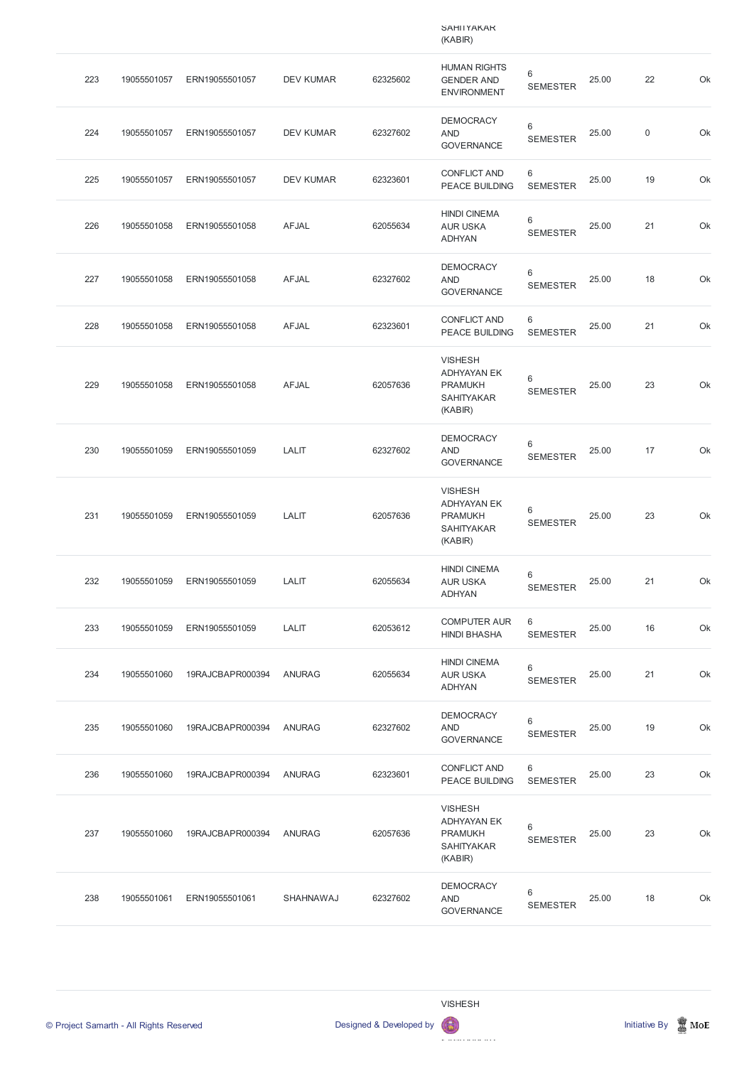|     |             |                  |                  |          | <b>SAHIIYAKAK</b><br>(KABIR)                                                           |                            |       |                  |    |
|-----|-------------|------------------|------------------|----------|----------------------------------------------------------------------------------------|----------------------------|-------|------------------|----|
| 223 | 19055501057 | ERN19055501057   | <b>DEV KUMAR</b> | 62325602 | <b>HUMAN RIGHTS</b><br><b>GENDER AND</b><br><b>ENVIRONMENT</b>                         | $\,6$<br><b>SEMESTER</b>   | 25.00 | 22               | Ok |
| 224 | 19055501057 | ERN19055501057   | <b>DEV KUMAR</b> | 62327602 | <b>DEMOCRACY</b><br><b>AND</b><br><b>GOVERNANCE</b>                                    | $\,6$<br><b>SEMESTER</b>   | 25.00 | $\boldsymbol{0}$ | Ok |
| 225 | 19055501057 | ERN19055501057   | <b>DEV KUMAR</b> | 62323601 | <b>CONFLICT AND</b><br>PEACE BUILDING                                                  | 6<br><b>SEMESTER</b>       | 25.00 | 19               | Ok |
| 226 | 19055501058 | ERN19055501058   | <b>AFJAL</b>     | 62055634 | <b>HINDI CINEMA</b><br><b>AUR USKA</b><br><b>ADHYAN</b>                                | 6<br><b>SEMESTER</b>       | 25.00 | 21               | Ok |
| 227 | 19055501058 | ERN19055501058   | <b>AFJAL</b>     | 62327602 | <b>DEMOCRACY</b><br><b>AND</b><br><b>GOVERNANCE</b>                                    | $\,6\,$<br><b>SEMESTER</b> | 25.00 | 18               | Ok |
| 228 | 19055501058 | ERN19055501058   | <b>AFJAL</b>     | 62323601 | <b>CONFLICT AND</b><br><b>PEACE BUILDING</b>                                           | 6<br><b>SEMESTER</b>       | 25.00 | 21               | Ok |
| 229 | 19055501058 | ERN19055501058   | <b>AFJAL</b>     | 62057636 | <b>VISHESH</b><br><b>ADHYAYAN EK</b><br><b>PRAMUKH</b><br><b>SAHITYAKAR</b><br>(KABIR) | 6<br><b>SEMESTER</b>       | 25.00 | 23               | Ok |
| 230 | 19055501059 | ERN19055501059   | <b>LALIT</b>     | 62327602 | <b>DEMOCRACY</b><br><b>AND</b><br><b>GOVERNANCE</b>                                    | $6\,$<br><b>SEMESTER</b>   | 25.00 | 17               | Ok |
| 231 | 19055501059 | ERN19055501059   | <b>LALIT</b>     | 62057636 | <b>VISHESH</b><br><b>ADHYAYAN EK</b><br><b>PRAMUKH</b><br><b>SAHITYAKAR</b><br>(KABIR) | 6<br><b>SEMESTER</b>       | 25.00 | 23               | Ok |
| 232 | 19055501059 | ERN19055501059   | <b>LALIT</b>     | 62055634 | <b>HINDI CINEMA</b><br><b>AUR USKA</b><br><b>ADHYAN</b>                                | 6<br><b>SEMESTER</b>       | 25.00 | 21               | Ok |
| 233 | 19055501059 | ERN19055501059   | <b>LALIT</b>     | 62053612 | <b>COMPUTER AUR</b><br><b>HINDI BHASHA</b>                                             | 6<br><b>SEMESTER</b>       | 25.00 | 16               | Ok |
| 234 | 19055501060 | 19RAJCBAPR000394 | <b>ANURAG</b>    | 62055634 | <b>HINDI CINEMA</b><br><b>AUR USKA</b><br><b>ADHYAN</b>                                | $\,6$<br><b>SEMESTER</b>   | 25.00 | 21               | Ok |
| 235 | 19055501060 | 19RAJCBAPR000394 | <b>ANURAG</b>    | 62327602 | <b>DEMOCRACY</b><br><b>AND</b><br><b>GOVERNANCE</b>                                    | $\,6$<br><b>SEMESTER</b>   | 25.00 | 19               | Ok |
| 236 | 19055501060 | 19RAJCBAPR000394 | <b>ANURAG</b>    | 62323601 | <b>CONFLICT AND</b><br>PEACE BUILDING                                                  | 6<br><b>SEMESTER</b>       | 25.00 | 23               | Ok |



© Project Samarth - All Rights Reserved **Designed & Developed by Initiative By In** Initiative By Initiative By Initiative By Initiative By Initiative By Initiative By Initiative By Initiative By Initiative By Initiative By

| 237 | 19055501060 | 19RAJCBAPR000394 | <b>ANURAG</b>    | 62057636 | <b>VISHESH</b><br>ADHYAYAN EK<br><b>PRAMUKH</b><br><b>SAHITYAKAR</b><br>(KABIR) | 6<br><b>SEMESTER</b> | 25.00 | 23 | Ok |
|-----|-------------|------------------|------------------|----------|---------------------------------------------------------------------------------|----------------------|-------|----|----|
| 238 | 19055501061 | ERN19055501061   | <b>SHAHNAWAJ</b> | 62327602 | <b>DEMOCRACY</b><br><b>AND</b><br><b>GOVERNANCE</b>                             | 6<br><b>SEMESTER</b> | 25.00 | 18 | Ok |

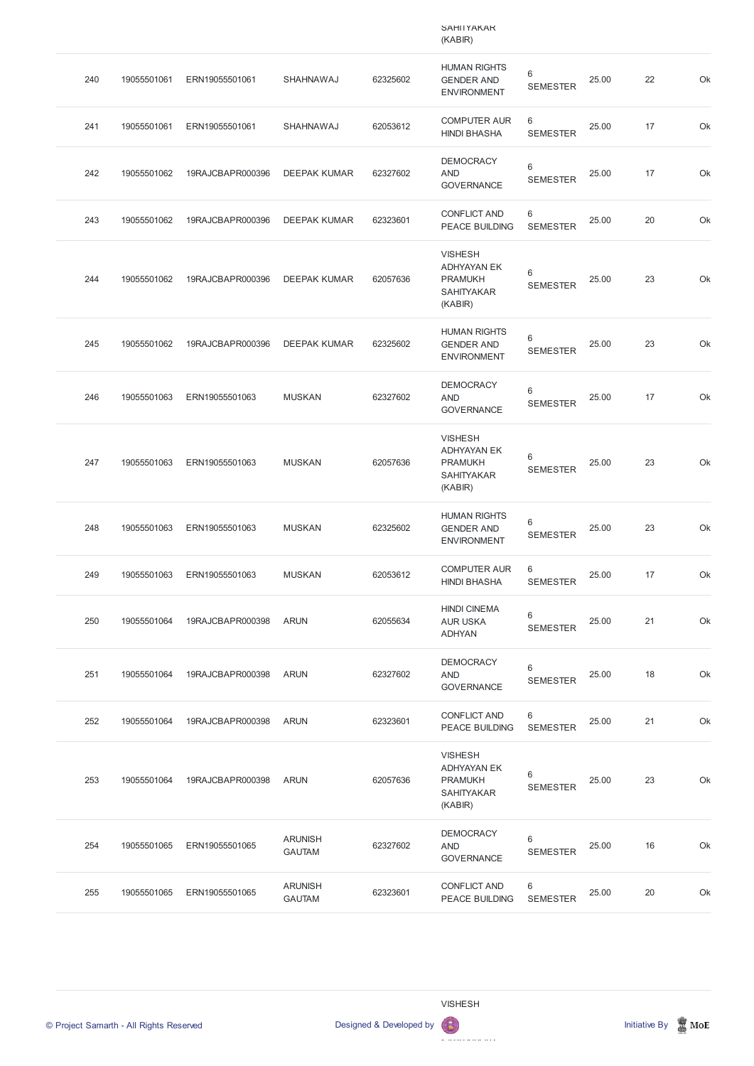|     |             |                  |                     |          | <b>SAHIIYAKAK</b><br>(KABIR)                                                           |                                   |       |    |    |
|-----|-------------|------------------|---------------------|----------|----------------------------------------------------------------------------------------|-----------------------------------|-------|----|----|
| 240 | 19055501061 | ERN19055501061   | SHAHNAWAJ           | 62325602 | <b>HUMAN RIGHTS</b><br><b>GENDER AND</b><br><b>ENVIRONMENT</b>                         | $\,6$<br><b>SEMESTER</b>          | 25.00 | 22 | Ok |
| 241 | 19055501061 | ERN19055501061   | SHAHNAWAJ           | 62053612 | <b>COMPUTER AUR</b><br><b>HINDI BHASHA</b>                                             | 6<br><b>SEMESTER</b>              | 25.00 | 17 | Ok |
| 242 | 19055501062 | 19RAJCBAPR000396 | <b>DEEPAK KUMAR</b> | 62327602 | <b>DEMOCRACY</b><br><b>AND</b><br><b>GOVERNANCE</b>                                    | $\,6$<br><b>SEMESTER</b>          | 25.00 | 17 | Ok |
| 243 | 19055501062 | 19RAJCBAPR000396 | <b>DEEPAK KUMAR</b> | 62323601 | <b>CONFLICT AND</b><br><b>PEACE BUILDING</b>                                           | 6<br><b>SEMESTER</b>              | 25.00 | 20 | Ok |
| 244 | 19055501062 | 19RAJCBAPR000396 | <b>DEEPAK KUMAR</b> | 62057636 | <b>VISHESH</b><br><b>ADHYAYAN EK</b><br><b>PRAMUKH</b><br><b>SAHITYAKAR</b><br>(KABIR) | $6\,$<br><b>SEMESTER</b>          | 25.00 | 23 | Ok |
| 245 | 19055501062 | 19RAJCBAPR000396 | <b>DEEPAK KUMAR</b> | 62325602 | <b>HUMAN RIGHTS</b><br><b>GENDER AND</b><br><b>ENVIRONMENT</b>                         | $\,6$<br><b>SEMESTER</b>          | 25.00 | 23 | Ok |
| 246 | 19055501063 | ERN19055501063   | <b>MUSKAN</b>       | 62327602 | <b>DEMOCRACY</b><br><b>AND</b><br><b>GOVERNANCE</b>                                    | $\,6$<br><b>SEMESTER</b>          | 25.00 | 17 | Ok |
| 247 | 19055501063 | ERN19055501063   | <b>MUSKAN</b>       | 62057636 | <b>VISHESH</b><br><b>ADHYAYAN EK</b><br><b>PRAMUKH</b><br><b>SAHITYAKAR</b><br>(KABIR) | 6<br><b>SEMESTER</b>              | 25.00 | 23 | Ok |
| 248 | 19055501063 | ERN19055501063   | <b>MUSKAN</b>       | 62325602 | <b>HUMAN RIGHTS</b><br><b>GENDER AND</b><br><b>ENVIRONMENT</b>                         | 6<br><b>SEMESTER</b>              | 25.00 | 23 | Ok |
| 249 | 19055501063 | ERN19055501063   | <b>MUSKAN</b>       | 62053612 | <b>COMPUTER AUR</b><br><b>HINDI BHASHA</b>                                             | $6\phantom{1}$<br><b>SEMESTER</b> | 25.00 | 17 | Ok |
| 250 | 19055501064 | 19RAJCBAPR000398 | <b>ARUN</b>         | 62055634 | <b>HINDI CINEMA</b><br><b>AUR USKA</b><br><b>ADHYAN</b>                                | 6<br><b>SEMESTER</b>              | 25.00 | 21 | Ok |
| 251 | 19055501064 | 19RAJCBAPR000398 | <b>ARUN</b>         | 62327602 | <b>DEMOCRACY</b><br><b>AND</b><br><b>GOVERNANCE</b>                                    | $\,6$<br><b>SEMESTER</b>          | 25.00 | 18 | Ok |
| 252 | 19055501064 | 19RAJCBAPR000398 | <b>ARUN</b>         | 62323601 | <b>CONFLICT AND</b><br><b>PEACE BUILDING</b>                                           | 6<br><b>SEMESTER</b>              | 25.00 | 21 | Ok |
| 253 | 19055501064 | 19RAJCBAPR000398 | <b>ARUN</b>         | 62057636 | <b>VISHESH</b><br><b>ADHYAYAN EK</b><br><b>PRAMUKH</b><br><b>SAHITYAKAR</b>            | $\,6$<br><b>SEMESTER</b>          | 25.00 | 23 | Ok |

(KABIR)

| 254 | 19055501065 | ERN19055501065 | <b>ARUNISH</b><br><b>GAUTAM</b> | 62327602 | <b>DEMOCRACY</b><br>AND<br><b>GOVERNANCE</b> | 6<br><b>SEMESTER</b> | 25.00 | 16 | Ok |
|-----|-------------|----------------|---------------------------------|----------|----------------------------------------------|----------------------|-------|----|----|
| 255 | 19055501065 | ERN19055501065 | <b>ARUNISH</b><br><b>GAUTAM</b> | 62323601 | <b>CONFLICT AND</b><br><b>PEACE BUILDING</b> | 6<br><b>SEMESTER</b> | 25.00 | 20 | Ok |



VISHESH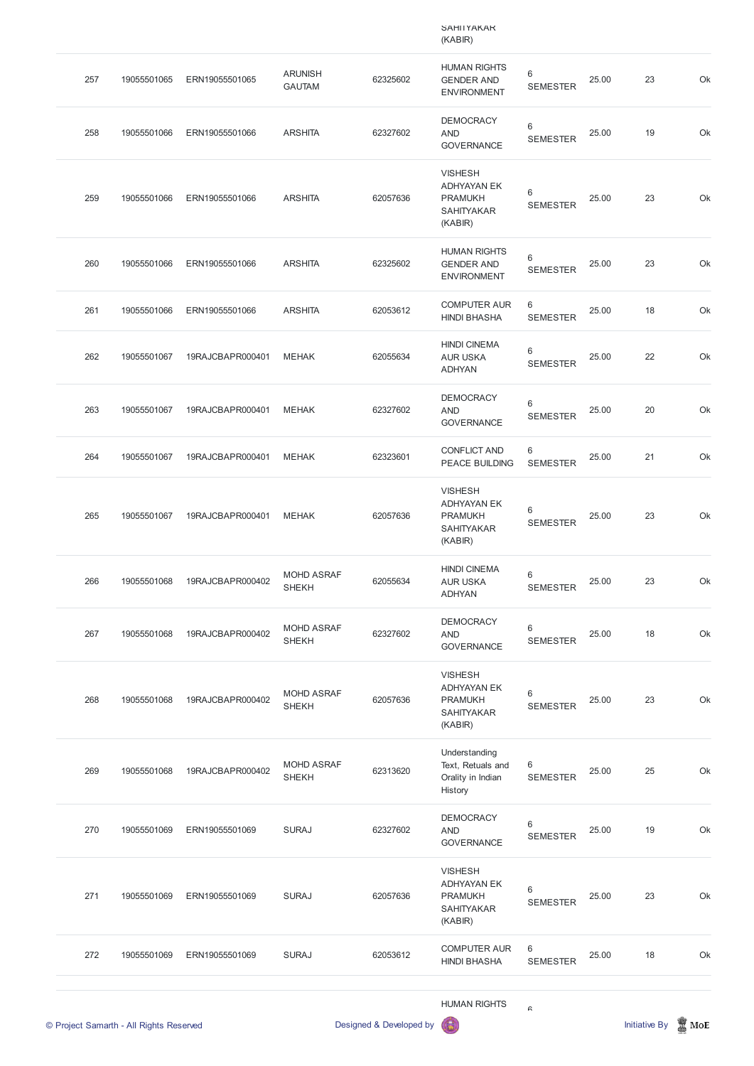|     |             |                  |                                   |          | <b>SAMILYAKAK</b><br>(KABIR)                                                           |                      |       |    |    |
|-----|-------------|------------------|-----------------------------------|----------|----------------------------------------------------------------------------------------|----------------------|-------|----|----|
| 257 | 19055501065 | ERN19055501065   | <b>ARUNISH</b><br><b>GAUTAM</b>   | 62325602 | <b>HUMAN RIGHTS</b><br><b>GENDER AND</b><br><b>ENVIRONMENT</b>                         | 6<br><b>SEMESTER</b> | 25.00 | 23 | Ok |
| 258 | 19055501066 | ERN19055501066   | <b>ARSHITA</b>                    | 62327602 | <b>DEMOCRACY</b><br><b>AND</b><br><b>GOVERNANCE</b>                                    | 6<br><b>SEMESTER</b> | 25.00 | 19 | Ok |
| 259 | 19055501066 | ERN19055501066   | <b>ARSHITA</b>                    | 62057636 | <b>VISHESH</b><br><b>ADHYAYAN EK</b><br><b>PRAMUKH</b><br><b>SAHITYAKAR</b><br>(KABIR) | 6<br><b>SEMESTER</b> | 25.00 | 23 | Ok |
| 260 | 19055501066 | ERN19055501066   | <b>ARSHITA</b>                    | 62325602 | <b>HUMAN RIGHTS</b><br><b>GENDER AND</b><br><b>ENVIRONMENT</b>                         | 6<br><b>SEMESTER</b> | 25.00 | 23 | Ok |
| 261 | 19055501066 | ERN19055501066   | <b>ARSHITA</b>                    | 62053612 | <b>COMPUTER AUR</b><br><b>HINDI BHASHA</b>                                             | 6<br><b>SEMESTER</b> | 25.00 | 18 | Ok |
| 262 | 19055501067 | 19RAJCBAPR000401 | <b>MEHAK</b>                      | 62055634 | <b>HINDI CINEMA</b><br><b>AUR USKA</b><br><b>ADHYAN</b>                                | 6<br><b>SEMESTER</b> | 25.00 | 22 | Ok |
| 263 | 19055501067 | 19RAJCBAPR000401 | <b>MEHAK</b>                      | 62327602 | <b>DEMOCRACY</b><br><b>AND</b><br><b>GOVERNANCE</b>                                    | 6<br><b>SEMESTER</b> | 25.00 | 20 | Ok |
| 264 | 19055501067 | 19RAJCBAPR000401 | <b>MEHAK</b>                      | 62323601 | <b>CONFLICT AND</b><br><b>PEACE BUILDING</b>                                           | 6<br><b>SEMESTER</b> | 25.00 | 21 | Ok |
| 265 | 19055501067 | 19RAJCBAPR000401 | <b>MEHAK</b>                      | 62057636 | <b>VISHESH</b><br><b>ADHYAYAN EK</b><br><b>PRAMUKH</b><br><b>SAHITYAKAR</b><br>(KABIR) | 6<br><b>SEMESTER</b> | 25.00 | 23 | Ok |
| 266 | 19055501068 | 19RAJCBAPR000402 | <b>MOHD ASRAF</b><br><b>SHEKH</b> | 62055634 | <b>HINDI CINEMA</b><br><b>AUR USKA</b><br><b>ADHYAN</b>                                | 6<br><b>SEMESTER</b> | 25.00 | 23 | Ok |
| 267 | 19055501068 | 19RAJCBAPR000402 | <b>MOHD ASRAF</b><br><b>SHEKH</b> | 62327602 | <b>DEMOCRACY</b><br><b>AND</b><br><b>GOVERNANCE</b>                                    | 6<br><b>SEMESTER</b> | 25.00 | 18 | Ok |
| 268 | 19055501068 | 19RAJCBAPR000402 | MOHD ASRAF<br><b>SHEKH</b>        | 62057636 | <b>VISHESH</b><br><b>ADHYAYAN EK</b><br><b>PRAMUKH</b><br><b>SAHITYAKAR</b><br>(KABIR) | 6<br><b>SEMESTER</b> | 25.00 | 23 | Ok |
| 269 | 19055501068 | 19RAJCBAPR000402 | <b>MOHD ASRAF</b><br><b>SHEKH</b> | 62313620 | Understanding<br>Text, Retuals and<br>Orality in Indian<br>History                     | 6<br><b>SEMESTER</b> | 25.00 | 25 | Ok |

|     | © Project Samarth - All Rights Reserved |                |              | Designed & Developed by | <b>HUMAN RIGHTS</b><br>6                                                               | $\mathrel{\mathsf{G}}$ |       | <b>Initiative By</b> | $\mathbb Z$ MoE |
|-----|-----------------------------------------|----------------|--------------|-------------------------|----------------------------------------------------------------------------------------|------------------------|-------|----------------------|-----------------|
| 272 | 19055501069                             | ERN19055501069 | <b>SURAJ</b> | 62053612                | <b>COMPUTER AUR</b><br><b>HINDI BHASHA</b>                                             | 6<br><b>SEMESTER</b>   | 25.00 | 18                   | Ok              |
| 271 | 19055501069                             | ERN19055501069 | <b>SURAJ</b> | 62057636                | <b>VISHESH</b><br><b>ADHYAYAN EK</b><br><b>PRAMUKH</b><br><b>SAHITYAKAR</b><br>(KABIR) | 6<br><b>SEMESTER</b>   | 25.00 | 23                   | Ok              |
| 270 | 19055501069                             | ERN19055501069 | <b>SURAJ</b> | 62327602                | <b>DEMOCRACY</b><br><b>AND</b><br><b>GOVERNANCE</b>                                    | 6<br><b>SEMESTER</b>   | 25.00 | 19                   | Ok              |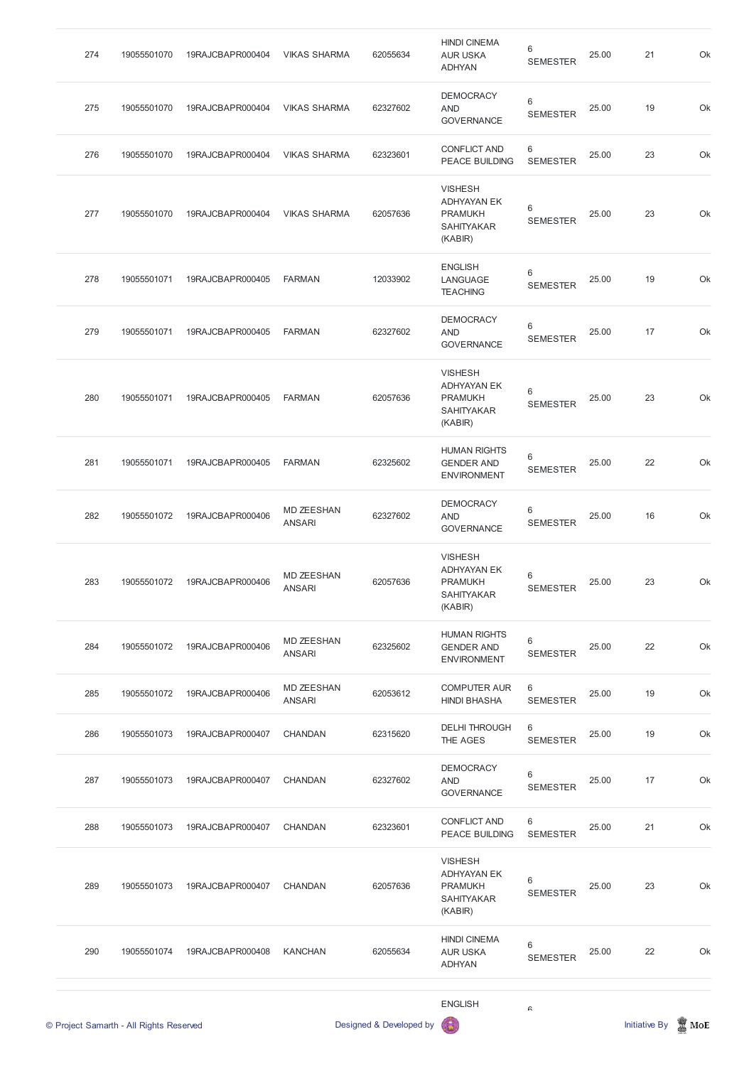| 274 | 19055501070 | 19RAJCBAPR000404 | <b>VIKAS SHARMA</b>                | 62055634 | <b>HINDI CINEMA</b><br><b>AUR USKA</b><br><b>ADHYAN</b>                                | 6<br><b>SEMESTER</b> | 25.00 | 21 | Ok |
|-----|-------------|------------------|------------------------------------|----------|----------------------------------------------------------------------------------------|----------------------|-------|----|----|
| 275 | 19055501070 | 19RAJCBAPR000404 | <b>VIKAS SHARMA</b>                | 62327602 | <b>DEMOCRACY</b><br><b>AND</b><br><b>GOVERNANCE</b>                                    | 6<br><b>SEMESTER</b> | 25.00 | 19 | Ok |
| 276 | 19055501070 | 19RAJCBAPR000404 | <b>VIKAS SHARMA</b>                | 62323601 | <b>CONFLICT AND</b><br><b>PEACE BUILDING</b>                                           | 6<br><b>SEMESTER</b> | 25.00 | 23 | Ok |
| 277 | 19055501070 | 19RAJCBAPR000404 | <b>VIKAS SHARMA</b>                | 62057636 | <b>VISHESH</b><br><b>ADHYAYAN EK</b><br><b>PRAMUKH</b><br><b>SAHITYAKAR</b><br>(KABIR) | 6<br><b>SEMESTER</b> | 25.00 | 23 | Ok |
| 278 | 19055501071 | 19RAJCBAPR000405 | <b>FARMAN</b>                      | 12033902 | <b>ENGLISH</b><br>LANGUAGE<br><b>TEACHING</b>                                          | 6<br><b>SEMESTER</b> | 25.00 | 19 | Ok |
| 279 | 19055501071 | 19RAJCBAPR000405 | <b>FARMAN</b>                      | 62327602 | <b>DEMOCRACY</b><br><b>AND</b><br><b>GOVERNANCE</b>                                    | 6<br><b>SEMESTER</b> | 25.00 | 17 | Ok |
| 280 | 19055501071 | 19RAJCBAPR000405 | <b>FARMAN</b>                      | 62057636 | <b>VISHESH</b><br><b>ADHYAYAN EK</b><br><b>PRAMUKH</b><br><b>SAHITYAKAR</b><br>(KABIR) | 6<br><b>SEMESTER</b> | 25.00 | 23 | Ok |
| 281 | 19055501071 | 19RAJCBAPR000405 | <b>FARMAN</b>                      | 62325602 | <b>HUMAN RIGHTS</b><br><b>GENDER AND</b><br><b>ENVIRONMENT</b>                         | 6<br><b>SEMESTER</b> | 25.00 | 22 | Ok |
| 282 | 19055501072 | 19RAJCBAPR000406 | <b>MD ZEESHAN</b><br><b>ANSARI</b> | 62327602 | <b>DEMOCRACY</b><br><b>AND</b><br><b>GOVERNANCE</b>                                    | 6<br><b>SEMESTER</b> | 25.00 | 16 | Ok |
| 283 | 19055501072 | 19RAJCBAPR000406 | <b>MD ZEESHAN</b><br><b>ANSARI</b> | 62057636 | <b>VISHESH</b><br><b>ADHYAYAN EK</b><br><b>PRAMUKH</b><br><b>SAHITYAKAR</b><br>(KABIR) | 6<br><b>SEMESTER</b> | 25.00 | 23 | Ok |
| 284 | 19055501072 | 19RAJCBAPR000406 | <b>MD ZEESHAN</b><br><b>ANSARI</b> | 62325602 | <b>HUMAN RIGHTS</b><br><b>GENDER AND</b><br><b>ENVIRONMENT</b>                         | 6<br><b>SEMESTER</b> | 25.00 | 22 | Ok |
| 285 | 19055501072 | 19RAJCBAPR000406 | <b>MD ZEESHAN</b><br><b>ANSARI</b> | 62053612 | <b>COMPUTER AUR</b><br><b>HINDI BHASHA</b>                                             | 6<br><b>SEMESTER</b> | 25.00 | 19 | Ok |
| 286 | 19055501073 | 19RAJCBAPR000407 | <b>CHANDAN</b>                     | 62315620 | <b>DELHI THROUGH</b><br>THE AGES                                                       | 6<br><b>SEMESTER</b> | 25.00 | 19 | Ok |
| 287 | 19055501073 | 19RAJCBAPR000407 | <b>CHANDAN</b>                     | 62327602 | <b>DEMOCRACY</b><br><b>AND</b><br><b>GOVERNANCE</b>                                    | 6<br><b>SEMESTER</b> | 25.00 | 17 | Ok |

|     | © Project Samarth - All Rights Reserved |                  |                | Designed & Developed by | <b>ENGLISH</b><br>6                                                                    | $\mathsf{C}$             |       | <b>Initiative By</b> | $\mathbb Z$ MoE |
|-----|-----------------------------------------|------------------|----------------|-------------------------|----------------------------------------------------------------------------------------|--------------------------|-------|----------------------|-----------------|
| 290 | 19055501074                             | 19RAJCBAPR000408 | <b>KANCHAN</b> | 62055634                | <b>HINDI CINEMA</b><br><b>AUR USKA</b><br><b>ADHYAN</b>                                | 6<br><b>SEMESTER</b>     | 25.00 | 22                   | Ok              |
| 289 | 19055501073                             | 19RAJCBAPR000407 | <b>CHANDAN</b> | 62057636                | <b>VISHESH</b><br><b>ADHYAYAN EK</b><br><b>PRAMUKH</b><br><b>SAHITYAKAR</b><br>(KABIR) | $6\,$<br><b>SEMESTER</b> | 25.00 | 23                   | Ok              |
| 288 | 19055501073                             | 19RAJCBAPR000407 | <b>CHANDAN</b> | 62323601                | <b>CONFLICT AND</b><br><b>PEACE BUILDING</b>                                           | 6<br><b>SEMESTER</b>     | 25.00 | 21                   | Ok              |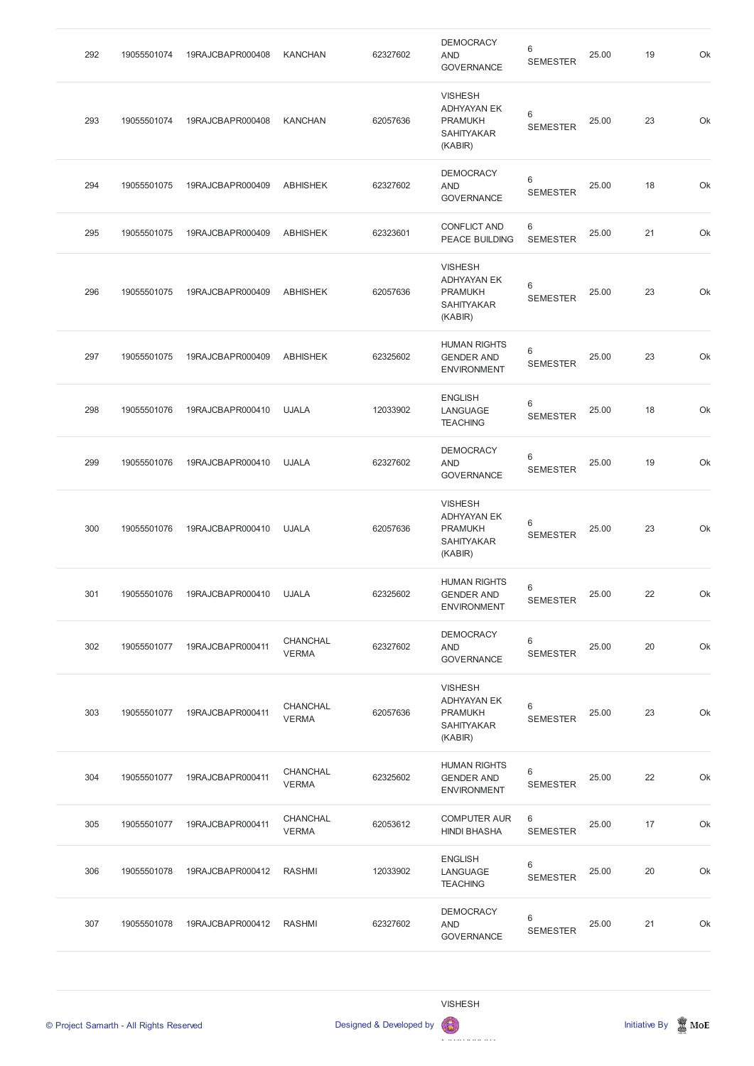| 292 | 19055501074 | 19RAJCBAPR000408 | <b>KANCHAN</b>                  | 62327602 | <b>DEMOCRACY</b><br><b>AND</b><br><b>GOVERNANCE</b>                                    | 6<br><b>SEMESTER</b>              | 25.00 | 19 | Ok |
|-----|-------------|------------------|---------------------------------|----------|----------------------------------------------------------------------------------------|-----------------------------------|-------|----|----|
| 293 | 19055501074 | 19RAJCBAPR000408 | <b>KANCHAN</b>                  | 62057636 | <b>VISHESH</b><br><b>ADHYAYAN EK</b><br><b>PRAMUKH</b><br><b>SAHITYAKAR</b><br>(KABIR) | 6<br><b>SEMESTER</b>              | 25.00 | 23 | Ok |
| 294 | 19055501075 | 19RAJCBAPR000409 | <b>ABHISHEK</b>                 | 62327602 | <b>DEMOCRACY</b><br><b>AND</b><br><b>GOVERNANCE</b>                                    | 6<br><b>SEMESTER</b>              | 25.00 | 18 | Ok |
| 295 | 19055501075 | 19RAJCBAPR000409 | <b>ABHISHEK</b>                 | 62323601 | <b>CONFLICT AND</b><br>PEACE BUILDING                                                  | 6<br><b>SEMESTER</b>              | 25.00 | 21 | Ok |
| 296 | 19055501075 | 19RAJCBAPR000409 | <b>ABHISHEK</b>                 | 62057636 | <b>VISHESH</b><br><b>ADHYAYAN EK</b><br><b>PRAMUKH</b><br><b>SAHITYAKAR</b><br>(KABIR) | 6<br><b>SEMESTER</b>              | 25.00 | 23 | Ok |
| 297 | 19055501075 | 19RAJCBAPR000409 | <b>ABHISHEK</b>                 | 62325602 | <b>HUMAN RIGHTS</b><br><b>GENDER AND</b><br><b>ENVIRONMENT</b>                         | 6<br><b>SEMESTER</b>              | 25.00 | 23 | Ok |
| 298 | 19055501076 | 19RAJCBAPR000410 | <b>UJALA</b>                    | 12033902 | <b>ENGLISH</b><br>LANGUAGE<br><b>TEACHING</b>                                          | 6<br><b>SEMESTER</b>              | 25.00 | 18 | Ok |
| 299 | 19055501076 | 19RAJCBAPR000410 | <b>UJALA</b>                    | 62327602 | <b>DEMOCRACY</b><br><b>AND</b><br><b>GOVERNANCE</b>                                    | $\,6\,$<br><b>SEMESTER</b>        | 25.00 | 19 | Ok |
| 300 | 19055501076 | 19RAJCBAPR000410 | <b>UJALA</b>                    | 62057636 | <b>VISHESH</b><br><b>ADHYAYAN EK</b><br><b>PRAMUKH</b><br><b>SAHITYAKAR</b><br>(KABIR) | $\,6$<br><b>SEMESTER</b>          | 25.00 | 23 | Ok |
| 301 | 19055501076 | 19RAJCBAPR000410 | <b>UJALA</b>                    | 62325602 | <b>HUMAN RIGHTS</b><br><b>GENDER AND</b><br><b>ENVIRONMENT</b>                         | $6\phantom{1}$<br><b>SEMESTER</b> | 25.00 | 22 | Ok |
| 302 | 19055501077 | 19RAJCBAPR000411 | CHANCHAL<br><b>VERMA</b>        | 62327602 | <b>DEMOCRACY</b><br><b>AND</b><br><b>GOVERNANCE</b>                                    | $\,6$<br><b>SEMESTER</b>          | 25.00 | 20 | Ok |
| 303 | 19055501077 | 19RAJCBAPR000411 | <b>CHANCHAL</b><br><b>VERMA</b> | 62057636 | <b>VISHESH</b><br><b>ADHYAYAN EK</b><br><b>PRAMUKH</b><br><b>SAHITYAKAR</b><br>(KABIR) | 6<br><b>SEMESTER</b>              | 25.00 | 23 | Ok |
| 304 | 19055501077 | 19RAJCBAPR000411 | <b>CHANCHAL</b><br><b>VERMA</b> | 62325602 | <b>HUMAN RIGHTS</b><br><b>GENDER AND</b><br><b>ENVIRONMENT</b>                         | 6<br><b>SEMESTER</b>              | 25.00 | 22 | Ok |



© Project Samarth - All Rights Reserved **Designed & Developed by Initiative By In** Initiative By Initiative By Initiative By Initiative By Initiative By Initiative By Initiative By Initiative By Initiative By Initiative By

| 305 | 19055501077 | 19RAJCBAPR000411 | <b>CHANCHAL</b><br><b>VERMA</b> | 62053612 | <b>COMPUTER AUR</b><br><b>HINDI BHASHA</b>    | 6<br><b>SEMESTER</b> | 25.00 | 17 | Ok |
|-----|-------------|------------------|---------------------------------|----------|-----------------------------------------------|----------------------|-------|----|----|
| 306 | 19055501078 | 19RAJCBAPR000412 | RASHMI                          | 12033902 | <b>ENGLISH</b><br>LANGUAGE<br><b>TEACHING</b> | 6<br><b>SEMESTER</b> | 25.00 | 20 | Ok |
| 307 | 19055501078 | 19RAJCBAPR000412 | RASHMI                          | 62327602 | <b>DEMOCRACY</b><br>AND<br><b>GOVERNANCE</b>  | 6<br><b>SEMESTER</b> | 25.00 | 21 | Ok |

## VISHESH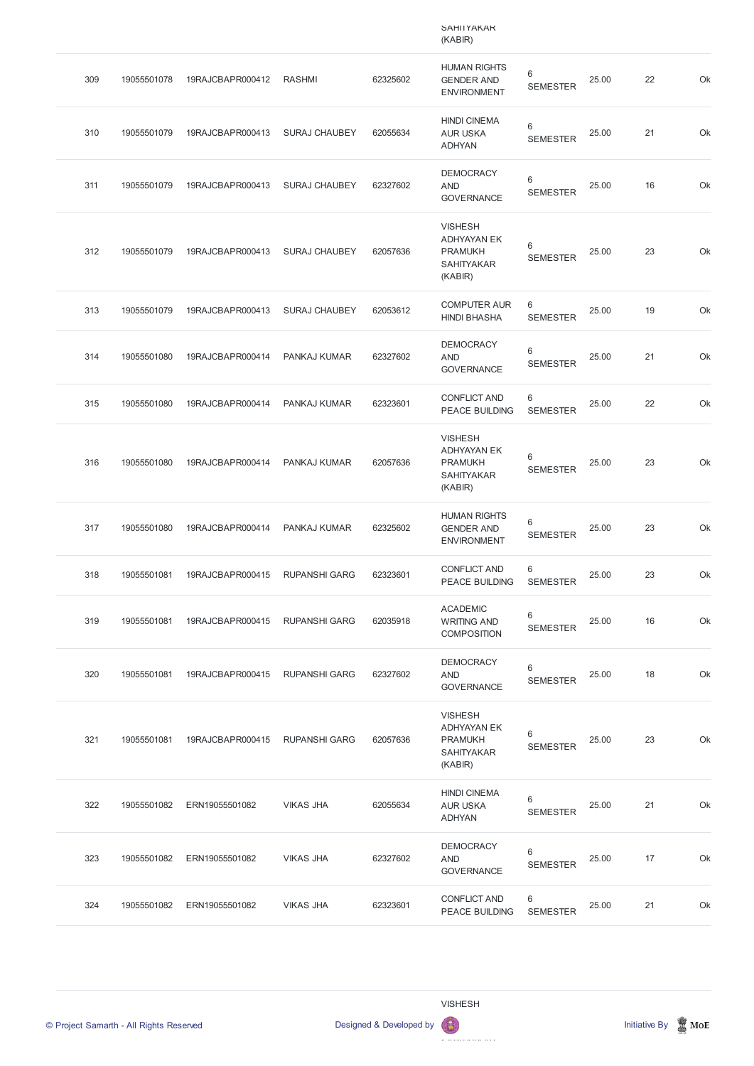|     |             |                  |                      |          | <b>SAHIIYAKAK</b><br>(KABIR)                                                           |                      |       |    |    |
|-----|-------------|------------------|----------------------|----------|----------------------------------------------------------------------------------------|----------------------|-------|----|----|
| 309 | 19055501078 | 19RAJCBAPR000412 | <b>RASHMI</b>        | 62325602 | <b>HUMAN RIGHTS</b><br><b>GENDER AND</b><br><b>ENVIRONMENT</b>                         | 6<br><b>SEMESTER</b> | 25.00 | 22 | Ok |
| 310 | 19055501079 | 19RAJCBAPR000413 | <b>SURAJ CHAUBEY</b> | 62055634 | <b>HINDI CINEMA</b><br><b>AUR USKA</b><br><b>ADHYAN</b>                                | 6<br><b>SEMESTER</b> | 25.00 | 21 | Ok |
| 311 | 19055501079 | 19RAJCBAPR000413 | <b>SURAJ CHAUBEY</b> | 62327602 | <b>DEMOCRACY</b><br><b>AND</b><br><b>GOVERNANCE</b>                                    | 6<br><b>SEMESTER</b> | 25.00 | 16 | Ok |
| 312 | 19055501079 | 19RAJCBAPR000413 | <b>SURAJ CHAUBEY</b> | 62057636 | <b>VISHESH</b><br><b>ADHYAYAN EK</b><br><b>PRAMUKH</b><br><b>SAHITYAKAR</b><br>(KABIR) | 6<br><b>SEMESTER</b> | 25.00 | 23 | Ok |
| 313 | 19055501079 | 19RAJCBAPR000413 | <b>SURAJ CHAUBEY</b> | 62053612 | <b>COMPUTER AUR</b><br><b>HINDI BHASHA</b>                                             | 6<br><b>SEMESTER</b> | 25.00 | 19 | Ok |
| 314 | 19055501080 | 19RAJCBAPR000414 | PANKAJ KUMAR         | 62327602 | <b>DEMOCRACY</b><br><b>AND</b><br><b>GOVERNANCE</b>                                    | 6<br><b>SEMESTER</b> | 25.00 | 21 | Ok |
| 315 | 19055501080 | 19RAJCBAPR000414 | PANKAJ KUMAR         | 62323601 | <b>CONFLICT AND</b><br><b>PEACE BUILDING</b>                                           | 6<br><b>SEMESTER</b> | 25.00 | 22 | Ok |
| 316 | 19055501080 | 19RAJCBAPR000414 | PANKAJ KUMAR         | 62057636 | <b>VISHESH</b><br><b>ADHYAYAN EK</b><br><b>PRAMUKH</b><br><b>SAHITYAKAR</b><br>(KABIR) | 6<br><b>SEMESTER</b> | 25.00 | 23 | Ok |
| 317 | 19055501080 | 19RAJCBAPR000414 | PANKAJ KUMAR         | 62325602 | <b>HUMAN RIGHTS</b><br><b>GENDER AND</b><br><b>ENVIRONMENT</b>                         | 6<br><b>SEMESTER</b> | 25.00 | 23 | Ok |
| 318 | 19055501081 | 19RAJCBAPR000415 | <b>RUPANSHI GARG</b> | 62323601 | <b>CONFLICT AND</b><br>PEACE BUILDING                                                  | 6<br><b>SEMESTER</b> | 25.00 | 23 | Ok |
| 319 | 19055501081 | 19RAJCBAPR000415 | <b>RUPANSHI GARG</b> | 62035918 | <b>ACADEMIC</b><br><b>WRITING AND</b><br><b>COMPOSITION</b>                            | 6<br><b>SEMESTER</b> | 25.00 | 16 | Ok |
| 320 | 19055501081 | 19RAJCBAPR000415 | <b>RUPANSHI GARG</b> | 62327602 | <b>DEMOCRACY</b><br><b>AND</b><br><b>GOVERNANCE</b>                                    | 6<br><b>SEMESTER</b> | 25.00 | 18 | Ok |
| 321 | 19055501081 | 19RAJCBAPR000415 | <b>RUPANSHI GARG</b> | 62057636 | <b>VISHESH</b><br><b>ADHYAYAN EK</b><br><b>PRAMUKH</b><br>SAHITYAKAR<br>(KABIR)        | 6<br><b>SEMESTER</b> | 25.00 | 23 | Ok |
| 322 | 19055501082 | ERN19055501082   | <b>VIKAS JHA</b>     | 62055634 | <b>HINDI CINEMA</b><br><b>AUR USKA</b><br><b>ADHYAN</b>                                | 6<br><b>SEMESTER</b> | 25.00 | 21 | Ok |
| 323 | 19055501082 | ERN19055501082   | <b>VIKAS JHA</b>     | 62327602 | <b>DEMOCRACY</b><br><b>AND</b><br><b>GOVERNANCE</b>                                    | 6<br><b>SEMESTER</b> | 25.00 | 17 | Ok |
| 324 | 19055501082 | ERN19055501082   | <b>VIKAS JHA</b>     | 62323601 | <b>CONFLICT AND</b><br>PEACE BUILDING                                                  | 6<br><b>SEMESTER</b> | 25.00 | 21 | Ok |

VISHESH

© Project Samarth - All Rights Reserved **Designed & Developed by Initiative By In** Initiative By Initiative By Initiative By Initiative By Initiative By Initiative By Initiative By Initiative By Initiative By Initiative By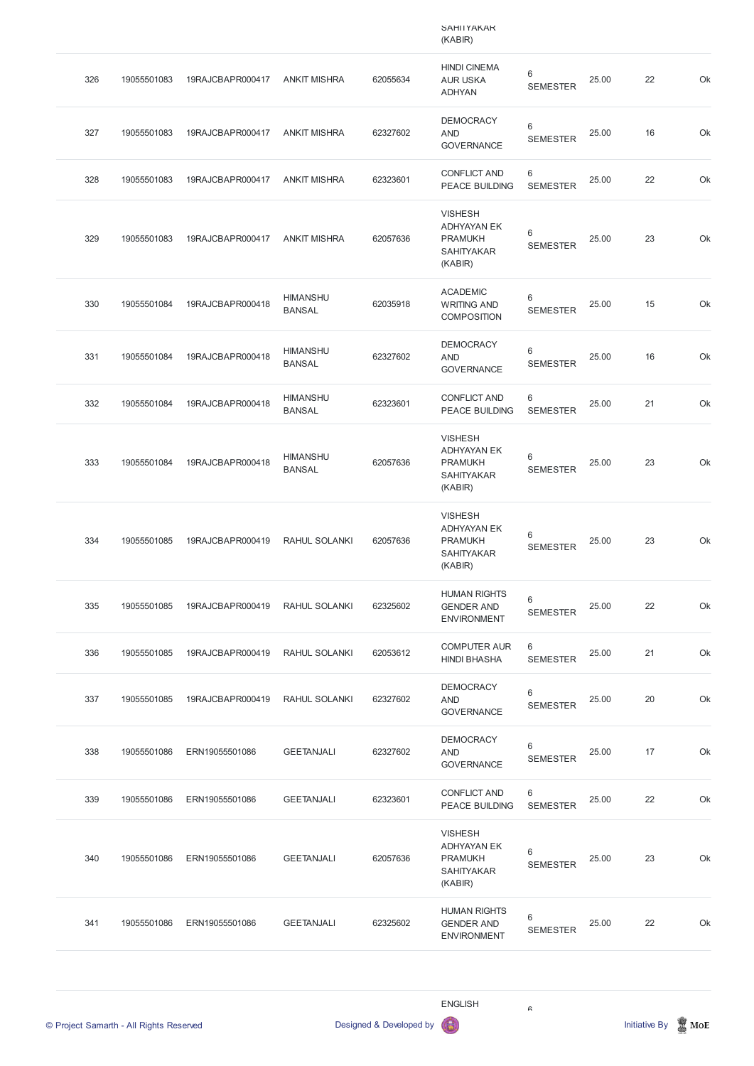|     |             |                  |                                  |          | <b>SAHIIYAKAK</b><br>(KABIR)                                                           |                            |       |    |    |
|-----|-------------|------------------|----------------------------------|----------|----------------------------------------------------------------------------------------|----------------------------|-------|----|----|
| 326 | 19055501083 | 19RAJCBAPR000417 | <b>ANKIT MISHRA</b>              | 62055634 | <b>HINDI CINEMA</b><br><b>AUR USKA</b><br><b>ADHYAN</b>                                | 6<br><b>SEMESTER</b>       | 25.00 | 22 | Ok |
| 327 | 19055501083 | 19RAJCBAPR000417 | <b>ANKIT MISHRA</b>              | 62327602 | <b>DEMOCRACY</b><br><b>AND</b><br><b>GOVERNANCE</b>                                    | 6<br><b>SEMESTER</b>       | 25.00 | 16 | Ok |
| 328 | 19055501083 | 19RAJCBAPR000417 | <b>ANKIT MISHRA</b>              | 62323601 | <b>CONFLICT AND</b><br><b>PEACE BUILDING</b>                                           | 6<br><b>SEMESTER</b>       | 25.00 | 22 | Ok |
| 329 | 19055501083 | 19RAJCBAPR000417 | <b>ANKIT MISHRA</b>              | 62057636 | <b>VISHESH</b><br><b>ADHYAYAN EK</b><br><b>PRAMUKH</b><br><b>SAHITYAKAR</b><br>(KABIR) | 6<br><b>SEMESTER</b>       | 25.00 | 23 | Ok |
| 330 | 19055501084 | 19RAJCBAPR000418 | <b>HIMANSHU</b><br><b>BANSAL</b> | 62035918 | <b>ACADEMIC</b><br><b>WRITING AND</b><br><b>COMPOSITION</b>                            | 6<br><b>SEMESTER</b>       | 25.00 | 15 | Ok |
| 331 | 19055501084 | 19RAJCBAPR000418 | <b>HIMANSHU</b><br><b>BANSAL</b> | 62327602 | <b>DEMOCRACY</b><br><b>AND</b><br><b>GOVERNANCE</b>                                    | 6<br><b>SEMESTER</b>       | 25.00 | 16 | Ok |
| 332 | 19055501084 | 19RAJCBAPR000418 | <b>HIMANSHU</b><br><b>BANSAL</b> | 62323601 | <b>CONFLICT AND</b><br><b>PEACE BUILDING</b>                                           | 6<br><b>SEMESTER</b>       | 25.00 | 21 | Ok |
| 333 | 19055501084 | 19RAJCBAPR000418 | <b>HIMANSHU</b><br><b>BANSAL</b> | 62057636 | <b>VISHESH</b><br><b>ADHYAYAN EK</b><br><b>PRAMUKH</b><br><b>SAHITYAKAR</b><br>(KABIR) | $\,6\,$<br><b>SEMESTER</b> | 25.00 | 23 | Ok |
| 334 | 19055501085 | 19RAJCBAPR000419 | <b>RAHUL SOLANKI</b>             | 62057636 | <b>VISHESH</b><br><b>ADHYAYAN EK</b><br><b>PRAMUKH</b><br><b>SAHITYAKAR</b><br>(KABIR) | $\,6$<br><b>SEMESTER</b>   | 25.00 | 23 | Ok |
| 335 | 19055501085 | 19RAJCBAPR000419 | RAHUL SOLANKI                    | 62325602 | <b>HUMAN RIGHTS</b><br><b>GENDER AND</b><br><b>ENVIRONMENT</b>                         | $\,6$<br><b>SEMESTER</b>   | 25.00 | 22 | Ok |
| 336 | 19055501085 | 19RAJCBAPR000419 | RAHUL SOLANKI                    | 62053612 | <b>COMPUTER AUR</b><br><b>HINDI BHASHA</b>                                             | 6<br><b>SEMESTER</b>       | 25.00 | 21 | Ok |
| 337 | 19055501085 | 19RAJCBAPR000419 | RAHUL SOLANKI                    | 62327602 | <b>DEMOCRACY</b><br><b>AND</b><br><b>GOVERNANCE</b>                                    | 6<br><b>SEMESTER</b>       | 25.00 | 20 | Ok |
| 338 | 19055501086 | ERN19055501086   | <b>GEETANJALI</b>                | 62327602 | <b>DEMOCRACY</b><br><b>AND</b><br><b>GOVERNANCE</b>                                    | 6<br><b>SEMESTER</b>       | 25.00 | 17 | Ok |
| 339 | 19055501086 | ERN19055501086   | <b>GEETANJALI</b>                | 62323601 | <b>CONFLICT AND</b>                                                                    | 6                          | 25.00 | 22 | Ok |

PEACE BUILDING SEMESTER



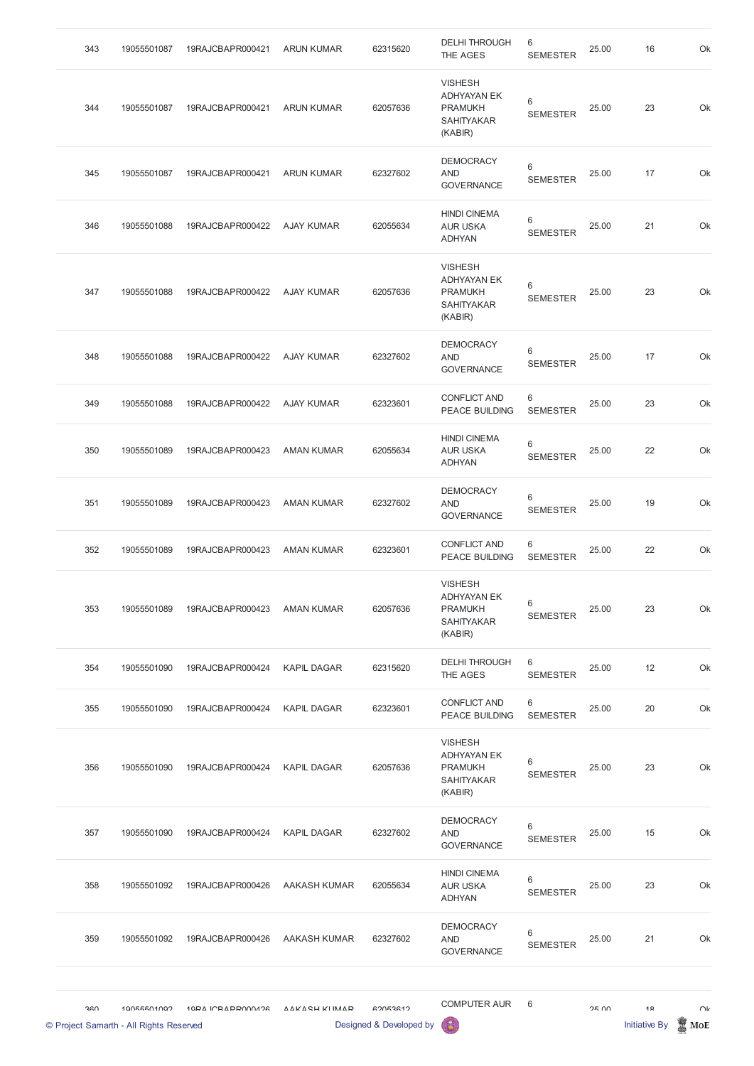| 360<br>© Project Samarth - All Rights Reserved | 10055501002 | 10DA ICRADDOOOADR            | VVKVCH KIIVVVD      | 62052612<br>Designed & Developed by | <b>COMPUTER AUR</b><br>6                                                               | 6                          | OF UU | 1 <sub>Q</sub><br><b>Initiative By</b> | UN<br>$\operatorname{\mathsf{MoE}}$ |
|------------------------------------------------|-------------|------------------------------|---------------------|-------------------------------------|----------------------------------------------------------------------------------------|----------------------------|-------|----------------------------------------|-------------------------------------|
|                                                |             |                              |                     |                                     |                                                                                        |                            |       |                                        |                                     |
| 359                                            | 19055501092 | 19RAJCBAPR000426             | <b>AAKASH KUMAR</b> | 62327602                            | <b>DEMOCRACY</b><br><b>AND</b><br><b>GOVERNANCE</b>                                    | 6<br><b>SEMESTER</b>       | 25.00 | 21                                     | Ok                                  |
| 358                                            | 19055501092 | 19RAJCBAPR000426             | <b>AAKASH KUMAR</b> | 62055634                            | <b>HINDI CINEMA</b><br><b>AUR USKA</b><br><b>ADHYAN</b>                                | $\,6\,$<br><b>SEMESTER</b> | 25.00 | 23                                     | Ok                                  |
| 357                                            | 19055501090 | 19RAJCBAPR000424 KAPIL DAGAR |                     | 62327602                            | <b>DEMOCRACY</b><br><b>AND</b><br><b>GOVERNANCE</b>                                    | 6<br><b>SEMESTER</b>       | 25.00 | 15                                     | Ok                                  |
| 356                                            | 19055501090 | 19RAJCBAPR000424             | <b>KAPIL DAGAR</b>  | 62057636                            | <b>VISHESH</b><br><b>ADHYAYAN EK</b><br><b>PRAMUKH</b><br><b>SAHITYAKAR</b><br>(KABIR) | 6<br><b>SEMESTER</b>       | 25.00 | 23                                     | Ok                                  |
| 355                                            | 19055501090 | 19RAJCBAPR000424             | <b>KAPIL DAGAR</b>  | 62323601                            | <b>CONFLICT AND</b><br><b>PEACE BUILDING</b>                                           | 6<br><b>SEMESTER</b>       | 25.00 | 20                                     | Ok                                  |
| 354                                            | 19055501090 | 19RAJCBAPR000424             | <b>KAPIL DAGAR</b>  | 62315620                            | <b>DELHI THROUGH</b><br>THE AGES                                                       | 6<br><b>SEMESTER</b>       | 25.00 | 12                                     | Ok                                  |
| 353                                            | 19055501089 | 19RAJCBAPR000423             | <b>AMAN KUMAR</b>   | 62057636                            | <b>VISHESH</b><br><b>ADHYAYAN EK</b><br><b>PRAMUKH</b><br><b>SAHITYAKAR</b><br>(KABIR) | 6<br><b>SEMESTER</b>       | 25.00 | 23                                     | Ok                                  |
| 352                                            | 19055501089 | 19RAJCBAPR000423             | <b>AMAN KUMAR</b>   | 62323601                            | <b>CONFLICT AND</b><br><b>PEACE BUILDING</b>                                           | 6<br><b>SEMESTER</b>       | 25.00 | 22                                     | Ok                                  |
| 351                                            | 19055501089 | 19RAJCBAPR000423             | <b>AMAN KUMAR</b>   | 62327602                            | <b>DEMOCRACY</b><br><b>AND</b><br><b>GOVERNANCE</b>                                    | 6<br><b>SEMESTER</b>       | 25.00 | 19                                     | Ok                                  |
| 350                                            | 19055501089 | 19RAJCBAPR000423             | <b>AMAN KUMAR</b>   | 62055634                            | <b>HINDI CINEMA</b><br><b>AUR USKA</b><br><b>ADHYAN</b>                                | 6<br><b>SEMESTER</b>       | 25.00 | 22                                     | Ok                                  |
| 349                                            | 19055501088 | 19RAJCBAPR000422             | <b>AJAY KUMAR</b>   | 62323601                            | <b>CONFLICT AND</b><br><b>PEACE BUILDING</b>                                           | 6<br><b>SEMESTER</b>       | 25.00 | 23                                     | Ok                                  |
| 348                                            | 19055501088 | 19RAJCBAPR000422             | <b>AJAY KUMAR</b>   | 62327602                            | <b>DEMOCRACY</b><br><b>AND</b><br><b>GOVERNANCE</b>                                    | 6<br><b>SEMESTER</b>       | 25.00 | 17                                     | Ok                                  |
| 347                                            | 19055501088 | 19RAJCBAPR000422             | <b>AJAY KUMAR</b>   | 62057636                            | <b>VISHESH</b><br><b>ADHYAYAN EK</b><br><b>PRAMUKH</b><br><b>SAHITYAKAR</b><br>(KABIR) | 6<br><b>SEMESTER</b>       | 25.00 | 23                                     | Ok                                  |
| 346                                            | 19055501088 | 19RAJCBAPR000422             | <b>AJAY KUMAR</b>   | 62055634                            | <b>HINDI CINEMA</b><br><b>AUR USKA</b><br><b>ADHYAN</b>                                | 6<br><b>SEMESTER</b>       | 25.00 | 21                                     | Ok                                  |
| 345                                            | 19055501087 | 19RAJCBAPR000421             | <b>ARUN KUMAR</b>   | 62327602                            | <b>DEMOCRACY</b><br><b>AND</b><br><b>GOVERNANCE</b>                                    | 6<br><b>SEMESTER</b>       | 25.00 | 17                                     | Ok                                  |
| 344                                            | 19055501087 | 19RAJCBAPR000421             | <b>ARUN KUMAR</b>   | 62057636                            | <b>VISHESH</b><br><b>ADHYAYAN EK</b><br><b>PRAMUKH</b><br><b>SAHITYAKAR</b><br>(KABIR) | 6<br><b>SEMESTER</b>       | 25.00 | 23                                     | Ok                                  |
| 343                                            | 19055501087 | 19RAJCBAPR000421             | <b>ARUN KUMAR</b>   | 62315620                            | <b>DELHI THROUGH</b><br>THE AGES                                                       | 6<br><b>SEMESTER</b>       | 25.00 | 16                                     | Ok                                  |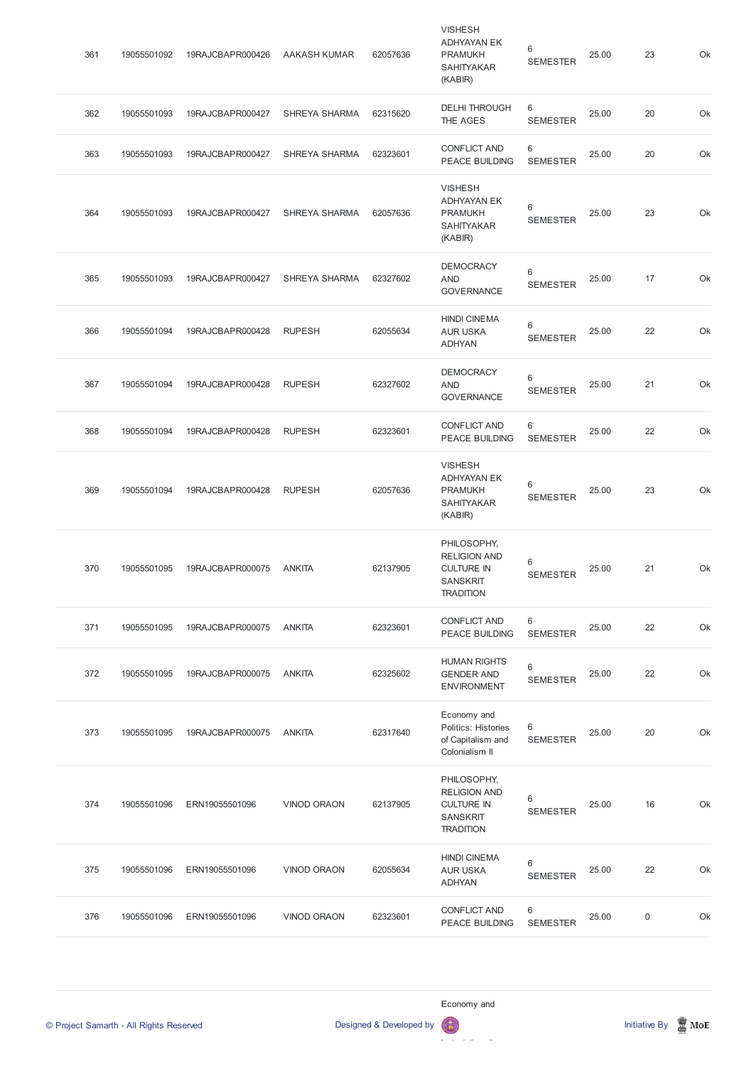| 361 | 19055501092 | 19RAJCBAPR000426 | <b>AAKASH KUMAR</b>  | 62057636 | <b>VISHESH</b><br><b>ADHYAYAN EK</b><br><b>PRAMUKH</b><br><b>SAHITYAKAR</b><br>(KABIR)         | 6<br><b>SEMESTER</b> | 25.00 | 23          | Ok |
|-----|-------------|------------------|----------------------|----------|------------------------------------------------------------------------------------------------|----------------------|-------|-------------|----|
| 362 | 19055501093 | 19RAJCBAPR000427 | <b>SHREYA SHARMA</b> | 62315620 | <b>DELHI THROUGH</b><br>THE AGES                                                               | 6<br><b>SEMESTER</b> | 25.00 | 20          | Ok |
| 363 | 19055501093 | 19RAJCBAPR000427 | <b>SHREYA SHARMA</b> | 62323601 | <b>CONFLICT AND</b><br><b>PEACE BUILDING</b>                                                   | 6<br><b>SEMESTER</b> | 25.00 | 20          | Ok |
| 364 | 19055501093 | 19RAJCBAPR000427 | <b>SHREYA SHARMA</b> | 62057636 | <b>VISHESH</b><br><b>ADHYAYAN EK</b><br><b>PRAMUKH</b><br><b>SAHITYAKAR</b><br>(KABIR)         | 6<br><b>SEMESTER</b> | 25.00 | 23          | Ok |
| 365 | 19055501093 | 19RAJCBAPR000427 | <b>SHREYA SHARMA</b> | 62327602 | <b>DEMOCRACY</b><br><b>AND</b><br><b>GOVERNANCE</b>                                            | 6<br><b>SEMESTER</b> | 25.00 | 17          | Ok |
| 366 | 19055501094 | 19RAJCBAPR000428 | <b>RUPESH</b>        | 62055634 | <b>HINDI CINEMA</b><br><b>AUR USKA</b><br><b>ADHYAN</b>                                        | 6<br><b>SEMESTER</b> | 25.00 | 22          | Ok |
| 367 | 19055501094 | 19RAJCBAPR000428 | <b>RUPESH</b>        | 62327602 | <b>DEMOCRACY</b><br><b>AND</b><br><b>GOVERNANCE</b>                                            | 6<br><b>SEMESTER</b> | 25.00 | 21          | Ok |
| 368 | 19055501094 | 19RAJCBAPR000428 | <b>RUPESH</b>        | 62323601 | <b>CONFLICT AND</b><br>PEACE BUILDING                                                          | 6<br><b>SEMESTER</b> | 25.00 | 22          | Ok |
| 369 | 19055501094 | 19RAJCBAPR000428 | <b>RUPESH</b>        | 62057636 | <b>VISHESH</b><br><b>ADHYAYAN EK</b><br><b>PRAMUKH</b><br><b>SAHITYAKAR</b><br>(KABIR)         | 6<br><b>SEMESTER</b> | 25.00 | 23          | Ok |
| 370 | 19055501095 | 19RAJCBAPR000075 | <b>ANKITA</b>        | 62137905 | PHILOSOPHY,<br><b>RELIGION AND</b><br><b>CULTURE IN</b><br><b>SANSKRIT</b><br><b>TRADITION</b> | 6<br><b>SEMESTER</b> | 25.00 | 21          | Ok |
| 371 | 19055501095 | 19RAJCBAPR000075 | <b>ANKITA</b>        | 62323601 | <b>CONFLICT AND</b><br>PEACE BUILDING                                                          | 6<br><b>SEMESTER</b> | 25.00 | 22          | Ok |
| 372 | 19055501095 | 19RAJCBAPR000075 | <b>ANKITA</b>        | 62325602 | <b>HUMAN RIGHTS</b><br><b>GENDER AND</b><br><b>ENVIRONMENT</b>                                 | 6<br><b>SEMESTER</b> | 25.00 | 22          | Ok |
| 373 | 19055501095 | 19RAJCBAPR000075 | <b>ANKITA</b>        | 62317640 | Economy and<br>Politics: Histories<br>of Capitalism and<br>Colonialism II                      | 6<br><b>SEMESTER</b> | 25.00 | 20          | Ok |
| 374 | 19055501096 | ERN19055501096   | <b>VINOD ORAON</b>   | 62137905 | PHILOSOPHY,<br><b>RELIGION AND</b><br><b>CULTURE IN</b><br><b>SANSKRIT</b><br><b>TRADITION</b> | 6<br><b>SEMESTER</b> | 25.00 | 16          | Ok |
| 375 | 19055501096 | ERN19055501096   | <b>VINOD ORAON</b>   | 62055634 | <b>HINDI CINEMA</b><br><b>AUR USKA</b><br><b>ADHYAN</b>                                        | 6<br><b>SEMESTER</b> | 25.00 | 22          | Ok |
| 376 | 19055501096 | ERN19055501096   | <b>VINOD ORAON</b>   | 62323601 | <b>CONFLICT AND</b><br>PEACE BUILDING                                                          | 6<br><b>SEMESTER</b> | 25.00 | $\mathsf 0$ | Ok |

Economy and

© Project Samarth - All Rights Reserved **Designed & Developed by Initiative By Initiative By Initiative By Initiative By Initiative By Initiative By Initiative By Initiative By Initiative By Initiative By Initiative By Ini** Politics: Histories: Histories: Histories: Histories: Histories: Histories: Histories: Histories: Histories: H  $\mathbf{B}$ 

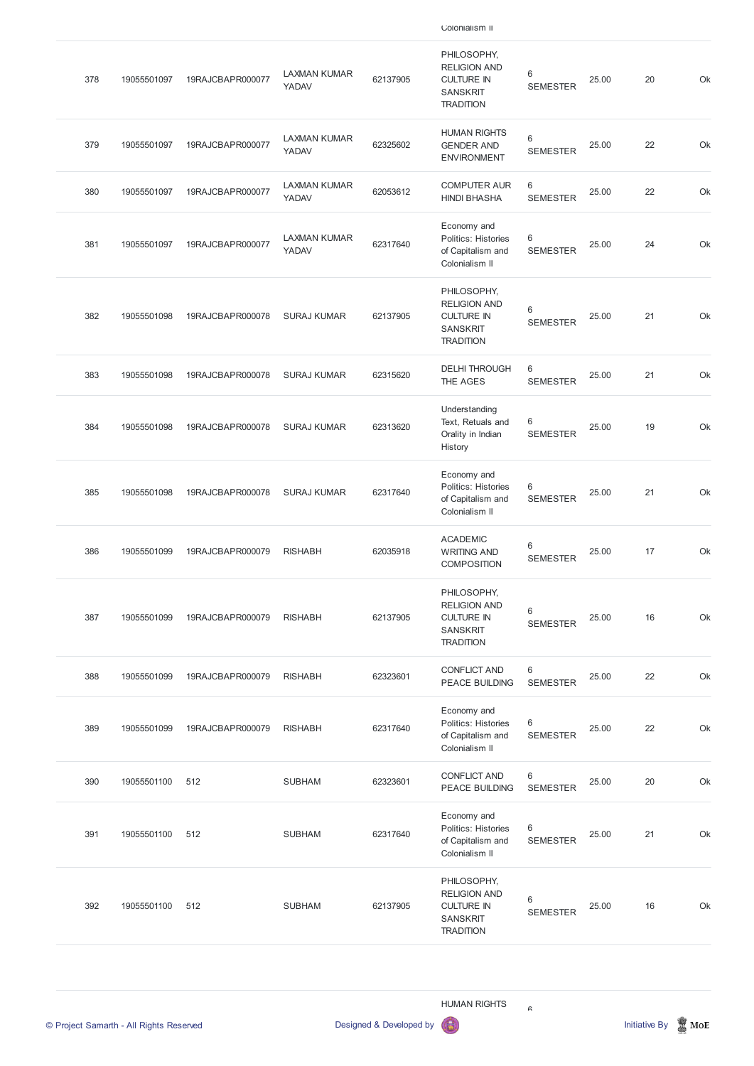378 19055501097 19RAJCBAPR000077 LAXMAN KUMAR YADAV 62137905 PHILOSOPHY, RELIGION AND CULTURE IN SANSKRIT **TRADITION** 6 SEMESTER 25.00 20 Ok 379 19055501097 19RAJCBAPR000077 LAXMAN KUMAR YADAV 62325602 HUMAN RIGHTS GENDER AND ENVIRONMENT 6 SEMESTER 25.00 22 Ok 380 19055501097 19RAJCBAPR000077 LAXMAN KUMAR YADAV 62053612 COMPUTER AUR HINDI BHASHA 6 SEMESTER 25.00 22 Ok 381 19055501097 19RAJCBAPR000077 LAXMAN KUMAR YADAV 62317640 Economy and Politics: Histories of Capitalism and Colonialism II 6 SEMESTER 25.00 24 Ok 382 19055501098 19RAJCBAPR000078 SURAJ KUMAR 62137905 PHILOSOPHY, RELIGION AND CULTURE IN SANSKRIT **TRADITION** 6 SEMESTER 25.00 21 Ok 383 19055501098 19RAJCBAPR000078 SURAJ KUMAR 62315620 DELHI THROUGH THE AGES 6 SEMESTER 25.00 21 Ok 384 19055501098 19RAJCBAPR000078 SURAJ KUMAR 62313620 Understanding Text, Retuals and Orality in Indian History 6 SEMESTER 25.00 19 Ok 385 19055501098 19RAJCBAPR000078 SURAJ KUMAR 62317640 Economy and Politics: Histories of Capitalism and Colonialism II 6 SEMESTER 25.00 21 Ok 386 19055501099 19RAJCBAPR000079 RISHABH 62035918 ACADEMIC WRITING AND COMPOSITION 6 SEMESTER 25.00 17 Ok 387 19055501099 19RAJCBAPR000079 RISHABH 62137905 PHILOSOPHY, RELIGION AND CULTURE IN SANSKRIT **TRADITION** 6 SEMESTER 25.00 16 Ok 388 19055501099 19RAJCBAPR000079 RISHABH 62323601 CONFLICT AND PEACE BUILDING 6 SEMESTER 25.00 22 Ok 389 19055501099 19RAJCBAPR000079 RISHABH 62317640 Economy and Politics: Histories of Capitalism and Colonialism II 6 SEMESTER 25.00 22 Ok

Colonialism II

390 19055501100 512 SUBHAM 62323601

CONFLICT AND PEACE BUILDING 6

SEMESTER

25.00 20 Ok

| 391 | 19055501100 | 512 | <b>SUBHAM</b> | 62317640 | Economy and<br><b>Politics: Histories</b><br>of Capitalism and<br>Colonialism II               | 6<br><b>SEMESTER</b> | 25.00 | 21 | Ok |
|-----|-------------|-----|---------------|----------|------------------------------------------------------------------------------------------------|----------------------|-------|----|----|
| 392 | 19055501100 | 512 | <b>SUBHAM</b> | 62137905 | PHILOSOPHY,<br><b>RELIGION AND</b><br><b>CULTURE IN</b><br><b>SANSKRIT</b><br><b>TRADITION</b> | 6<br><b>SEMESTER</b> | 25.00 | 16 | Ok |

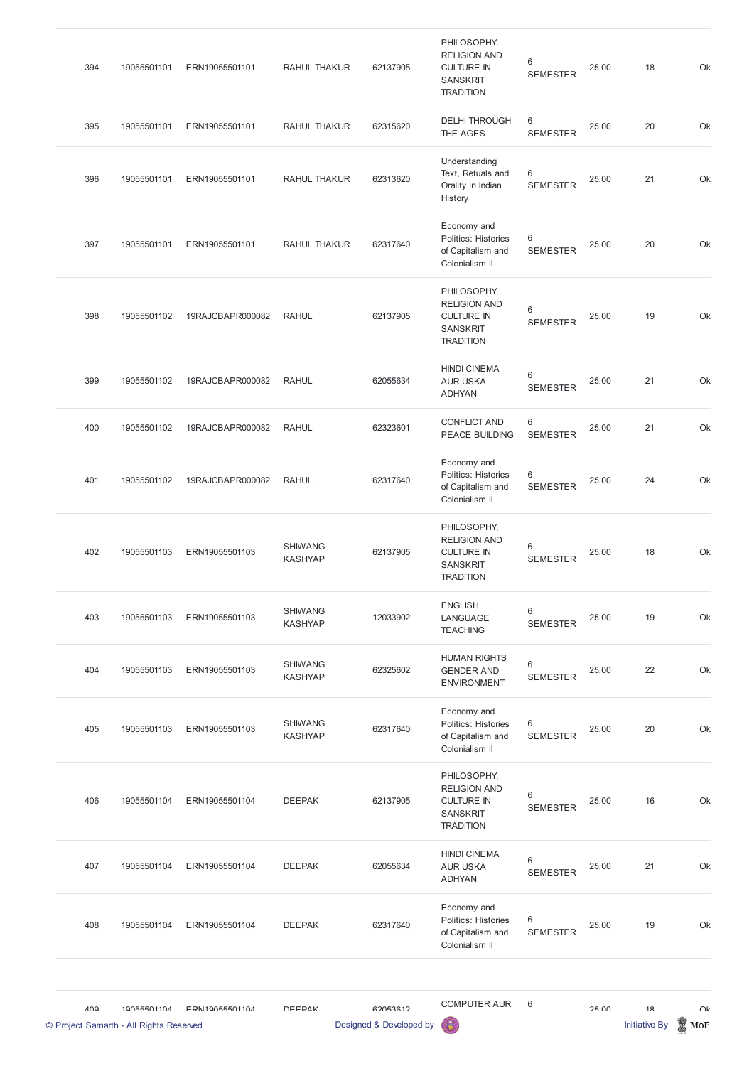| 394                                                           | 19055501101 | ERN19055501101   | RAHUL THAKUR                     | 62137905                            | PHILOSOPHY,<br><b>RELIGION AND</b><br><b>CULTURE IN</b><br><b>SANSKRIT</b><br><b>TRADITION</b> | 6<br><b>SEMESTER</b> | 25.00 | 18                                     | Ok            |
|---------------------------------------------------------------|-------------|------------------|----------------------------------|-------------------------------------|------------------------------------------------------------------------------------------------|----------------------|-------|----------------------------------------|---------------|
| 395                                                           | 19055501101 | ERN19055501101   | RAHUL THAKUR                     | 62315620                            | <b>DELHI THROUGH</b><br>THE AGES                                                               | 6<br><b>SEMESTER</b> | 25.00 | 20                                     | Ok            |
| 396                                                           | 19055501101 | ERN19055501101   | RAHUL THAKUR                     | 62313620                            | Understanding<br>Text, Retuals and<br>Orality in Indian<br>History                             | 6<br><b>SEMESTER</b> | 25.00 | 21                                     | Ok            |
| 397                                                           | 19055501101 | ERN19055501101   | RAHUL THAKUR                     | 62317640                            | Economy and<br>Politics: Histories<br>of Capitalism and<br>Colonialism II                      | 6<br><b>SEMESTER</b> | 25.00 | 20                                     | Ok            |
| 398                                                           | 19055501102 | 19RAJCBAPR000082 | <b>RAHUL</b>                     | 62137905                            | PHILOSOPHY,<br><b>RELIGION AND</b><br><b>CULTURE IN</b><br><b>SANSKRIT</b><br><b>TRADITION</b> | 6<br><b>SEMESTER</b> | 25.00 | 19                                     | Ok            |
| 399                                                           | 19055501102 | 19RAJCBAPR000082 | <b>RAHUL</b>                     | 62055634                            | <b>HINDI CINEMA</b><br><b>AUR USKA</b><br><b>ADHYAN</b>                                        | 6<br><b>SEMESTER</b> | 25.00 | 21                                     | Ok            |
| 400                                                           | 19055501102 | 19RAJCBAPR000082 | <b>RAHUL</b>                     | 62323601                            | <b>CONFLICT AND</b><br>PEACE BUILDING                                                          | 6<br><b>SEMESTER</b> | 25.00 | 21                                     | Ok            |
| 401                                                           | 19055501102 | 19RAJCBAPR000082 | <b>RAHUL</b>                     | 62317640                            | Economy and<br>Politics: Histories<br>of Capitalism and<br>Colonialism II                      | 6<br><b>SEMESTER</b> | 25.00 | 24                                     | Ok            |
| 402                                                           | 19055501103 | ERN19055501103   | <b>SHIWANG</b><br><b>KASHYAP</b> | 62137905                            | PHILOSOPHY,<br><b>RELIGION AND</b><br><b>CULTURE IN</b><br><b>SANSKRIT</b><br><b>TRADITION</b> | 6<br><b>SEMESTER</b> | 25.00 | 18                                     | Ok            |
| 403                                                           | 19055501103 | ERN19055501103   | <b>SHIWANG</b><br><b>KASHYAP</b> | 12033902                            | <b>ENGLISH</b><br>LANGUAGE<br><b>TEACHING</b>                                                  | 6<br><b>SEMESTER</b> | 25.00 | 19                                     | Ok            |
| 404                                                           | 19055501103 | ERN19055501103   | <b>SHIWANG</b><br><b>KASHYAP</b> | 62325602                            | <b>HUMAN RIGHTS</b><br><b>GENDER AND</b><br><b>ENVIRONMENT</b>                                 | 6<br><b>SEMESTER</b> | 25.00 | 22                                     | Ok            |
| 405                                                           | 19055501103 | ERN19055501103   | <b>SHIWANG</b><br><b>KASHYAP</b> | 62317640                            | Economy and<br>Politics: Histories<br>of Capitalism and<br>Colonialism II                      | 6<br><b>SEMESTER</b> | 25.00 | 20                                     | Ok            |
| 406                                                           | 19055501104 | ERN19055501104   | <b>DEEPAK</b>                    | 62137905                            | PHILOSOPHY,<br><b>RELIGION AND</b><br><b>CULTURE IN</b><br><b>SANSKRIT</b><br><b>TRADITION</b> | 6<br><b>SEMESTER</b> | 25.00 | 16                                     | Ok            |
| 407                                                           | 19055501104 | ERN19055501104   | <b>DEEPAK</b>                    | 62055634                            | <b>HINDI CINEMA</b><br><b>AUR USKA</b><br><b>ADHYAN</b>                                        | 6<br><b>SEMESTER</b> | 25.00 | 21                                     | Ok            |
| 408                                                           | 19055501104 | ERN19055501104   | <b>DEEPAK</b>                    | 62317640                            | Economy and<br>Politics: Histories<br>of Capitalism and<br>Colonialism II                      | 6<br><b>SEMESTER</b> | 25.00 | 19                                     | Ok            |
| $\Lambda$ $\Omega$<br>© Project Samarth - All Rights Reserved | 10055501104 | EDN110055501104  | <b>DEEDAK</b>                    | 62052612<br>Designed & Developed by | <b>COMPUTER AUR</b><br>6                                                                       | 6                    | OF UU | 1 <sub>Q</sub><br><b>Initiative By</b> | $\cap$<br>MoE |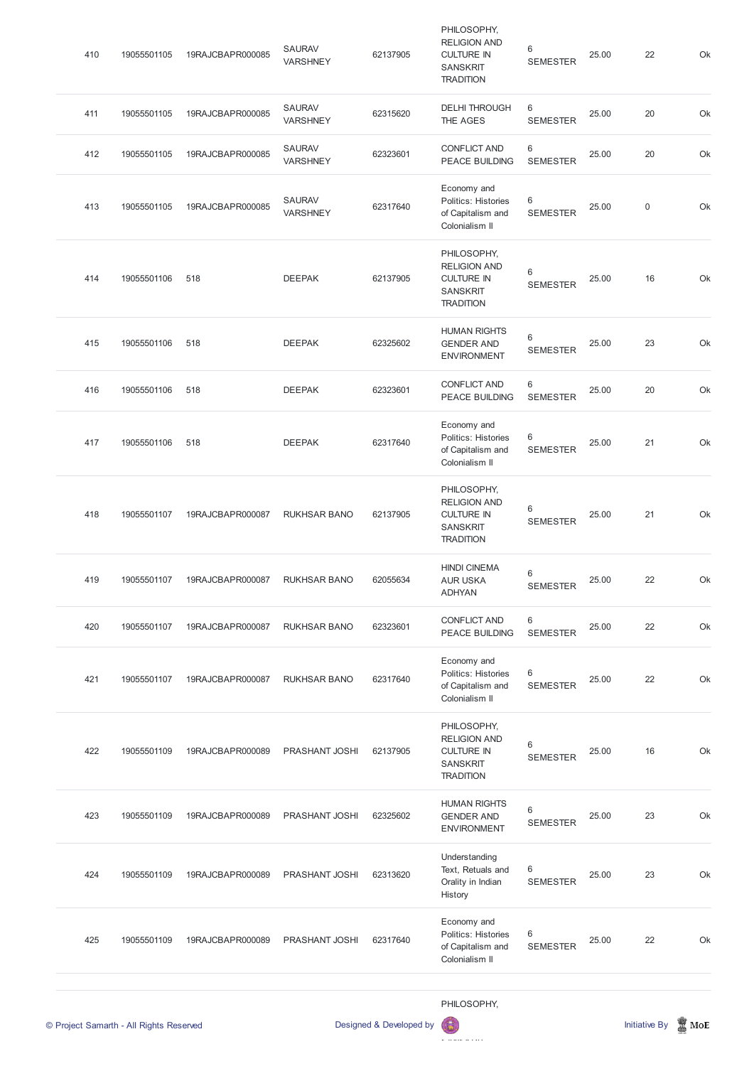|     | © Project Samarth - All Rights Reserved |                  |                                  | Designed & Developed by |                                                                                                |                                   |       | <b>Initiative By</b> | $\mathbb{Z}$ MoE |
|-----|-----------------------------------------|------------------|----------------------------------|-------------------------|------------------------------------------------------------------------------------------------|-----------------------------------|-------|----------------------|------------------|
|     |                                         |                  |                                  |                         | PHILOSOPHY,                                                                                    |                                   |       |                      |                  |
| 425 | 19055501109                             | 19RAJCBAPR000089 | PRASHANT JOSHI                   | 62317640                | Economy and<br>Politics: Histories<br>of Capitalism and<br>Colonialism II                      | 6<br><b>SEMESTER</b>              | 25.00 | 22                   |                  |
| 424 | 19055501109                             | 19RAJCBAPR000089 | PRASHANT JOSHI                   | 62313620                | Understanding<br>Text, Retuals and<br>Orality in Indian<br>History                             | 6<br><b>SEMESTER</b>              | 25.00 | 23                   |                  |
| 423 | 19055501109                             | 19RAJCBAPR000089 | PRASHANT JOSHI                   | 62325602                | <b>HUMAN RIGHTS</b><br><b>GENDER AND</b><br><b>ENVIRONMENT</b>                                 | 6<br><b>SEMESTER</b>              | 25.00 | 23                   |                  |
| 422 | 19055501109                             | 19RAJCBAPR000089 | PRASHANT JOSHI                   | 62137905                | PHILOSOPHY,<br><b>RELIGION AND</b><br><b>CULTURE IN</b><br><b>SANSKRIT</b><br><b>TRADITION</b> | 6<br><b>SEMESTER</b>              | 25.00 | 16                   |                  |
| 421 | 19055501107                             | 19RAJCBAPR000087 | <b>RUKHSAR BANO</b>              | 62317640                | Economy and<br>Politics: Histories<br>of Capitalism and<br>Colonialism II                      | 6<br><b>SEMESTER</b>              | 25.00 | 22                   |                  |
| 420 | 19055501107                             | 19RAJCBAPR000087 | <b>RUKHSAR BANO</b>              | 62323601                | <b>CONFLICT AND</b><br>PEACE BUILDING                                                          | 6<br><b>SEMESTER</b>              | 25.00 | 22                   |                  |
| 419 | 19055501107                             | 19RAJCBAPR000087 | <b>RUKHSAR BANO</b>              | 62055634                | <b>HINDI CINEMA</b><br><b>AUR USKA</b><br><b>ADHYAN</b>                                        | 6<br><b>SEMESTER</b>              | 25.00 | 22                   |                  |
| 418 | 19055501107                             | 19RAJCBAPR000087 | <b>RUKHSAR BANO</b>              | 62137905                | PHILOSOPHY,<br><b>RELIGION AND</b><br><b>CULTURE IN</b><br><b>SANSKRIT</b><br><b>TRADITION</b> | 6<br><b>SEMESTER</b>              | 25.00 | 21                   |                  |
| 417 | 19055501106                             | 518              | <b>DEEPAK</b>                    | 62317640                | Economy and<br>Politics: Histories<br>of Capitalism and<br>Colonialism II                      | 6<br><b>SEMESTER</b>              | 25.00 | 21                   |                  |
| 416 | 19055501106                             | 518              | <b>DEEPAK</b>                    | 62323601                | <b>CONFLICT AND</b><br>PEACE BUILDING                                                          | 6<br><b>SEMESTER</b>              | 25.00 | 20                   |                  |
| 415 | 19055501106                             | 518              | <b>DEEPAK</b>                    | 62325602                | <b>HUMAN RIGHTS</b><br><b>GENDER AND</b><br><b>ENVIRONMENT</b>                                 | 6<br><b>SEMESTER</b>              | 25.00 | 23                   |                  |
| 414 | 19055501106                             | 518              | <b>DEEPAK</b>                    | 62137905                | PHILOSOPHY,<br><b>RELIGION AND</b><br><b>CULTURE IN</b><br><b>SANSKRIT</b><br><b>TRADITION</b> | 6<br><b>SEMESTER</b>              | 25.00 | 16                   |                  |
| 413 | 19055501105                             | 19RAJCBAPR000085 | <b>SAURAV</b><br><b>VARSHNEY</b> | 62317640                | Economy and<br>Politics: Histories<br>of Capitalism and<br>Colonialism II                      | 6<br><b>SEMESTER</b>              | 25.00 | $\boldsymbol{0}$     |                  |
| 412 | 19055501105                             | 19RAJCBAPR000085 | <b>SAURAV</b><br><b>VARSHNEY</b> | 62323601                | <b>CONFLICT AND</b><br>PEACE BUILDING                                                          | 6<br><b>SEMESTER</b>              | 25.00 | 20                   |                  |
| 411 | 19055501105                             | 19RAJCBAPR000085 | <b>SAURAV</b><br><b>VARSHNEY</b> | 62315620                | <b>DELHI THROUGH</b><br>THE AGES                                                               | $6\phantom{1}$<br><b>SEMESTER</b> | 25.00 | 20                   |                  |
| 410 | 19055501105                             | 19RAJCBAPR000085 | <b>SAURAV</b><br><b>VARSHNEY</b> | 62137905                | PHILOSOPHY,<br><b>RELIGION AND</b><br><b>CULTURE IN</b><br><b>SANSKRIT</b><br><b>TRADITION</b> | 6<br><b>SEMESTER</b>              | 25.00 | 22                   |                  |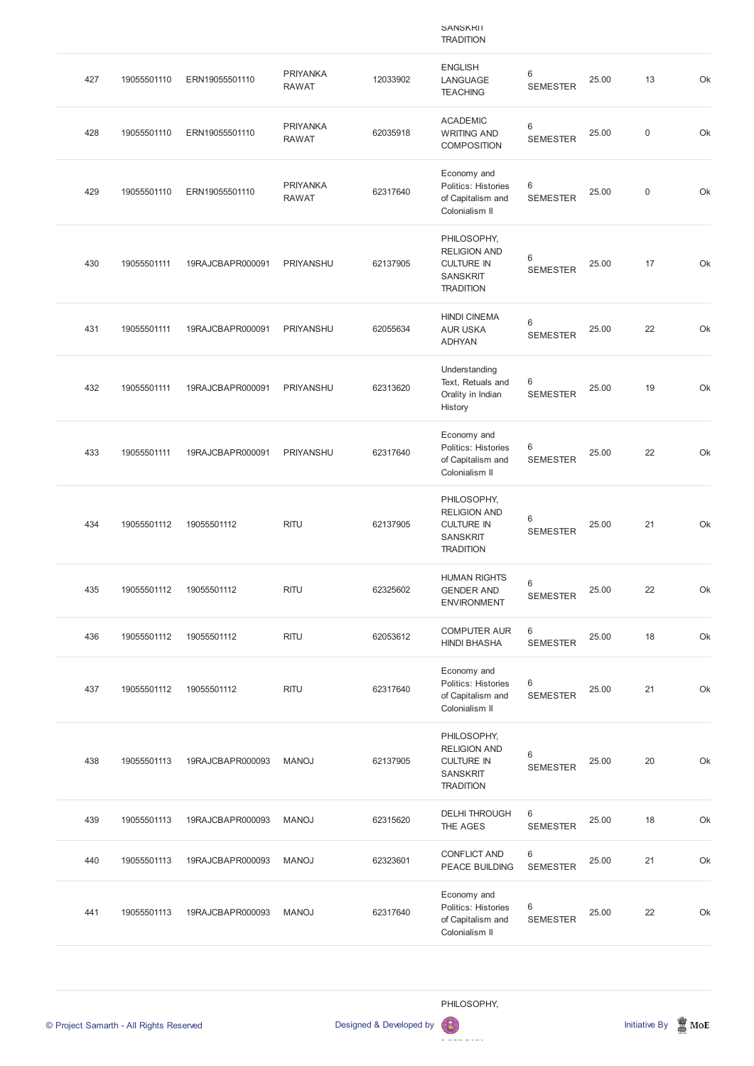|     |             |                  |                                 |          | <b>SANSKRII</b><br><b>TRADITION</b>                                                            |                            |       |             |    |
|-----|-------------|------------------|---------------------------------|----------|------------------------------------------------------------------------------------------------|----------------------------|-------|-------------|----|
| 427 | 19055501110 | ERN19055501110   | <b>PRIYANKA</b><br><b>RAWAT</b> | 12033902 | <b>ENGLISH</b><br>LANGUAGE<br><b>TEACHING</b>                                                  | $\,6\,$<br><b>SEMESTER</b> | 25.00 | 13          | Ok |
| 428 | 19055501110 | ERN19055501110   | <b>PRIYANKA</b><br><b>RAWAT</b> | 62035918 | <b>ACADEMIC</b><br><b>WRITING AND</b><br><b>COMPOSITION</b>                                    | $\,6\,$<br><b>SEMESTER</b> | 25.00 | $\mathbf 0$ | Ok |
| 429 | 19055501110 | ERN19055501110   | <b>PRIYANKA</b><br><b>RAWAT</b> | 62317640 | Economy and<br>Politics: Histories<br>of Capitalism and<br>Colonialism II                      | 6<br><b>SEMESTER</b>       | 25.00 | $\mathbf 0$ | Ok |
| 430 | 19055501111 | 19RAJCBAPR000091 | PRIYANSHU                       | 62137905 | PHILOSOPHY,<br><b>RELIGION AND</b><br><b>CULTURE IN</b><br><b>SANSKRIT</b><br><b>TRADITION</b> | 6<br><b>SEMESTER</b>       | 25.00 | 17          | Ok |
| 431 | 19055501111 | 19RAJCBAPR000091 | PRIYANSHU                       | 62055634 | <b>HINDI CINEMA</b><br><b>AUR USKA</b><br><b>ADHYAN</b>                                        | 6<br><b>SEMESTER</b>       | 25.00 | 22          | Ok |
| 432 | 19055501111 | 19RAJCBAPR000091 | PRIYANSHU                       | 62313620 | Understanding<br>Text, Retuals and<br>Orality in Indian<br>History                             | 6<br><b>SEMESTER</b>       | 25.00 | 19          | Ok |
| 433 | 19055501111 | 19RAJCBAPR000091 | PRIYANSHU                       | 62317640 | Economy and<br>Politics: Histories<br>of Capitalism and<br>Colonialism II                      | 6<br><b>SEMESTER</b>       | 25.00 | 22          | Ok |
| 434 | 19055501112 | 19055501112      | <b>RITU</b>                     | 62137905 | PHILOSOPHY,<br><b>RELIGION AND</b><br><b>CULTURE IN</b><br><b>SANSKRIT</b><br><b>TRADITION</b> | $\,6\,$<br><b>SEMESTER</b> | 25.00 | 21          | Ok |
| 435 | 19055501112 | 19055501112      | <b>RITU</b>                     | 62325602 | <b>HUMAN RIGHTS</b><br><b>GENDER AND</b><br><b>ENVIRONMENT</b>                                 | $\,6\,$<br><b>SEMESTER</b> | 25.00 | 22          | Ok |
| 436 | 19055501112 | 19055501112      | <b>RITU</b>                     | 62053612 | <b>COMPUTER AUR</b><br><b>HINDI BHASHA</b>                                                     | 6<br><b>SEMESTER</b>       | 25.00 | 18          | Ok |
| 437 | 19055501112 | 19055501112      | <b>RITU</b>                     | 62317640 | Economy and<br>Politics: Histories<br>of Capitalism and<br>Colonialism II                      | 6<br><b>SEMESTER</b>       | 25.00 | 21          | Ok |
| 438 | 19055501113 | 19RAJCBAPR000093 | <b>MANOJ</b>                    | 62137905 | PHILOSOPHY,<br><b>RELIGION AND</b><br><b>CULTURE IN</b><br><b>SANSKRIT</b><br><b>TRADITION</b> | 6<br><b>SEMESTER</b>       | 25.00 | 20          | Ok |

| 439 | 19055501113 | 19RAJCBAPR000093 | <b>MANOJ</b> | 62315620 | <b>DELHI THROUGH</b><br>THE AGES                                                 | 6<br><b>SEMESTER</b>   | 25.00 | 18 | Ok |
|-----|-------------|------------------|--------------|----------|----------------------------------------------------------------------------------|------------------------|-------|----|----|
| 440 | 19055501113 | 19RAJCBAPR000093 | <b>MANOJ</b> | 62323601 | <b>CONFLICT AND</b><br><b>PEACE BUILDING</b>                                     | 6<br><b>SEMESTER</b>   | 25.00 | 21 | Ok |
| 441 | 19055501113 | 19RAJCBAPR000093 | <b>MANOJ</b> | 62317640 | Economy and<br><b>Politics: Histories</b><br>of Capitalism and<br>Colonialism II | - 6<br><b>SEMESTER</b> | 25.00 | 22 | Ok |



 $\mathbf{B}$ 

© Project Samarth - All Rights Reserved **Designed & Developed by Initiative By In** Initiative By Initiative By Initiative By Initiative By Initiative By Initiative By Initiative By Initiative By Initiative By Initiative By

RELIGION AND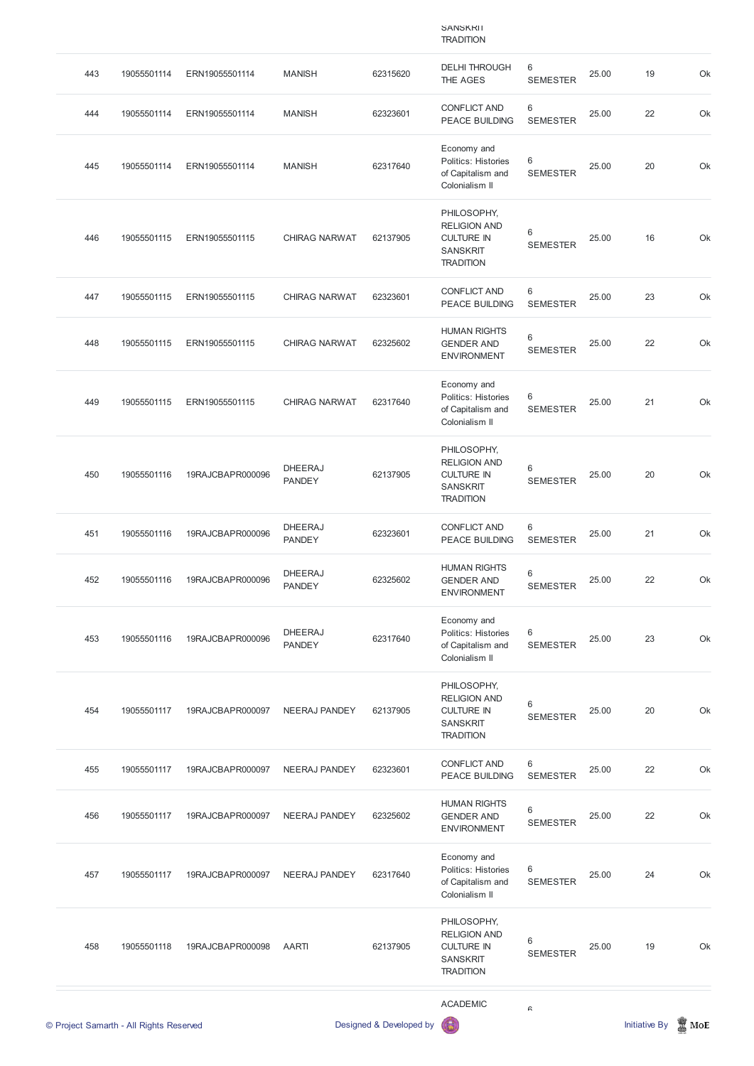## **SANSKRIT TRADITION**

|     | © Project Samarth - All Rights Reserved |                  |                                 | Designed & Developed by |                                                                                                |                        |       | <b>Initiative By</b> | $\mathbb Z$ MoE |
|-----|-----------------------------------------|------------------|---------------------------------|-------------------------|------------------------------------------------------------------------------------------------|------------------------|-------|----------------------|-----------------|
|     |                                         |                  |                                 |                         | <b>ACADEMIC</b>                                                                                | $\mathrel{\mathsf{G}}$ |       |                      |                 |
| 458 | 19055501118                             | 19RAJCBAPR000098 | <b>AARTI</b>                    | 62137905                | PHILOSOPHY,<br><b>RELIGION AND</b><br><b>CULTURE IN</b><br><b>SANSKRIT</b><br><b>TRADITION</b> | 6<br><b>SEMESTER</b>   | 25.00 | 19                   | Ok              |
| 457 | 19055501117                             | 19RAJCBAPR000097 | NEERAJ PANDEY                   | 62317640                | Economy and<br>Politics: Histories<br>of Capitalism and<br>Colonialism II                      | 6<br><b>SEMESTER</b>   | 25.00 | 24                   | Ok              |
| 456 | 19055501117                             | 19RAJCBAPR000097 | <b>NEERAJ PANDEY</b>            | 62325602                | <b>HUMAN RIGHTS</b><br><b>GENDER AND</b><br><b>ENVIRONMENT</b>                                 | 6<br><b>SEMESTER</b>   | 25.00 | 22                   | Ok              |
| 455 | 19055501117                             | 19RAJCBAPR000097 | <b>NEERAJ PANDEY</b>            | 62323601                | <b>CONFLICT AND</b><br>PEACE BUILDING                                                          | 6<br><b>SEMESTER</b>   | 25.00 | 22                   | Ok              |
| 454 | 19055501117                             | 19RAJCBAPR000097 | <b>NEERAJ PANDEY</b>            | 62137905                | PHILOSOPHY,<br><b>RELIGION AND</b><br><b>CULTURE IN</b><br><b>SANSKRIT</b><br><b>TRADITION</b> | 6<br><b>SEMESTER</b>   | 25.00 | 20                   | Ok              |
| 453 | 19055501116                             | 19RAJCBAPR000096 | <b>DHEERAJ</b><br><b>PANDEY</b> | 62317640                | Economy and<br>Politics: Histories<br>of Capitalism and<br>Colonialism II                      | 6<br><b>SEMESTER</b>   | 25.00 | 23                   | Ok              |
| 452 | 19055501116                             | 19RAJCBAPR000096 | <b>DHEERAJ</b><br><b>PANDEY</b> | 62325602                | <b>HUMAN RIGHTS</b><br><b>GENDER AND</b><br><b>ENVIRONMENT</b>                                 | 6<br><b>SEMESTER</b>   | 25.00 | 22                   | Ok              |
| 451 | 19055501116                             | 19RAJCBAPR000096 | <b>DHEERAJ</b><br><b>PANDEY</b> | 62323601                | <b>CONFLICT AND</b><br>PEACE BUILDING                                                          | 6<br><b>SEMESTER</b>   | 25.00 | 21                   | Ok              |
| 450 | 19055501116                             | 19RAJCBAPR000096 | <b>DHEERAJ</b><br><b>PANDEY</b> | 62137905                | PHILOSOPHY,<br><b>RELIGION AND</b><br><b>CULTURE IN</b><br><b>SANSKRIT</b><br><b>TRADITION</b> | 6<br><b>SEMESTER</b>   | 25.00 | 20                   | Ok              |
| 449 | 19055501115                             | ERN19055501115   | <b>CHIRAG NARWAT</b>            | 62317640                | Economy and<br>Politics: Histories<br>of Capitalism and<br>Colonialism II                      | 6<br><b>SEMESTER</b>   | 25.00 | 21                   | Ok              |
| 448 | 19055501115                             | ERN19055501115   | <b>CHIRAG NARWAT</b>            | 62325602                | <b>HUMAN RIGHTS</b><br><b>GENDER AND</b><br><b>ENVIRONMENT</b>                                 | 6<br><b>SEMESTER</b>   | 25.00 | 22                   | Ok              |
| 447 | 19055501115                             | ERN19055501115   | <b>CHIRAG NARWAT</b>            | 62323601                | <b>CONFLICT AND</b><br>PEACE BUILDING                                                          | 6<br><b>SEMESTER</b>   | 25.00 | 23                   | Ok              |
| 446 | 19055501115                             | ERN19055501115   | <b>CHIRAG NARWAT</b>            | 62137905                | PHILOSOPHY,<br><b>RELIGION AND</b><br><b>CULTURE IN</b><br><b>SANSKRIT</b><br><b>TRADITION</b> | 6<br><b>SEMESTER</b>   | 25.00 | 16                   | Ok              |
| 445 | 19055501114                             | ERN19055501114   | <b>MANISH</b>                   | 62317640                | Economy and<br>Politics: Histories<br>of Capitalism and<br>Colonialism II                      | 6<br><b>SEMESTER</b>   | 25.00 | 20                   | Ok              |
| 444 | 19055501114                             | ERN19055501114   | <b>MANISH</b>                   | 62323601                | <b>CONFLICT AND</b><br>PEACE BUILDING                                                          | 6<br><b>SEMESTER</b>   | 25.00 | 22                   | Ok              |
| 443 | 19055501114                             | ERN19055501114   | <b>MANISH</b>                   | 62315620                | <b>DELHI THROUGH</b><br>THE AGES                                                               | 6<br><b>SEMESTER</b>   | 25.00 | 19                   | Ok              |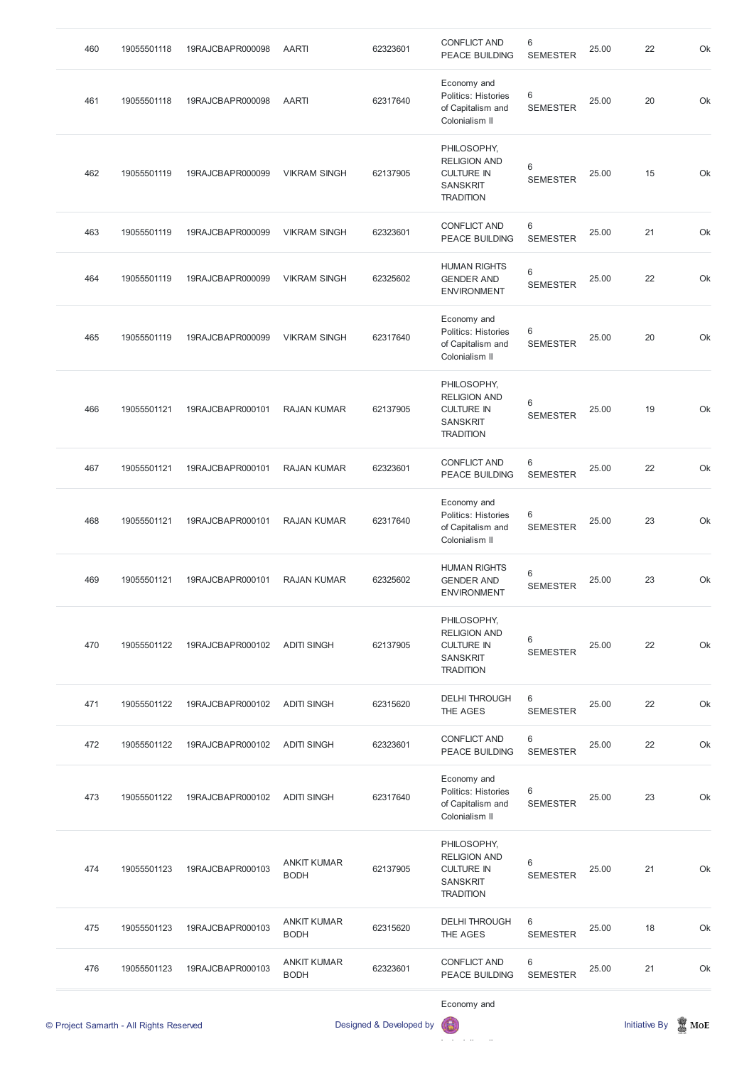| 460 | 19055501118 | 19RAJCBAPR000098 | <b>AARTI</b>        | 62323601 | <b>CONFLICT AND</b><br><b>PEACE BUILDING</b>                                                   | 6<br><b>SEMESTER</b> | 25.00 | 22 | Ok |
|-----|-------------|------------------|---------------------|----------|------------------------------------------------------------------------------------------------|----------------------|-------|----|----|
| 461 | 19055501118 | 19RAJCBAPR000098 | <b>AARTI</b>        | 62317640 | Economy and<br>Politics: Histories<br>of Capitalism and<br>Colonialism II                      | 6<br><b>SEMESTER</b> | 25.00 | 20 | Ok |
| 462 | 19055501119 | 19RAJCBAPR000099 | <b>VIKRAM SINGH</b> | 62137905 | PHILOSOPHY,<br><b>RELIGION AND</b><br><b>CULTURE IN</b><br><b>SANSKRIT</b><br><b>TRADITION</b> | 6<br><b>SEMESTER</b> | 25.00 | 15 | Ok |
| 463 | 19055501119 | 19RAJCBAPR000099 | <b>VIKRAM SINGH</b> | 62323601 | <b>CONFLICT AND</b><br><b>PEACE BUILDING</b>                                                   | 6<br><b>SEMESTER</b> | 25.00 | 21 | Ok |
| 464 | 19055501119 | 19RAJCBAPR000099 | <b>VIKRAM SINGH</b> | 62325602 | <b>HUMAN RIGHTS</b><br><b>GENDER AND</b><br><b>ENVIRONMENT</b>                                 | 6<br><b>SEMESTER</b> | 25.00 | 22 | Ok |
| 465 | 19055501119 | 19RAJCBAPR000099 | <b>VIKRAM SINGH</b> | 62317640 | Economy and<br>Politics: Histories<br>of Capitalism and<br>Colonialism II                      | 6<br><b>SEMESTER</b> | 25.00 | 20 | Ok |
| 466 | 19055501121 | 19RAJCBAPR000101 | <b>RAJAN KUMAR</b>  | 62137905 | PHILOSOPHY,<br><b>RELIGION AND</b><br><b>CULTURE IN</b><br><b>SANSKRIT</b><br><b>TRADITION</b> | 6<br><b>SEMESTER</b> | 25.00 | 19 | Ok |
| 467 | 19055501121 | 19RAJCBAPR000101 | <b>RAJAN KUMAR</b>  | 62323601 | <b>CONFLICT AND</b><br>PEACE BUILDING                                                          | 6<br><b>SEMESTER</b> | 25.00 | 22 | Ok |
| 468 | 19055501121 | 19RAJCBAPR000101 | <b>RAJAN KUMAR</b>  | 62317640 | Economy and<br>Politics: Histories<br>of Capitalism and<br>Colonialism II                      | 6<br><b>SEMESTER</b> | 25.00 | 23 | Ok |
| 469 | 19055501121 | 19RAJCBAPR000101 | <b>RAJAN KUMAR</b>  | 62325602 | <b>HUMAN RIGHTS</b><br><b>GENDER AND</b><br><b>ENVIRONMENT</b>                                 | 6<br><b>SEMESTER</b> | 25.00 | 23 | Ok |
| 470 | 19055501122 | 19RAJCBAPR000102 | <b>ADITI SINGH</b>  | 62137905 | PHILOSOPHY,<br><b>RELIGION AND</b><br><b>CULTURE IN</b><br><b>SANSKRIT</b><br><b>TRADITION</b> | 6<br><b>SEMESTER</b> | 25.00 | 22 | Ok |
| 471 | 19055501122 | 19RAJCBAPR000102 | <b>ADITI SINGH</b>  | 62315620 | <b>DELHI THROUGH</b><br>THE AGES                                                               | 6<br><b>SEMESTER</b> | 25.00 | 22 | Ok |
| 472 | 19055501122 | 19RAJCBAPR000102 | <b>ADITI SINGH</b>  | 62323601 | <b>CONFLICT AND</b><br>PEACE BUILDING                                                          | 6<br><b>SEMESTER</b> | 25.00 | 22 | Ok |
| 473 | 19055501122 | 19RAJCBAPR000102 | <b>ADITI SINGH</b>  | 62317640 | Economy and<br>Politics: Histories<br>of Capitalism and                                        | 6<br><b>SEMESTER</b> | 25.00 | 23 | Ok |

|     | © Project Samarth - All Rights Reserved |                  |                                   | Designed & Developed by | Economy and<br>偏                                                                               |                          |       | <b>Initiative By</b> | $\mathbb{R}$ MoE |
|-----|-----------------------------------------|------------------|-----------------------------------|-------------------------|------------------------------------------------------------------------------------------------|--------------------------|-------|----------------------|------------------|
| 476 | 19055501123                             | 19RAJCBAPR000103 | <b>ANKIT KUMAR</b><br><b>BODH</b> | 62323601                | <b>CONFLICT AND</b><br><b>PEACE BUILDING</b>                                                   | 6<br><b>SEMESTER</b>     | 25.00 | 21                   | Ok               |
| 475 | 19055501123                             | 19RAJCBAPR000103 | <b>ANKIT KUMAR</b><br><b>BODH</b> | 62315620                | <b>DELHI THROUGH</b><br>THE AGES                                                               | 6<br><b>SEMESTER</b>     | 25.00 | 18                   | Ok               |
| 474 | 19055501123                             | 19RAJCBAPR000103 | <b>ANKIT KUMAR</b><br><b>BODH</b> | 62137905                | PHILOSOPHY,<br><b>RELIGION AND</b><br><b>CULTURE IN</b><br><b>SANSKRIT</b><br><b>TRADITION</b> | $6\,$<br><b>SEMESTER</b> | 25.00 | 21                   | Ok               |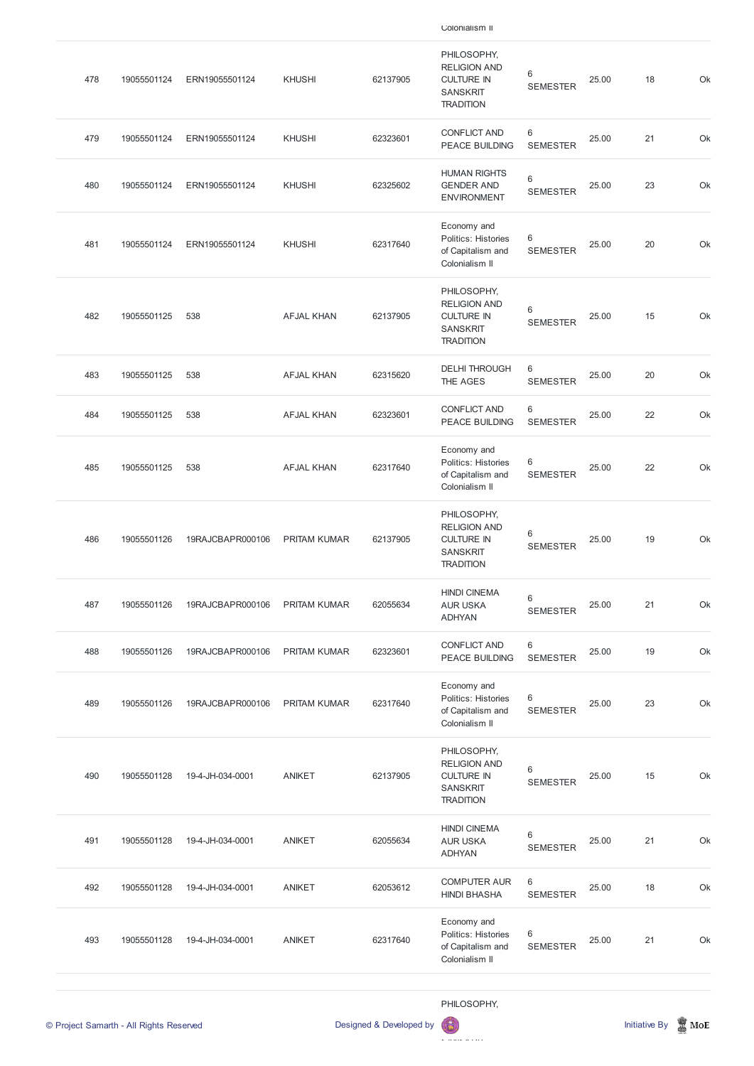| 478 | 19055501124 | ERN19055501124   | <b>KHUSHI</b>       | 62137905 | PHILOSOPHY,<br><b>RELIGION AND</b><br><b>CULTURE IN</b><br><b>SANSKRIT</b><br><b>TRADITION</b> | 6<br><b>SEMESTER</b>       | 25.00 | 18 | Ok |
|-----|-------------|------------------|---------------------|----------|------------------------------------------------------------------------------------------------|----------------------------|-------|----|----|
| 479 | 19055501124 | ERN19055501124   | <b>KHUSHI</b>       | 62323601 | <b>CONFLICT AND</b><br>PEACE BUILDING                                                          | 6<br><b>SEMESTER</b>       | 25.00 | 21 | Ok |
| 480 | 19055501124 | ERN19055501124   | <b>KHUSHI</b>       | 62325602 | <b>HUMAN RIGHTS</b><br><b>GENDER AND</b><br><b>ENVIRONMENT</b>                                 | $\,6\,$<br><b>SEMESTER</b> | 25.00 | 23 | Ok |
| 481 | 19055501124 | ERN19055501124   | <b>KHUSHI</b>       | 62317640 | Economy and<br>Politics: Histories<br>of Capitalism and<br>Colonialism II                      | 6<br><b>SEMESTER</b>       | 25.00 | 20 | Ok |
| 482 | 19055501125 | 538              | <b>AFJAL KHAN</b>   | 62137905 | PHILOSOPHY,<br><b>RELIGION AND</b><br><b>CULTURE IN</b><br><b>SANSKRIT</b><br><b>TRADITION</b> | 6<br><b>SEMESTER</b>       | 25.00 | 15 | Ok |
| 483 | 19055501125 | 538              | <b>AFJAL KHAN</b>   | 62315620 | <b>DELHI THROUGH</b><br>THE AGES                                                               | 6<br><b>SEMESTER</b>       | 25.00 | 20 | Ok |
| 484 | 19055501125 | 538              | <b>AFJAL KHAN</b>   | 62323601 | <b>CONFLICT AND</b><br>PEACE BUILDING                                                          | 6<br><b>SEMESTER</b>       | 25.00 | 22 | Ok |
| 485 | 19055501125 | 538              | <b>AFJAL KHAN</b>   | 62317640 | Economy and<br>Politics: Histories<br>of Capitalism and<br>Colonialism II                      | 6<br><b>SEMESTER</b>       | 25.00 | 22 | Ok |
| 486 | 19055501126 | 19RAJCBAPR000106 | <b>PRITAM KUMAR</b> | 62137905 | PHILOSOPHY,<br><b>RELIGION AND</b><br><b>CULTURE IN</b><br><b>SANSKRIT</b><br><b>TRADITION</b> | 6<br><b>SEMESTER</b>       | 25.00 | 19 | Ok |
| 487 | 19055501126 | 19RAJCBAPR000106 | <b>PRITAM KUMAR</b> | 62055634 | <b>HINDI CINEMA</b><br><b>AUR USKA</b><br><b>ADHYAN</b>                                        | 6<br><b>SEMESTER</b>       | 25.00 | 21 | Ok |
| 488 | 19055501126 | 19RAJCBAPR000106 | PRITAM KUMAR        | 62323601 | <b>CONFLICT AND</b><br>PEACE BUILDING                                                          | 6<br><b>SEMESTER</b>       | 25.00 | 19 | Ok |
| 489 | 19055501126 | 19RAJCBAPR000106 | <b>PRITAM KUMAR</b> | 62317640 | Economy and<br>Politics: Histories<br>of Capitalism and<br>Colonialism II                      | 6<br><b>SEMESTER</b>       | 25.00 | 23 | Ok |
| 490 | 19055501128 | 19-4-JH-034-0001 | <b>ANIKET</b>       | 62137905 | PHILOSOPHY,<br><b>RELIGION AND</b><br><b>CULTURE IN</b><br><b>SANSKRIT</b><br><b>TRADITION</b> | 6<br><b>SEMESTER</b>       | 25.00 | 15 | Ok |

|     | © Project Samarth - All Rights Reserved |                  |               | Designed & Developed by | PHILOSOPHY,                                                                      |                      |       | Initiative By | MoE |
|-----|-----------------------------------------|------------------|---------------|-------------------------|----------------------------------------------------------------------------------|----------------------|-------|---------------|-----|
| 493 | 19055501128                             | 19-4-JH-034-0001 | <b>ANIKET</b> | 62317640                | Economy and<br><b>Politics: Histories</b><br>of Capitalism and<br>Colonialism II | 6<br><b>SEMESTER</b> | 25.00 | 21            | Ok  |
| 492 | 19055501128                             | 19-4-JH-034-0001 | <b>ANIKET</b> | 62053612                | <b>COMPUTER AUR</b><br><b>HINDI BHASHA</b>                                       | 6<br><b>SEMESTER</b> | 25.00 | 18            | Ok  |
| 491 | 19055501128                             | 19-4-JH-034-0001 | <b>ANIKET</b> | 62055634                | <b>HINDI CINEMA</b><br><b>AUR USKA</b><br><b>ADHYAN</b>                          | 6<br><b>SEMESTER</b> | 25.00 | 21            | Ok  |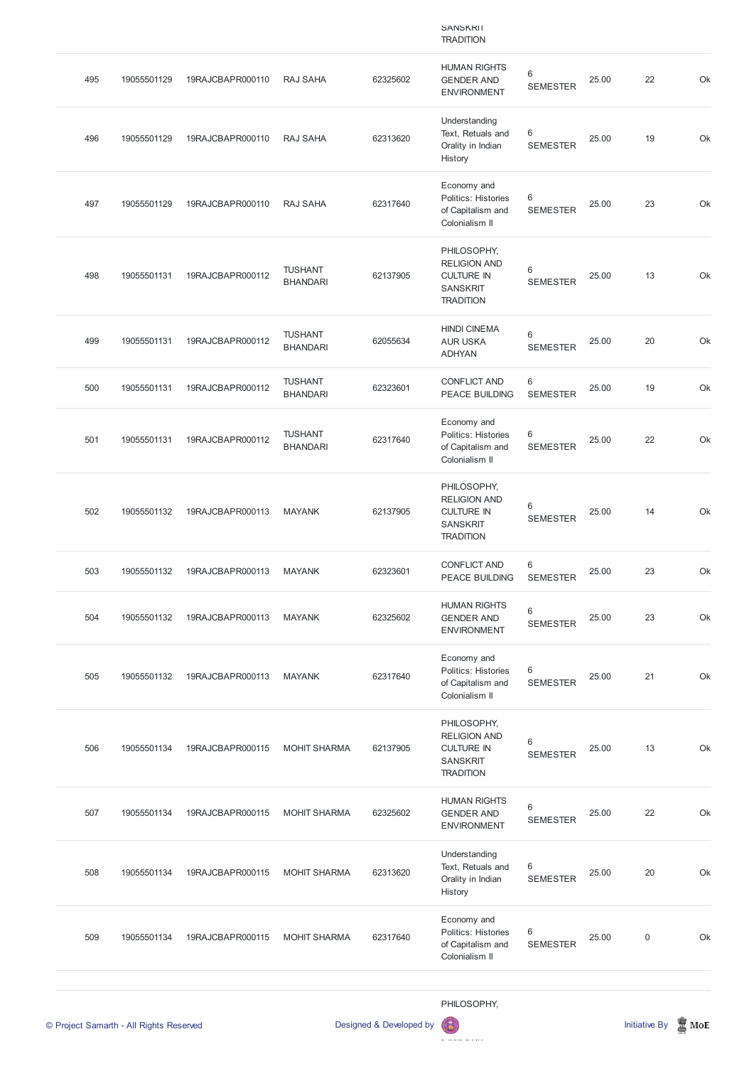|     |             |                  |                                   |          | <b>SANSKRII</b><br><b>TRADITION</b>                                                            |                            |       |    |    |
|-----|-------------|------------------|-----------------------------------|----------|------------------------------------------------------------------------------------------------|----------------------------|-------|----|----|
| 495 | 19055501129 | 19RAJCBAPR000110 | <b>RAJ SAHA</b>                   | 62325602 | <b>HUMAN RIGHTS</b><br><b>GENDER AND</b><br><b>ENVIRONMENT</b>                                 | $\,6\,$<br><b>SEMESTER</b> | 25.00 | 22 | Ok |
| 496 | 19055501129 | 19RAJCBAPR000110 | RAJ SAHA                          | 62313620 | Understanding<br>Text, Retuals and<br>Orality in Indian<br>History                             | 6<br><b>SEMESTER</b>       | 25.00 | 19 | Ok |
| 497 | 19055501129 | 19RAJCBAPR000110 | RAJ SAHA                          | 62317640 | Economy and<br>Politics: Histories<br>of Capitalism and<br>Colonialism II                      | 6<br><b>SEMESTER</b>       | 25.00 | 23 | Ok |
| 498 | 19055501131 | 19RAJCBAPR000112 | <b>TUSHANT</b><br><b>BHANDARI</b> | 62137905 | PHILOSOPHY,<br><b>RELIGION AND</b><br><b>CULTURE IN</b><br><b>SANSKRIT</b><br><b>TRADITION</b> | 6<br><b>SEMESTER</b>       | 25.00 | 13 | Ok |
| 499 | 19055501131 | 19RAJCBAPR000112 | <b>TUSHANT</b><br><b>BHANDARI</b> | 62055634 | <b>HINDI CINEMA</b><br><b>AUR USKA</b><br><b>ADHYAN</b>                                        | 6<br><b>SEMESTER</b>       | 25.00 | 20 | Ok |
| 500 | 19055501131 | 19RAJCBAPR000112 | <b>TUSHANT</b><br><b>BHANDARI</b> | 62323601 | <b>CONFLICT AND</b><br>PEACE BUILDING                                                          | 6<br><b>SEMESTER</b>       | 25.00 | 19 | Ok |
| 501 | 19055501131 | 19RAJCBAPR000112 | <b>TUSHANT</b><br><b>BHANDARI</b> | 62317640 | Economy and<br>Politics: Histories<br>of Capitalism and<br>Colonialism II                      | 6<br><b>SEMESTER</b>       | 25.00 | 22 | Ok |
| 502 | 19055501132 | 19RAJCBAPR000113 | <b>MAYANK</b>                     | 62137905 | PHILOSOPHY,<br><b>RELIGION AND</b><br><b>CULTURE IN</b><br><b>SANSKRIT</b><br><b>TRADITION</b> | 6<br><b>SEMESTER</b>       | 25.00 | 14 | Ok |
| 503 | 19055501132 | 19RAJCBAPR000113 | <b>MAYANK</b>                     | 62323601 | <b>CONFLICT AND</b><br>PEACE BUILDING                                                          | 6<br><b>SEMESTER</b>       | 25.00 | 23 | Ok |
| 504 | 19055501132 | 19RAJCBAPR000113 | <b>MAYANK</b>                     | 62325602 | <b>HUMAN RIGHTS</b><br><b>GENDER AND</b><br><b>ENVIRONMENT</b>                                 | $\,6$<br><b>SEMESTER</b>   | 25.00 | 23 | Ok |
| 505 | 19055501132 | 19RAJCBAPR000113 | <b>MAYANK</b>                     | 62317640 | Economy and<br>Politics: Histories<br>of Capitalism and<br>Colonialism II                      | 6<br><b>SEMESTER</b>       | 25.00 | 21 | Ok |
| 506 | 19055501134 | 19RAJCBAPR000115 | <b>MOHIT SHARMA</b>               | 62137905 | PHILOSOPHY,<br><b>RELIGION AND</b><br><b>CULTURE IN</b><br><b>SANSKRIT</b><br><b>TRADITION</b> | $\,6$<br><b>SEMESTER</b>   | 25.00 | 13 | Ok |

HUMAN RIGHTS

|     | © Project Samarth - All Rights Reserved |                  |                     | Designed & Developed by | PHILOSOPHY,<br>偈                                                                 |                                   |       | <b>Initiative By</b> | $\blacksquare$ MoE |
|-----|-----------------------------------------|------------------|---------------------|-------------------------|----------------------------------------------------------------------------------|-----------------------------------|-------|----------------------|--------------------|
| 509 | 19055501134                             | 19RAJCBAPR000115 | <b>MOHIT SHARMA</b> | 62317640                | Economy and<br><b>Politics: Histories</b><br>of Capitalism and<br>Colonialism II | 6<br><b>SEMESTER</b>              | 25.00 | $\mathbf 0$          | Ok                 |
| 508 | 19055501134                             | 19RAJCBAPR000115 | <b>MOHIT SHARMA</b> | 62313620                | Understanding<br>Text, Retuals and<br>Orality in Indian<br>History               | 6<br><b>SEMESTER</b>              | 25.00 | 20                   | Ok                 |
| 507 | 19055501134                             | 19RAJCBAPR000115 | <b>MOHIT SHARMA</b> | 62325602                | <b>UUMAN INDITIO</b><br><b>GENDER AND</b><br><b>ENVIRONMENT</b>                  | $6\phantom{1}$<br><b>SEMESTER</b> | 25.00 | 22                   | Ok                 |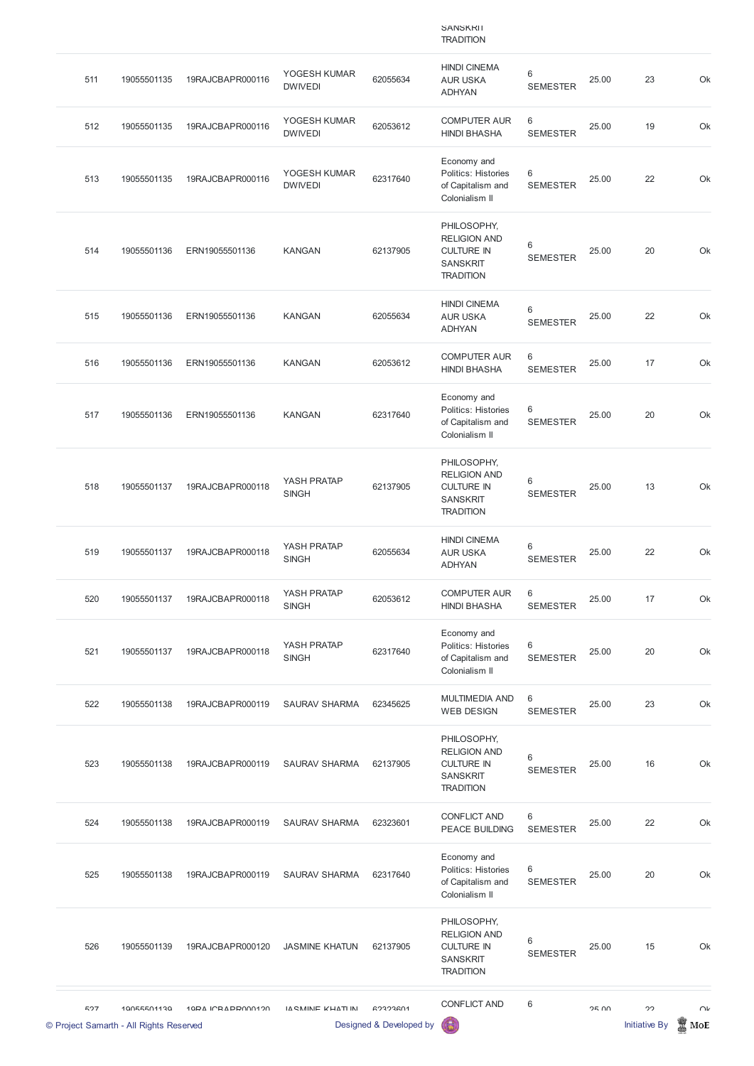|     |             |                  |                                |          | <b>SANSKRII</b><br><b>TRADITION</b>                                                            |                                   |       |    |    |
|-----|-------------|------------------|--------------------------------|----------|------------------------------------------------------------------------------------------------|-----------------------------------|-------|----|----|
| 511 | 19055501135 | 19RAJCBAPR000116 | YOGESH KUMAR<br><b>DWIVEDI</b> | 62055634 | <b>HINDI CINEMA</b><br><b>AUR USKA</b><br><b>ADHYAN</b>                                        | $6\,$<br><b>SEMESTER</b>          | 25.00 | 23 | Ok |
| 512 | 19055501135 | 19RAJCBAPR000116 | YOGESH KUMAR<br><b>DWIVEDI</b> | 62053612 | <b>COMPUTER AUR</b><br><b>HINDI BHASHA</b>                                                     | $6\phantom{1}$<br><b>SEMESTER</b> | 25.00 | 19 | Ok |
| 513 | 19055501135 | 19RAJCBAPR000116 | YOGESH KUMAR<br><b>DWIVEDI</b> | 62317640 | Economy and<br>Politics: Histories<br>of Capitalism and<br>Colonialism II                      | $6\,$<br><b>SEMESTER</b>          | 25.00 | 22 | Ok |
| 514 | 19055501136 | ERN19055501136   | <b>KANGAN</b>                  | 62137905 | PHILOSOPHY,<br><b>RELIGION AND</b><br><b>CULTURE IN</b><br><b>SANSKRIT</b><br><b>TRADITION</b> | 6<br><b>SEMESTER</b>              | 25.00 | 20 | Ok |
| 515 | 19055501136 | ERN19055501136   | <b>KANGAN</b>                  | 62055634 | <b>HINDI CINEMA</b><br><b>AUR USKA</b><br><b>ADHYAN</b>                                        | 6<br><b>SEMESTER</b>              | 25.00 | 22 | Ok |
| 516 | 19055501136 | ERN19055501136   | <b>KANGAN</b>                  | 62053612 | <b>COMPUTER AUR</b><br><b>HINDI BHASHA</b>                                                     | $6\,$<br><b>SEMESTER</b>          | 25.00 | 17 | Ok |
| 517 | 19055501136 | ERN19055501136   | <b>KANGAN</b>                  | 62317640 | Economy and<br>Politics: Histories<br>of Capitalism and<br>Colonialism II                      | 6<br><b>SEMESTER</b>              | 25.00 | 20 | Ok |
| 518 | 19055501137 | 19RAJCBAPR000118 | YASH PRATAP<br><b>SINGH</b>    | 62137905 | PHILOSOPHY,<br><b>RELIGION AND</b><br><b>CULTURE IN</b><br><b>SANSKRIT</b><br><b>TRADITION</b> | 6<br><b>SEMESTER</b>              | 25.00 | 13 | Ok |
| 519 | 19055501137 | 19RAJCBAPR000118 | YASH PRATAP<br><b>SINGH</b>    | 62055634 | <b>HINDI CINEMA</b><br><b>AUR USKA</b><br><b>ADHYAN</b>                                        | 6<br><b>SEMESTER</b>              | 25.00 | 22 | Ok |
| 520 | 19055501137 | 19RAJCBAPR000118 | YASH PRATAP<br><b>SINGH</b>    | 62053612 | <b>COMPUTER AUR</b><br><b>HINDI BHASHA</b>                                                     | $6\phantom{1}$<br><b>SEMESTER</b> | 25.00 | 17 | Ok |
| 521 | 19055501137 | 19RAJCBAPR000118 | YASH PRATAP<br><b>SINGH</b>    | 62317640 | Economy and<br>Politics: Histories<br>of Capitalism and<br>Colonialism II                      | $6\,$<br><b>SEMESTER</b>          | 25.00 | 20 | Ok |
| 522 | 19055501138 | 19RAJCBAPR000119 | <b>SAURAV SHARMA</b>           | 62345625 | <b>MULTIMEDIA AND</b><br><b>WEB DESIGN</b>                                                     | 6<br><b>SEMESTER</b>              | 25.00 | 23 | Ok |
| 523 | 19055501138 | 19RAJCBAPR000119 | <b>SAURAV SHARMA</b>           | 62137905 | PHILOSOPHY,<br><b>RELIGION AND</b><br><b>CULTURE IN</b><br><b>SANSKRIT</b><br><b>TRADITION</b> | 6<br><b>SEMESTER</b>              | 25.00 | 16 | Ok |

|     | © Project Samarth - All Rights Reserved |                   |                       | Designed & Developed by | 63                                                                                             |                      |              | <b>Initiative By</b> | MoE    |
|-----|-----------------------------------------|-------------------|-----------------------|-------------------------|------------------------------------------------------------------------------------------------|----------------------|--------------|----------------------|--------|
| 507 | 10055501130                             | 10PA ICRAPP000120 | IA CMINIE KHATI IN    | 62323601                | <b>CONFLICT AND</b>                                                                            | 6                    | <b>OF UU</b> | 22                   | $\cap$ |
| 526 | 19055501139                             | 19RAJCBAPR000120  | <b>JASMINE KHATUN</b> | 62137905                | PHILOSOPHY,<br><b>RELIGION AND</b><br><b>CULTURE IN</b><br><b>SANSKRIT</b><br><b>TRADITION</b> | 6<br><b>SEMESTER</b> | 25.00        | 15                   | Ok     |
| 525 | 19055501138                             | 19RAJCBAPR000119  | <b>SAURAV SHARMA</b>  | 62317640                | Economy and<br><b>Politics: Histories</b><br>of Capitalism and<br>Colonialism II               | 6<br><b>SEMESTER</b> | 25.00        | 20                   | Ok     |
| 524 | 19055501138                             | 19RAJCBAPR000119  | <b>SAURAV SHARMA</b>  | 62323601                | <b>CONFLICT AND</b><br><b>PEACE BUILDING</b>                                                   | 6<br><b>SEMESTER</b> | 25.00        | 22                   | Ok     |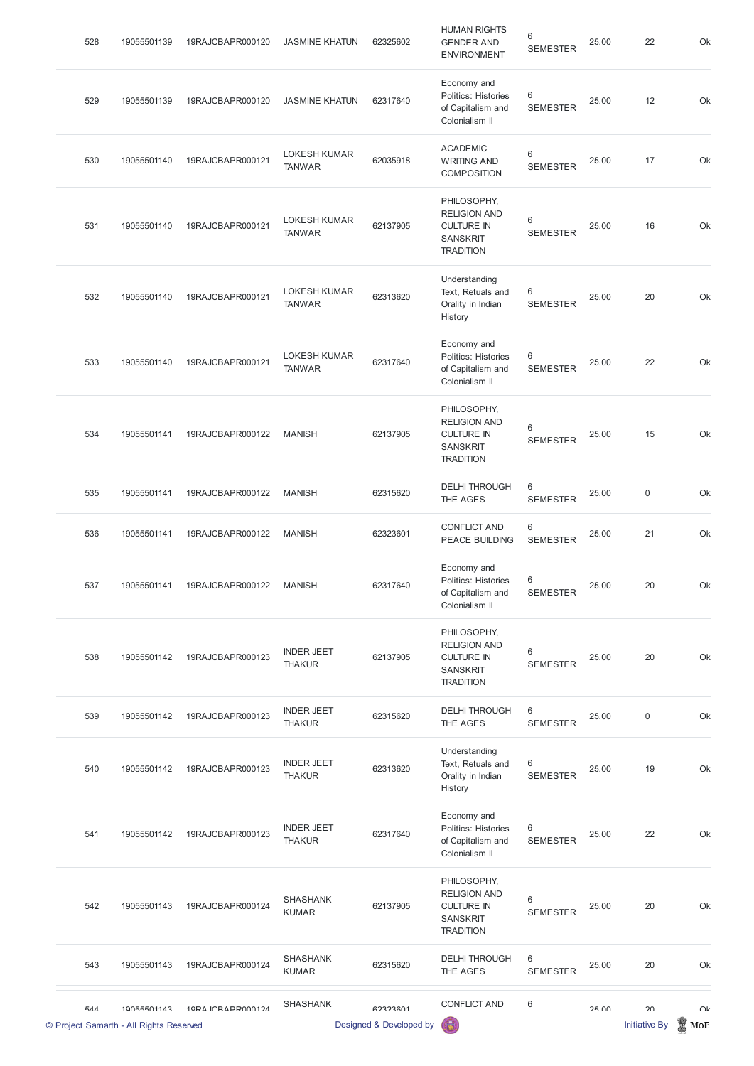| 528 | 19055501139 | 19RAJCBAPR000120 | <b>JASMINE KHATUN</b>                | 62325602 | <b>HUMAN RIGHTS</b><br><b>GENDER AND</b><br><b>ENVIRONMENT</b>                                 | 6<br><b>SEMESTER</b> | 25.00 | 22          | Ok |
|-----|-------------|------------------|--------------------------------------|----------|------------------------------------------------------------------------------------------------|----------------------|-------|-------------|----|
| 529 | 19055501139 | 19RAJCBAPR000120 | <b>JASMINE KHATUN</b>                | 62317640 | Economy and<br>Politics: Histories<br>of Capitalism and<br>Colonialism II                      | 6<br><b>SEMESTER</b> | 25.00 | 12          | Ok |
| 530 | 19055501140 | 19RAJCBAPR000121 | LOKESH KUMAR<br><b>TANWAR</b>        | 62035918 | <b>ACADEMIC</b><br><b>WRITING AND</b><br><b>COMPOSITION</b>                                    | 6<br><b>SEMESTER</b> | 25.00 | 17          | Ok |
| 531 | 19055501140 | 19RAJCBAPR000121 | <b>LOKESH KUMAR</b><br><b>TANWAR</b> | 62137905 | PHILOSOPHY,<br><b>RELIGION AND</b><br><b>CULTURE IN</b><br><b>SANSKRIT</b><br><b>TRADITION</b> | 6<br><b>SEMESTER</b> | 25.00 | 16          | Ok |
| 532 | 19055501140 | 19RAJCBAPR000121 | <b>LOKESH KUMAR</b><br><b>TANWAR</b> | 62313620 | Understanding<br>Text, Retuals and<br>Orality in Indian<br>History                             | 6<br><b>SEMESTER</b> | 25.00 | 20          | Ok |
| 533 | 19055501140 | 19RAJCBAPR000121 | <b>LOKESH KUMAR</b><br><b>TANWAR</b> | 62317640 | Economy and<br>Politics: Histories<br>of Capitalism and<br>Colonialism II                      | 6<br><b>SEMESTER</b> | 25.00 | 22          | Ok |
| 534 | 19055501141 | 19RAJCBAPR000122 | <b>MANISH</b>                        | 62137905 | PHILOSOPHY,<br><b>RELIGION AND</b><br><b>CULTURE IN</b><br><b>SANSKRIT</b><br><b>TRADITION</b> | 6<br><b>SEMESTER</b> | 25.00 | 15          | Ok |
| 535 | 19055501141 | 19RAJCBAPR000122 | <b>MANISH</b>                        | 62315620 | <b>DELHI THROUGH</b><br>THE AGES                                                               | 6<br><b>SEMESTER</b> | 25.00 | $\mathsf 0$ | Ok |
| 536 | 19055501141 | 19RAJCBAPR000122 | <b>MANISH</b>                        | 62323601 | <b>CONFLICT AND</b><br>PEACE BUILDING                                                          | 6<br><b>SEMESTER</b> | 25.00 | 21          | Ok |
| 537 | 19055501141 | 19RAJCBAPR000122 | <b>MANISH</b>                        | 62317640 | Economy and<br>Politics: Histories<br>of Capitalism and<br>Colonialism II                      | 6<br><b>SEMESTER</b> | 25.00 | 20          | Ok |
| 538 | 19055501142 | 19RAJCBAPR000123 | <b>INDER JEET</b><br><b>THAKUR</b>   | 62137905 | PHILOSOPHY,<br><b>RELIGION AND</b><br><b>CULTURE IN</b><br><b>SANSKRIT</b><br><b>TRADITION</b> | 6<br><b>SEMESTER</b> | 25.00 | 20          | Ok |
| 539 | 19055501142 | 19RAJCBAPR000123 | <b>INDER JEET</b><br><b>THAKUR</b>   | 62315620 | <b>DELHI THROUGH</b><br>THE AGES                                                               | 6<br><b>SEMESTER</b> | 25.00 | $\mathsf 0$ | Ok |
| 540 | 19055501142 | 19RAJCBAPR000123 | <b>INDER JEET</b><br><b>THAKUR</b>   | 62313620 | Understanding<br>Text, Retuals and<br>Orality in Indian<br>History                             | 6<br><b>SEMESTER</b> | 25.00 | 19          | Ok |

| 541        | 19055501142                                            | 19RAJCBAPR000123    | <b>INDER JEET</b><br><b>THAKUR</b> | 62317640                            | Economy and<br>Politics: Histories<br>of Capitalism and<br>Colonialism II                      | 6<br><b>SEMESTER</b> | 25.00 | 22                               | Ok            |
|------------|--------------------------------------------------------|---------------------|------------------------------------|-------------------------------------|------------------------------------------------------------------------------------------------|----------------------|-------|----------------------------------|---------------|
| 542        | 19055501143                                            | 19RAJCBAPR000124    | <b>SHASHANK</b><br><b>KUMAR</b>    | 62137905                            | PHILOSOPHY,<br><b>RELIGION AND</b><br><b>CULTURE IN</b><br><b>SANSKRIT</b><br><b>TRADITION</b> | 6<br><b>SEMESTER</b> | 25.00 | 20                               | Ok            |
| 543        | 19055501143                                            | 19RAJCBAPR000124    | <b>SHASHANK</b><br><b>KUMAR</b>    | 62315620                            | <b>DELHI THROUGH</b><br>THE AGES                                                               | 6<br><b>SEMESTER</b> | 25.00 | 20                               | Ok            |
| <b>EAA</b> | 10055501143<br>© Project Samarth - All Rights Reserved | 10 PA ICRA DR000124 | <b>SHASHANK</b>                    | 62323601<br>Designed & Developed by | <b>CONFLICT AND</b><br><b>63</b>                                                               | 6                    | 2500  | $\Omega$<br><b>Initiative By</b> | $\cap$<br>MoE |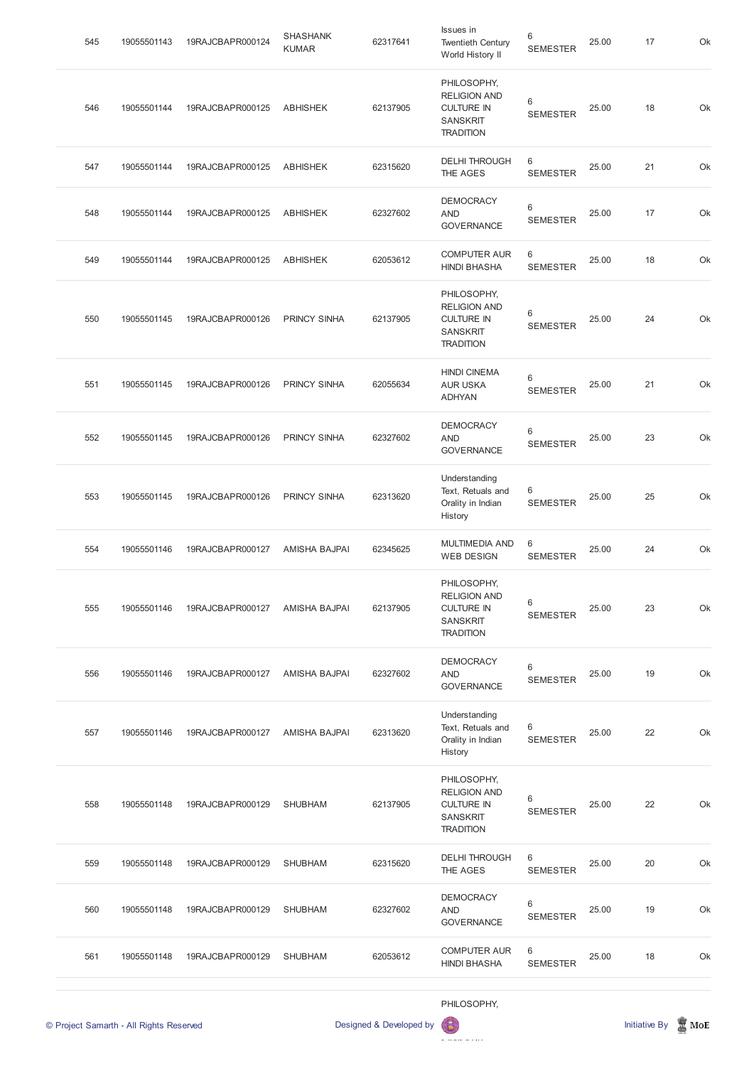| 561 | 19055501148 | 19RAJCBAPR000129 | <b>SHUBHAM</b>                  | 62053612 | <b>COMPUTER AUR</b><br><b>HINDI BHASHA</b>                                                     | 6<br><b>SEMESTER</b>     | 25.00 | 18 | Ok |
|-----|-------------|------------------|---------------------------------|----------|------------------------------------------------------------------------------------------------|--------------------------|-------|----|----|
| 560 | 19055501148 | 19RAJCBAPR000129 | <b>SHUBHAM</b>                  | 62327602 | <b>DEMOCRACY</b><br><b>AND</b><br><b>GOVERNANCE</b>                                            | 6<br><b>SEMESTER</b>     | 25.00 | 19 | Ok |
| 559 | 19055501148 | 19RAJCBAPR000129 | <b>SHUBHAM</b>                  | 62315620 | <b>DELHI THROUGH</b><br>THE AGES                                                               | $\,6$<br><b>SEMESTER</b> | 25.00 | 20 | Ok |
| 558 | 19055501148 | 19RAJCBAPR000129 | <b>SHUBHAM</b>                  | 62137905 | PHILOSOPHY,<br><b>RELIGION AND</b><br><b>CULTURE IN</b><br><b>SANSKRIT</b><br><b>TRADITION</b> | 6<br><b>SEMESTER</b>     | 25.00 | 22 | Ok |
| 557 | 19055501146 | 19RAJCBAPR000127 | <b>AMISHA BAJPAI</b>            | 62313620 | Understanding<br>Text, Retuals and<br>Orality in Indian<br>History                             | 6<br><b>SEMESTER</b>     | 25.00 | 22 | Ok |
| 556 | 19055501146 | 19RAJCBAPR000127 | <b>AMISHA BAJPAI</b>            | 62327602 | <b>DEMOCRACY</b><br><b>AND</b><br><b>GOVERNANCE</b>                                            | 6<br><b>SEMESTER</b>     | 25.00 | 19 | Ok |
| 555 | 19055501146 | 19RAJCBAPR000127 | <b>AMISHA BAJPAI</b>            | 62137905 | PHILOSOPHY,<br><b>RELIGION AND</b><br><b>CULTURE IN</b><br><b>SANSKRIT</b><br><b>TRADITION</b> | 6<br><b>SEMESTER</b>     | 25.00 | 23 | Ok |
| 554 | 19055501146 | 19RAJCBAPR000127 | <b>AMISHA BAJPAI</b>            | 62345625 | <b>MULTIMEDIA AND</b><br><b>WEB DESIGN</b>                                                     | 6<br><b>SEMESTER</b>     | 25.00 | 24 | Ok |
| 553 | 19055501145 | 19RAJCBAPR000126 | PRINCY SINHA                    | 62313620 | Understanding<br>Text, Retuals and<br>Orality in Indian<br>History                             | 6<br><b>SEMESTER</b>     | 25.00 | 25 | Ok |
| 552 | 19055501145 | 19RAJCBAPR000126 | <b>PRINCY SINHA</b>             | 62327602 | <b>DEMOCRACY</b><br><b>AND</b><br><b>GOVERNANCE</b>                                            | 6<br><b>SEMESTER</b>     | 25.00 | 23 | Ok |
| 551 | 19055501145 | 19RAJCBAPR000126 | <b>PRINCY SINHA</b>             | 62055634 | <b>HINDI CINEMA</b><br><b>AUR USKA</b><br><b>ADHYAN</b>                                        | 6<br><b>SEMESTER</b>     | 25.00 | 21 | Ok |
| 550 | 19055501145 | 19RAJCBAPR000126 | <b>PRINCY SINHA</b>             | 62137905 | PHILOSOPHY,<br><b>RELIGION AND</b><br><b>CULTURE IN</b><br><b>SANSKRIT</b><br><b>TRADITION</b> | 6<br><b>SEMESTER</b>     | 25.00 | 24 | Ok |
| 549 | 19055501144 | 19RAJCBAPR000125 | <b>ABHISHEK</b>                 | 62053612 | <b>COMPUTER AUR</b><br><b>HINDI BHASHA</b>                                                     | 6<br><b>SEMESTER</b>     | 25.00 | 18 | Ok |
| 548 | 19055501144 | 19RAJCBAPR000125 | <b>ABHISHEK</b>                 | 62327602 | <b>DEMOCRACY</b><br><b>AND</b><br><b>GOVERNANCE</b>                                            | 6<br><b>SEMESTER</b>     | 25.00 | 17 | Ok |
| 547 | 19055501144 | 19RAJCBAPR000125 | <b>ABHISHEK</b>                 | 62315620 | <b>DELHI THROUGH</b><br>THE AGES                                                               | $\,6$<br><b>SEMESTER</b> | 25.00 | 21 | Ok |
| 546 | 19055501144 | 19RAJCBAPR000125 | <b>ABHISHEK</b>                 | 62137905 | PHILOSOPHY,<br><b>RELIGION AND</b><br><b>CULTURE IN</b><br><b>SANSKRIT</b><br><b>TRADITION</b> | 6<br><b>SEMESTER</b>     | 25.00 | 18 | Ok |
| 545 | 19055501143 | 19RAJCBAPR000124 | <b>SHASHANK</b><br><b>KUMAR</b> | 62317641 | Issues in<br><b>Twentieth Century</b><br>World History II                                      | 6<br><b>SEMESTER</b>     | 25.00 | 17 | Ok |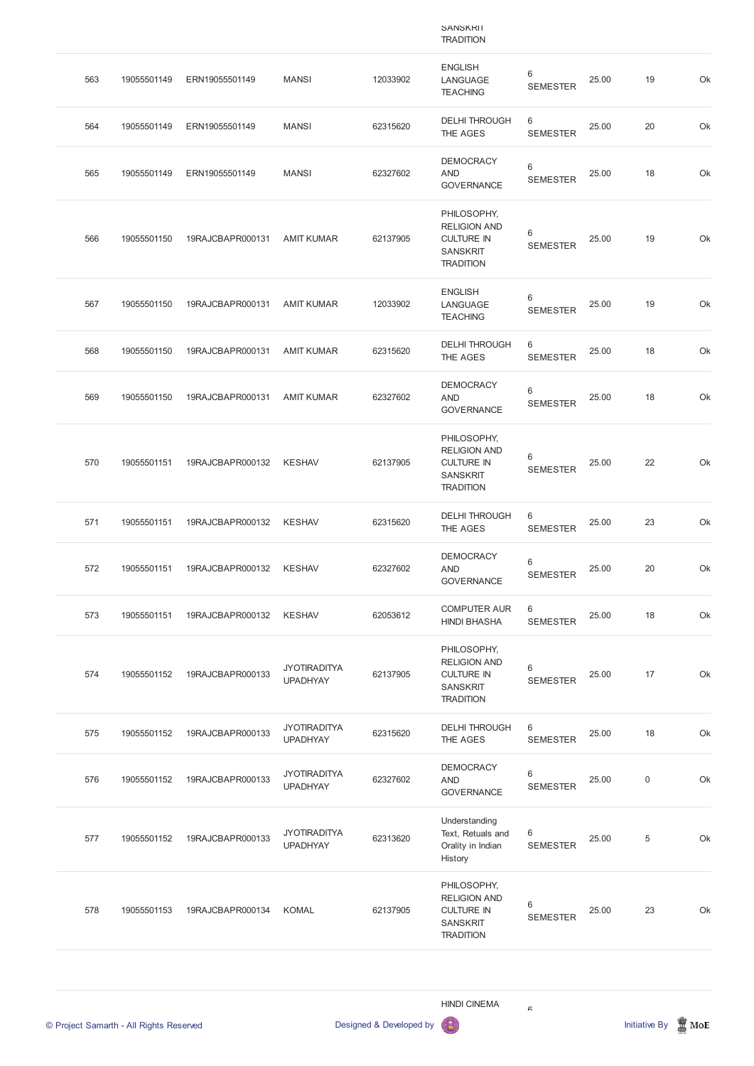|     |             |                  |                                        |          | <b>SAINSKINI</b><br><b>TRADITION</b>                                                           |                      |       |             |    |
|-----|-------------|------------------|----------------------------------------|----------|------------------------------------------------------------------------------------------------|----------------------|-------|-------------|----|
| 563 | 19055501149 | ERN19055501149   | <b>MANSI</b>                           | 12033902 | <b>ENGLISH</b><br>LANGUAGE<br><b>TEACHING</b>                                                  | 6<br><b>SEMESTER</b> | 25.00 | 19          | Ok |
| 564 | 19055501149 | ERN19055501149   | <b>MANSI</b>                           | 62315620 | <b>DELHI THROUGH</b><br>THE AGES                                                               | 6<br><b>SEMESTER</b> | 25.00 | 20          | Ok |
| 565 | 19055501149 | ERN19055501149   | <b>MANSI</b>                           | 62327602 | <b>DEMOCRACY</b><br><b>AND</b><br><b>GOVERNANCE</b>                                            | 6<br><b>SEMESTER</b> | 25.00 | 18          | Ok |
| 566 | 19055501150 | 19RAJCBAPR000131 | <b>AMIT KUMAR</b>                      | 62137905 | PHILOSOPHY,<br><b>RELIGION AND</b><br><b>CULTURE IN</b><br><b>SANSKRIT</b><br><b>TRADITION</b> | 6<br><b>SEMESTER</b> | 25.00 | 19          | Ok |
| 567 | 19055501150 | 19RAJCBAPR000131 | <b>AMIT KUMAR</b>                      | 12033902 | <b>ENGLISH</b><br>LANGUAGE<br><b>TEACHING</b>                                                  | 6<br><b>SEMESTER</b> | 25.00 | 19          | Ok |
| 568 | 19055501150 | 19RAJCBAPR000131 | <b>AMIT KUMAR</b>                      | 62315620 | <b>DELHI THROUGH</b><br>THE AGES                                                               | 6<br><b>SEMESTER</b> | 25.00 | 18          | Ok |
| 569 | 19055501150 | 19RAJCBAPR000131 | <b>AMIT KUMAR</b>                      | 62327602 | <b>DEMOCRACY</b><br><b>AND</b><br><b>GOVERNANCE</b>                                            | 6<br><b>SEMESTER</b> | 25.00 | 18          | Ok |
| 570 | 19055501151 | 19RAJCBAPR000132 | <b>KESHAV</b>                          | 62137905 | PHILOSOPHY,<br><b>RELIGION AND</b><br><b>CULTURE IN</b><br><b>SANSKRIT</b><br><b>TRADITION</b> | 6<br><b>SEMESTER</b> | 25.00 | 22          | Ok |
| 571 | 19055501151 | 19RAJCBAPR000132 | <b>KESHAV</b>                          | 62315620 | <b>DELHI THROUGH</b><br>THE AGES                                                               | 6<br><b>SEMESTER</b> | 25.00 | 23          | Ok |
| 572 | 19055501151 | 19RAJCBAPR000132 | <b>KESHAV</b>                          | 62327602 | <b>DEMOCRACY</b><br><b>AND</b><br><b>GOVERNANCE</b>                                            | 6<br><b>SEMESTER</b> | 25.00 | 20          | Ok |
| 573 | 19055501151 | 19RAJCBAPR000132 | <b>KESHAV</b>                          | 62053612 | <b>COMPUTER AUR</b><br><b>HINDI BHASHA</b>                                                     | 6<br><b>SEMESTER</b> | 25.00 | 18          | Ok |
| 574 | 19055501152 | 19RAJCBAPR000133 | <b>JYOTIRADITYA</b><br><b>UPADHYAY</b> | 62137905 | PHILOSOPHY,<br><b>RELIGION AND</b><br><b>CULTURE IN</b><br><b>SANSKRIT</b><br><b>TRADITION</b> | 6<br><b>SEMESTER</b> | 25.00 | 17          | Ok |
| 575 | 19055501152 | 19RAJCBAPR000133 | <b>JYOTIRADITYA</b><br><b>UPADHYAY</b> | 62315620 | <b>DELHI THROUGH</b><br>THE AGES                                                               | 6<br><b>SEMESTER</b> | 25.00 | 18          | Ok |
| 576 | 19055501152 | 19RAJCBAPR000133 | <b>JYOTIRADITYA</b><br><b>UPADHYAY</b> | 62327602 | <b>DEMOCRACY</b><br><b>AND</b><br><b>GOVERNANCE</b>                                            | 6<br><b>SEMESTER</b> | 25.00 | $\mathbf 0$ | Ok |

| 577 | 19055501152 | 19RAJCBAPR000133 | <b>JYOTIRADITYA</b><br><b>UPADHYAY</b> | 62313620 | Understanding<br>Text, Retuals and<br>Orality in Indian<br>History                             | 6<br><b>SEMESTER</b> | 25.00 | 5  | Ok |
|-----|-------------|------------------|----------------------------------------|----------|------------------------------------------------------------------------------------------------|----------------------|-------|----|----|
| 578 | 19055501153 | 19RAJCBAPR000134 | KOMAL                                  | 62137905 | PHILOSOPHY,<br><b>RELIGION AND</b><br><b>CULTURE IN</b><br><b>SANSKRIT</b><br><b>TRADITION</b> | 6<br><b>SEMESTER</b> | 25.00 | 23 | Ok |

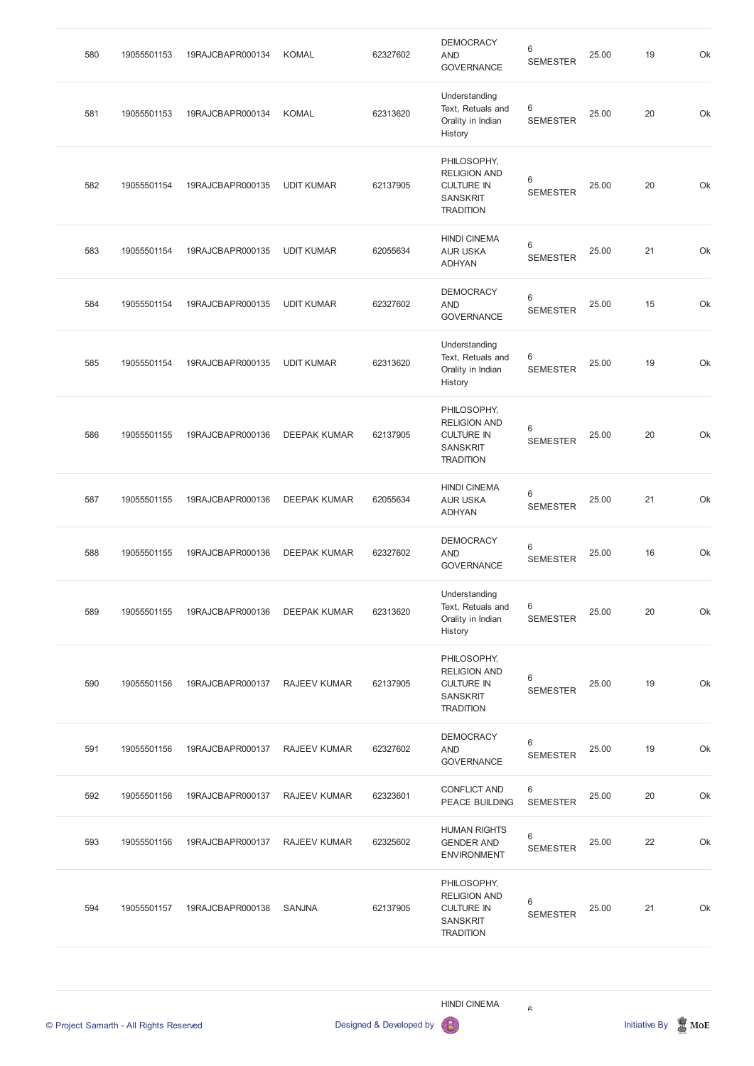| 580 | 19055501153 | 19RAJCBAPR000134 | <b>KOMAL</b>        | 62327602 | <b>DEMOCRACY</b><br><b>AND</b><br><b>GOVERNANCE</b>                                            | $\,6\,$<br><b>SEMESTER</b> | 25.00 | 19 | Ok |
|-----|-------------|------------------|---------------------|----------|------------------------------------------------------------------------------------------------|----------------------------|-------|----|----|
| 581 | 19055501153 | 19RAJCBAPR000134 | <b>KOMAL</b>        | 62313620 | Understanding<br>Text, Retuals and<br>Orality in Indian<br>History                             | 6<br><b>SEMESTER</b>       | 25.00 | 20 | Ok |
| 582 | 19055501154 | 19RAJCBAPR000135 | <b>UDIT KUMAR</b>   | 62137905 | PHILOSOPHY,<br><b>RELIGION AND</b><br><b>CULTURE IN</b><br><b>SANSKRIT</b><br><b>TRADITION</b> | 6<br><b>SEMESTER</b>       | 25.00 | 20 | Ok |
| 583 | 19055501154 | 19RAJCBAPR000135 | <b>UDIT KUMAR</b>   | 62055634 | <b>HINDI CINEMA</b><br><b>AUR USKA</b><br><b>ADHYAN</b>                                        | 6<br><b>SEMESTER</b>       | 25.00 | 21 | Ok |
| 584 | 19055501154 | 19RAJCBAPR000135 | <b>UDIT KUMAR</b>   | 62327602 | <b>DEMOCRACY</b><br><b>AND</b><br><b>GOVERNANCE</b>                                            | $\,6\,$<br><b>SEMESTER</b> | 25.00 | 15 | Ok |
| 585 | 19055501154 | 19RAJCBAPR000135 | <b>UDIT KUMAR</b>   | 62313620 | Understanding<br>Text, Retuals and<br>Orality in Indian<br>History                             | 6<br><b>SEMESTER</b>       | 25.00 | 19 | Ok |
| 586 | 19055501155 | 19RAJCBAPR000136 | <b>DEEPAK KUMAR</b> | 62137905 | PHILOSOPHY,<br><b>RELIGION AND</b><br><b>CULTURE IN</b><br><b>SANSKRIT</b><br><b>TRADITION</b> | 6<br><b>SEMESTER</b>       | 25.00 | 20 | Ok |
| 587 | 19055501155 | 19RAJCBAPR000136 | <b>DEEPAK KUMAR</b> | 62055634 | <b>HINDI CINEMA</b><br><b>AUR USKA</b><br><b>ADHYAN</b>                                        | 6<br><b>SEMESTER</b>       | 25.00 | 21 | Ok |
| 588 | 19055501155 | 19RAJCBAPR000136 | <b>DEEPAK KUMAR</b> | 62327602 | <b>DEMOCRACY</b><br><b>AND</b><br><b>GOVERNANCE</b>                                            | $\,6\,$<br><b>SEMESTER</b> | 25.00 | 16 | Ok |
| 589 | 19055501155 | 19RAJCBAPR000136 | <b>DEEPAK KUMAR</b> | 62313620 | Understanding<br>Text, Retuals and<br>Orality in Indian<br>History                             | 6<br><b>SEMESTER</b>       | 25.00 | 20 | Ok |
| 590 | 19055501156 | 19RAJCBAPR000137 | <b>RAJEEV KUMAR</b> | 62137905 | PHILOSOPHY,<br><b>RELIGION AND</b><br><b>CULTURE IN</b><br><b>SANSKRIT</b><br><b>TRADITION</b> | 6<br><b>SEMESTER</b>       | 25.00 | 19 | Ok |
| 591 | 19055501156 | 19RAJCBAPR000137 | RAJEEV KUMAR        | 62327602 | <b>DEMOCRACY</b><br><b>AND</b><br><b>GOVERNANCE</b>                                            | 6<br><b>SEMESTER</b>       | 25.00 | 19 | Ok |
| 592 | 19055501156 | 19RAJCBAPR000137 | RAJEEV KUMAR        | 62323601 | <b>CONFLICT AND</b><br>PEACE BUILDING                                                          | 6<br>SEMESTER              | 25.00 | 20 | Ok |





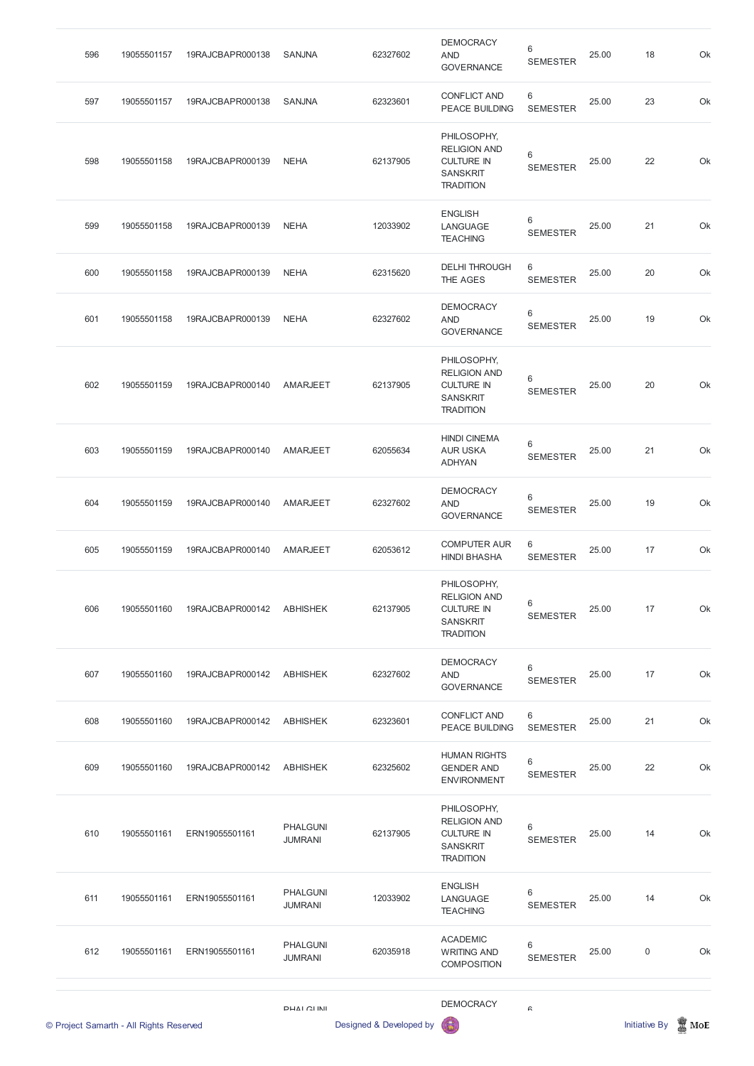| 596 | 19055501157 | 19RAJCBAPR000138 | <b>SANJNA</b>   | 62327602 | <b>DEMOCRACY</b><br><b>AND</b><br><b>GOVERNANCE</b>                                            | 6<br><b>SEMESTER</b>       | 25.00 | 18 | Ok |
|-----|-------------|------------------|-----------------|----------|------------------------------------------------------------------------------------------------|----------------------------|-------|----|----|
| 597 | 19055501157 | 19RAJCBAPR000138 | <b>SANJNA</b>   | 62323601 | <b>CONFLICT AND</b><br>PEACE BUILDING                                                          | 6<br><b>SEMESTER</b>       | 25.00 | 23 | Ok |
| 598 | 19055501158 | 19RAJCBAPR000139 | <b>NEHA</b>     | 62137905 | PHILOSOPHY,<br><b>RELIGION AND</b><br><b>CULTURE IN</b><br><b>SANSKRIT</b><br><b>TRADITION</b> | 6<br><b>SEMESTER</b>       | 25.00 | 22 | Ok |
| 599 | 19055501158 | 19RAJCBAPR000139 | <b>NEHA</b>     | 12033902 | <b>ENGLISH</b><br>LANGUAGE<br><b>TEACHING</b>                                                  | 6<br><b>SEMESTER</b>       | 25.00 | 21 | Ok |
| 600 | 19055501158 | 19RAJCBAPR000139 | <b>NEHA</b>     | 62315620 | <b>DELHI THROUGH</b><br>THE AGES                                                               | 6<br><b>SEMESTER</b>       | 25.00 | 20 | Ok |
| 601 | 19055501158 | 19RAJCBAPR000139 | <b>NEHA</b>     | 62327602 | <b>DEMOCRACY</b><br><b>AND</b><br><b>GOVERNANCE</b>                                            | $\,6\,$<br><b>SEMESTER</b> | 25.00 | 19 | Ok |
| 602 | 19055501159 | 19RAJCBAPR000140 | <b>AMARJEET</b> | 62137905 | PHILOSOPHY,<br><b>RELIGION AND</b><br><b>CULTURE IN</b><br><b>SANSKRIT</b><br><b>TRADITION</b> | 6<br><b>SEMESTER</b>       | 25.00 | 20 | Ok |
| 603 | 19055501159 | 19RAJCBAPR000140 | <b>AMARJEET</b> | 62055634 | <b>HINDI CINEMA</b><br><b>AUR USKA</b><br><b>ADHYAN</b>                                        | 6<br><b>SEMESTER</b>       | 25.00 | 21 | Ok |
| 604 | 19055501159 | 19RAJCBAPR000140 | AMARJEET        | 62327602 | <b>DEMOCRACY</b><br><b>AND</b><br><b>GOVERNANCE</b>                                            | 6<br><b>SEMESTER</b>       | 25.00 | 19 | Ok |
| 605 | 19055501159 | 19RAJCBAPR000140 | AMARJEET        | 62053612 | <b>COMPUTER AUR</b><br><b>HINDI BHASHA</b>                                                     | 6<br><b>SEMESTER</b>       | 25.00 | 17 | Ok |
| 606 | 19055501160 | 19RAJCBAPR000142 | <b>ABHISHEK</b> | 62137905 | PHILOSOPHY,<br><b>RELIGION AND</b><br><b>CULTURE IN</b><br><b>SANSKRIT</b><br><b>TRADITION</b> | 6<br><b>SEMESTER</b>       | 25.00 | 17 | Ok |
| 607 | 19055501160 | 19RAJCBAPR000142 | <b>ABHISHEK</b> | 62327602 | <b>DEMOCRACY</b><br><b>AND</b><br><b>GOVERNANCE</b>                                            | 6<br><b>SEMESTER</b>       | 25.00 | 17 | Ok |
| 608 | 19055501160 | 19RAJCBAPR000142 | <b>ABHISHEK</b> | 62323601 | <b>CONFLICT AND</b><br><b>PEACE BUILDING</b>                                                   | 6<br><b>SEMESTER</b>       | 25.00 | 21 | Ok |
| 609 | 19055501160 | 19RAJCBAPR000142 | <b>ABHISHEK</b> | 62325602 | <b>HUMAN RIGHTS</b><br><b>GENDER AND</b><br><b>ENVIRONMENT</b>                                 | 6<br><b>SEMESTER</b>       | 25.00 | 22 | Ok |

|     | © Project Samarth - All Rights Reserved |                | DHAI CLINII                       | Designed & Developed by | <b>DEMOCRACY</b><br>6                                                                          | G                    |       | <b>Initiative By</b> | MoE |
|-----|-----------------------------------------|----------------|-----------------------------------|-------------------------|------------------------------------------------------------------------------------------------|----------------------|-------|----------------------|-----|
| 612 | 19055501161                             | ERN19055501161 | <b>PHALGUNI</b><br><b>JUMRANI</b> | 62035918                | <b>ACADEMIC</b><br><b>WRITING AND</b><br><b>COMPOSITION</b>                                    | 6<br><b>SEMESTER</b> | 25.00 | $\mathbf 0$          | Ok  |
| 611 | 19055501161                             | ERN19055501161 | <b>PHALGUNI</b><br><b>JUMRANI</b> | 12033902                | <b>ENGLISH</b><br>LANGUAGE<br><b>TEACHING</b>                                                  | 6<br><b>SEMESTER</b> | 25.00 | 14                   | Ok  |
| 610 | 19055501161                             | ERN19055501161 | <b>PHALGUNI</b><br><b>JUMRANI</b> | 62137905                | PHILOSOPHY,<br><b>RELIGION AND</b><br><b>CULTURE IN</b><br><b>SANSKRIT</b><br><b>TRADITION</b> | 6<br><b>SEMESTER</b> | 25.00 | 14                   | Ok  |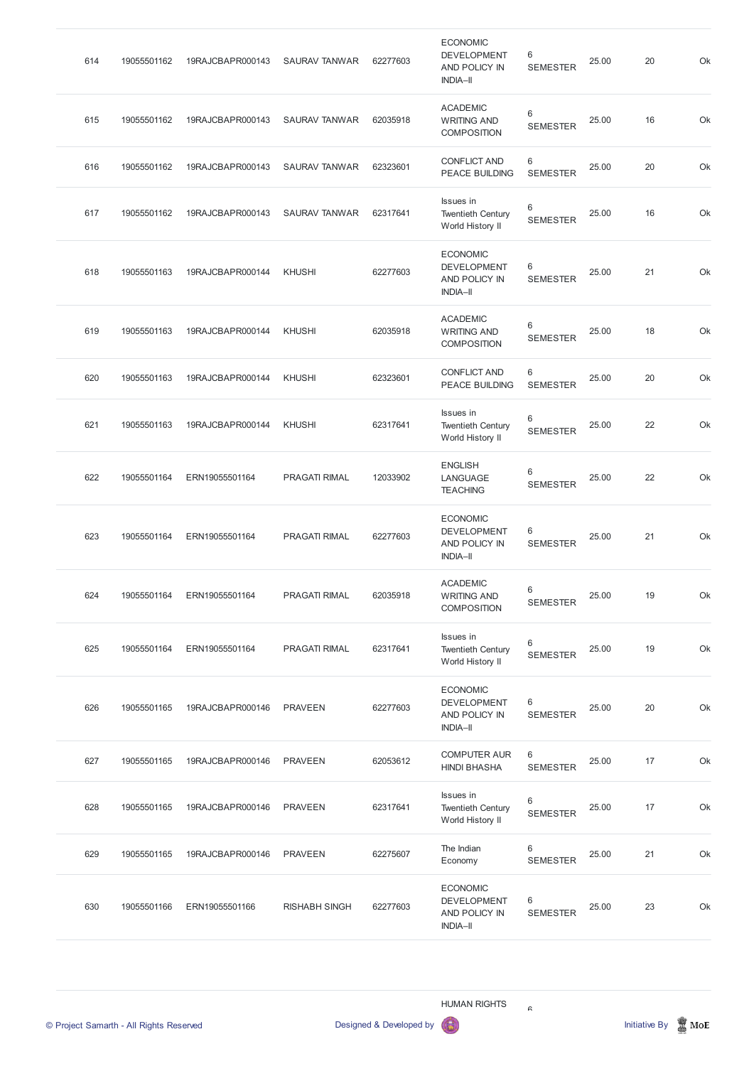| 614 | 19055501162 | 19RAJCBAPR000143 | <b>SAURAV TANWAR</b> | 62277603 | <b>ECONOMIC</b><br><b>DEVELOPMENT</b><br>AND POLICY IN<br><b>INDIA-II</b> | 6<br><b>SEMESTER</b> | 25.00 | 20 | Ok |
|-----|-------------|------------------|----------------------|----------|---------------------------------------------------------------------------|----------------------|-------|----|----|
| 615 | 19055501162 | 19RAJCBAPR000143 | <b>SAURAV TANWAR</b> | 62035918 | <b>ACADEMIC</b><br><b>WRITING AND</b><br><b>COMPOSITION</b>               | 6<br><b>SEMESTER</b> | 25.00 | 16 | Ok |
| 616 | 19055501162 | 19RAJCBAPR000143 | <b>SAURAV TANWAR</b> | 62323601 | <b>CONFLICT AND</b><br>PEACE BUILDING                                     | 6<br><b>SEMESTER</b> | 25.00 | 20 | Ok |
| 617 | 19055501162 | 19RAJCBAPR000143 | <b>SAURAV TANWAR</b> | 62317641 | Issues in<br><b>Twentieth Century</b><br>World History II                 | 6<br><b>SEMESTER</b> | 25.00 | 16 | Ok |
| 618 | 19055501163 | 19RAJCBAPR000144 | <b>KHUSHI</b>        | 62277603 | <b>ECONOMIC</b><br><b>DEVELOPMENT</b><br>AND POLICY IN<br><b>INDIA-II</b> | 6<br><b>SEMESTER</b> | 25.00 | 21 | Ok |
| 619 | 19055501163 | 19RAJCBAPR000144 | <b>KHUSHI</b>        | 62035918 | <b>ACADEMIC</b><br><b>WRITING AND</b><br><b>COMPOSITION</b>               | 6<br><b>SEMESTER</b> | 25.00 | 18 | Ok |
| 620 | 19055501163 | 19RAJCBAPR000144 | <b>KHUSHI</b>        | 62323601 | <b>CONFLICT AND</b><br>PEACE BUILDING                                     | 6<br><b>SEMESTER</b> | 25.00 | 20 | Ok |
| 621 | 19055501163 | 19RAJCBAPR000144 | <b>KHUSHI</b>        | 62317641 | Issues in<br><b>Twentieth Century</b><br>World History II                 | 6<br><b>SEMESTER</b> | 25.00 | 22 | Ok |
| 622 | 19055501164 | ERN19055501164   | <b>PRAGATI RIMAL</b> | 12033902 | <b>ENGLISH</b><br>LANGUAGE<br><b>TEACHING</b>                             | 6<br><b>SEMESTER</b> | 25.00 | 22 | Ok |
| 623 | 19055501164 | ERN19055501164   | <b>PRAGATI RIMAL</b> | 62277603 | <b>ECONOMIC</b><br><b>DEVELOPMENT</b><br>AND POLICY IN<br><b>INDIA-II</b> | 6<br><b>SEMESTER</b> | 25.00 | 21 | Ok |
| 624 | 19055501164 | ERN19055501164   | <b>PRAGATI RIMAL</b> | 62035918 | <b>ACADEMIC</b><br><b>WRITING AND</b><br><b>COMPOSITION</b>               | 6<br><b>SEMESTER</b> | 25.00 | 19 | Ok |
| 625 | 19055501164 | ERN19055501164   | <b>PRAGATI RIMAL</b> | 62317641 | Issues in<br><b>Twentieth Century</b><br>World History II                 | 6<br><b>SEMESTER</b> | 25.00 | 19 | Ok |
| 626 | 19055501165 | 19RAJCBAPR000146 | <b>PRAVEEN</b>       | 62277603 | <b>ECONOMIC</b><br><b>DEVELOPMENT</b><br>AND POLICY IN<br><b>INDIA-II</b> | 6<br><b>SEMESTER</b> | 25.00 | 20 | Ok |
| 627 | 19055501165 | 19RAJCBAPR000146 | <b>PRAVEEN</b>       | 62053612 | <b>COMPUTER AUR</b><br><b>HINDI BHASHA</b>                                | 6<br><b>SEMESTER</b> | 25.00 | 17 | Ok |
| 628 | 19055501165 | 19RAJCBAPR000146 | <b>PRAVEEN</b>       | 62317641 | Issues in<br><b>Twentieth Century</b><br>World History II                 | 6<br><b>SEMESTER</b> | 25.00 | 17 | Ok |
| 629 | 19055501165 | 19RAJCBAPR000146 | <b>PRAVEEN</b>       | 62275607 | The Indian<br>Economy                                                     | 6<br><b>SEMESTER</b> | 25.00 | 21 | Ok |
| 630 | 19055501166 | ERN19055501166   | <b>RISHABH SINGH</b> | 62277603 | <b>ECONOMIC</b><br><b>DEVELOPMENT</b><br>AND POLICY IN<br><b>INDIA-II</b> | 6<br><b>SEMESTER</b> | 25.00 | 23 | Ok |

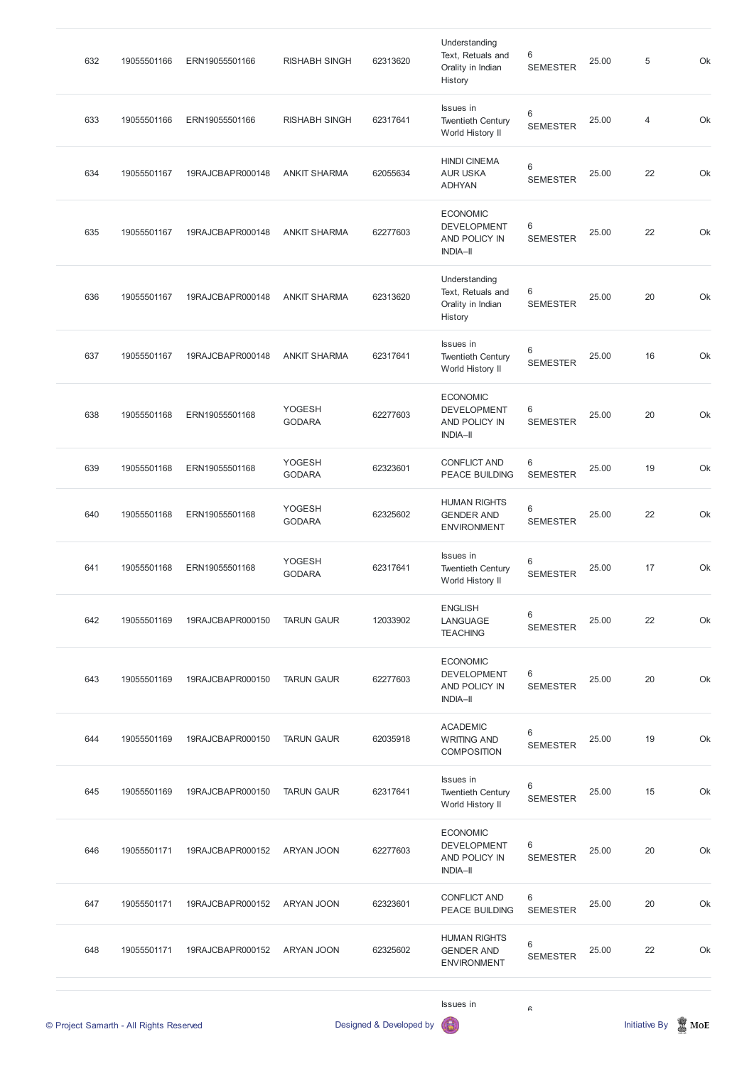| 632 | 19055501166 | ERN19055501166   | <b>RISHABH SINGH</b>           | 62313620 | Understanding<br>Text, Retuals and<br>Orality in Indian<br>History        | 6<br><b>SEMESTER</b> | 25.00 | 5              | Ok |
|-----|-------------|------------------|--------------------------------|----------|---------------------------------------------------------------------------|----------------------|-------|----------------|----|
| 633 | 19055501166 | ERN19055501166   | <b>RISHABH SINGH</b>           | 62317641 | Issues in<br><b>Twentieth Century</b><br>World History II                 | 6<br><b>SEMESTER</b> | 25.00 | $\overline{4}$ | Ok |
| 634 | 19055501167 | 19RAJCBAPR000148 | <b>ANKIT SHARMA</b>            | 62055634 | <b>HINDI CINEMA</b><br><b>AUR USKA</b><br><b>ADHYAN</b>                   | 6<br><b>SEMESTER</b> | 25.00 | 22             | Ok |
| 635 | 19055501167 | 19RAJCBAPR000148 | <b>ANKIT SHARMA</b>            | 62277603 | <b>ECONOMIC</b><br><b>DEVELOPMENT</b><br>AND POLICY IN<br><b>INDIA-II</b> | 6<br><b>SEMESTER</b> | 25.00 | 22             | Ok |
| 636 | 19055501167 | 19RAJCBAPR000148 | <b>ANKIT SHARMA</b>            | 62313620 | Understanding<br>Text, Retuals and<br>Orality in Indian<br>History        | 6<br><b>SEMESTER</b> | 25.00 | 20             | Ok |
| 637 | 19055501167 | 19RAJCBAPR000148 | <b>ANKIT SHARMA</b>            | 62317641 | Issues in<br><b>Twentieth Century</b><br>World History II                 | 6<br><b>SEMESTER</b> | 25.00 | 16             | Ok |
| 638 | 19055501168 | ERN19055501168   | <b>YOGESH</b><br><b>GODARA</b> | 62277603 | <b>ECONOMIC</b><br><b>DEVELOPMENT</b><br>AND POLICY IN<br><b>INDIA-II</b> | 6<br><b>SEMESTER</b> | 25.00 | 20             | Ok |
| 639 | 19055501168 | ERN19055501168   | YOGESH<br><b>GODARA</b>        | 62323601 | <b>CONFLICT AND</b><br><b>PEACE BUILDING</b>                              | 6<br><b>SEMESTER</b> | 25.00 | 19             | Ok |
| 640 | 19055501168 | ERN19055501168   | YOGESH<br><b>GODARA</b>        | 62325602 | <b>HUMAN RIGHTS</b><br><b>GENDER AND</b><br><b>ENVIRONMENT</b>            | 6<br><b>SEMESTER</b> | 25.00 | 22             | Ok |
| 641 | 19055501168 | ERN19055501168   | YOGESH<br><b>GODARA</b>        | 62317641 | Issues in<br><b>Twentieth Century</b><br>World History II                 | 6<br><b>SEMESTER</b> | 25.00 | 17             | Ok |
| 642 | 19055501169 | 19RAJCBAPR000150 | <b>TARUN GAUR</b>              | 12033902 | <b>ENGLISH</b><br>LANGUAGE<br><b>TEACHING</b>                             | 6<br><b>SEMESTER</b> | 25.00 | 22             | Ok |
| 643 | 19055501169 | 19RAJCBAPR000150 | <b>TARUN GAUR</b>              | 62277603 | <b>ECONOMIC</b><br><b>DEVELOPMENT</b><br>AND POLICY IN<br><b>INDIA-II</b> | 6<br><b>SEMESTER</b> | 25.00 | 20             | Ok |
| 644 | 19055501169 | 19RAJCBAPR000150 | <b>TARUN GAUR</b>              | 62035918 | <b>ACADEMIC</b><br><b>WRITING AND</b><br><b>COMPOSITION</b>               | 6<br><b>SEMESTER</b> | 25.00 | 19             | Ok |
| 645 | 19055501169 | 19RAJCBAPR000150 | <b>TARUN GAUR</b>              | 62317641 | Issues in<br><b>Twentieth Century</b>                                     | 6<br><b>SEMESTER</b> | 25.00 | 15             | Ok |

World History II

|     | © Project Samarth - All Rights Reserved |                  |            | Designed & Developed by | Issues in<br>6                                                            | G                    |       | <b>Initiative By</b> | I<br>MoE |
|-----|-----------------------------------------|------------------|------------|-------------------------|---------------------------------------------------------------------------|----------------------|-------|----------------------|----------|
| 648 | 19055501171                             | 19RAJCBAPR000152 | ARYAN JOON | 62325602                | <b>HUMAN RIGHTS</b><br><b>GENDER AND</b><br><b>ENVIRONMENT</b>            | 6<br><b>SEMESTER</b> | 25.00 | 22                   | Ok       |
| 647 | 19055501171                             | 19RAJCBAPR000152 | ARYAN JOON | 62323601                | <b>CONFLICT AND</b><br><b>PEACE BUILDING</b>                              | 6<br><b>SEMESTER</b> | 25.00 | 20                   | Ok       |
| 646 | 19055501171                             | 19RAJCBAPR000152 | ARYAN JOON | 62277603                | <b>ECONOMIC</b><br><b>DEVELOPMENT</b><br>AND POLICY IN<br><b>INDIA-II</b> | 6<br><b>SEMESTER</b> | 25.00 | 20                   | Ok       |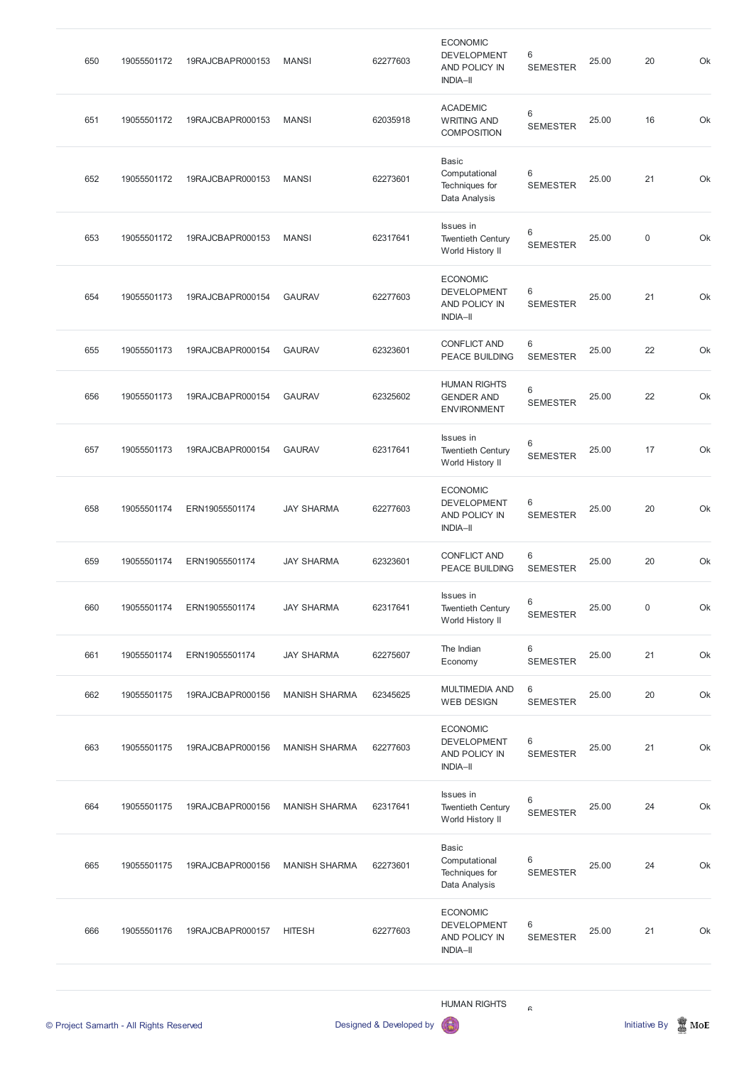| 650                                     | 19055501172 | 19RAJCBAPR000153 | <b>MANSI</b>         | 62277603                | <b>ECONOMIC</b><br><b>DEVELOPMENT</b><br>AND POLICY IN<br><b>INDIA-II</b> | 6<br><b>SEMESTER</b>     | 25.00 | 20                   | Ok               |
|-----------------------------------------|-------------|------------------|----------------------|-------------------------|---------------------------------------------------------------------------|--------------------------|-------|----------------------|------------------|
| 651                                     | 19055501172 | 19RAJCBAPR000153 | <b>MANSI</b>         | 62035918                | <b>ACADEMIC</b><br><b>WRITING AND</b><br><b>COMPOSITION</b>               | 6<br><b>SEMESTER</b>     | 25.00 | 16                   | Ok               |
| 652                                     | 19055501172 | 19RAJCBAPR000153 | <b>MANSI</b>         | 62273601                | <b>Basic</b><br>Computational<br>Techniques for<br>Data Analysis          | 6<br><b>SEMESTER</b>     | 25.00 | 21                   | Ok               |
| 653                                     | 19055501172 | 19RAJCBAPR000153 | <b>MANSI</b>         | 62317641                | Issues in<br><b>Twentieth Century</b><br>World History II                 | 6<br><b>SEMESTER</b>     | 25.00 | $\mathbf 0$          | Ok               |
| 654                                     | 19055501173 | 19RAJCBAPR000154 | <b>GAURAV</b>        | 62277603                | <b>ECONOMIC</b><br><b>DEVELOPMENT</b><br>AND POLICY IN<br><b>INDIA-II</b> | 6<br><b>SEMESTER</b>     | 25.00 | 21                   | Ok               |
| 655                                     | 19055501173 | 19RAJCBAPR000154 | <b>GAURAV</b>        | 62323601                | <b>CONFLICT AND</b><br>PEACE BUILDING                                     | 6<br><b>SEMESTER</b>     | 25.00 | 22                   | Ok               |
| 656                                     | 19055501173 | 19RAJCBAPR000154 | <b>GAURAV</b>        | 62325602                | <b>HUMAN RIGHTS</b><br><b>GENDER AND</b><br><b>ENVIRONMENT</b>            | 6<br><b>SEMESTER</b>     | 25.00 | 22                   | Ok               |
| 657                                     | 19055501173 | 19RAJCBAPR000154 | <b>GAURAV</b>        | 62317641                | Issues in<br><b>Twentieth Century</b><br>World History II                 | 6<br><b>SEMESTER</b>     | 25.00 | 17                   | Ok               |
| 658                                     | 19055501174 | ERN19055501174   | <b>JAY SHARMA</b>    | 62277603                | <b>ECONOMIC</b><br><b>DEVELOPMENT</b><br>AND POLICY IN<br><b>INDIA-II</b> | 6<br><b>SEMESTER</b>     | 25.00 | 20                   | Ok               |
| 659                                     | 19055501174 | ERN19055501174   | <b>JAY SHARMA</b>    | 62323601                | <b>CONFLICT AND</b><br><b>PEACE BUILDING</b>                              | 6<br><b>SEMESTER</b>     | 25.00 | 20                   | Ok               |
| 660                                     | 19055501174 | ERN19055501174   | <b>JAY SHARMA</b>    | 62317641                | Issues in<br><b>Twentieth Century</b><br>World History II                 | 6<br><b>SEMESTER</b>     | 25.00 | 0                    | Ok               |
| 661                                     | 19055501174 | ERN19055501174   | <b>JAY SHARMA</b>    | 62275607                | The Indian<br>Economy                                                     | $\,6$<br><b>SEMESTER</b> | 25.00 | 21                   | Ok               |
| 662                                     | 19055501175 | 19RAJCBAPR000156 | <b>MANISH SHARMA</b> | 62345625                | <b>MULTIMEDIA AND</b><br><b>WEB DESIGN</b>                                | 6<br><b>SEMESTER</b>     | 25.00 | 20                   | Ok               |
| 663                                     | 19055501175 | 19RAJCBAPR000156 | <b>MANISH SHARMA</b> | 62277603                | <b>ECONOMIC</b><br><b>DEVELOPMENT</b><br>AND POLICY IN<br><b>INDIA-II</b> | 6<br><b>SEMESTER</b>     | 25.00 | 21                   | Ok               |
| 664                                     | 19055501175 | 19RAJCBAPR000156 | <b>MANISH SHARMA</b> | 62317641                | Issues in<br><b>Twentieth Century</b><br>World History II                 | $\,6$<br><b>SEMESTER</b> | 25.00 | 24                   | Ok               |
| 665                                     | 19055501175 | 19RAJCBAPR000156 | <b>MANISH SHARMA</b> | 62273601                | Basic<br>Computational<br>Techniques for<br>Data Analysis                 | 6<br><b>SEMESTER</b>     | 25.00 | 24                   | Ok               |
| 666                                     | 19055501176 | 19RAJCBAPR000157 | <b>HITESH</b>        | 62277603                | <b>ECONOMIC</b><br><b>DEVELOPMENT</b><br>AND POLICY IN<br><b>INDIA-II</b> | 6<br><b>SEMESTER</b>     | 25.00 | 21                   | Ok               |
| © Project Samarth - All Rights Reserved |             |                  |                      | Designed & Developed by | <b>HUMAN RIGHTS</b>                                                       | $\mathcal{L}$            |       | <b>Initiative By</b> | $\mathbb{R}$ MoE |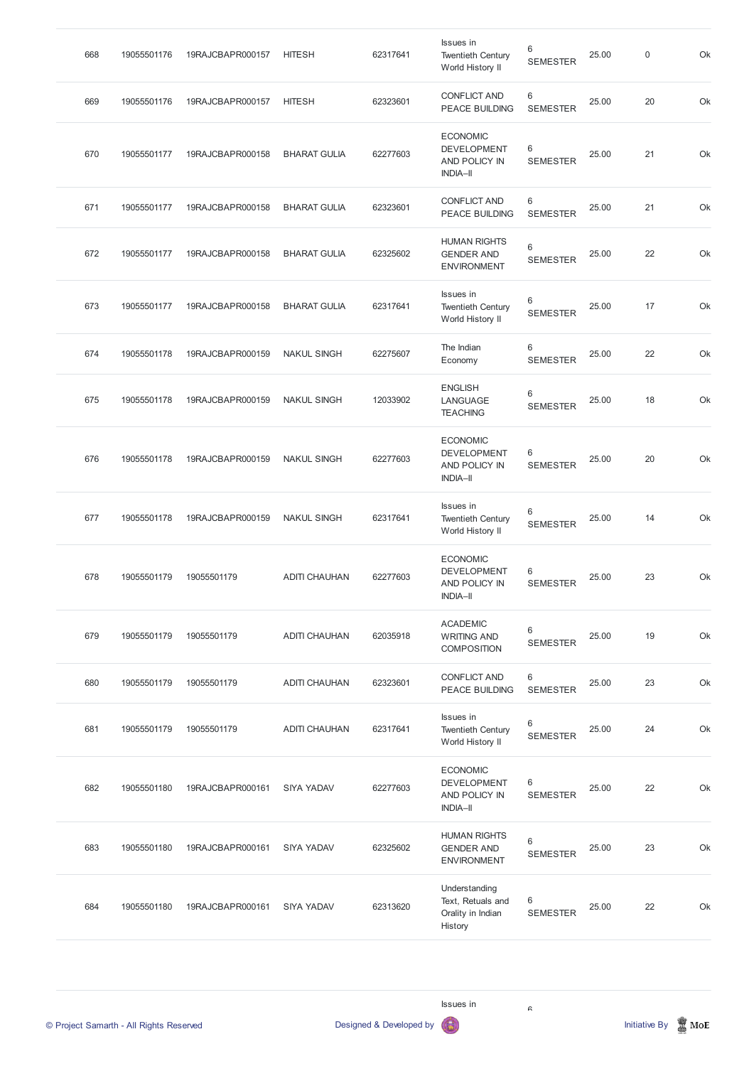| 668 | 19055501176 | 19RAJCBAPR000157 | <b>HITESH</b>        | 62317641 | Issues in<br><b>Twentieth Century</b><br>World History II                 | 6<br><b>SEMESTER</b> | 25.00 | $\mathsf{0}$ | Ok |
|-----|-------------|------------------|----------------------|----------|---------------------------------------------------------------------------|----------------------|-------|--------------|----|
| 669 | 19055501176 | 19RAJCBAPR000157 | <b>HITESH</b>        | 62323601 | <b>CONFLICT AND</b><br><b>PEACE BUILDING</b>                              | 6<br><b>SEMESTER</b> | 25.00 | 20           | Ok |
| 670 | 19055501177 | 19RAJCBAPR000158 | <b>BHARAT GULIA</b>  | 62277603 | <b>ECONOMIC</b><br><b>DEVELOPMENT</b><br>AND POLICY IN<br><b>INDIA-II</b> | 6<br><b>SEMESTER</b> | 25.00 | 21           | Ok |
| 671 | 19055501177 | 19RAJCBAPR000158 | <b>BHARAT GULIA</b>  | 62323601 | <b>CONFLICT AND</b><br><b>PEACE BUILDING</b>                              | 6<br><b>SEMESTER</b> | 25.00 | 21           | Ok |
| 672 | 19055501177 | 19RAJCBAPR000158 | <b>BHARAT GULIA</b>  | 62325602 | <b>HUMAN RIGHTS</b><br><b>GENDER AND</b><br><b>ENVIRONMENT</b>            | 6<br><b>SEMESTER</b> | 25.00 | 22           | Ok |
| 673 | 19055501177 | 19RAJCBAPR000158 | <b>BHARAT GULIA</b>  | 62317641 | Issues in<br><b>Twentieth Century</b><br>World History II                 | 6<br><b>SEMESTER</b> | 25.00 | 17           | Ok |
| 674 | 19055501178 | 19RAJCBAPR000159 | <b>NAKUL SINGH</b>   | 62275607 | The Indian<br>Economy                                                     | 6<br><b>SEMESTER</b> | 25.00 | 22           | Ok |
| 675 | 19055501178 | 19RAJCBAPR000159 | <b>NAKUL SINGH</b>   | 12033902 | <b>ENGLISH</b><br>LANGUAGE<br><b>TEACHING</b>                             | 6<br><b>SEMESTER</b> | 25.00 | 18           | Ok |
| 676 | 19055501178 | 19RAJCBAPR000159 | <b>NAKUL SINGH</b>   | 62277603 | <b>ECONOMIC</b><br><b>DEVELOPMENT</b><br>AND POLICY IN<br><b>INDIA-II</b> | 6<br><b>SEMESTER</b> | 25.00 | 20           | Ok |
| 677 | 19055501178 | 19RAJCBAPR000159 | <b>NAKUL SINGH</b>   | 62317641 | Issues in<br><b>Twentieth Century</b><br>World History II                 | 6<br><b>SEMESTER</b> | 25.00 | 14           | Ok |
| 678 | 19055501179 | 19055501179      | <b>ADITI CHAUHAN</b> | 62277603 | <b>ECONOMIC</b><br><b>DEVELOPMENT</b><br>AND POLICY IN<br><b>INDIA-II</b> | 6<br><b>SEMESTER</b> | 25.00 | 23           | Ok |
| 679 | 19055501179 | 19055501179      | <b>ADITI CHAUHAN</b> | 62035918 | <b>ACADEMIC</b><br><b>WRITING AND</b><br><b>COMPOSITION</b>               | 6<br><b>SEMESTER</b> | 25.00 | 19           | Ok |
| 680 | 19055501179 | 19055501179      | <b>ADITI CHAUHAN</b> | 62323601 | <b>CONFLICT AND</b><br>PEACE BUILDING                                     | 6<br><b>SEMESTER</b> | 25.00 | 23           | Ok |
| 681 | 19055501179 | 19055501179      | <b>ADITI CHAUHAN</b> | 62317641 | Issues in<br><b>Twentieth Century</b><br>World History II                 | 6<br><b>SEMESTER</b> | 25.00 | 24           | Ok |
| 682 | 19055501180 | 19RAJCBAPR000161 | <b>SIYA YADAV</b>    | 62277603 | <b>ECONOMIC</b><br><b>DEVELOPMENT</b><br>AND POLICY IN                    | 6<br><b>SEMESTER</b> | 25.00 | 22           | Ok |

| 683 | 19055501180 | 19RAJCBAPR000161 | <b>SIYA YADAV</b> | 62325602 | <b>HUMAN RIGHTS</b><br><b>GENDER AND</b><br><b>ENVIRONMENT</b>     | 6<br><b>SEMESTER</b>  | 25.00 | 23 | Ok |
|-----|-------------|------------------|-------------------|----------|--------------------------------------------------------------------|-----------------------|-------|----|----|
| 684 | 19055501180 | 19RAJCBAPR000161 | <b>SIYA YADAV</b> | 62313620 | Understanding<br>Text, Retuals and<br>Orality in Indian<br>History | -6<br><b>SEMESTER</b> | 25.00 | 22 | Ok |

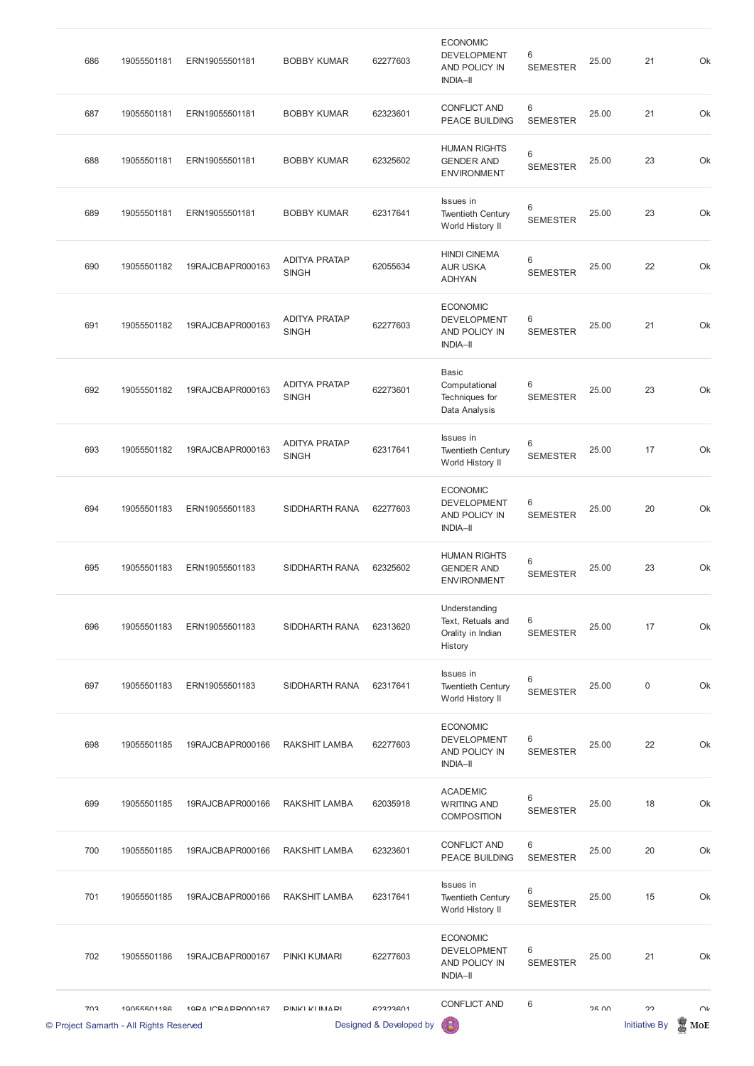| 702 | 10055501196<br>© Project Samarth - All Rights Reserved | 10DA ICRADD000167 | DINIKI KI IMADI                      | <b>GO3O3GN1</b><br>Designed & Developed by | <b>CONFLICT AND</b><br>6                                                         | 6                          | OF UU | つつ<br><b>Initiative By</b> | $\cap$<br>MoE |
|-----|--------------------------------------------------------|-------------------|--------------------------------------|--------------------------------------------|----------------------------------------------------------------------------------|----------------------------|-------|----------------------------|---------------|
| 702 | 19055501186                                            | 19RAJCBAPR000167  | <b>PINKI KUMARI</b>                  | 62277603                                   | <b>ECONOMIC</b><br><b>DEVELOPMENT</b><br>AND POLICY IN<br><b>INDIA-II</b>        | $\,6$<br><b>SEMESTER</b>   | 25.00 | 21                         | Ok            |
| 701 | 19055501185                                            | 19RAJCBAPR000166  | <b>RAKSHIT LAMBA</b>                 | 62317641                                   | Issues in<br><b>Twentieth Century</b><br>World History II                        | $\,6\,$<br><b>SEMESTER</b> | 25.00 | 15                         | Ok            |
| 700 | 19055501185                                            | 19RAJCBAPR000166  | <b>RAKSHIT LAMBA</b>                 | 62323601                                   | <b>CONFLICT AND</b><br><b>PEACE BUILDING</b>                                     | 6<br><b>SEMESTER</b>       | 25.00 | 20                         | Ok            |
| 699 | 19055501185                                            | 19RAJCBAPR000166  | <b>RAKSHIT LAMBA</b>                 | 62035918                                   | <b>ACADEMIC</b><br><b>WRITING AND</b><br><b>COMPOSITION</b>                      | 6<br><b>SEMESTER</b>       | 25.00 | 18                         | Ok            |
| 698 | 19055501185                                            | 19RAJCBAPR000166  | <b>RAKSHIT LAMBA</b>                 | 62277603                                   | <b>ECONOMIC</b><br><b>DEVELOPMENT</b><br>AND POLICY IN<br><b>INDIA-II</b>        | 6<br><b>SEMESTER</b>       | 25.00 | 22                         | Ok            |
| 697 | 19055501183                                            | ERN19055501183    | SIDDHARTH RANA                       | 62317641                                   | Issues in<br><b>Twentieth Century</b><br>World History II                        | 6<br><b>SEMESTER</b>       | 25.00 | $\mathbf 0$                | Ok            |
| 696 | 19055501183                                            | ERN19055501183    | SIDDHARTH RANA                       | 62313620                                   | Understanding<br>Text, Retuals and<br>Orality in Indian<br>History               | 6<br><b>SEMESTER</b>       | 25.00 | 17                         | Ok            |
| 695 | 19055501183                                            | ERN19055501183    | SIDDHARTH RANA                       | 62325602                                   | <b>HUMAN RIGHTS</b><br><b>GENDER AND</b><br><b>ENVIRONMENT</b>                   | 6<br><b>SEMESTER</b>       | 25.00 | 23                         | Ok            |
| 694 | 19055501183                                            | ERN19055501183    | SIDDHARTH RANA                       | 62277603                                   | <b>ECONOMIC</b><br><b>DEVELOPMENT</b><br><b>AND POLICY IN</b><br><b>INDIA-II</b> | 6<br><b>SEMESTER</b>       | 25.00 | 20                         | Ok            |
| 693 | 19055501182                                            | 19RAJCBAPR000163  | <b>ADITYA PRATAP</b><br><b>SINGH</b> | 62317641                                   | <b>Issues</b> in<br><b>Twentieth Century</b><br>World History II                 | 6<br><b>SEMESTER</b>       | 25.00 | 17                         | Ok            |
| 692 | 19055501182                                            | 19RAJCBAPR000163  | <b>ADITYA PRATAP</b><br><b>SINGH</b> | 62273601                                   | <b>Basic</b><br>Computational<br>Techniques for<br>Data Analysis                 | 6<br><b>SEMESTER</b>       | 25.00 | 23                         | Ok            |
| 691 | 19055501182                                            | 19RAJCBAPR000163  | <b>ADITYA PRATAP</b><br><b>SINGH</b> | 62277603                                   | <b>ECONOMIC</b><br><b>DEVELOPMENT</b><br>AND POLICY IN<br><b>INDIA-II</b>        | 6<br><b>SEMESTER</b>       | 25.00 | 21                         | Ok            |
| 690 | 19055501182                                            | 19RAJCBAPR000163  | <b>ADITYA PRATAP</b><br><b>SINGH</b> | 62055634                                   | <b>HINDI CINEMA</b><br><b>AUR USKA</b><br><b>ADHYAN</b>                          | 6<br><b>SEMESTER</b>       | 25.00 | 22                         | Ok            |
| 689 | 19055501181                                            | ERN19055501181    | <b>BOBBY KUMAR</b>                   | 62317641                                   | Issues in<br><b>Twentieth Century</b><br>World History II                        | 6<br><b>SEMESTER</b>       | 25.00 | 23                         | Ok            |
| 688 | 19055501181                                            | ERN19055501181    | <b>BOBBY KUMAR</b>                   | 62325602                                   | <b>HUMAN RIGHTS</b><br><b>GENDER AND</b><br><b>ENVIRONMENT</b>                   | 6<br><b>SEMESTER</b>       | 25.00 | 23                         | Ok            |
| 687 | 19055501181                                            | ERN19055501181    | <b>BOBBY KUMAR</b>                   | 62323601                                   | <b>CONFLICT AND</b><br><b>PEACE BUILDING</b>                                     | $\,6$<br><b>SEMESTER</b>   | 25.00 | 21                         | Ok            |
| 686 | 19055501181                                            | ERN19055501181    | <b>BOBBY KUMAR</b>                   | 62277603                                   | <b>ECONOMIC</b><br><b>DEVELOPMENT</b><br>AND POLICY IN<br><b>INDIA-II</b>        | 6<br><b>SEMESTER</b>       | 25.00 | 21                         | Ok            |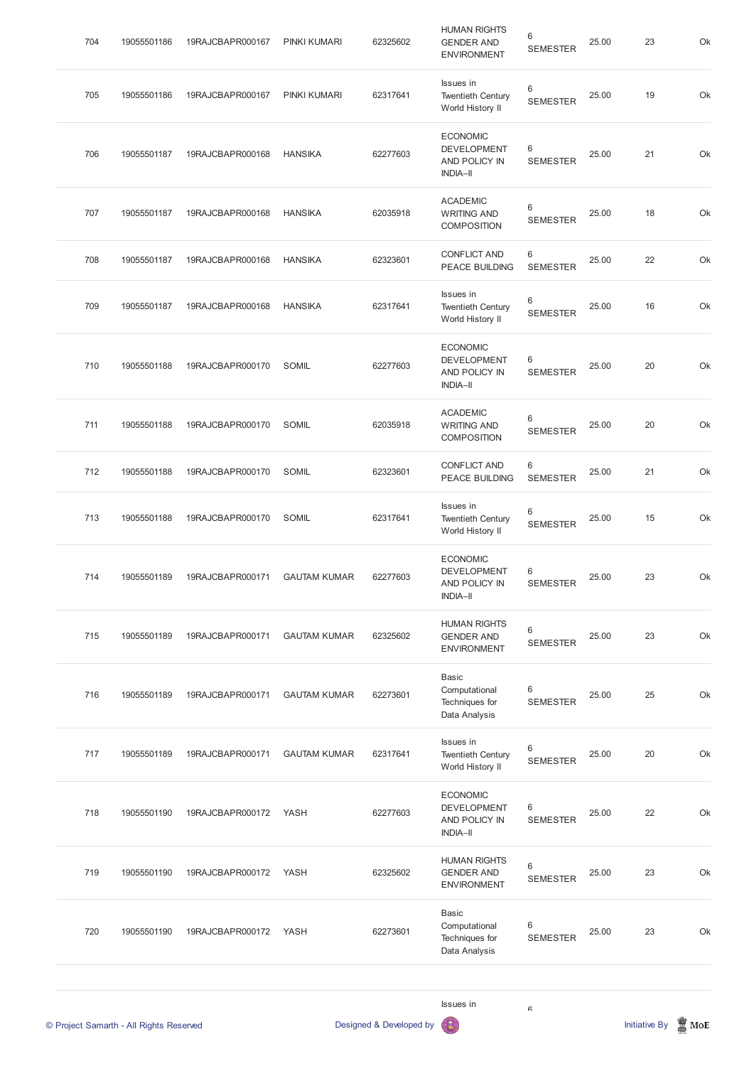| 704 | 19055501186                             | 19RAJCBAPR000167 | PINKI KUMARI        | 62325602                | <b>HUMAN RIGHTS</b><br><b>GENDER AND</b><br><b>ENVIRONMENT</b>            | 6<br><b>SEMESTER</b> | 25.00 | 23                   | Ok       |
|-----|-----------------------------------------|------------------|---------------------|-------------------------|---------------------------------------------------------------------------|----------------------|-------|----------------------|----------|
| 705 | 19055501186                             | 19RAJCBAPR000167 | PINKI KUMARI        | 62317641                | Issues in<br><b>Twentieth Century</b><br>World History II                 | 6<br><b>SEMESTER</b> | 25.00 | 19                   | Ok       |
| 706 | 19055501187                             | 19RAJCBAPR000168 | <b>HANSIKA</b>      | 62277603                | <b>ECONOMIC</b><br><b>DEVELOPMENT</b><br>AND POLICY IN<br><b>INDIA-II</b> | 6<br><b>SEMESTER</b> | 25.00 | 21                   | Ok       |
| 707 | 19055501187                             | 19RAJCBAPR000168 | <b>HANSIKA</b>      | 62035918                | <b>ACADEMIC</b><br><b>WRITING AND</b><br><b>COMPOSITION</b>               | 6<br><b>SEMESTER</b> | 25.00 | 18                   | Ok       |
| 708 | 19055501187                             | 19RAJCBAPR000168 | <b>HANSIKA</b>      | 62323601                | <b>CONFLICT AND</b><br><b>PEACE BUILDING</b>                              | 6<br><b>SEMESTER</b> | 25.00 | 22                   | Ok       |
| 709 | 19055501187                             | 19RAJCBAPR000168 | <b>HANSIKA</b>      | 62317641                | Issues in<br><b>Twentieth Century</b><br>World History II                 | 6<br><b>SEMESTER</b> | 25.00 | 16                   | Ok       |
| 710 | 19055501188                             | 19RAJCBAPR000170 | SOMIL               | 62277603                | <b>ECONOMIC</b><br><b>DEVELOPMENT</b><br>AND POLICY IN<br><b>INDIA-II</b> | 6<br><b>SEMESTER</b> | 25.00 | 20                   | Ok       |
| 711 | 19055501188                             | 19RAJCBAPR000170 | SOMIL               | 62035918                | <b>ACADEMIC</b><br><b>WRITING AND</b><br><b>COMPOSITION</b>               | 6<br><b>SEMESTER</b> | 25.00 | 20                   | Ok       |
| 712 | 19055501188                             | 19RAJCBAPR000170 | SOMIL               | 62323601                | <b>CONFLICT AND</b><br>PEACE BUILDING                                     | 6<br><b>SEMESTER</b> | 25.00 | 21                   | Ok       |
| 713 | 19055501188                             | 19RAJCBAPR000170 | SOMIL               | 62317641                | Issues in<br><b>Twentieth Century</b><br>World History II                 | 6<br><b>SEMESTER</b> | 25.00 | 15                   | Ok       |
| 714 | 19055501189                             | 19RAJCBAPR000171 | <b>GAUTAM KUMAR</b> | 62277603                | <b>ECONOMIC</b><br><b>DEVELOPMENT</b><br>AND POLICY IN<br><b>INDIA-II</b> | 6<br><b>SEMESTER</b> | 25.00 | 23                   | Ok       |
| 715 | 19055501189                             | 19RAJCBAPR000171 | <b>GAUTAM KUMAR</b> | 62325602                | <b>HUMAN RIGHTS</b><br><b>GENDER AND</b><br><b>ENVIRONMENT</b>            | 6<br><b>SEMESTER</b> | 25.00 | 23                   | Ok       |
| 716 | 19055501189                             | 19RAJCBAPR000171 | <b>GAUTAM KUMAR</b> | 62273601                | <b>Basic</b><br>Computational<br>Techniques for<br>Data Analysis          | 6<br><b>SEMESTER</b> | 25.00 | 25                   | Ok       |
| 717 | 19055501189                             | 19RAJCBAPR000171 | <b>GAUTAM KUMAR</b> | 62317641                | Issues in<br><b>Twentieth Century</b><br>World History II                 | 6<br><b>SEMESTER</b> | 25.00 | 20                   | Ok       |
| 718 | 19055501190                             | 19RAJCBAPR000172 | <b>YASH</b>         | 62277603                | <b>ECONOMIC</b><br><b>DEVELOPMENT</b><br>AND POLICY IN<br><b>INDIA-II</b> | 6<br><b>SEMESTER</b> | 25.00 | 22                   | Ok       |
| 719 | 19055501190                             | 19RAJCBAPR000172 | YASH                | 62325602                | <b>HUMAN RIGHTS</b><br><b>GENDER AND</b><br><b>ENVIRONMENT</b>            | 6<br><b>SEMESTER</b> | 25.00 | 23                   | Ok       |
| 720 | 19055501190                             | 19RAJCBAPR000172 | YASH                | 62273601                | <b>Basic</b><br>Computational<br>Techniques for<br>Data Analysis          | 6<br><b>SEMESTER</b> | 25.00 | 23                   | Ok       |
|     | © Project Samarth - All Rights Reserved |                  |                     | Designed & Developed by | Issues in                                                                 | G                    |       | <b>Initiative By</b> | 鬞<br>MoE |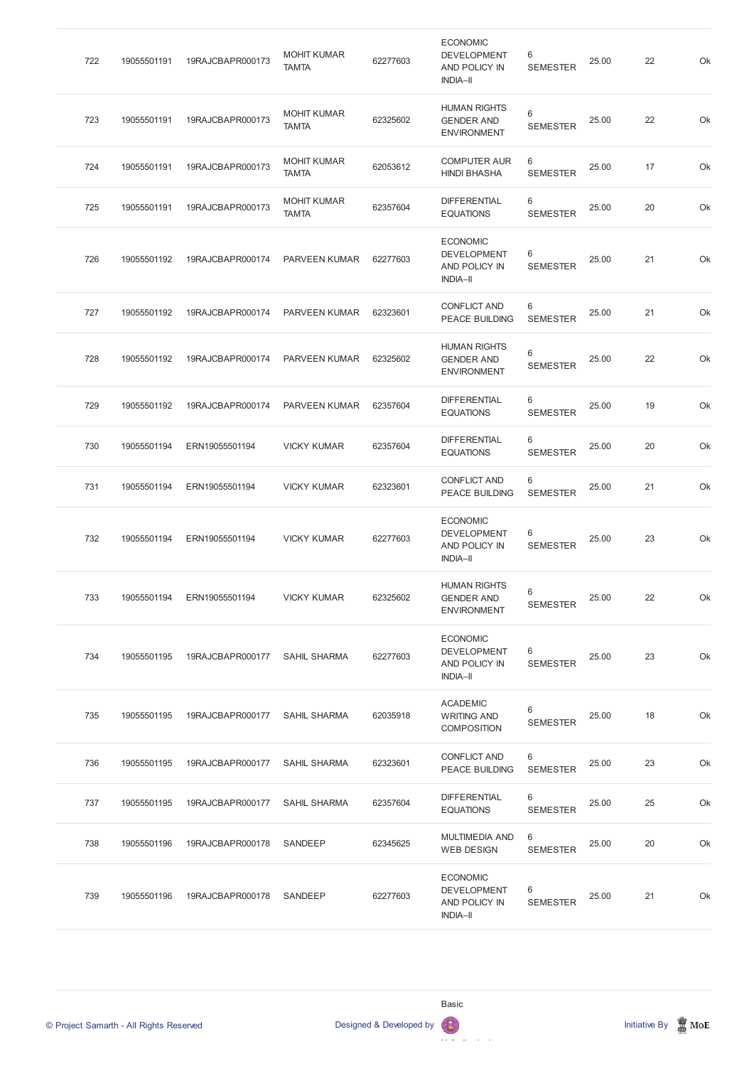| 722 | 19055501191 | 19RAJCBAPR000173 | <b>MOHIT KUMAR</b><br><b>TAMTA</b> | 62277603 | <b>ECONOMIC</b><br><b>DEVELOPMENT</b><br>AND POLICY IN<br><b>INDIA-II</b> | 6<br><b>SEMESTER</b> | 25.00 | 22 | Ok |
|-----|-------------|------------------|------------------------------------|----------|---------------------------------------------------------------------------|----------------------|-------|----|----|
| 723 | 19055501191 | 19RAJCBAPR000173 | <b>MOHIT KUMAR</b><br><b>TAMTA</b> | 62325602 | <b>HUMAN RIGHTS</b><br><b>GENDER AND</b><br><b>ENVIRONMENT</b>            | 6<br><b>SEMESTER</b> | 25.00 | 22 | Ok |
| 724 | 19055501191 | 19RAJCBAPR000173 | <b>MOHIT KUMAR</b><br><b>TAMTA</b> | 62053612 | <b>COMPUTER AUR</b><br><b>HINDI BHASHA</b>                                | 6<br><b>SEMESTER</b> | 25.00 | 17 | Ok |
| 725 | 19055501191 | 19RAJCBAPR000173 | <b>MOHIT KUMAR</b><br><b>TAMTA</b> | 62357604 | <b>DIFFERENTIAL</b><br><b>EQUATIONS</b>                                   | 6<br><b>SEMESTER</b> | 25.00 | 20 | Ok |
| 726 | 19055501192 | 19RAJCBAPR000174 | PARVEEN KUMAR                      | 62277603 | <b>ECONOMIC</b><br><b>DEVELOPMENT</b><br>AND POLICY IN<br><b>INDIA-II</b> | 6<br><b>SEMESTER</b> | 25.00 | 21 | Ok |
| 727 | 19055501192 | 19RAJCBAPR000174 | PARVEEN KUMAR                      | 62323601 | <b>CONFLICT AND</b><br><b>PEACE BUILDING</b>                              | 6<br><b>SEMESTER</b> | 25.00 | 21 | Ok |
| 728 | 19055501192 | 19RAJCBAPR000174 | PARVEEN KUMAR                      | 62325602 | <b>HUMAN RIGHTS</b><br><b>GENDER AND</b><br><b>ENVIRONMENT</b>            | 6<br><b>SEMESTER</b> | 25.00 | 22 | Ok |
| 729 | 19055501192 | 19RAJCBAPR000174 | <b>PARVEEN KUMAR</b>               | 62357604 | <b>DIFFERENTIAL</b><br><b>EQUATIONS</b>                                   | 6<br><b>SEMESTER</b> | 25.00 | 19 | Ok |
| 730 | 19055501194 | ERN19055501194   | <b>VICKY KUMAR</b>                 | 62357604 | <b>DIFFERENTIAL</b><br><b>EQUATIONS</b>                                   | 6<br><b>SEMESTER</b> | 25.00 | 20 | Ok |
| 731 | 19055501194 | ERN19055501194   | <b>VICKY KUMAR</b>                 | 62323601 | <b>CONFLICT AND</b><br><b>PEACE BUILDING</b>                              | 6<br><b>SEMESTER</b> | 25.00 | 21 | Ok |
| 732 | 19055501194 | ERN19055501194   | <b>VICKY KUMAR</b>                 | 62277603 | <b>ECONOMIC</b><br><b>DEVELOPMENT</b><br>AND POLICY IN<br><b>INDIA-II</b> | 6<br><b>SEMESTER</b> | 25.00 | 23 | Ok |
| 733 | 19055501194 | ERN19055501194   | <b>VICKY KUMAR</b>                 | 62325602 | <b>HUMAN RIGHTS</b><br><b>GENDER AND</b><br><b>ENVIRONMENT</b>            | 6<br><b>SEMESTER</b> | 25.00 | 22 | Ok |
| 734 | 19055501195 | 19RAJCBAPR000177 | <b>SAHIL SHARMA</b>                | 62277603 | <b>ECONOMIC</b><br><b>DEVELOPMENT</b><br>AND POLICY IN<br><b>INDIA-II</b> | 6<br><b>SEMESTER</b> | 25.00 | 23 | Ok |
| 735 | 19055501195 | 19RAJCBAPR000177 | <b>SAHIL SHARMA</b>                | 62035918 | <b>ACADEMIC</b><br><b>WRITING AND</b><br><b>COMPOSITION</b>               | 6<br><b>SEMESTER</b> | 25.00 | 18 | Ok |
| 736 | 19055501195 | 19RAJCBAPR000177 | <b>SAHIL SHARMA</b>                | 62323601 | <b>CONFLICT AND</b><br><b>PEACE BUILDING</b>                              | 6<br><b>SEMESTER</b> | 25.00 | 23 | Ok |
| 737 | 19055501195 | 19RAJCBAPR000177 | <b>SAHIL SHARMA</b>                | 62357604 | <b>DIFFERENTIAL</b><br><b>EQUATIONS</b>                                   | 6<br><b>SEMESTER</b> | 25.00 | 25 | Ok |
| 738 | 19055501196 | 19RAJCBAPR000178 | SANDEEP                            | 62345625 | <b>MULTIMEDIA AND</b><br><b>WEB DESIGN</b>                                | 6<br><b>SEMESTER</b> | 25.00 | 20 | Ok |
| 739 | 19055501196 | 19RAJCBAPR000178 | SANDEEP                            | 62277603 | <b>ECONOMIC</b><br><b>DEVELOPMENT</b><br>AND POLICY IN<br><b>INDIA-II</b> | 6<br><b>SEMESTER</b> | 25.00 | 21 | Ok |

Computational The contract of the contract of the contract of the contract of the contract of the contract of the contract of



Basic

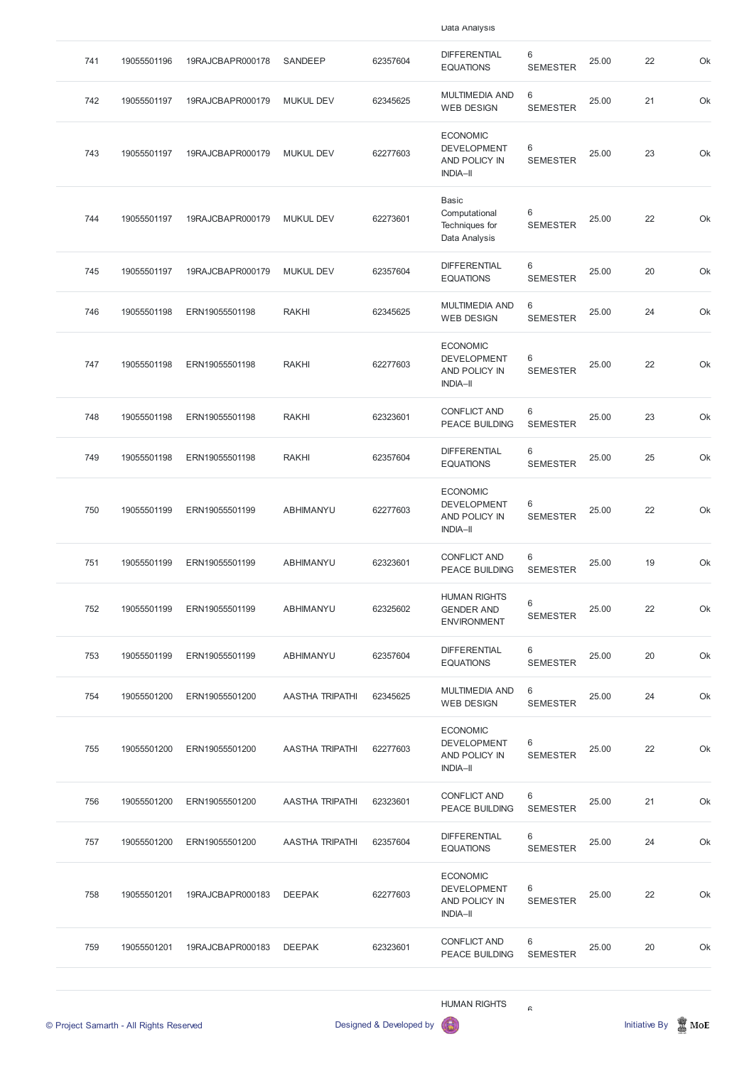| 741 | 19055501196                             | 19RAJCBAPR000178           | SANDEEP                | 62357604                | <b>DIFFERENTIAL</b><br><b>EQUATIONS</b>                                   | 6<br><b>SEMESTER</b> | 25.00 | 22            | Ok               |
|-----|-----------------------------------------|----------------------------|------------------------|-------------------------|---------------------------------------------------------------------------|----------------------|-------|---------------|------------------|
| 742 | 19055501197                             | 19RAJCBAPR000179           | <b>MUKUL DEV</b>       | 62345625                | <b>MULTIMEDIA AND</b><br><b>WEB DESIGN</b>                                | 6<br><b>SEMESTER</b> | 25.00 | 21            | Ok               |
| 743 | 19055501197                             | 19RAJCBAPR000179           | <b>MUKUL DEV</b>       | 62277603                | <b>ECONOMIC</b><br><b>DEVELOPMENT</b><br>AND POLICY IN<br><b>INDIA-II</b> | 6<br><b>SEMESTER</b> | 25.00 | 23            | Ok               |
| 744 | 19055501197                             | 19RAJCBAPR000179           | <b>MUKUL DEV</b>       | 62273601                | <b>Basic</b><br>Computational<br>Techniques for<br>Data Analysis          | 6<br><b>SEMESTER</b> | 25.00 | 22            | Ok               |
| 745 | 19055501197                             | 19RAJCBAPR000179           | <b>MUKUL DEV</b>       | 62357604                | <b>DIFFERENTIAL</b><br><b>EQUATIONS</b>                                   | 6<br><b>SEMESTER</b> | 25.00 | 20            | Ok               |
| 746 | 19055501198                             | ERN19055501198             | <b>RAKHI</b>           | 62345625                | <b>MULTIMEDIA AND</b><br><b>WEB DESIGN</b>                                | 6<br><b>SEMESTER</b> | 25.00 | 24            | Ok               |
| 747 | 19055501198                             | ERN19055501198             | <b>RAKHI</b>           | 62277603                | <b>ECONOMIC</b><br><b>DEVELOPMENT</b><br>AND POLICY IN<br><b>INDIA-II</b> | 6<br><b>SEMESTER</b> | 25.00 | 22            | Ok               |
| 748 | 19055501198                             | ERN19055501198             | <b>RAKHI</b>           | 62323601                | <b>CONFLICT AND</b><br><b>PEACE BUILDING</b>                              | 6<br><b>SEMESTER</b> | 25.00 | 23            | Ok               |
| 749 | 19055501198                             | ERN19055501198             | <b>RAKHI</b>           | 62357604                | <b>DIFFERENTIAL</b><br><b>EQUATIONS</b>                                   | 6<br><b>SEMESTER</b> | 25.00 | 25            | Ok               |
| 750 | 19055501199                             | ERN19055501199             | ABHIMANYU              | 62277603                | <b>ECONOMIC</b><br><b>DEVELOPMENT</b><br>AND POLICY IN<br><b>INDIA-II</b> | 6<br><b>SEMESTER</b> | 25.00 | 22            | Ok               |
| 751 | 19055501199                             | ERN19055501199             | ABHIMANYU              | 62323601                | <b>CONFLICT AND</b><br><b>PEACE BUILDING</b>                              | 6<br><b>SEMESTER</b> | 25.00 | 19            | Ok               |
| 752 | 19055501199                             | ERN19055501199             | ABHIMANYU              | 62325602                | <b>HUMAN RIGHTS</b><br><b>GENDER AND</b><br><b>ENVIRONMENT</b>            | 6<br><b>SEMESTER</b> | 25.00 | 22            | Ok               |
| 753 | 19055501199                             | ERN19055501199             | ABHIMANYU              | 62357604                | <b>DIFFERENTIAL</b><br><b>EQUATIONS</b>                                   | 6<br><b>SEMESTER</b> | 25.00 | 20            | Ok               |
| 754 | 19055501200                             | ERN19055501200             | <b>AASTHA TRIPATHI</b> | 62345625                | <b>MULTIMEDIA AND</b><br><b>WEB DESIGN</b>                                | 6<br><b>SEMESTER</b> | 25.00 | 24            | Ok               |
| 755 | 19055501200                             | ERN19055501200             | <b>AASTHA TRIPATHI</b> | 62277603                | <b>ECONOMIC</b><br><b>DEVELOPMENT</b><br>AND POLICY IN<br><b>INDIA-II</b> | 6<br><b>SEMESTER</b> | 25.00 | 22            | Ok               |
| 756 | 19055501200                             | ERN19055501200             | <b>AASTHA TRIPATHI</b> | 62323601                | <b>CONFLICT AND</b><br><b>PEACE BUILDING</b>                              | 6<br><b>SEMESTER</b> | 25.00 | 21            | Ok               |
| 757 |                                         | 19055501200 ERN19055501200 | AASTHA TRIPATHI        | 62357604                | <b>DIFFERENTIAL</b><br><b>EQUATIONS</b>                                   | 6<br><b>SEMESTER</b> | 25.00 | 24            | Ok               |
| 758 | 19055501201                             | 19RAJCBAPR000183           | <b>DEEPAK</b>          | 62277603                | <b>ECONOMIC</b><br><b>DEVELOPMENT</b><br>AND POLICY IN<br><b>INDIA-II</b> | 6<br><b>SEMESTER</b> | 25.00 | 22            | Ok               |
| 759 | 19055501201                             | 19RAJCBAPR000183           | <b>DEEPAK</b>          | 62323601                | <b>CONFLICT AND</b><br>PEACE BUILDING                                     | 6<br><b>SEMESTER</b> | 25.00 | 20            | Ok               |
|     | © Project Samarth - All Rights Reserved |                            |                        | Designed & Developed by | <b>HUMAN RIGHTS</b>                                                       | $\mathcal{L}$        |       | Initiative By | $\mathbb{R}$ MoE |

Data Analysis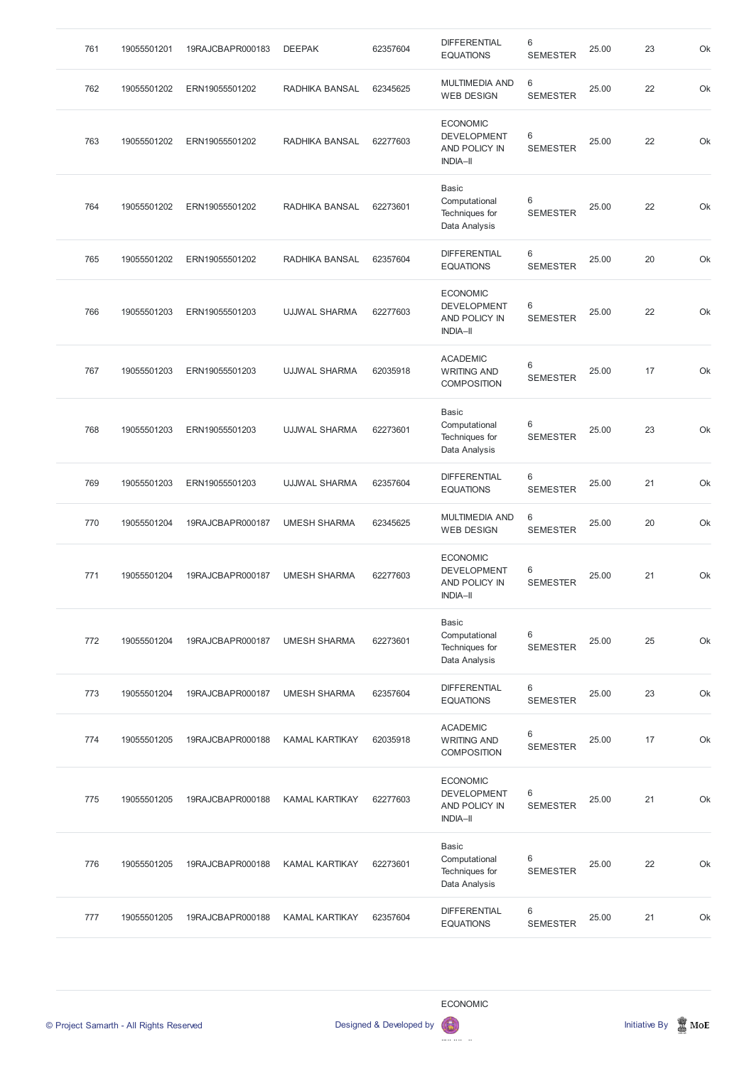| 761 | 19055501201 | 19RAJCBAPR000183 | <b>DEEPAK</b>         | 62357604 | <b>DIFFERENTIAL</b><br><b>EQUATIONS</b>                                   | 6<br><b>SEMESTER</b> | 25.00 | 23 | Ok |
|-----|-------------|------------------|-----------------------|----------|---------------------------------------------------------------------------|----------------------|-------|----|----|
| 762 | 19055501202 | ERN19055501202   | RADHIKA BANSAL        | 62345625 | <b>MULTIMEDIA AND</b><br><b>WEB DESIGN</b>                                | 6<br><b>SEMESTER</b> | 25.00 | 22 | Ok |
| 763 | 19055501202 | ERN19055501202   | RADHIKA BANSAL        | 62277603 | <b>ECONOMIC</b><br><b>DEVELOPMENT</b><br>AND POLICY IN<br><b>INDIA-II</b> | 6<br><b>SEMESTER</b> | 25.00 | 22 | Ok |
| 764 | 19055501202 | ERN19055501202   | RADHIKA BANSAL        | 62273601 | <b>Basic</b><br>Computational<br>Techniques for<br>Data Analysis          | 6<br><b>SEMESTER</b> | 25.00 | 22 | Ok |
| 765 | 19055501202 | ERN19055501202   | RADHIKA BANSAL        | 62357604 | <b>DIFFERENTIAL</b><br><b>EQUATIONS</b>                                   | 6<br><b>SEMESTER</b> | 25.00 | 20 | Ok |
| 766 | 19055501203 | ERN19055501203   | <b>UJJWAL SHARMA</b>  | 62277603 | <b>ECONOMIC</b><br><b>DEVELOPMENT</b><br>AND POLICY IN<br><b>INDIA-II</b> | 6<br><b>SEMESTER</b> | 25.00 | 22 | Ok |
| 767 | 19055501203 | ERN19055501203   | <b>UJJWAL SHARMA</b>  | 62035918 | <b>ACADEMIC</b><br><b>WRITING AND</b><br><b>COMPOSITION</b>               | 6<br><b>SEMESTER</b> | 25.00 | 17 | Ok |
| 768 | 19055501203 | ERN19055501203   | <b>UJJWAL SHARMA</b>  | 62273601 | <b>Basic</b><br>Computational<br>Techniques for<br>Data Analysis          | 6<br><b>SEMESTER</b> | 25.00 | 23 | Ok |
| 769 | 19055501203 | ERN19055501203   | <b>UJJWAL SHARMA</b>  | 62357604 | <b>DIFFERENTIAL</b><br><b>EQUATIONS</b>                                   | 6<br><b>SEMESTER</b> | 25.00 | 21 | Ok |
| 770 | 19055501204 | 19RAJCBAPR000187 | <b>UMESH SHARMA</b>   | 62345625 | <b>MULTIMEDIA AND</b><br><b>WEB DESIGN</b>                                | 6<br><b>SEMESTER</b> | 25.00 | 20 | Ok |
| 771 | 19055501204 | 19RAJCBAPR000187 | <b>UMESH SHARMA</b>   | 62277603 | <b>ECONOMIC</b><br><b>DEVELOPMENT</b><br>AND POLICY IN<br><b>INDIA-II</b> | 6<br><b>SEMESTER</b> | 25.00 | 21 | Ok |
| 772 | 19055501204 | 19RAJCBAPR000187 | <b>UMESH SHARMA</b>   | 62273601 | <b>Basic</b><br>Computational<br>Techniques for<br>Data Analysis          | 6<br><b>SEMESTER</b> | 25.00 | 25 | Ok |
| 773 | 19055501204 | 19RAJCBAPR000187 | <b>UMESH SHARMA</b>   | 62357604 | <b>DIFFERENTIAL</b><br><b>EQUATIONS</b>                                   | 6<br><b>SEMESTER</b> | 25.00 | 23 | Ok |
| 774 | 19055501205 | 19RAJCBAPR000188 | <b>KAMAL KARTIKAY</b> | 62035918 | <b>ACADEMIC</b><br><b>WRITING AND</b><br><b>COMPOSITION</b>               | 6<br><b>SEMESTER</b> | 25.00 | 17 | Ok |
| 775 | 19055501205 | 19RAJCBAPR000188 | <b>KAMAL KARTIKAY</b> | 62277603 | <b>ECONOMIC</b><br><b>DEVELOPMENT</b><br>AND POLICY IN<br><b>INDIA-II</b> | 6<br><b>SEMESTER</b> | 25.00 | 21 | Ok |

| 776 | 19055501205 | 19RAJCBAPR000188 | KAMAL KARTIKAY | 62273601 | Basic<br>Computational<br>Techniques for<br>Data Analysis | 6<br><b>SEMESTER</b> | 25.00 | 22 | Ok |
|-----|-------------|------------------|----------------|----------|-----------------------------------------------------------|----------------------|-------|----|----|
| 777 | 19055501205 | 19RAJCBAPR000188 | KAMAL KARTIKAY | 62357604 | <b>DIFFERENTIAL</b><br><b>EQUATIONS</b>                   | 6<br><b>SEMESTER</b> | 25.00 | 21 | Ok |

ECONOMIC

 $\mathbf{\Omega}$ 



DEVELOPMENT OF STATISTICS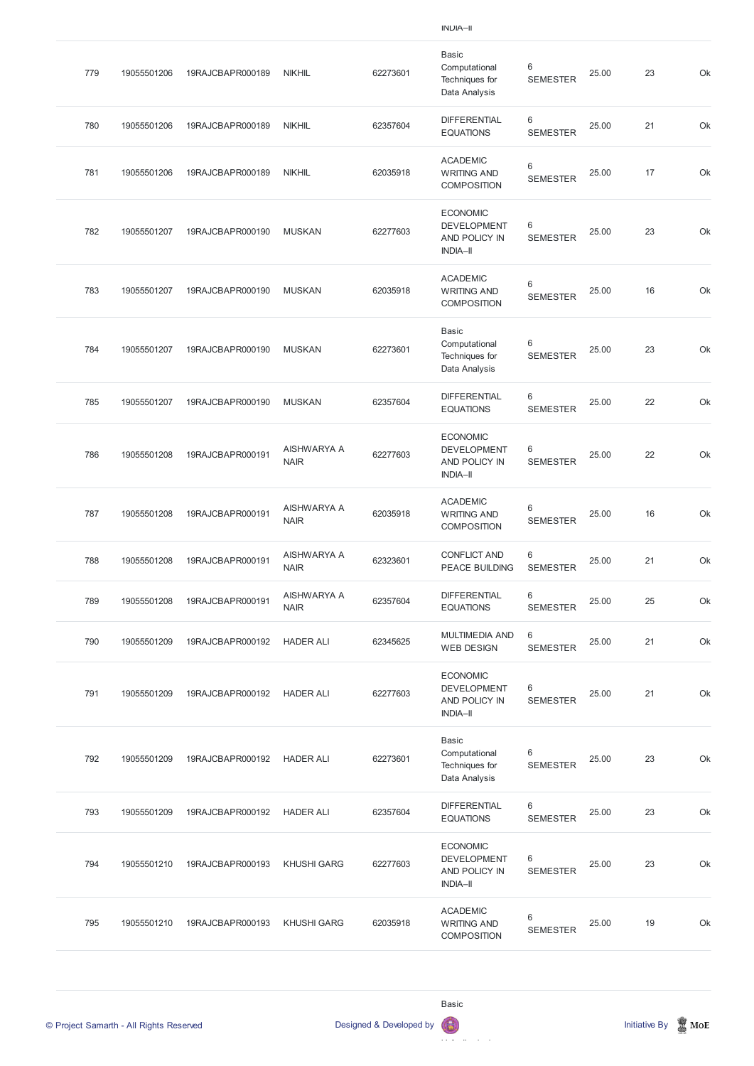|     |             |                  |                            |          | $IIVUIA-II$                                                               |                            |       |    |    |
|-----|-------------|------------------|----------------------------|----------|---------------------------------------------------------------------------|----------------------------|-------|----|----|
| 779 | 19055501206 | 19RAJCBAPR000189 | <b>NIKHIL</b>              | 62273601 | <b>Basic</b><br>Computational<br>Techniques for<br>Data Analysis          | 6<br><b>SEMESTER</b>       | 25.00 | 23 | Ok |
| 780 | 19055501206 | 19RAJCBAPR000189 | <b>NIKHIL</b>              | 62357604 | <b>DIFFERENTIAL</b><br><b>EQUATIONS</b>                                   | 6<br><b>SEMESTER</b>       | 25.00 | 21 | Ok |
| 781 | 19055501206 | 19RAJCBAPR000189 | <b>NIKHIL</b>              | 62035918 | <b>ACADEMIC</b><br><b>WRITING AND</b><br><b>COMPOSITION</b>               | 6<br><b>SEMESTER</b>       | 25.00 | 17 | Ok |
| 782 | 19055501207 | 19RAJCBAPR000190 | <b>MUSKAN</b>              | 62277603 | <b>ECONOMIC</b><br><b>DEVELOPMENT</b><br>AND POLICY IN<br><b>INDIA-II</b> | 6<br><b>SEMESTER</b>       | 25.00 | 23 | Ok |
| 783 | 19055501207 | 19RAJCBAPR000190 | <b>MUSKAN</b>              | 62035918 | <b>ACADEMIC</b><br><b>WRITING AND</b><br><b>COMPOSITION</b>               | 6<br><b>SEMESTER</b>       | 25.00 | 16 | Ok |
| 784 | 19055501207 | 19RAJCBAPR000190 | <b>MUSKAN</b>              | 62273601 | <b>Basic</b><br>Computational<br>Techniques for<br>Data Analysis          | 6<br><b>SEMESTER</b>       | 25.00 | 23 | Ok |
| 785 | 19055501207 | 19RAJCBAPR000190 | <b>MUSKAN</b>              | 62357604 | <b>DIFFERENTIAL</b><br><b>EQUATIONS</b>                                   | 6<br><b>SEMESTER</b>       | 25.00 | 22 | Ok |
| 786 | 19055501208 | 19RAJCBAPR000191 | AISHWARYA A<br><b>NAIR</b> | 62277603 | <b>ECONOMIC</b><br><b>DEVELOPMENT</b><br>AND POLICY IN<br><b>INDIA-II</b> | 6<br><b>SEMESTER</b>       | 25.00 | 22 | Ok |
| 787 | 19055501208 | 19RAJCBAPR000191 | AISHWARYA A<br><b>NAIR</b> | 62035918 | <b>ACADEMIC</b><br><b>WRITING AND</b><br><b>COMPOSITION</b>               | 6<br><b>SEMESTER</b>       | 25.00 | 16 | Ok |
| 788 | 19055501208 | 19RAJCBAPR000191 | AISHWARYA A<br><b>NAIR</b> | 62323601 | <b>CONFLICT AND</b><br><b>PEACE BUILDING</b>                              | 6<br><b>SEMESTER</b>       | 25.00 | 21 | Ok |
| 789 | 19055501208 | 19RAJCBAPR000191 | AISHWARYA A<br><b>NAIR</b> | 62357604 | <b>DIFFERENTIAL</b><br><b>EQUATIONS</b>                                   | 6<br><b>SEMESTER</b>       | 25.00 | 25 | Ok |
| 790 | 19055501209 | 19RAJCBAPR000192 | <b>HADER ALI</b>           | 62345625 | <b>MULTIMEDIA AND</b><br><b>WEB DESIGN</b>                                | $\,6\,$<br><b>SEMESTER</b> | 25.00 | 21 | Ok |
| 791 | 19055501209 | 19RAJCBAPR000192 | <b>HADER ALI</b>           | 62277603 | <b>ECONOMIC</b><br><b>DEVELOPMENT</b><br>AND POLICY IN<br><b>INDIA-II</b> | 6<br><b>SEMESTER</b>       | 25.00 | 21 | Ok |
| 792 | 19055501209 | 19RAJCBAPR000192 | <b>HADER ALI</b>           | 62273601 | <b>Basic</b><br>Computational<br>Techniques for<br>Data Analysis          | 6<br><b>SEMESTER</b>       | 25.00 | 23 | Ok |
|     |             |                  |                            |          |                                                                           |                            |       |    |    |

Computational The contract of the contract of the contract of the contract of the contract of the contract of the contract of

© Project Samarth - All Rights Reserved **Designed & Developed by Initiative By Initiative By Initiative By Initiative By Initiative By Initiative By Initiative By Initiative By Initiative By Initiative By Initiative By Ini** 

| 793 | 19055501209 | 19RAJCBAPR000192 | <b>HADER ALI</b>   | 62357604 | <b>DIFFERENTIAL</b><br><b>EQUATIONS</b>                                   | 6<br><b>SEMESTER</b> | 25.00 | 23 | Ok |
|-----|-------------|------------------|--------------------|----------|---------------------------------------------------------------------------|----------------------|-------|----|----|
| 794 | 19055501210 | 19RAJCBAPR000193 | <b>KHUSHI GARG</b> | 62277603 | <b>ECONOMIC</b><br><b>DEVELOPMENT</b><br>AND POLICY IN<br><b>INDIA-II</b> | 6<br><b>SEMESTER</b> | 25.00 | 23 | Ok |
| 795 | 19055501210 | 19RAJCBAPR000193 | <b>KHUSHI GARG</b> | 62035918 | <b>ACADEMIC</b><br><b>WRITING AND</b><br><b>COMPOSITION</b>               | 6<br><b>SEMESTER</b> | 25.00 | 19 | Ok |

Basic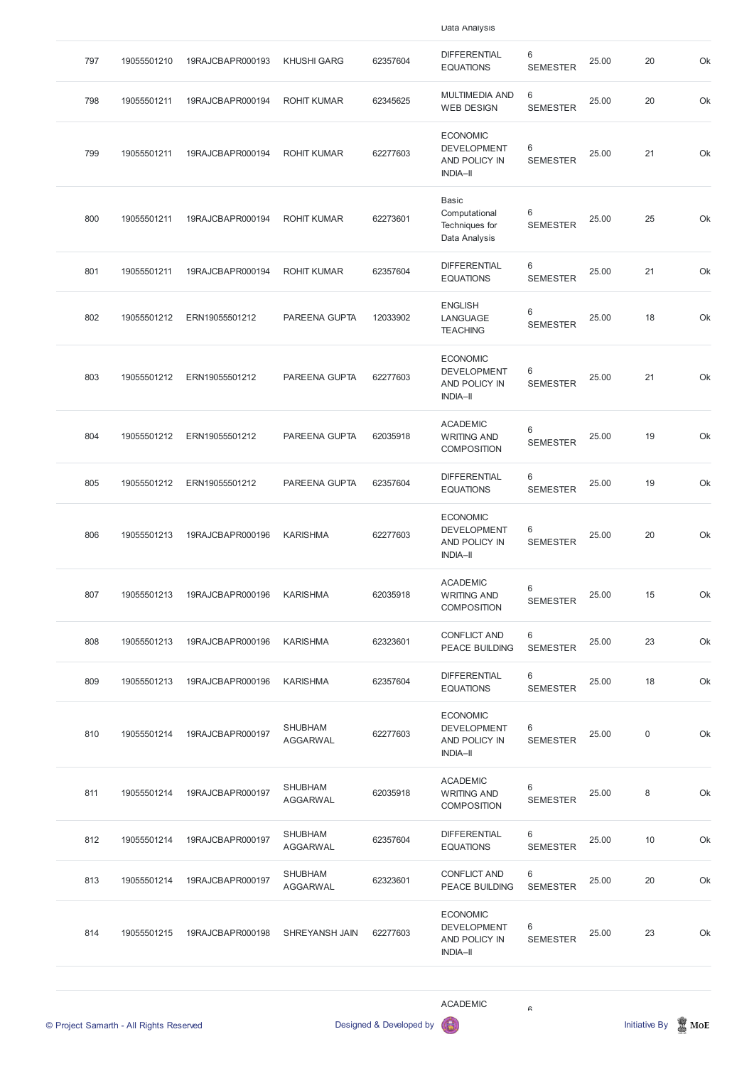| 797 | 19055501210 | 19RAJCBAPR000193 | <b>KHUSHI GARG</b>                | 62357604 | <b>DIFFERENTIAL</b><br><b>EQUATIONS</b>                                   | $6\phantom{1}$<br><b>SEMESTER</b>  | 25.00 | 20          | Ok |
|-----|-------------|------------------|-----------------------------------|----------|---------------------------------------------------------------------------|------------------------------------|-------|-------------|----|
| 798 | 19055501211 | 19RAJCBAPR000194 | <b>ROHIT KUMAR</b>                | 62345625 | <b>MULTIMEDIA AND</b><br><b>WEB DESIGN</b>                                | $6\phantom{1}$<br><b>SEMESTER</b>  | 25.00 | 20          | Ok |
| 799 | 19055501211 | 19RAJCBAPR000194 | <b>ROHIT KUMAR</b>                | 62277603 | <b>ECONOMIC</b><br><b>DEVELOPMENT</b><br>AND POLICY IN<br><b>INDIA-II</b> | $6\,$<br><b>SEMESTER</b>           | 25.00 | 21          | Ok |
| 800 | 19055501211 | 19RAJCBAPR000194 | <b>ROHIT KUMAR</b>                | 62273601 | Basic<br>Computational<br>Techniques for<br>Data Analysis                 | $6\,$<br><b>SEMESTER</b>           | 25.00 | 25          | Ok |
| 801 | 19055501211 | 19RAJCBAPR000194 | <b>ROHIT KUMAR</b>                | 62357604 | <b>DIFFERENTIAL</b><br><b>EQUATIONS</b>                                   | $6\phantom{1}6$<br><b>SEMESTER</b> | 25.00 | 21          | Ok |
| 802 | 19055501212 | ERN19055501212   | PAREENA GUPTA                     | 12033902 | <b>ENGLISH</b><br>LANGUAGE<br><b>TEACHING</b>                             | $6\,$<br><b>SEMESTER</b>           | 25.00 | 18          | Ok |
| 803 | 19055501212 | ERN19055501212   | PAREENA GUPTA                     | 62277603 | <b>ECONOMIC</b><br><b>DEVELOPMENT</b><br>AND POLICY IN<br><b>INDIA-II</b> | 6<br><b>SEMESTER</b>               | 25.00 | 21          | Ok |
| 804 | 19055501212 | ERN19055501212   | PAREENA GUPTA                     | 62035918 | <b>ACADEMIC</b><br><b>WRITING AND</b><br><b>COMPOSITION</b>               | $6\,$<br><b>SEMESTER</b>           | 25.00 | 19          | Ok |
| 805 | 19055501212 | ERN19055501212   | PAREENA GUPTA                     | 62357604 | <b>DIFFERENTIAL</b><br><b>EQUATIONS</b>                                   | 6<br><b>SEMESTER</b>               | 25.00 | 19          | Ok |
| 806 | 19055501213 | 19RAJCBAPR000196 | <b>KARISHMA</b>                   | 62277603 | <b>ECONOMIC</b><br><b>DEVELOPMENT</b><br>AND POLICY IN<br><b>INDIA-II</b> | 6<br><b>SEMESTER</b>               | 25.00 | 20          | Ok |
| 807 | 19055501213 | 19RAJCBAPR000196 | <b>KARISHMA</b>                   | 62035918 | <b>ACADEMIC</b><br><b>WRITING AND</b><br><b>COMPOSITION</b>               | 6<br><b>SEMESTER</b>               | 25.00 | 15          | Ok |
| 808 | 19055501213 | 19RAJCBAPR000196 | <b>KARISHMA</b>                   | 62323601 | <b>CONFLICT AND</b><br><b>PEACE BUILDING</b>                              | 6<br><b>SEMESTER</b>               | 25.00 | 23          | Ok |
| 809 | 19055501213 | 19RAJCBAPR000196 | <b>KARISHMA</b>                   | 62357604 | <b>DIFFERENTIAL</b><br><b>EQUATIONS</b>                                   | 6<br><b>SEMESTER</b>               | 25.00 | 18          | Ok |
| 810 | 19055501214 | 19RAJCBAPR000197 | <b>SHUBHAM</b><br><b>AGGARWAL</b> | 62277603 | <b>ECONOMIC</b><br><b>DEVELOPMENT</b><br>AND POLICY IN<br><b>INDIA-II</b> | 6<br><b>SEMESTER</b>               | 25.00 | $\mathsf 0$ | Ok |
| 811 | 19055501214 | 19RAJCBAPR000197 | <b>SHUBHAM</b><br><b>AGGARWAL</b> | 62035918 | <b>ACADEMIC</b><br><b>WRITING AND</b><br>OMIDCITION                       | 6<br><b>SEMESTER</b>               | 25.00 | 8           | Ok |

COMPOSITION

Data Analysis

| © Project Samarth - All Rights Reserved |             |                  | Designed & Developed by           | 6        | R                                                                         |                      | <b>Initiative By</b> | $\mathbb Z$ MoE |    |
|-----------------------------------------|-------------|------------------|-----------------------------------|----------|---------------------------------------------------------------------------|----------------------|----------------------|-----------------|----|
|                                         |             |                  |                                   |          | <b>ACADEMIC</b>                                                           |                      |                      |                 |    |
| 814                                     | 19055501215 | 19RAJCBAPR000198 | <b>SHREYANSH JAIN</b>             | 62277603 | <b>ECONOMIC</b><br><b>DEVELOPMENT</b><br>AND POLICY IN<br><b>INDIA-II</b> | 6<br><b>SEMESTER</b> | 25.00                | 23              | Ok |
| 813                                     | 19055501214 | 19RAJCBAPR000197 | <b>SHUBHAM</b><br><b>AGGARWAL</b> | 62323601 | <b>CONFLICT AND</b><br><b>PEACE BUILDING</b>                              | 6<br><b>SEMESTER</b> | 25.00                | 20              | Ok |
| 812                                     | 19055501214 | 19RAJCBAPR000197 | <b>SHUBHAM</b><br><b>AGGARWAL</b> | 62357604 | <b>DIFFERENTIAL</b><br><b>EQUATIONS</b>                                   | 6<br><b>SEMESTER</b> | 25.00                | 10              | Ok |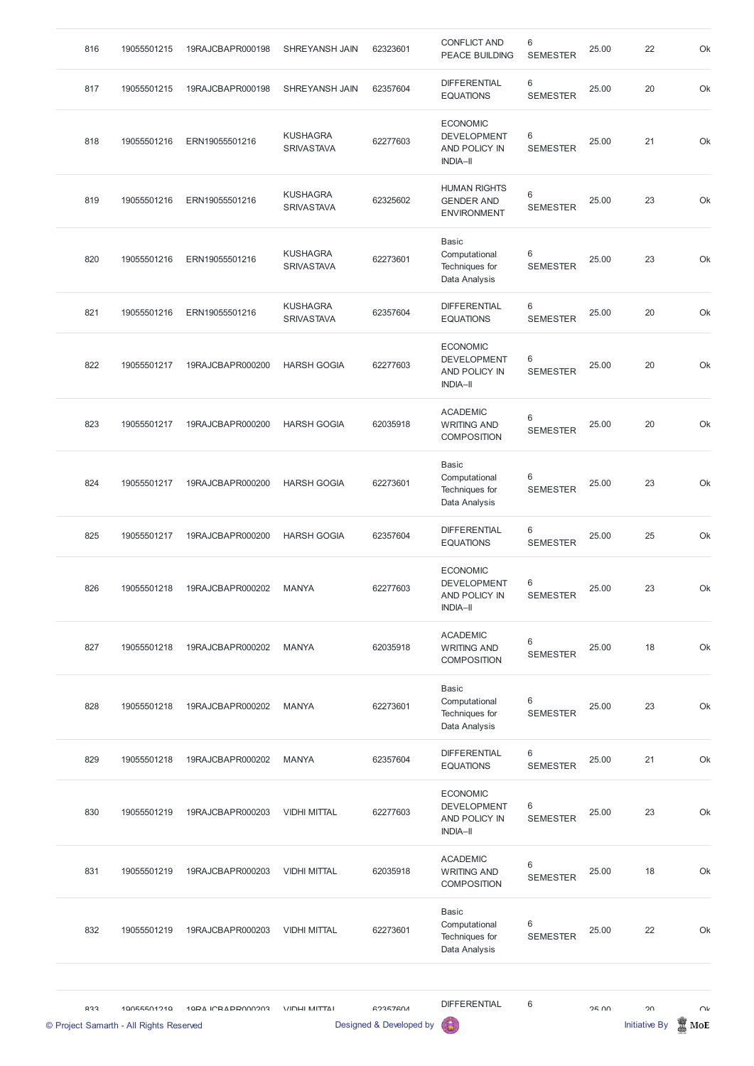| 816                                            | 19055501215 | 19RAJCBAPR000198         | SHREYANSH JAIN                       | 62323601                                   | <b>CONFLICT AND</b><br><b>PEACE BUILDING</b>                              | 6<br><b>SEMESTER</b> | 25.00 | 22                         | Ok            |
|------------------------------------------------|-------------|--------------------------|--------------------------------------|--------------------------------------------|---------------------------------------------------------------------------|----------------------|-------|----------------------------|---------------|
| 817                                            | 19055501215 | 19RAJCBAPR000198         | SHREYANSH JAIN                       | 62357604                                   | <b>DIFFERENTIAL</b><br><b>EQUATIONS</b>                                   | 6<br><b>SEMESTER</b> | 25.00 | 20                         | Ok            |
| 818                                            | 19055501216 | ERN19055501216           | <b>KUSHAGRA</b><br><b>SRIVASTAVA</b> | 62277603                                   | <b>ECONOMIC</b><br><b>DEVELOPMENT</b><br>AND POLICY IN<br><b>INDIA-II</b> | 6<br><b>SEMESTER</b> | 25.00 | 21                         | Ok            |
| 819                                            | 19055501216 | ERN19055501216           | <b>KUSHAGRA</b><br><b>SRIVASTAVA</b> | 62325602                                   | <b>HUMAN RIGHTS</b><br><b>GENDER AND</b><br><b>ENVIRONMENT</b>            | 6<br><b>SEMESTER</b> | 25.00 | 23                         | Ok            |
| 820                                            | 19055501216 | ERN19055501216           | <b>KUSHAGRA</b><br><b>SRIVASTAVA</b> | 62273601                                   | <b>Basic</b><br>Computational<br>Techniques for<br>Data Analysis          | 6<br><b>SEMESTER</b> | 25.00 | 23                         | Ok            |
| 821                                            | 19055501216 | ERN19055501216           | <b>KUSHAGRA</b><br><b>SRIVASTAVA</b> | 62357604                                   | <b>DIFFERENTIAL</b><br><b>EQUATIONS</b>                                   | 6<br><b>SEMESTER</b> | 25.00 | 20                         | Ok            |
| 822                                            | 19055501217 | 19RAJCBAPR000200         | <b>HARSH GOGIA</b>                   | 62277603                                   | <b>ECONOMIC</b><br><b>DEVELOPMENT</b><br>AND POLICY IN<br><b>INDIA-II</b> | 6<br><b>SEMESTER</b> | 25.00 | 20                         | Ok            |
| 823                                            | 19055501217 | 19RAJCBAPR000200         | <b>HARSH GOGIA</b>                   | 62035918                                   | <b>ACADEMIC</b><br><b>WRITING AND</b><br><b>COMPOSITION</b>               | 6<br><b>SEMESTER</b> | 25.00 | 20                         | Ok            |
| 824                                            | 19055501217 | 19RAJCBAPR000200         | <b>HARSH GOGIA</b>                   | 62273601                                   | <b>Basic</b><br>Computational<br>Techniques for<br>Data Analysis          | 6<br><b>SEMESTER</b> | 25.00 | 23                         | Ok            |
| 825                                            | 19055501217 | 19RAJCBAPR000200         | <b>HARSH GOGIA</b>                   | 62357604                                   | <b>DIFFERENTIAL</b><br><b>EQUATIONS</b>                                   | 6<br><b>SEMESTER</b> | 25.00 | 25                         | Ok            |
| 826                                            | 19055501218 | 19RAJCBAPR000202         | <b>MANYA</b>                         | 62277603                                   | <b>ECONOMIC</b><br><b>DEVELOPMENT</b><br>AND POLICY IN<br><b>INDIA-II</b> | 6<br><b>SEMESTER</b> | 25.00 | 23                         | Ok            |
| 827                                            | 19055501218 | 19RAJCBAPR000202         | <b>MANYA</b>                         | 62035918                                   | <b>ACADEMIC</b><br><b>WRITING AND</b><br><b>COMPOSITION</b>               | 6<br><b>SEMESTER</b> | 25.00 | 18                         | Ok            |
| 828                                            | 19055501218 | 19RAJCBAPR000202         | <b>MANYA</b>                         | 62273601                                   | <b>Basic</b><br>Computational<br>Techniques for<br>Data Analysis          | 6<br><b>SEMESTER</b> | 25.00 | 23                         | Ok            |
| 829                                            | 19055501218 | 19RAJCBAPR000202         | <b>MANYA</b>                         | 62357604                                   | <b>DIFFERENTIAL</b><br><b>EQUATIONS</b>                                   | 6<br><b>SEMESTER</b> | 25.00 | 21                         | Ok            |
| 830                                            | 19055501219 | 19RAJCBAPR000203         | <b>VIDHI MITTAL</b>                  | 62277603                                   | <b>ECONOMIC</b><br><b>DEVELOPMENT</b><br>AND POLICY IN<br><b>INDIA-II</b> | 6<br><b>SEMESTER</b> | 25.00 | 23                         | Ok            |
| 831                                            | 19055501219 | 19RAJCBAPR000203         | <b>VIDHI MITTAL</b>                  | 62035918                                   | <b>ACADEMIC</b><br><b>WRITING AND</b><br><b>COMPOSITION</b>               | 6<br><b>SEMESTER</b> | 25.00 | 18                         | Ok            |
| 832                                            | 19055501219 | 19RAJCBAPR000203         | <b>VIDHI MITTAL</b>                  | 62273601                                   | <b>Basic</b><br>Computational<br>Techniques for<br>Data Analysis          | 6<br><b>SEMESTER</b> | 25.00 | 22                         | Ok            |
| ひょう<br>© Project Samarth - All Rights Reserved | 10055501210 | <b>10DA ICRADDO00002</b> | <b>VIDLIMITTAI</b>                   | <b>GOREZGOA</b><br>Designed & Developed by | <b>DIFFERENTIAL</b>                                                       | 6                    | OF UU | ገበ<br><b>Initiative By</b> | $\cap$<br>MoE |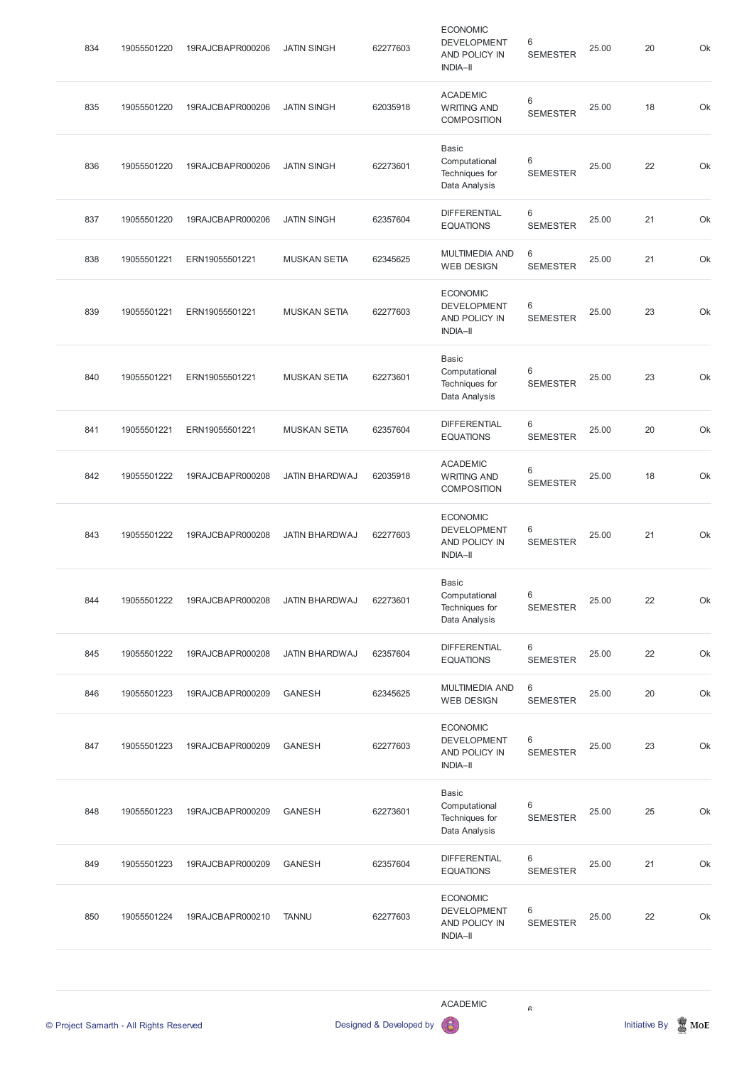| 834 | 19055501220 | 19RAJCBAPR000206 | <b>JATIN SINGH</b>    | 62277603 | <b>ECONOMIC</b><br><b>DEVELOPMENT</b><br>AND POLICY IN<br><b>INDIA-II</b> | 6<br><b>SEMESTER</b>              | 25.00 | 20 | Ok |
|-----|-------------|------------------|-----------------------|----------|---------------------------------------------------------------------------|-----------------------------------|-------|----|----|
| 835 | 19055501220 | 19RAJCBAPR000206 | <b>JATIN SINGH</b>    | 62035918 | <b>ACADEMIC</b><br><b>WRITING AND</b><br><b>COMPOSITION</b>               | $\,6\,$<br><b>SEMESTER</b>        | 25.00 | 18 | Ok |
| 836 | 19055501220 | 19RAJCBAPR000206 | <b>JATIN SINGH</b>    | 62273601 | <b>Basic</b><br>Computational<br>Techniques for<br>Data Analysis          | 6<br><b>SEMESTER</b>              | 25.00 | 22 | Ok |
| 837 | 19055501220 | 19RAJCBAPR000206 | <b>JATIN SINGH</b>    | 62357604 | <b>DIFFERENTIAL</b><br><b>EQUATIONS</b>                                   | 6<br><b>SEMESTER</b>              | 25.00 | 21 | Ok |
| 838 | 19055501221 | ERN19055501221   | <b>MUSKAN SETIA</b>   | 62345625 | <b>MULTIMEDIA AND</b><br><b>WEB DESIGN</b>                                | $6\phantom{1}$<br><b>SEMESTER</b> | 25.00 | 21 | Ok |
| 839 | 19055501221 | ERN19055501221   | <b>MUSKAN SETIA</b>   | 62277603 | <b>ECONOMIC</b><br><b>DEVELOPMENT</b><br>AND POLICY IN<br><b>INDIA-II</b> | 6<br><b>SEMESTER</b>              | 25.00 | 23 | Ok |
| 840 | 19055501221 | ERN19055501221   | <b>MUSKAN SETIA</b>   | 62273601 | <b>Basic</b><br>Computational<br>Techniques for<br>Data Analysis          | 6<br><b>SEMESTER</b>              | 25.00 | 23 | Ok |
| 841 | 19055501221 | ERN19055501221   | <b>MUSKAN SETIA</b>   | 62357604 | <b>DIFFERENTIAL</b><br><b>EQUATIONS</b>                                   | 6<br><b>SEMESTER</b>              | 25.00 | 20 | Ok |
| 842 | 19055501222 | 19RAJCBAPR000208 | <b>JATIN BHARDWAJ</b> | 62035918 | <b>ACADEMIC</b><br><b>WRITING AND</b><br><b>COMPOSITION</b>               | $\,6\,$<br><b>SEMESTER</b>        | 25.00 | 18 | Ok |
| 843 | 19055501222 | 19RAJCBAPR000208 | <b>JATIN BHARDWAJ</b> | 62277603 | <b>ECONOMIC</b><br><b>DEVELOPMENT</b><br>AND POLICY IN<br><b>INDIA-II</b> | 6<br><b>SEMESTER</b>              | 25.00 | 21 | Ok |
| 844 | 19055501222 | 19RAJCBAPR000208 | JATIN BHARDWAJ        | 62273601 | <b>Basic</b><br>Computational<br>Techniques for<br>Data Analysis          | 6<br><b>SEMESTER</b>              | 25.00 | 22 | Ok |
| 845 | 19055501222 | 19RAJCBAPR000208 | <b>JATIN BHARDWAJ</b> | 62357604 | <b>DIFFERENTIAL</b><br><b>EQUATIONS</b>                                   | 6<br><b>SEMESTER</b>              | 25.00 | 22 | Ok |
| 846 | 19055501223 | 19RAJCBAPR000209 | <b>GANESH</b>         | 62345625 | <b>MULTIMEDIA AND</b><br><b>WEB DESIGN</b>                                | $6\phantom{1}$<br><b>SEMESTER</b> | 25.00 | 20 | Ok |
| 847 | 19055501223 | 19RAJCBAPR000209 | <b>GANESH</b>         | 62277603 | <b>ECONOMIC</b><br><b>DEVELOPMENT</b><br>AND POLICY IN<br><b>INDIA-II</b> | 6<br><b>SEMESTER</b>              | 25.00 | 23 | Ok |
| 848 | 19055501223 | 19RAJCBAPR000209 | <b>GANESH</b>         | 62273601 | Basic<br>Computational<br>Techniques for<br>Data Analysis                 | 6<br><b>SEMESTER</b>              | 25.00 | 25 | Ok |
| 849 | 19055501223 | 19RAJCBAPR000209 | <b>GANESH</b>         | 62357604 | <b>DIFFERENTIAL</b><br><b>EQUATIONS</b>                                   | 6<br><b>SEMESTER</b>              | 25.00 | 21 | Ok |
| 850 | 19055501224 | 19RAJCBAPR000210 | <b>TANNU</b>          | 62277603 | <b>ECONOMIC</b><br><b>DEVELOPMENT</b><br>AND POLICY IN<br><b>INDIA-II</b> | 6<br><b>SEMESTER</b>              | 25.00 | 22 | Ok |

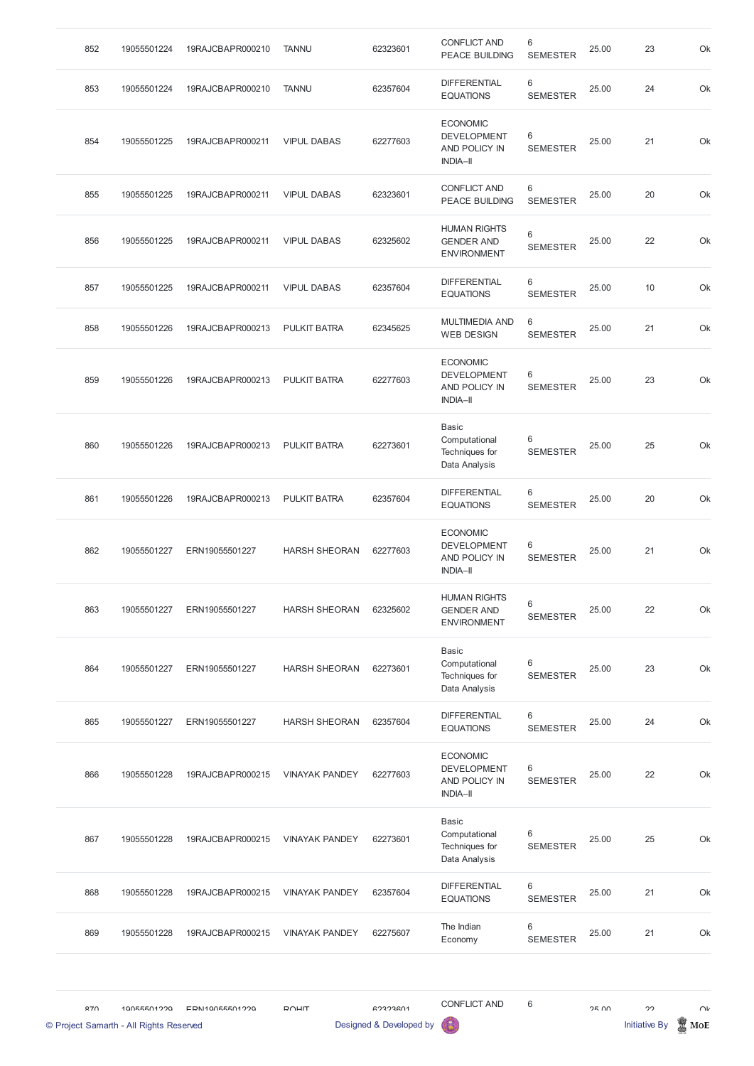| 852 | 19055501224 | 19RAJCBAPR000210 | <b>TANNU</b>          | 62323601 | <b>CONFLICT AND</b><br><b>PEACE BUILDING</b>                              | 6<br><b>SEMESTER</b> | 25.00 | 23 | Ok |
|-----|-------------|------------------|-----------------------|----------|---------------------------------------------------------------------------|----------------------|-------|----|----|
| 853 | 19055501224 | 19RAJCBAPR000210 | <b>TANNU</b>          | 62357604 | <b>DIFFERENTIAL</b><br><b>EQUATIONS</b>                                   | 6<br><b>SEMESTER</b> | 25.00 | 24 | Ok |
| 854 | 19055501225 | 19RAJCBAPR000211 | <b>VIPUL DABAS</b>    | 62277603 | <b>ECONOMIC</b><br><b>DEVELOPMENT</b><br>AND POLICY IN<br><b>INDIA-II</b> | 6<br><b>SEMESTER</b> | 25.00 | 21 | Ok |
| 855 | 19055501225 | 19RAJCBAPR000211 | <b>VIPUL DABAS</b>    | 62323601 | <b>CONFLICT AND</b><br><b>PEACE BUILDING</b>                              | 6<br><b>SEMESTER</b> | 25.00 | 20 | Ok |
| 856 | 19055501225 | 19RAJCBAPR000211 | <b>VIPUL DABAS</b>    | 62325602 | <b>HUMAN RIGHTS</b><br><b>GENDER AND</b><br><b>ENVIRONMENT</b>            | 6<br><b>SEMESTER</b> | 25.00 | 22 | Ok |
| 857 | 19055501225 | 19RAJCBAPR000211 | <b>VIPUL DABAS</b>    | 62357604 | <b>DIFFERENTIAL</b><br><b>EQUATIONS</b>                                   | 6<br><b>SEMESTER</b> | 25.00 | 10 | Ok |
| 858 | 19055501226 | 19RAJCBAPR000213 | <b>PULKIT BATRA</b>   | 62345625 | <b>MULTIMEDIA AND</b><br><b>WEB DESIGN</b>                                | 6<br><b>SEMESTER</b> | 25.00 | 21 | Ok |
| 859 | 19055501226 | 19RAJCBAPR000213 | <b>PULKIT BATRA</b>   | 62277603 | <b>ECONOMIC</b><br><b>DEVELOPMENT</b><br>AND POLICY IN<br><b>INDIA-II</b> | 6<br><b>SEMESTER</b> | 25.00 | 23 | Ok |
| 860 | 19055501226 | 19RAJCBAPR000213 | <b>PULKIT BATRA</b>   | 62273601 | Basic<br>Computational<br>Techniques for<br>Data Analysis                 | 6<br><b>SEMESTER</b> | 25.00 | 25 | Ok |
| 861 | 19055501226 | 19RAJCBAPR000213 | <b>PULKIT BATRA</b>   | 62357604 | <b>DIFFERENTIAL</b><br><b>EQUATIONS</b>                                   | 6<br><b>SEMESTER</b> | 25.00 | 20 | Ok |
| 862 | 19055501227 | ERN19055501227   | <b>HARSH SHEORAN</b>  | 62277603 | <b>ECONOMIC</b><br><b>DEVELOPMENT</b><br>AND POLICY IN<br><b>INDIA-II</b> | 6<br><b>SEMESTER</b> | 25.00 | 21 | Ok |
| 863 | 19055501227 | ERN19055501227   | <b>HARSH SHEORAN</b>  | 62325602 | <b>HUMAN RIGHTS</b><br><b>GENDER AND</b><br><b>ENVIRONMENT</b>            | 6<br><b>SEMESTER</b> | 25.00 | 22 | Ok |
| 864 | 19055501227 | ERN19055501227   | <b>HARSH SHEORAN</b>  | 62273601 | <b>Basic</b><br>Computational<br>Techniques for<br>Data Analysis          | 6<br><b>SEMESTER</b> | 25.00 | 23 | Ok |
| 865 | 19055501227 | ERN19055501227   | <b>HARSH SHEORAN</b>  | 62357604 | <b>DIFFERENTIAL</b><br><b>EQUATIONS</b>                                   | 6<br><b>SEMESTER</b> | 25.00 | 24 | Ok |
| 866 | 19055501228 | 19RAJCBAPR000215 | <b>VINAYAK PANDEY</b> | 62277603 | <b>ECONOMIC</b><br><b>DEVELOPMENT</b><br>AND POLICY IN<br><b>INDIA-II</b> | 6<br><b>SEMESTER</b> | 25.00 | 22 | Ok |

|     | © Project Samarth - All Rights Reserved |                  |                       | Designed & Developed by | 63                                               |                      |       | <b>Initiative By</b> | MoE |
|-----|-----------------------------------------|------------------|-----------------------|-------------------------|--------------------------------------------------|----------------------|-------|----------------------|-----|
| 970 | 10055501220                             | EDN110055501220  | <b>DOLIT</b>          | <b>GORDRAN</b>          | <b>CONFLICT AND</b>                              | 6                    | 2500  | າາ                   |     |
| 869 | 19055501228                             | 19RAJCBAPR000215 | <b>VINAYAK PANDEY</b> | 62275607                | The Indian<br>Economy                            | 6<br><b>SEMESTER</b> | 25.00 | 21                   |     |
| 868 | 19055501228                             | 19RAJCBAPR000215 | <b>VINAYAK PANDEY</b> | 62357604                | <b>DIFFERENTIAL</b><br><b>EQUATIONS</b>          | 6<br><b>SEMESTER</b> | 25.00 | 21                   |     |
| 867 | 19055501228                             | 19RAJCBAPR000215 | <b>VINAYAK PANDEY</b> | 62273601                | Computational<br>Techniques for<br>Data Analysis | 6<br><b>SEMESTER</b> | 25.00 | 25                   |     |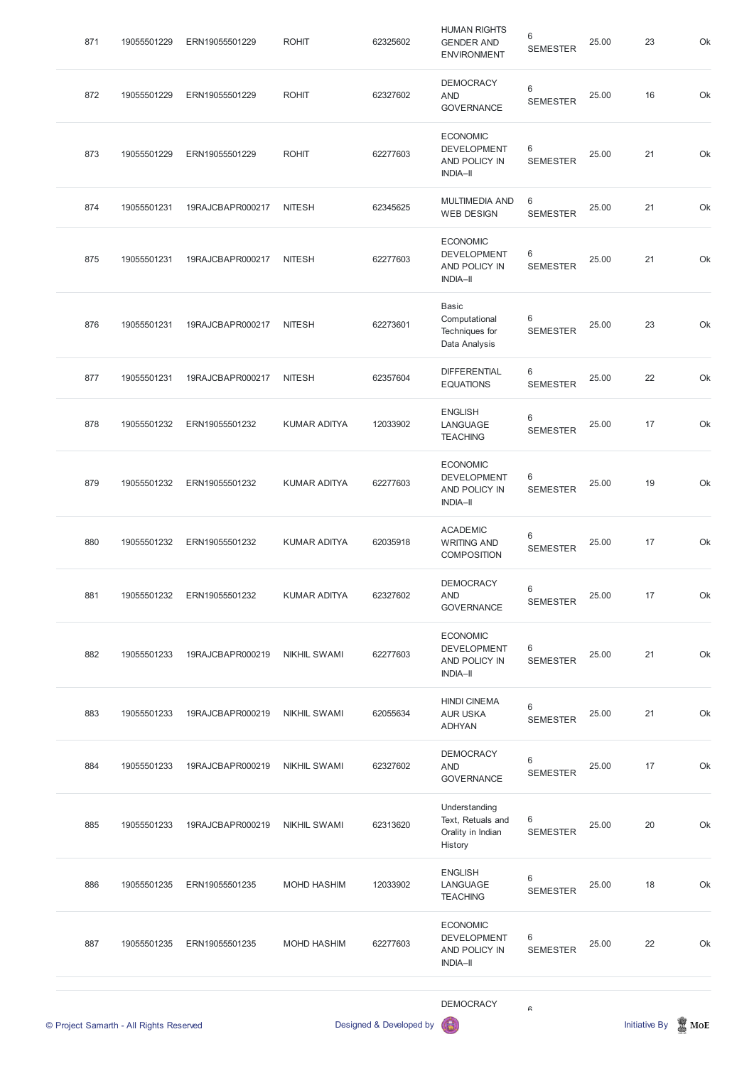| 871 | 19055501229                             | ERN19055501229                | <b>ROHIT</b>        | 62325602                | <b>HUMAN RIGHTS</b><br><b>GENDER AND</b><br><b>ENVIRONMENT</b>            | 6<br><b>SEMESTER</b>     | 25.00 | 23                   | Ok              |
|-----|-----------------------------------------|-------------------------------|---------------------|-------------------------|---------------------------------------------------------------------------|--------------------------|-------|----------------------|-----------------|
| 872 | 19055501229                             | ERN19055501229                | <b>ROHIT</b>        | 62327602                | <b>DEMOCRACY</b><br><b>AND</b><br><b>GOVERNANCE</b>                       | 6<br><b>SEMESTER</b>     | 25.00 | 16                   | Ok              |
| 873 | 19055501229                             | ERN19055501229                | <b>ROHIT</b>        | 62277603                | <b>ECONOMIC</b><br><b>DEVELOPMENT</b><br>AND POLICY IN<br><b>INDIA-II</b> | $\,6$<br><b>SEMESTER</b> | 25.00 | 21                   | Ok              |
| 874 | 19055501231                             | 19RAJCBAPR000217              | <b>NITESH</b>       | 62345625                | <b>MULTIMEDIA AND</b><br><b>WEB DESIGN</b>                                | 6<br><b>SEMESTER</b>     | 25.00 | 21                   | Ok              |
| 875 | 19055501231                             | 19RAJCBAPR000217              | <b>NITESH</b>       | 62277603                | <b>ECONOMIC</b><br><b>DEVELOPMENT</b><br>AND POLICY IN<br><b>INDIA-II</b> | 6<br><b>SEMESTER</b>     | 25.00 | 21                   | Ok              |
| 876 | 19055501231                             | 19RAJCBAPR000217              | <b>NITESH</b>       | 62273601                | <b>Basic</b><br>Computational<br>Techniques for<br>Data Analysis          | 6<br><b>SEMESTER</b>     | 25.00 | 23                   | Ok              |
| 877 | 19055501231                             | 19RAJCBAPR000217              | <b>NITESH</b>       | 62357604                | <b>DIFFERENTIAL</b><br><b>EQUATIONS</b>                                   | 6<br><b>SEMESTER</b>     | 25.00 | 22                   | Ok              |
| 878 | 19055501232                             | ERN19055501232                | <b>KUMAR ADITYA</b> | 12033902                | <b>ENGLISH</b><br>LANGUAGE<br><b>TEACHING</b>                             | 6<br><b>SEMESTER</b>     | 25.00 | 17 <sup>2</sup>      | Ok              |
| 879 | 19055501232                             | ERN19055501232                | <b>KUMAR ADITYA</b> | 62277603                | <b>ECONOMIC</b><br><b>DEVELOPMENT</b><br>AND POLICY IN<br><b>INDIA-II</b> | 6<br><b>SEMESTER</b>     | 25.00 | 19                   | Ok              |
| 880 | 19055501232                             | ERN19055501232                | KUMAR ADITYA        | 62035918                | <b>ACADEMIC</b><br><b>WRITING AND</b><br><b>COMPOSITION</b>               | $\,6$<br><b>SEMESTER</b> | 25.00 | 17                   | Ok              |
| 881 | 19055501232                             | ERN19055501232                | <b>KUMAR ADITYA</b> | 62327602                | <b>DEMOCRACY</b><br><b>AND</b><br><b>GOVERNANCE</b>                       | 6<br><b>SEMESTER</b>     | 25.00 | 17                   | Ok              |
| 882 | 19055501233                             | 19RAJCBAPR000219              | <b>NIKHIL SWAMI</b> | 62277603                | <b>ECONOMIC</b><br><b>DEVELOPMENT</b><br>AND POLICY IN<br><b>INDIA-II</b> | 6<br><b>SEMESTER</b>     | 25.00 | 21                   | Ok              |
| 883 | 19055501233                             | 19RAJCBAPR000219              | <b>NIKHIL SWAMI</b> | 62055634                | <b>HINDI CINEMA</b><br><b>AUR USKA</b><br><b>ADHYAN</b>                   | 6<br><b>SEMESTER</b>     | 25.00 | 21                   | Ok              |
| 884 | 19055501233                             | 19RAJCBAPR000219              | <b>NIKHIL SWAMI</b> | 62327602                | <b>DEMOCRACY</b><br><b>AND</b><br><b>GOVERNANCE</b>                       | 6<br><b>SEMESTER</b>     | 25.00 | 17                   | Ok              |
| 885 | 19055501233                             | 19RAJCBAPR000219 NIKHIL SWAMI |                     | 62313620                | Understanding<br>Text, Retuals and<br>Orality in Indian<br>History        | 6<br><b>SEMESTER</b>     | 25.00 | 20                   | Ok              |
| 886 | 19055501235                             | ERN19055501235                | MOHD HASHIM         | 12033902                | <b>ENGLISH</b><br>LANGUAGE<br><b>TEACHING</b>                             | 6<br><b>SEMESTER</b>     | 25.00 | 18                   | Ok              |
| 887 | 19055501235                             | ERN19055501235                | MOHD HASHIM         | 62277603                | <b>ECONOMIC</b><br><b>DEVELOPMENT</b><br>AND POLICY IN<br><b>INDIA-II</b> | 6<br><b>SEMESTER</b>     | 25.00 | 22                   | Ok              |
|     |                                         |                               |                     |                         | <b>DEMOCRACY</b>                                                          | $\mathrel{\mathsf{G}}$   |       |                      |                 |
|     | © Project Samarth - All Rights Reserved |                               |                     | Designed & Developed by |                                                                           |                          |       | <b>Initiative By</b> | $\mathbb Z$ MoE |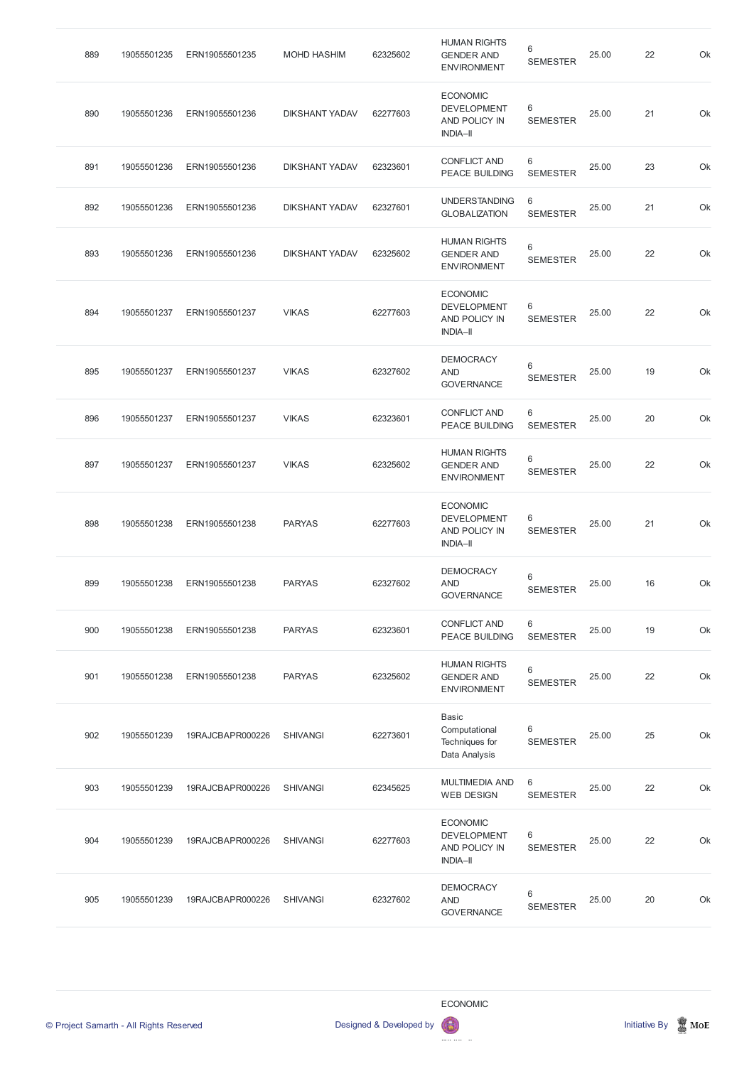| 889 | 19055501235 | ERN19055501235   | <b>MOHD HASHIM</b>    | 62325602 | <b>HUMAN RIGHTS</b><br><b>GENDER AND</b><br><b>ENVIRONMENT</b>            | 6<br><b>SEMESTER</b> | 25.00 | 22 | Ok |
|-----|-------------|------------------|-----------------------|----------|---------------------------------------------------------------------------|----------------------|-------|----|----|
| 890 | 19055501236 | ERN19055501236   | <b>DIKSHANT YADAV</b> | 62277603 | <b>ECONOMIC</b><br><b>DEVELOPMENT</b><br>AND POLICY IN<br><b>INDIA-II</b> | 6<br><b>SEMESTER</b> | 25.00 | 21 | Ok |
| 891 | 19055501236 | ERN19055501236   | <b>DIKSHANT YADAV</b> | 62323601 | <b>CONFLICT AND</b><br>PEACE BUILDING                                     | 6<br><b>SEMESTER</b> | 25.00 | 23 | Ok |
| 892 | 19055501236 | ERN19055501236   | <b>DIKSHANT YADAV</b> | 62327601 | <b>UNDERSTANDING</b><br><b>GLOBALIZATION</b>                              | 6<br><b>SEMESTER</b> | 25.00 | 21 | Ok |
| 893 | 19055501236 | ERN19055501236   | <b>DIKSHANT YADAV</b> | 62325602 | <b>HUMAN RIGHTS</b><br><b>GENDER AND</b><br><b>ENVIRONMENT</b>            | 6<br><b>SEMESTER</b> | 25.00 | 22 | Ok |
| 894 | 19055501237 | ERN19055501237   | <b>VIKAS</b>          | 62277603 | <b>ECONOMIC</b><br><b>DEVELOPMENT</b><br>AND POLICY IN<br><b>INDIA-II</b> | 6<br><b>SEMESTER</b> | 25.00 | 22 | Ok |
| 895 | 19055501237 | ERN19055501237   | <b>VIKAS</b>          | 62327602 | <b>DEMOCRACY</b><br><b>AND</b><br><b>GOVERNANCE</b>                       | 6<br><b>SEMESTER</b> | 25.00 | 19 | Ok |
| 896 | 19055501237 | ERN19055501237   | <b>VIKAS</b>          | 62323601 | <b>CONFLICT AND</b><br><b>PEACE BUILDING</b>                              | 6<br><b>SEMESTER</b> | 25.00 | 20 | Ok |
| 897 | 19055501237 | ERN19055501237   | <b>VIKAS</b>          | 62325602 | <b>HUMAN RIGHTS</b><br><b>GENDER AND</b><br><b>ENVIRONMENT</b>            | 6<br><b>SEMESTER</b> | 25.00 | 22 | Ok |
| 898 | 19055501238 | ERN19055501238   | <b>PARYAS</b>         | 62277603 | <b>ECONOMIC</b><br><b>DEVELOPMENT</b><br>AND POLICY IN<br><b>INDIA-II</b> | 6<br><b>SEMESTER</b> | 25.00 | 21 | Ok |
| 899 | 19055501238 | ERN19055501238   | <b>PARYAS</b>         | 62327602 | <b>DEMOCRACY</b><br><b>AND</b><br><b>GOVERNANCE</b>                       | 6<br><b>SEMESTER</b> | 25.00 | 16 | Ok |
| 900 | 19055501238 | ERN19055501238   | <b>PARYAS</b>         | 62323601 | <b>CONFLICT AND</b><br><b>PEACE BUILDING</b>                              | 6<br><b>SEMESTER</b> | 25.00 | 19 | Ok |
| 901 | 19055501238 | ERN19055501238   | <b>PARYAS</b>         | 62325602 | <b>HUMAN RIGHTS</b><br><b>GENDER AND</b><br><b>ENVIRONMENT</b>            | 6<br><b>SEMESTER</b> | 25.00 | 22 | Ok |
| 902 | 19055501239 | 19RAJCBAPR000226 | <b>SHIVANGI</b>       | 62273601 | <b>Basic</b><br>Computational<br>Techniques for<br>Data Analysis          | 6<br><b>SEMESTER</b> | 25.00 | 25 | Ok |
| 903 | 19055501239 | 19RAJCBAPR000226 | <b>SHIVANGI</b>       | 62345625 | <b>MULTIMEDIA AND</b><br><b>WEB DESIGN</b>                                | 6<br><b>SEMESTER</b> | 25.00 | 22 | Ok |

| 904 | 19055501239 | 19RAJCBAPR000226 | <b>SHIVANGI</b> | 62277603 | <b>ECONOMIC</b><br><b>DEVELOPMENT</b><br>AND POLICY IN<br><b>INDIA-II</b> | 6<br><b>SEMESTER</b> | 25.00 | 22 | Ok |
|-----|-------------|------------------|-----------------|----------|---------------------------------------------------------------------------|----------------------|-------|----|----|
| 905 | 19055501239 | 19RAJCBAPR000226 | <b>SHIVANGI</b> | 62327602 | <b>DEMOCRACY</b><br><b>AND</b><br><b>GOVERNANCE</b>                       | 6<br><b>SEMESTER</b> | 25.00 | 20 | Ok |



ECONOMIC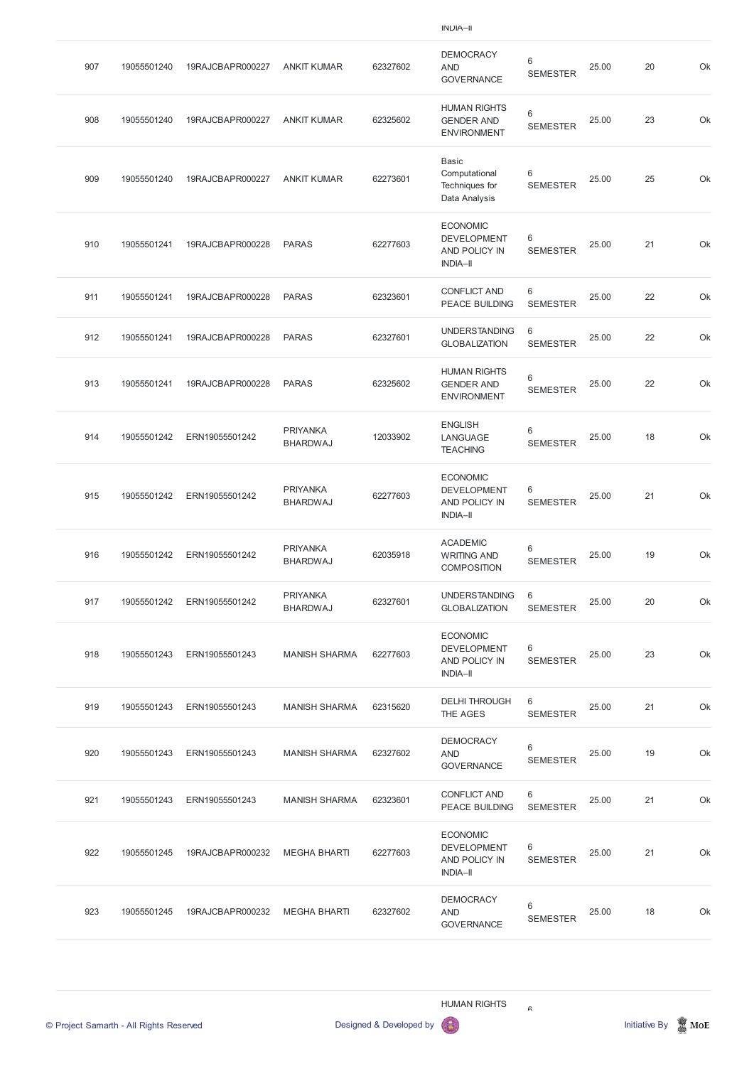| 907 | 19055501240 | 19RAJCBAPR000227 | <b>ANKIT KUMAR</b>                 | 62327602 | <b>DEMOCRACY</b><br><b>AND</b><br><b>GOVERNANCE</b>                       | 6<br><b>SEMESTER</b> | 25.00 | 20 | Ok |
|-----|-------------|------------------|------------------------------------|----------|---------------------------------------------------------------------------|----------------------|-------|----|----|
| 908 | 19055501240 | 19RAJCBAPR000227 | <b>ANKIT KUMAR</b>                 | 62325602 | <b>HUMAN RIGHTS</b><br><b>GENDER AND</b><br><b>ENVIRONMENT</b>            | 6<br><b>SEMESTER</b> | 25.00 | 23 | Ok |
| 909 | 19055501240 | 19RAJCBAPR000227 | <b>ANKIT KUMAR</b>                 | 62273601 | <b>Basic</b><br>Computational<br>Techniques for<br>Data Analysis          | 6<br><b>SEMESTER</b> | 25.00 | 25 | Ok |
| 910 | 19055501241 | 19RAJCBAPR000228 | <b>PARAS</b>                       | 62277603 | <b>ECONOMIC</b><br><b>DEVELOPMENT</b><br>AND POLICY IN<br><b>INDIA-II</b> | 6<br><b>SEMESTER</b> | 25.00 | 21 | Ok |
| 911 | 19055501241 | 19RAJCBAPR000228 | <b>PARAS</b>                       | 62323601 | <b>CONFLICT AND</b><br>PEACE BUILDING                                     | 6<br><b>SEMESTER</b> | 25.00 | 22 | Ok |
| 912 | 19055501241 | 19RAJCBAPR000228 | <b>PARAS</b>                       | 62327601 | <b>UNDERSTANDING</b><br><b>GLOBALIZATION</b>                              | 6<br><b>SEMESTER</b> | 25.00 | 22 | Ok |
| 913 | 19055501241 | 19RAJCBAPR000228 | <b>PARAS</b>                       | 62325602 | <b>HUMAN RIGHTS</b><br><b>GENDER AND</b><br><b>ENVIRONMENT</b>            | 6<br><b>SEMESTER</b> | 25.00 | 22 | Ok |
| 914 | 19055501242 | ERN19055501242   | <b>PRIYANKA</b><br><b>BHARDWAJ</b> | 12033902 | <b>ENGLISH</b><br>LANGUAGE<br><b>TEACHING</b>                             | 6<br><b>SEMESTER</b> | 25.00 | 18 | Ok |
| 915 | 19055501242 | ERN19055501242   | <b>PRIYANKA</b><br><b>BHARDWAJ</b> | 62277603 | <b>ECONOMIC</b><br><b>DEVELOPMENT</b><br>AND POLICY IN<br><b>INDIA-II</b> | 6<br><b>SEMESTER</b> | 25.00 | 21 | Ok |
| 916 | 19055501242 | ERN19055501242   | <b>PRIYANKA</b><br><b>BHARDWAJ</b> | 62035918 | <b>ACADEMIC</b><br><b>WRITING AND</b><br><b>COMPOSITION</b>               | 6<br><b>SEMESTER</b> | 25.00 | 19 | Ok |
| 917 | 19055501242 | ERN19055501242   | <b>PRIYANKA</b><br><b>BHARDWAJ</b> | 62327601 | <b>UNDERSTANDING</b><br><b>GLOBALIZATION</b>                              | 6<br><b>SEMESTER</b> | 25.00 | 20 | Ok |
| 918 | 19055501243 | ERN19055501243   | <b>MANISH SHARMA</b>               | 62277603 | <b>ECONOMIC</b><br><b>DEVELOPMENT</b><br>AND POLICY IN<br><b>INDIA-II</b> | 6<br><b>SEMESTER</b> | 25.00 | 23 | Ok |
| 919 | 19055501243 | ERN19055501243   | <b>MANISH SHARMA</b>               | 62315620 | <b>DELHI THROUGH</b><br>THE AGES                                          | 6<br><b>SEMESTER</b> | 25.00 | 21 | Ok |
| 920 | 19055501243 | ERN19055501243   | <b>MANISH SHARMA</b>               | 62327602 | <b>DEMOCRACY</b><br><b>AND</b><br><b>GOVERNANCE</b>                       | 6<br><b>SEMESTER</b> | 25.00 | 19 | Ok |
| 921 | 19055501243 | ERN19055501243   | <b>MANISH SHARMA</b>               | 62323601 | <b>CONFLICT AND</b>                                                       | 6                    | 25.00 | 21 | Ok |

PEACE BUILDING SEMESTER

| 922 | 19055501245 | 19RAJCBAPR000232 | MEGHA BHARTI | 62277603 | <b>ECONOMIC</b><br><b>DEVELOPMENT</b><br>AND POLICY IN<br><b>INDIA-II</b> | 6<br><b>SEMESTER</b> | 25.00 | 21 | Ok |
|-----|-------------|------------------|--------------|----------|---------------------------------------------------------------------------|----------------------|-------|----|----|
| 923 | 19055501245 | 19RAJCBAPR000232 | MEGHA BHARTI | 62327602 | <b>DEMOCRACY</b><br>AND<br><b>GOVERNANCE</b>                              | 6<br><b>SEMESTER</b> | 25.00 | 18 | Ok |

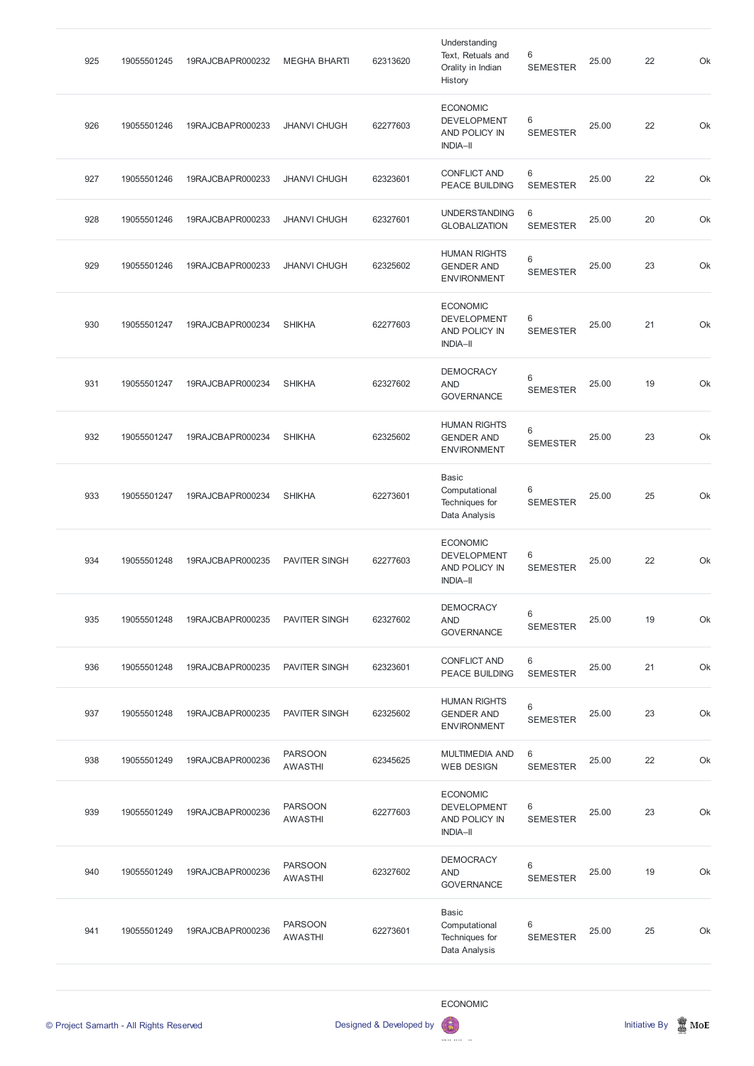| 925 | 19055501245 | 19RAJCBAPR000232 | <b>MEGHA BHARTI</b>              | 62313620 | Understanding<br>Text, Retuals and<br>Orality in Indian<br>History        | 6<br><b>SEMESTER</b>               | 25.00 | 22 | Ok |
|-----|-------------|------------------|----------------------------------|----------|---------------------------------------------------------------------------|------------------------------------|-------|----|----|
| 926 | 19055501246 | 19RAJCBAPR000233 | <b>JHANVI CHUGH</b>              | 62277603 | <b>ECONOMIC</b><br><b>DEVELOPMENT</b><br>AND POLICY IN<br><b>INDIA-II</b> | 6<br><b>SEMESTER</b>               | 25.00 | 22 | Ok |
| 927 | 19055501246 | 19RAJCBAPR000233 | <b>JHANVI CHUGH</b>              | 62323601 | <b>CONFLICT AND</b><br>PEACE BUILDING                                     | 6<br><b>SEMESTER</b>               | 25.00 | 22 | Ok |
| 928 | 19055501246 | 19RAJCBAPR000233 | <b>JHANVI CHUGH</b>              | 62327601 | <b>UNDERSTANDING</b><br><b>GLOBALIZATION</b>                              | 6<br><b>SEMESTER</b>               | 25.00 | 20 | Ok |
| 929 | 19055501246 | 19RAJCBAPR000233 | <b>JHANVI CHUGH</b>              | 62325602 | <b>HUMAN RIGHTS</b><br><b>GENDER AND</b><br><b>ENVIRONMENT</b>            | 6<br><b>SEMESTER</b>               | 25.00 | 23 | Ok |
| 930 | 19055501247 | 19RAJCBAPR000234 | <b>SHIKHA</b>                    | 62277603 | <b>ECONOMIC</b><br><b>DEVELOPMENT</b><br>AND POLICY IN<br><b>INDIA-II</b> | $6\phantom{1}6$<br><b>SEMESTER</b> | 25.00 | 21 | Ok |
| 931 | 19055501247 | 19RAJCBAPR000234 | <b>SHIKHA</b>                    | 62327602 | <b>DEMOCRACY</b><br><b>AND</b><br><b>GOVERNANCE</b>                       | 6<br><b>SEMESTER</b>               | 25.00 | 19 | Ok |
| 932 | 19055501247 | 19RAJCBAPR000234 | <b>SHIKHA</b>                    | 62325602 | <b>HUMAN RIGHTS</b><br><b>GENDER AND</b><br><b>ENVIRONMENT</b>            | 6<br><b>SEMESTER</b>               | 25.00 | 23 | Ok |
| 933 | 19055501247 | 19RAJCBAPR000234 | <b>SHIKHA</b>                    | 62273601 | <b>Basic</b><br>Computational<br>Techniques for<br>Data Analysis          | 6<br><b>SEMESTER</b>               | 25.00 | 25 | Ok |
| 934 | 19055501248 | 19RAJCBAPR000235 | <b>PAVITER SINGH</b>             | 62277603 | <b>ECONOMIC</b><br><b>DEVELOPMENT</b><br>AND POLICY IN<br><b>INDIA-II</b> | $6\phantom{1}6$<br><b>SEMESTER</b> | 25.00 | 22 | Ok |
| 935 | 19055501248 | 19RAJCBAPR000235 | PAVITER SINGH                    | 62327602 | <b>DEMOCRACY</b><br><b>AND</b><br><b>GOVERNANCE</b>                       | 6<br><b>SEMESTER</b>               | 25.00 | 19 | Ok |
| 936 | 19055501248 | 19RAJCBAPR000235 | PAVITER SINGH                    | 62323601 | <b>CONFLICT AND</b><br>PEACE BUILDING                                     | 6<br><b>SEMESTER</b>               | 25.00 | 21 | Ok |
| 937 | 19055501248 | 19RAJCBAPR000235 | PAVITER SINGH                    | 62325602 | <b>HUMAN RIGHTS</b><br><b>GENDER AND</b><br><b>ENVIRONMENT</b>            | 6<br><b>SEMESTER</b>               | 25.00 | 23 | Ok |
| 938 | 19055501249 | 19RAJCBAPR000236 | <b>PARSOON</b><br><b>AWASTHI</b> | 62345625 | <b>MULTIMEDIA AND</b><br><b>WEB DESIGN</b>                                | 6<br><b>SEMESTER</b>               | 25.00 | 22 | Ok |
| 939 | 19055501249 | 19RAJCBAPR000236 | <b>PARSOON</b><br><b>AWASTHI</b> | 62277603 | <b>ECONOMIC</b><br><b>DEVELOPMENT</b><br>AND POLICY IN<br><b>INDIA-II</b> | 6<br><b>SEMESTER</b>               | 25.00 | 23 | Ok |
| 940 | 19055501249 | 19RAJCBAPR000236 | <b>PARSOON</b><br><b>AWASTHI</b> | 62327602 | <b>DEMOCRACY</b><br><b>AND</b><br><b>GOVERNANCE</b>                       | $\,6$<br><b>SEMESTER</b>           | 25.00 | 19 | Ok |
| 941 | 19055501249 | 19RAJCBAPR000236 | <b>PARSOON</b><br><b>AWASTHI</b> | 62273601 | <b>Basic</b><br>Computational<br>Techniques for<br>Data Analysis          | 6<br><b>SEMESTER</b>               | 25.00 | 25 | Ok |
|     |             |                  |                                  |          |                                                                           |                                    |       |    |    |

# ECONOMIC

DEVELOPMENT OF STATISTICS  $\bigcirc$ 

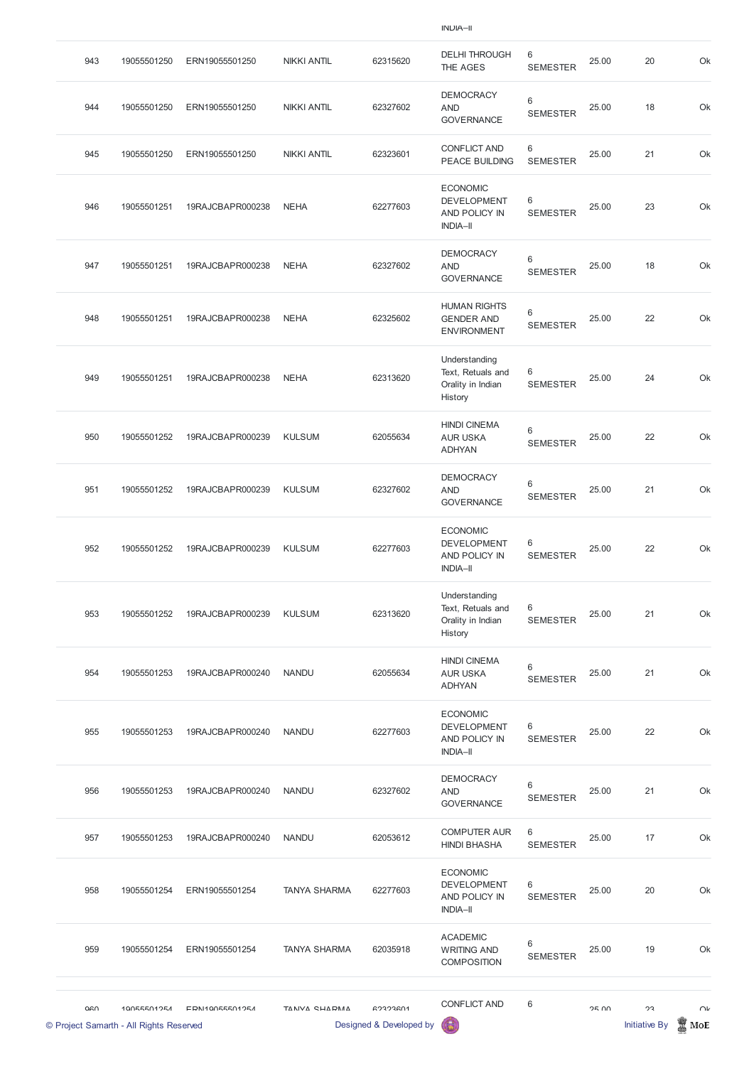| 943 | 19055501250 | ERN19055501250   | <b>NIKKI ANTIL</b> | 62315620 | <b>DELHI THROUGH</b><br>THE AGES                                          | 6<br><b>SEMESTER</b>       | 25.00 | 20 | Ok |
|-----|-------------|------------------|--------------------|----------|---------------------------------------------------------------------------|----------------------------|-------|----|----|
| 944 | 19055501250 | ERN19055501250   | <b>NIKKI ANTIL</b> | 62327602 | <b>DEMOCRACY</b><br><b>AND</b><br><b>GOVERNANCE</b>                       | 6<br><b>SEMESTER</b>       | 25.00 | 18 | Ok |
| 945 | 19055501250 | ERN19055501250   | <b>NIKKI ANTIL</b> | 62323601 | <b>CONFLICT AND</b><br><b>PEACE BUILDING</b>                              | 6<br><b>SEMESTER</b>       | 25.00 | 21 | Ok |
| 946 | 19055501251 | 19RAJCBAPR000238 | <b>NEHA</b>        | 62277603 | <b>ECONOMIC</b><br><b>DEVELOPMENT</b><br>AND POLICY IN<br><b>INDIA-II</b> | 6<br><b>SEMESTER</b>       | 25.00 | 23 | Ok |
| 947 | 19055501251 | 19RAJCBAPR000238 | <b>NEHA</b>        | 62327602 | <b>DEMOCRACY</b><br><b>AND</b><br><b>GOVERNANCE</b>                       | $\,6\,$<br><b>SEMESTER</b> | 25.00 | 18 | Ok |
| 948 | 19055501251 | 19RAJCBAPR000238 | <b>NEHA</b>        | 62325602 | <b>HUMAN RIGHTS</b><br><b>GENDER AND</b><br><b>ENVIRONMENT</b>            | $\,6$<br><b>SEMESTER</b>   | 25.00 | 22 | Ok |
| 949 | 19055501251 | 19RAJCBAPR000238 | <b>NEHA</b>        | 62313620 | Understanding<br>Text, Retuals and<br>Orality in Indian<br>History        | 6<br><b>SEMESTER</b>       | 25.00 | 24 | Ok |
| 950 | 19055501252 | 19RAJCBAPR000239 | <b>KULSUM</b>      | 62055634 | <b>HINDI CINEMA</b><br><b>AUR USKA</b><br><b>ADHYAN</b>                   | 6<br><b>SEMESTER</b>       | 25.00 | 22 | Ok |
| 951 | 19055501252 | 19RAJCBAPR000239 | <b>KULSUM</b>      | 62327602 | <b>DEMOCRACY</b><br><b>AND</b><br><b>GOVERNANCE</b>                       | $\,6\,$<br><b>SEMESTER</b> | 25.00 | 21 | Ok |
| 952 | 19055501252 | 19RAJCBAPR000239 | <b>KULSUM</b>      | 62277603 | <b>ECONOMIC</b><br><b>DEVELOPMENT</b><br>AND POLICY IN<br><b>INDIA-II</b> | $\,6$<br><b>SEMESTER</b>   | 25.00 | 22 | Ok |
| 953 | 19055501252 | 19RAJCBAPR000239 | <b>KULSUM</b>      | 62313620 | Understanding<br>Text, Retuals and<br>Orality in Indian<br>History        | 6<br><b>SEMESTER</b>       | 25.00 | 21 | Ok |
| 954 | 19055501253 | 19RAJCBAPR000240 | <b>NANDU</b>       | 62055634 | <b>HINDI CINEMA</b><br><b>AUR USKA</b><br><b>ADHYAN</b>                   | $\,6\,$<br><b>SEMESTER</b> | 25.00 | 21 | Ok |
| 955 | 19055501253 | 19RAJCBAPR000240 | <b>NANDU</b>       | 62277603 | <b>ECONOMIC</b><br><b>DEVELOPMENT</b><br>AND POLICY IN<br><b>INDIA-II</b> | 6<br><b>SEMESTER</b>       | 25.00 | 22 | Ok |
| 956 | 19055501253 | 19RAJCBAPR000240 | <b>NANDU</b>       | 62327602 | <b>DEMOCRACY</b><br><b>AND</b><br>OMIDNIANDF                              | $\,6\,$<br><b>SEMESTER</b> | 25.00 | 21 | Ok |

| <b>GOVERNANCE</b> |
|-------------------|
|-------------------|

|     | © Project Samarth - All Rights Reserved |                  |                     | Designed & Developed by | 6                                                                         |                                   |              | <b>Initiative By</b> | MoE    |
|-----|-----------------------------------------|------------------|---------------------|-------------------------|---------------------------------------------------------------------------|-----------------------------------|--------------|----------------------|--------|
| 060 | 10055501254                             | EDN110055501254  | TANIVA CHADMA       | GORORAN                 | <b>CONFLICT AND</b>                                                       | 6                                 | <b>25 UV</b> | つつ                   | $\cap$ |
| 959 | 19055501254                             | ERN19055501254   | <b>TANYA SHARMA</b> | 62035918                | <b>ACADEMIC</b><br><b>WRITING AND</b><br><b>COMPOSITION</b>               | $6\phantom{1}$<br><b>SEMESTER</b> | 25.00        | 19                   | Ok     |
| 958 | 19055501254                             | ERN19055501254   | <b>TANYA SHARMA</b> | 62277603                | <b>ECONOMIC</b><br><b>DEVELOPMENT</b><br>AND POLICY IN<br><b>INDIA-II</b> | 6<br><b>SEMESTER</b>              | 25.00        | 20                   | Ok     |
| 957 | 19055501253                             | 19RAJCBAPR000240 | <b>NANDU</b>        | 62053612                | <b>COMPUTER AUR</b><br><b>HINDI BHASHA</b>                                | 6<br><b>SEMESTER</b>              | 25.00        | 17                   | Ok     |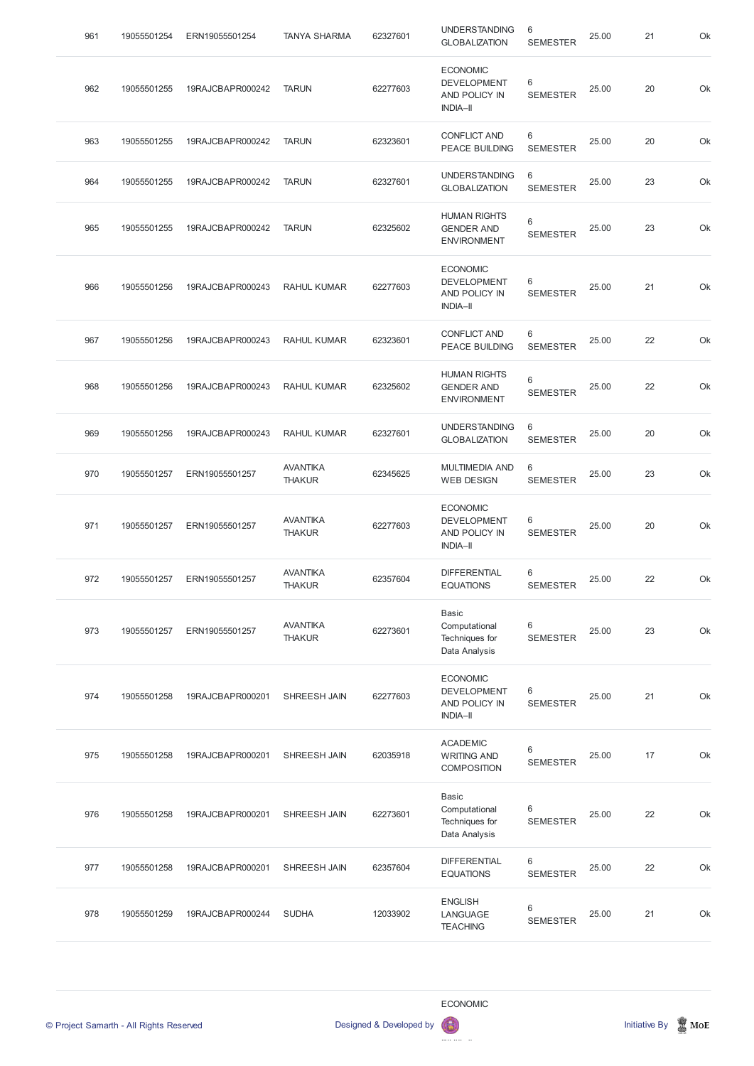| 961 | 19055501254 | ERN19055501254   | <b>TANYA SHARMA</b>              | 62327601 | <b>UNDERSTANDING</b><br><b>GLOBALIZATION</b>                              | 6<br><b>SEMESTER</b>     | 25.00 | 21 | Ok |
|-----|-------------|------------------|----------------------------------|----------|---------------------------------------------------------------------------|--------------------------|-------|----|----|
| 962 | 19055501255 | 19RAJCBAPR000242 | <b>TARUN</b>                     | 62277603 | <b>ECONOMIC</b><br><b>DEVELOPMENT</b><br>AND POLICY IN<br><b>INDIA-II</b> | 6<br><b>SEMESTER</b>     | 25.00 | 20 | Ok |
| 963 | 19055501255 | 19RAJCBAPR000242 | <b>TARUN</b>                     | 62323601 | <b>CONFLICT AND</b><br>PEACE BUILDING                                     | 6<br><b>SEMESTER</b>     | 25.00 | 20 | Ok |
| 964 | 19055501255 | 19RAJCBAPR000242 | <b>TARUN</b>                     | 62327601 | <b>UNDERSTANDING</b><br><b>GLOBALIZATION</b>                              | 6<br><b>SEMESTER</b>     | 25.00 | 23 | Ok |
| 965 | 19055501255 | 19RAJCBAPR000242 | <b>TARUN</b>                     | 62325602 | <b>HUMAN RIGHTS</b><br><b>GENDER AND</b><br><b>ENVIRONMENT</b>            | $\,6$<br><b>SEMESTER</b> | 25.00 | 23 | Ok |
| 966 | 19055501256 | 19RAJCBAPR000243 | <b>RAHUL KUMAR</b>               | 62277603 | <b>ECONOMIC</b><br><b>DEVELOPMENT</b><br>AND POLICY IN<br><b>INDIA-II</b> | 6<br><b>SEMESTER</b>     | 25.00 | 21 | Ok |
| 967 | 19055501256 | 19RAJCBAPR000243 | <b>RAHUL KUMAR</b>               | 62323601 | <b>CONFLICT AND</b><br><b>PEACE BUILDING</b>                              | 6<br><b>SEMESTER</b>     | 25.00 | 22 | Ok |
| 968 | 19055501256 | 19RAJCBAPR000243 | <b>RAHUL KUMAR</b>               | 62325602 | <b>HUMAN RIGHTS</b><br><b>GENDER AND</b><br><b>ENVIRONMENT</b>            | $\,6$<br><b>SEMESTER</b> | 25.00 | 22 | Ok |
| 969 | 19055501256 | 19RAJCBAPR000243 | <b>RAHUL KUMAR</b>               | 62327601 | <b>UNDERSTANDING</b><br><b>GLOBALIZATION</b>                              | $\,6$<br><b>SEMESTER</b> | 25.00 | 20 | Ok |
| 970 | 19055501257 | ERN19055501257   | <b>AVANTIKA</b><br><b>THAKUR</b> | 62345625 | <b>MULTIMEDIA AND</b><br><b>WEB DESIGN</b>                                | 6<br><b>SEMESTER</b>     | 25.00 | 23 | Ok |
| 971 | 19055501257 | ERN19055501257   | <b>AVANTIKA</b><br><b>THAKUR</b> | 62277603 | <b>ECONOMIC</b><br><b>DEVELOPMENT</b><br>AND POLICY IN<br><b>INDIA-II</b> | 6<br><b>SEMESTER</b>     | 25.00 | 20 | Ok |
| 972 | 19055501257 | ERN19055501257   | <b>AVANTIKA</b><br><b>THAKUR</b> | 62357604 | <b>DIFFERENTIAL</b><br><b>EQUATIONS</b>                                   | 6<br><b>SEMESTER</b>     | 25.00 | 22 | Ok |
| 973 | 19055501257 | ERN19055501257   | <b>AVANTIKA</b><br><b>THAKUR</b> | 62273601 | <b>Basic</b><br>Computational<br>Techniques for<br>Data Analysis          | 6<br><b>SEMESTER</b>     | 25.00 | 23 | Ok |
| 974 | 19055501258 | 19RAJCBAPR000201 | SHREESH JAIN                     | 62277603 | <b>ECONOMIC</b><br><b>DEVELOPMENT</b><br>AND POLICY IN<br><b>INDIA-II</b> | 6<br><b>SEMESTER</b>     | 25.00 | 21 | Ok |
| 975 | 19055501258 | 19RAJCBAPR000201 | SHREESH JAIN                     | 62035918 | <b>ACADEMIC</b><br><b>WRITING AND</b><br><b>COMPOSITION</b>               | 6<br><b>SEMESTER</b>     | 25.00 | 17 | Ok |
|     |             |                  |                                  |          |                                                                           |                          |       |    |    |

| 976 | 19055501258 | 19RAJCBAPR000201 | SHREESH JAIN | 62273601 | Computational<br>Techniques for<br>Data Analysis | 6<br><b>SEMESTER</b> | 25.00 | 22 | Ok |
|-----|-------------|------------------|--------------|----------|--------------------------------------------------|----------------------|-------|----|----|
| 977 | 19055501258 | 19RAJCBAPR000201 | SHREESH JAIN | 62357604 | <b>DIFFERENTIAL</b><br><b>EQUATIONS</b>          | 6<br><b>SEMESTER</b> | 25.00 | 22 | Ok |
| 978 | 19055501259 | 19RAJCBAPR000244 | <b>SUDHA</b> | 12033902 | <b>ENGLISH</b><br>LANGUAGE<br><b>TEACHING</b>    | 6<br><b>SEMESTER</b> | 25.00 | 21 | Ok |





DEVELOPMENT OF STATISTICS  $\boldsymbol{\Theta}$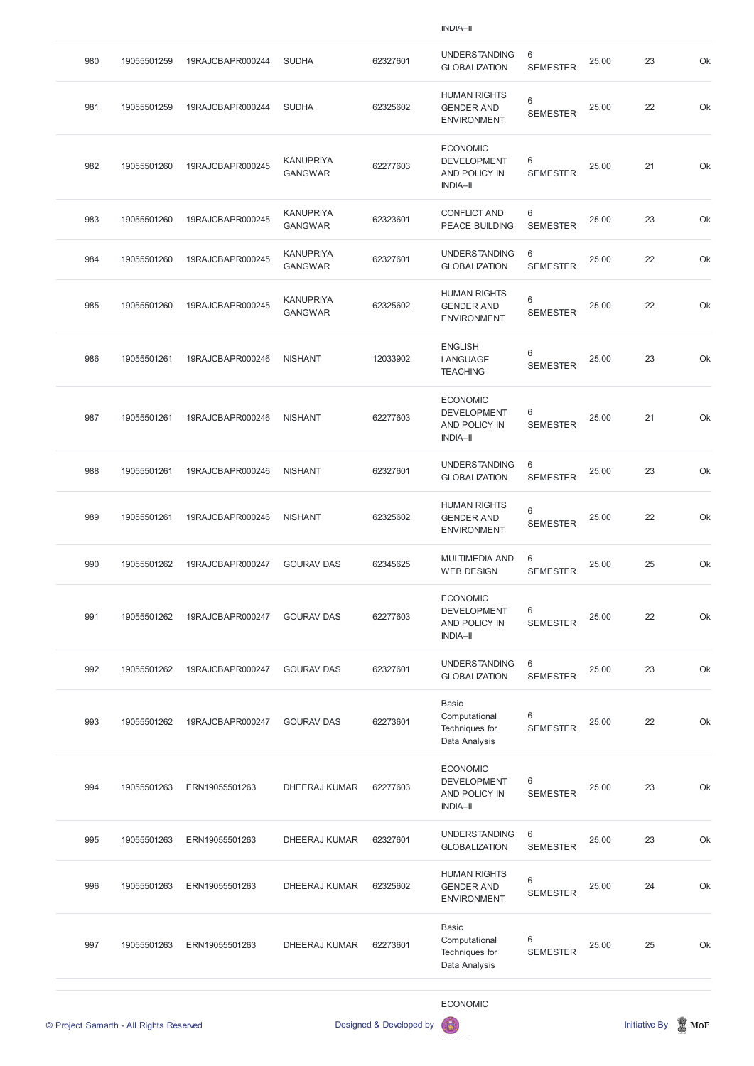| 980 | 19055501259 | 19RAJCBAPR000244 | <b>SUDHA</b>                       | 62327601 | <b>UNDERSTANDING</b><br><b>GLOBALIZATION</b>                              | 6<br><b>SEMESTER</b>              | 25.00 | 23 | Ok |
|-----|-------------|------------------|------------------------------------|----------|---------------------------------------------------------------------------|-----------------------------------|-------|----|----|
| 981 | 19055501259 | 19RAJCBAPR000244 | <b>SUDHA</b>                       | 62325602 | <b>HUMAN RIGHTS</b><br><b>GENDER AND</b><br><b>ENVIRONMENT</b>            | 6<br><b>SEMESTER</b>              | 25.00 | 22 | Ok |
| 982 | 19055501260 | 19RAJCBAPR000245 | <b>KANUPRIYA</b><br><b>GANGWAR</b> | 62277603 | <b>ECONOMIC</b><br><b>DEVELOPMENT</b><br>AND POLICY IN<br><b>INDIA-II</b> | 6<br><b>SEMESTER</b>              | 25.00 | 21 | Ok |
| 983 | 19055501260 | 19RAJCBAPR000245 | <b>KANUPRIYA</b><br><b>GANGWAR</b> | 62323601 | <b>CONFLICT AND</b><br><b>PEACE BUILDING</b>                              | 6<br><b>SEMESTER</b>              | 25.00 | 23 | Ok |
| 984 | 19055501260 | 19RAJCBAPR000245 | <b>KANUPRIYA</b><br><b>GANGWAR</b> | 62327601 | <b>UNDERSTANDING</b><br><b>GLOBALIZATION</b>                              | 6<br><b>SEMESTER</b>              | 25.00 | 22 | Ok |
| 985 | 19055501260 | 19RAJCBAPR000245 | <b>KANUPRIYA</b><br><b>GANGWAR</b> | 62325602 | <b>HUMAN RIGHTS</b><br><b>GENDER AND</b><br><b>ENVIRONMENT</b>            | 6<br><b>SEMESTER</b>              | 25.00 | 22 | Ok |
| 986 | 19055501261 | 19RAJCBAPR000246 | <b>NISHANT</b>                     | 12033902 | <b>ENGLISH</b><br>LANGUAGE<br><b>TEACHING</b>                             | 6<br><b>SEMESTER</b>              | 25.00 | 23 | Ok |
| 987 | 19055501261 | 19RAJCBAPR000246 | <b>NISHANT</b>                     | 62277603 | <b>ECONOMIC</b><br><b>DEVELOPMENT</b><br>AND POLICY IN<br><b>INDIA-II</b> | 6<br><b>SEMESTER</b>              | 25.00 | 21 | Ok |
| 988 | 19055501261 | 19RAJCBAPR000246 | <b>NISHANT</b>                     | 62327601 | <b>UNDERSTANDING</b><br><b>GLOBALIZATION</b>                              | $6\phantom{1}$<br><b>SEMESTER</b> | 25.00 | 23 | Ok |
| 989 | 19055501261 | 19RAJCBAPR000246 | <b>NISHANT</b>                     | 62325602 | <b>HUMAN RIGHTS</b><br><b>GENDER AND</b><br><b>ENVIRONMENT</b>            | 6<br><b>SEMESTER</b>              | 25.00 | 22 | Ok |
| 990 | 19055501262 | 19RAJCBAPR000247 | <b>GOURAV DAS</b>                  | 62345625 | <b>MULTIMEDIA AND</b><br><b>WEB DESIGN</b>                                | 6<br><b>SEMESTER</b>              | 25.00 | 25 | Ok |
| 991 | 19055501262 | 19RAJCBAPR000247 | <b>GOURAV DAS</b>                  | 62277603 | <b>ECONOMIC</b><br><b>DEVELOPMENT</b><br>AND POLICY IN<br><b>INDIA-II</b> | 6<br><b>SEMESTER</b>              | 25.00 | 22 | Ok |
| 992 | 19055501262 | 19RAJCBAPR000247 | <b>GOURAV DAS</b>                  | 62327601 | <b>UNDERSTANDING</b><br><b>GLOBALIZATION</b>                              | $6\phantom{1}$<br><b>SEMESTER</b> | 25.00 | 23 | Ok |
| 993 | 19055501262 | 19RAJCBAPR000247 | <b>GOURAV DAS</b>                  | 62273601 | <b>Basic</b><br>Computational<br>Techniques for<br>Data Analysis          | 6<br><b>SEMESTER</b>              | 25.00 | 22 | Ok |
| 994 | 19055501263 | ERN19055501263   | <b>DHEERAJ KUMAR</b>               | 62277603 | <b>ECONOMIC</b><br><b>DEVELOPMENT</b><br>AND POLICY IN                    | 6<br><b>SEMESTER</b>              | 25.00 | 23 | Ok |

|     | © Project Samarth - All Rights Reserved |                |                      | Designed & Developed by | <b>ECONOMIC</b><br>6                                           |                      |       | <b>Initiative By</b> | $\mathbb Z$ MoE |
|-----|-----------------------------------------|----------------|----------------------|-------------------------|----------------------------------------------------------------|----------------------|-------|----------------------|-----------------|
| 997 | 19055501263                             | ERN19055501263 | <b>DHEERAJ KUMAR</b> | 62273601                | Basic<br>Computational<br>Techniques for<br>Data Analysis      | 6<br><b>SEMESTER</b> | 25.00 | 25                   | Ok              |
| 996 | 19055501263                             | ERN19055501263 | <b>DHEERAJ KUMAR</b> | 62325602                | <b>HUMAN RIGHTS</b><br><b>GENDER AND</b><br><b>ENVIRONMENT</b> | 6<br><b>SEMESTER</b> | 25.00 | 24                   | Ok              |
| 995 | 19055501263                             | ERN19055501263 | <b>DHEERAJ KUMAR</b> | 62327601                | <b>UNDERSTANDING</b><br><b>GLOBALIZATION</b>                   | 6<br><b>SEMESTER</b> | 25.00 | 23                   | Ok              |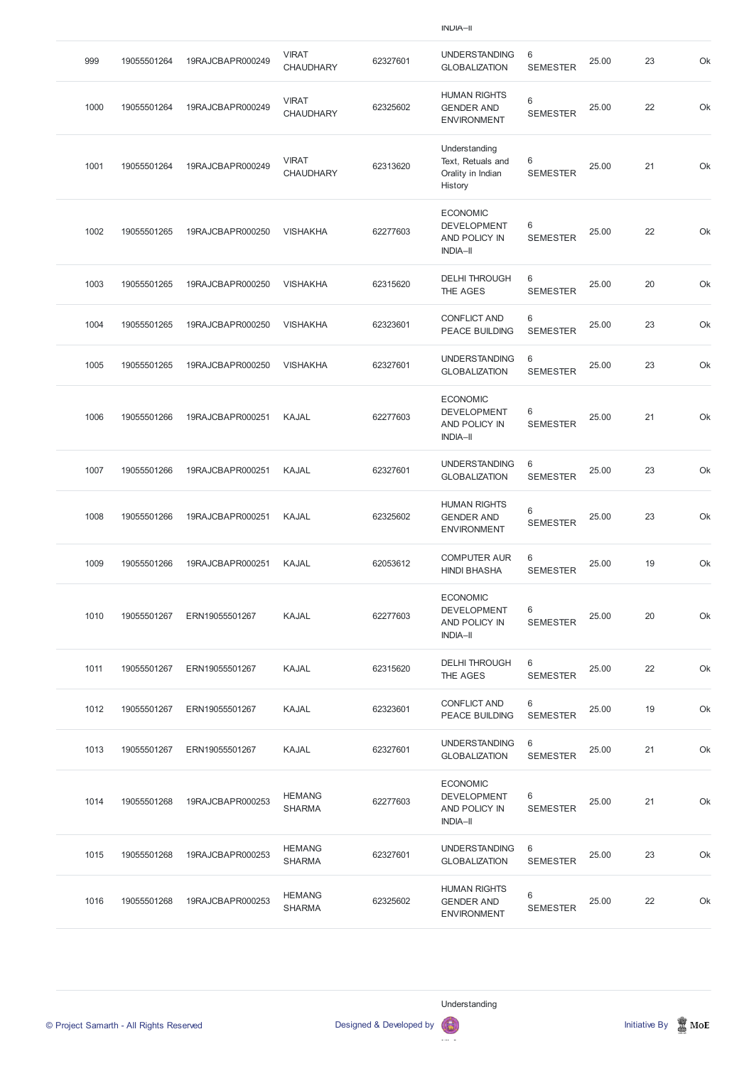| 999  | 19055501264 | 19RAJCBAPR000249 | <b>VIRAT</b><br><b>CHAUDHARY</b> | 62327601 | <b>UNDERSTANDING</b><br><b>GLOBALIZATION</b>                              | 6<br><b>SEMESTER</b>              | 25.00 | 23 | Ok |
|------|-------------|------------------|----------------------------------|----------|---------------------------------------------------------------------------|-----------------------------------|-------|----|----|
| 1000 | 19055501264 | 19RAJCBAPR000249 | <b>VIRAT</b><br><b>CHAUDHARY</b> | 62325602 | <b>HUMAN RIGHTS</b><br><b>GENDER AND</b><br><b>ENVIRONMENT</b>            | 6<br><b>SEMESTER</b>              | 25.00 | 22 | Ok |
| 1001 | 19055501264 | 19RAJCBAPR000249 | <b>VIRAT</b><br><b>CHAUDHARY</b> | 62313620 | Understanding<br>Text, Retuals and<br>Orality in Indian<br>History        | 6<br><b>SEMESTER</b>              | 25.00 | 21 | Ok |
| 1002 | 19055501265 | 19RAJCBAPR000250 | <b>VISHAKHA</b>                  | 62277603 | <b>ECONOMIC</b><br><b>DEVELOPMENT</b><br>AND POLICY IN<br><b>INDIA-II</b> | 6<br><b>SEMESTER</b>              | 25.00 | 22 | Ok |
| 1003 | 19055501265 | 19RAJCBAPR000250 | <b>VISHAKHA</b>                  | 62315620 | <b>DELHI THROUGH</b><br>THE AGES                                          | $6\phantom{1}$<br><b>SEMESTER</b> | 25.00 | 20 | Ok |
| 1004 | 19055501265 | 19RAJCBAPR000250 | <b>VISHAKHA</b>                  | 62323601 | <b>CONFLICT AND</b><br>PEACE BUILDING                                     | $6\,$<br><b>SEMESTER</b>          | 25.00 | 23 | Ok |
| 1005 | 19055501265 | 19RAJCBAPR000250 | <b>VISHAKHA</b>                  | 62327601 | <b>UNDERSTANDING</b><br><b>GLOBALIZATION</b>                              | 6<br><b>SEMESTER</b>              | 25.00 | 23 | Ok |
| 1006 | 19055501266 | 19RAJCBAPR000251 | <b>KAJAL</b>                     | 62277603 | <b>ECONOMIC</b><br><b>DEVELOPMENT</b><br>AND POLICY IN<br><b>INDIA-II</b> | 6<br><b>SEMESTER</b>              | 25.00 | 21 | Ok |
| 1007 | 19055501266 | 19RAJCBAPR000251 | <b>KAJAL</b>                     | 62327601 | <b>UNDERSTANDING</b><br><b>GLOBALIZATION</b>                              | 6<br><b>SEMESTER</b>              | 25.00 | 23 | Ok |
| 1008 | 19055501266 | 19RAJCBAPR000251 | <b>KAJAL</b>                     | 62325602 | <b>HUMAN RIGHTS</b><br><b>GENDER AND</b><br><b>ENVIRONMENT</b>            | 6<br><b>SEMESTER</b>              | 25.00 | 23 | Ok |
| 1009 | 19055501266 | 19RAJCBAPR000251 | KAJAL                            | 62053612 | <b>COMPUTER AUR</b><br><b>HINDI BHASHA</b>                                | 6<br><b>SEMESTER</b>              | 25.00 | 19 | Ok |
| 1010 | 19055501267 | ERN19055501267   | <b>KAJAL</b>                     | 62277603 | <b>ECONOMIC</b><br><b>DEVELOPMENT</b><br>AND POLICY IN<br><b>INDIA-II</b> | 6<br><b>SEMESTER</b>              | 25.00 | 20 | Ok |
| 1011 | 19055501267 | ERN19055501267   | <b>KAJAL</b>                     | 62315620 | <b>DELHI THROUGH</b><br>THE AGES                                          | 6<br><b>SEMESTER</b>              | 25.00 | 22 | Ok |
| 1012 | 19055501267 | ERN19055501267   | <b>KAJAL</b>                     | 62323601 | <b>CONFLICT AND</b><br><b>PEACE BUILDING</b>                              | 6<br><b>SEMESTER</b>              | 25.00 | 19 | Ok |
| 1013 | 19055501267 | ERN19055501267   | <b>KAJAL</b>                     | 62327601 | <b>UNDERSTANDING</b><br><b>GLOBALIZATION</b>                              | 6<br><b>SEMESTER</b>              | 25.00 | 21 | Ok |
| 1014 | 19055501268 | 19RAJCBAPR000253 | <b>HEMANG</b><br><b>SHARMA</b>   | 62277603 | <b>ECONOMIC</b><br><b>DEVELOPMENT</b><br>AND POLICY IN<br><b>INDIA-II</b> | 6<br><b>SEMESTER</b>              | 25.00 | 21 | Ok |
| 1015 | 19055501268 | 19RAJCBAPR000253 | <b>HEMANG</b><br><b>SHARMA</b>   | 62327601 | <b>UNDERSTANDING</b><br><b>GLOBALIZATION</b>                              | 6<br><b>SEMESTER</b>              | 25.00 | 23 | Ok |
| 1016 | 19055501268 | 19RAJCBAPR000253 | <b>HEMANG</b><br><b>SHARMA</b>   | 62325602 | <b>HUMAN RIGHTS</b><br><b>GENDER AND</b><br><b>ENVIRONMENT</b>            | 6<br><b>SEMESTER</b>              | 25.00 | 22 | Ok |

Understanding



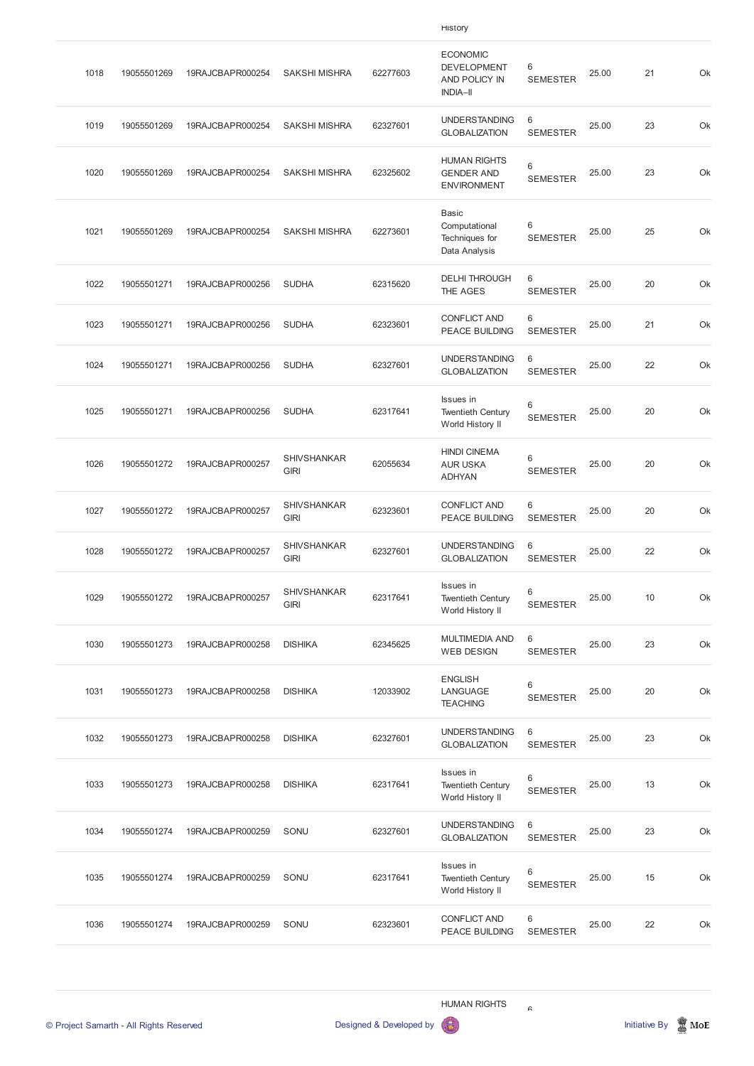|      |             |                  |                                   |          | <b>HISTORY</b>                                                            |                      |       |    |    |
|------|-------------|------------------|-----------------------------------|----------|---------------------------------------------------------------------------|----------------------|-------|----|----|
| 1018 | 19055501269 | 19RAJCBAPR000254 | <b>SAKSHI MISHRA</b>              | 62277603 | <b>ECONOMIC</b><br><b>DEVELOPMENT</b><br>AND POLICY IN<br><b>INDIA-II</b> | 6<br><b>SEMESTER</b> | 25.00 | 21 | Ok |
| 1019 | 19055501269 | 19RAJCBAPR000254 | <b>SAKSHI MISHRA</b>              | 62327601 | <b>UNDERSTANDING</b><br><b>GLOBALIZATION</b>                              | 6<br><b>SEMESTER</b> | 25.00 | 23 | Ok |
| 1020 | 19055501269 | 19RAJCBAPR000254 | <b>SAKSHI MISHRA</b>              | 62325602 | <b>HUMAN RIGHTS</b><br><b>GENDER AND</b><br><b>ENVIRONMENT</b>            | 6<br><b>SEMESTER</b> | 25.00 | 23 | Ok |
| 1021 | 19055501269 | 19RAJCBAPR000254 | <b>SAKSHI MISHRA</b>              | 62273601 | <b>Basic</b><br>Computational<br>Techniques for<br>Data Analysis          | 6<br><b>SEMESTER</b> | 25.00 | 25 | Ok |
| 1022 | 19055501271 | 19RAJCBAPR000256 | <b>SUDHA</b>                      | 62315620 | <b>DELHI THROUGH</b><br>THE AGES                                          | 6<br><b>SEMESTER</b> | 25.00 | 20 | Ok |
| 1023 | 19055501271 | 19RAJCBAPR000256 | <b>SUDHA</b>                      | 62323601 | <b>CONFLICT AND</b><br><b>PEACE BUILDING</b>                              | 6<br><b>SEMESTER</b> | 25.00 | 21 | Ok |
| 1024 | 19055501271 | 19RAJCBAPR000256 | <b>SUDHA</b>                      | 62327601 | <b>UNDERSTANDING</b><br><b>GLOBALIZATION</b>                              | 6<br><b>SEMESTER</b> | 25.00 | 22 | Ok |
| 1025 | 19055501271 | 19RAJCBAPR000256 | <b>SUDHA</b>                      | 62317641 | Issues in<br><b>Twentieth Century</b><br>World History II                 | 6<br><b>SEMESTER</b> | 25.00 | 20 | Ok |
| 1026 | 19055501272 | 19RAJCBAPR000257 | <b>SHIVSHANKAR</b><br><b>GIRI</b> | 62055634 | <b>HINDI CINEMA</b><br><b>AUR USKA</b><br><b>ADHYAN</b>                   | 6<br><b>SEMESTER</b> | 25.00 | 20 | Ok |
| 1027 | 19055501272 | 19RAJCBAPR000257 | <b>SHIVSHANKAR</b><br><b>GIRI</b> | 62323601 | <b>CONFLICT AND</b><br><b>PEACE BUILDING</b>                              | 6<br><b>SEMESTER</b> | 25.00 | 20 | Ok |
| 1028 | 19055501272 | 19RAJCBAPR000257 | <b>SHIVSHANKAR</b><br><b>GIRI</b> | 62327601 | <b>UNDERSTANDING</b><br><b>GLOBALIZATION</b>                              | 6<br><b>SEMESTER</b> | 25.00 | 22 | Ok |
| 1029 | 19055501272 | 19RAJCBAPR000257 | <b>SHIVSHANKAR</b><br><b>GIRI</b> | 62317641 | Issues in<br><b>Twentieth Century</b><br>World History II                 | 6<br><b>SEMESTER</b> | 25.00 | 10 | Ok |
| 1030 | 19055501273 | 19RAJCBAPR000258 | <b>DISHIKA</b>                    | 62345625 | <b>MULTIMEDIA AND</b><br><b>WEB DESIGN</b>                                | 6<br><b>SEMESTER</b> | 25.00 | 23 | Ok |
| 1031 | 19055501273 | 19RAJCBAPR000258 | <b>DISHIKA</b>                    | 12033902 | <b>ENGLISH</b><br>LANGUAGE<br><b>TEACHING</b>                             | 6<br><b>SEMESTER</b> | 25.00 | 20 | Ok |
| 1032 | 19055501273 | 19RAJCBAPR000258 | <b>DISHIKA</b>                    | 62327601 | <b>UNDERSTANDING</b><br><b>GLOBALIZATION</b>                              | 6<br><b>SEMESTER</b> | 25.00 | 23 | Ok |
| 1033 | 19055501273 | 19RAJCBAPR000258 | <b>DISHIKA</b>                    | 62317641 | Issues in<br><b>Twentieth Century</b><br>World History II                 | 6<br><b>SEMESTER</b> | 25.00 | 13 | Ok |

| 1034 | 19055501274 | 19RAJCBAPR000259 | SONU | 62327601 | <b>UNDERSTANDING</b><br><b>GLOBALIZATION</b>              | 6<br><b>SEMESTER</b> | 25.00 | 23 | Ok |
|------|-------------|------------------|------|----------|-----------------------------------------------------------|----------------------|-------|----|----|
| 1035 | 19055501274 | 19RAJCBAPR000259 | SONU | 62317641 | Issues in<br><b>Twentieth Century</b><br>World History II | 6<br><b>SEMESTER</b> | 25.00 | 15 | Ok |
| 1036 | 19055501274 | 19RAJCBAPR000259 | SONU | 62323601 | <b>CONFLICT AND</b><br><b>PEACE BUILDING</b>              | 6<br><b>SEMESTER</b> | 25.00 | 22 | Ok |

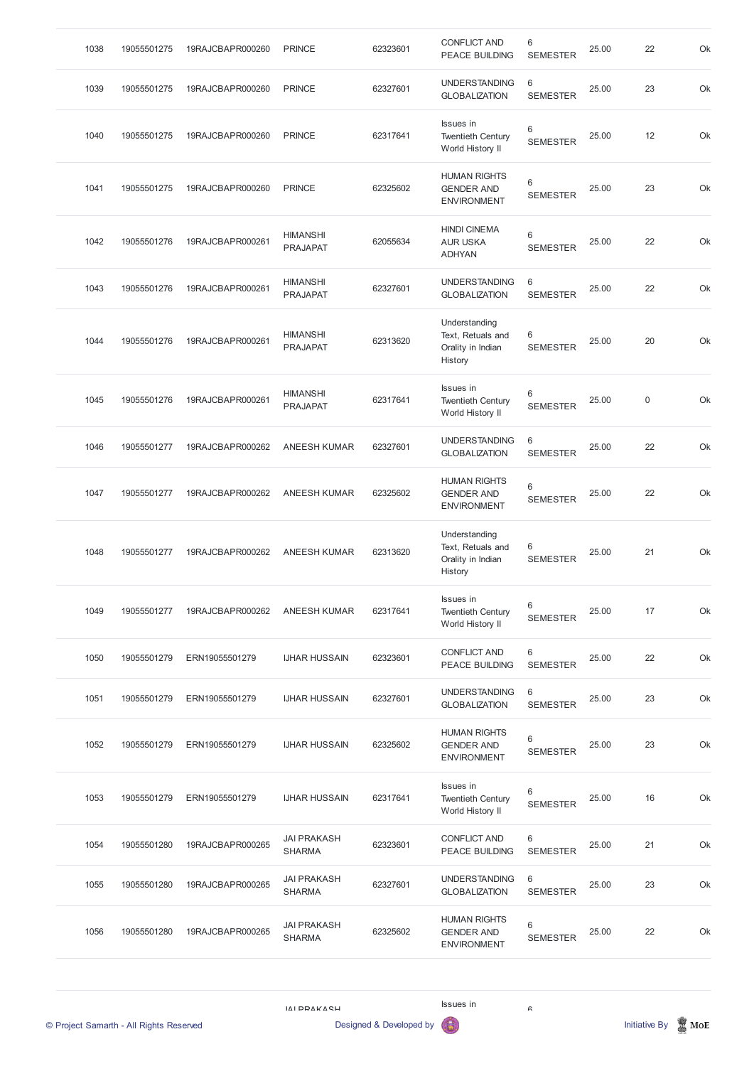| 1038                                    | 19055501275 | 19RAJCBAPR000260 | <b>PRINCE</b>                       | 62323601                | <b>CONFLICT AND</b><br><b>PEACE BUILDING</b>                       | $\,6$<br><b>SEMESTER</b>   | 25.00 | 22                   | Ok               |
|-----------------------------------------|-------------|------------------|-------------------------------------|-------------------------|--------------------------------------------------------------------|----------------------------|-------|----------------------|------------------|
| 1039                                    | 19055501275 | 19RAJCBAPR000260 | <b>PRINCE</b>                       | 62327601                | <b>UNDERSTANDING</b><br><b>GLOBALIZATION</b>                       | 6<br><b>SEMESTER</b>       | 25.00 | 23                   | Ok               |
| 1040                                    | 19055501275 | 19RAJCBAPR000260 | <b>PRINCE</b>                       | 62317641                | <b>Issues</b> in<br><b>Twentieth Century</b><br>World History II   | $\,6\,$<br><b>SEMESTER</b> | 25.00 | 12                   | Ok               |
| 1041                                    | 19055501275 | 19RAJCBAPR000260 | <b>PRINCE</b>                       | 62325602                | <b>HUMAN RIGHTS</b><br><b>GENDER AND</b><br><b>ENVIRONMENT</b>     | $\,6$<br><b>SEMESTER</b>   | 25.00 | 23                   | Ok               |
| 1042                                    | 19055501276 | 19RAJCBAPR000261 | <b>HIMANSHI</b><br><b>PRAJAPAT</b>  | 62055634                | <b>HINDI CINEMA</b><br><b>AUR USKA</b><br><b>ADHYAN</b>            | $\,6\,$<br><b>SEMESTER</b> | 25.00 | 22                   | Ok               |
| 1043                                    | 19055501276 | 19RAJCBAPR000261 | <b>HIMANSHI</b><br><b>PRAJAPAT</b>  | 62327601                | <b>UNDERSTANDING</b><br><b>GLOBALIZATION</b>                       | 6<br><b>SEMESTER</b>       | 25.00 | 22                   | Ok               |
| 1044                                    | 19055501276 | 19RAJCBAPR000261 | <b>HIMANSHI</b><br><b>PRAJAPAT</b>  | 62313620                | Understanding<br>Text, Retuals and<br>Orality in Indian<br>History | 6<br><b>SEMESTER</b>       | 25.00 | 20                   | Ok               |
| 1045                                    | 19055501276 | 19RAJCBAPR000261 | <b>HIMANSHI</b><br><b>PRAJAPAT</b>  | 62317641                | Issues in<br><b>Twentieth Century</b><br>World History II          | 6<br><b>SEMESTER</b>       | 25.00 | $\mathbf 0$          | Ok               |
| 1046                                    | 19055501277 | 19RAJCBAPR000262 | <b>ANEESH KUMAR</b>                 | 62327601                | <b>UNDERSTANDING</b><br><b>GLOBALIZATION</b>                       | 6<br><b>SEMESTER</b>       | 25.00 | 22                   | Ok               |
| 1047                                    | 19055501277 | 19RAJCBAPR000262 | <b>ANEESH KUMAR</b>                 | 62325602                | <b>HUMAN RIGHTS</b><br><b>GENDER AND</b><br><b>ENVIRONMENT</b>     | 6<br><b>SEMESTER</b>       | 25.00 | 22                   | Ok               |
| 1048                                    | 19055501277 | 19RAJCBAPR000262 | <b>ANEESH KUMAR</b>                 | 62313620                | Understanding<br>Text, Retuals and<br>Orality in Indian<br>History | 6<br><b>SEMESTER</b>       | 25.00 | 21                   | Ok               |
| 1049                                    | 19055501277 | 19RAJCBAPR000262 | <b>ANEESH KUMAR</b>                 | 62317641                | Issues in<br><b>Twentieth Century</b><br>World History II          | 6<br><b>SEMESTER</b>       | 25.00 | 17                   | Ok               |
| 1050                                    | 19055501279 | ERN19055501279   | <b>IJHAR HUSSAIN</b>                | 62323601                | <b>CONFLICT AND</b><br>PEACE BUILDING                              | 6<br><b>SEMESTER</b>       | 25.00 | 22                   | Ok               |
| 1051                                    | 19055501279 | ERN19055501279   | <b>IJHAR HUSSAIN</b>                | 62327601                | <b>UNDERSTANDING</b><br><b>GLOBALIZATION</b>                       | 6<br><b>SEMESTER</b>       | 25.00 | 23                   | Ok               |
| 1052                                    | 19055501279 | ERN19055501279   | <b>IJHAR HUSSAIN</b>                | 62325602                | <b>HUMAN RIGHTS</b><br><b>GENDER AND</b><br><b>ENVIRONMENT</b>     | $6\,$<br><b>SEMESTER</b>   | 25.00 | 23                   | Ok               |
| 1053                                    | 19055501279 | ERN19055501279   | <b>IJHAR HUSSAIN</b>                | 62317641                | Issues in<br><b>Twentieth Century</b><br>World History II          | 6<br><b>SEMESTER</b>       | 25.00 | 16                   | Ok               |
| 1054                                    | 19055501280 | 19RAJCBAPR000265 | <b>JAI PRAKASH</b><br><b>SHARMA</b> | 62323601                | <b>CONFLICT AND</b><br>PEACE BUILDING                              | 6<br><b>SEMESTER</b>       | 25.00 | 21                   | Ok               |
| 1055                                    | 19055501280 | 19RAJCBAPR000265 | <b>JAI PRAKASH</b><br><b>SHARMA</b> | 62327601                | <b>UNDERSTANDING</b><br><b>GLOBALIZATION</b>                       | 6<br><b>SEMESTER</b>       | 25.00 | 23                   | Ok               |
| 1056                                    | 19055501280 | 19RAJCBAPR000265 | <b>JAI PRAKASH</b><br><b>SHARMA</b> | 62325602                | <b>HUMAN RIGHTS</b><br><b>GENDER AND</b><br><b>ENVIRONMENT</b>     | $\,6\,$<br><b>SEMESTER</b> | 25.00 | 22                   | Ok               |
| © Project Samarth - All Rights Reserved |             |                  | IVI DDVKVCH                         | Designed & Developed by | Issues in                                                          | $\mathrel{\mathsf{G}}$     |       | <b>Initiative By</b> | $\mathbb{Z}$ MoE |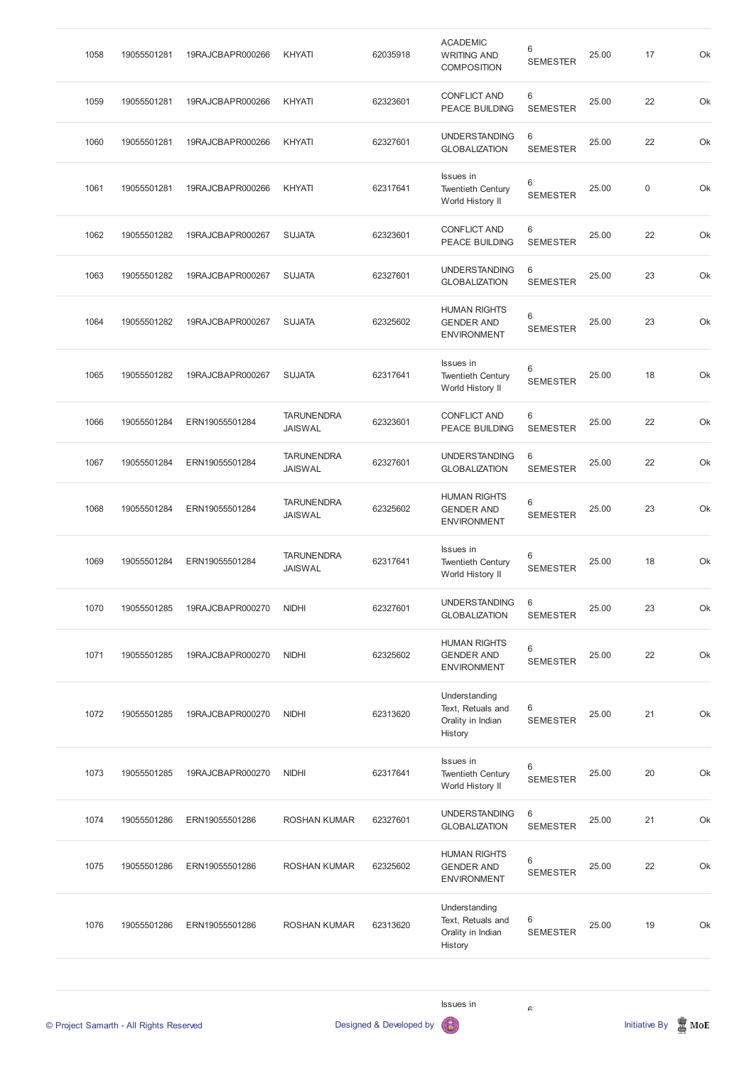| 1058 | 19055501281 | 19RAJCBAPR000266 | KHYATI                              | 62035918 | <b>ACADEMIC</b><br><b>WRITING AND</b><br><b>COMPOSITION</b>        | 6<br><b>SEMESTER</b> | 25.00 | 17               | Ok |
|------|-------------|------------------|-------------------------------------|----------|--------------------------------------------------------------------|----------------------|-------|------------------|----|
| 1059 | 19055501281 | 19RAJCBAPR000266 | KHYATI                              | 62323601 | <b>CONFLICT AND</b><br><b>PEACE BUILDING</b>                       | 6<br><b>SEMESTER</b> | 25.00 | 22               | Ok |
| 1060 | 19055501281 | 19RAJCBAPR000266 | KHYATI                              | 62327601 | <b>UNDERSTANDING</b><br><b>GLOBALIZATION</b>                       | 6<br><b>SEMESTER</b> | 25.00 | 22               | Ok |
| 1061 | 19055501281 | 19RAJCBAPR000266 | KHYATI                              | 62317641 | Issues in<br><b>Twentieth Century</b><br>World History II          | 6<br><b>SEMESTER</b> | 25.00 | $\boldsymbol{0}$ | Ok |
| 1062 | 19055501282 | 19RAJCBAPR000267 | <b>SUJATA</b>                       | 62323601 | <b>CONFLICT AND</b><br><b>PEACE BUILDING</b>                       | 6<br><b>SEMESTER</b> | 25.00 | 22               | Ok |
| 1063 | 19055501282 | 19RAJCBAPR000267 | <b>SUJATA</b>                       | 62327601 | <b>UNDERSTANDING</b><br><b>GLOBALIZATION</b>                       | 6<br><b>SEMESTER</b> | 25.00 | 23               | Ok |
| 1064 | 19055501282 | 19RAJCBAPR000267 | <b>SUJATA</b>                       | 62325602 | <b>HUMAN RIGHTS</b><br><b>GENDER AND</b><br><b>ENVIRONMENT</b>     | 6<br><b>SEMESTER</b> | 25.00 | 23               | Ok |
| 1065 | 19055501282 | 19RAJCBAPR000267 | <b>SUJATA</b>                       | 62317641 | Issues in<br><b>Twentieth Century</b><br>World History II          | 6<br><b>SEMESTER</b> | 25.00 | 18               | Ok |
| 1066 | 19055501284 | ERN19055501284   | <b>TARUNENDRA</b><br><b>JAISWAL</b> | 62323601 | <b>CONFLICT AND</b><br><b>PEACE BUILDING</b>                       | 6<br><b>SEMESTER</b> | 25.00 | 22               | Ok |
| 1067 | 19055501284 | ERN19055501284   | <b>TARUNENDRA</b><br><b>JAISWAL</b> | 62327601 | <b>UNDERSTANDING</b><br><b>GLOBALIZATION</b>                       | 6<br><b>SEMESTER</b> | 25.00 | 22               | Ok |
| 1068 | 19055501284 | ERN19055501284   | <b>TARUNENDRA</b><br><b>JAISWAL</b> | 62325602 | <b>HUMAN RIGHTS</b><br><b>GENDER AND</b><br><b>ENVIRONMENT</b>     | 6<br><b>SEMESTER</b> | 25.00 | 23               | Ok |
| 1069 | 19055501284 | ERN19055501284   | <b>TARUNENDRA</b><br><b>JAISWAL</b> | 62317641 | Issues in<br><b>Twentieth Century</b><br>World History II          | 6<br><b>SEMESTER</b> | 25.00 | 18               | Ok |
| 1070 | 19055501285 | 19RAJCBAPR000270 | <b>NIDHI</b>                        | 62327601 | <b>UNDERSTANDING</b><br><b>GLOBALIZATION</b>                       | 6<br><b>SEMESTER</b> | 25.00 | 23               | Ok |
| 1071 | 19055501285 | 19RAJCBAPR000270 | <b>NIDHI</b>                        | 62325602 | <b>HUMAN RIGHTS</b><br><b>GENDER AND</b><br><b>ENVIRONMENT</b>     | 6<br><b>SEMESTER</b> | 25.00 | 22               | Ok |
| 1072 | 19055501285 | 19RAJCBAPR000270 | <b>NIDHI</b>                        | 62313620 | Understanding<br>Text, Retuals and<br>Orality in Indian<br>History | 6<br><b>SEMESTER</b> | 25.00 | 21               | Ok |
| 1073 | 19055501285 | 19RAJCBAPR000270 | <b>NIDHI</b>                        | 62317641 | <b>Issues</b> in<br><b>Twentieth Century</b><br>World History II   | 6<br><b>SEMESTER</b> | 25.00 | 20               | Ok |

| 1074 | 19055501286 | ERN19055501286 | <b>ROSHAN KUMAR</b> | 62327601 | <b>UNDERSTANDING</b><br><b>GLOBALIZATION</b>                       | 6<br><b>SEMESTER</b> | 25.00 | 21 | Ok |
|------|-------------|----------------|---------------------|----------|--------------------------------------------------------------------|----------------------|-------|----|----|
| 1075 | 19055501286 | ERN19055501286 | <b>ROSHAN KUMAR</b> | 62325602 | <b>HUMAN RIGHTS</b><br><b>GENDER AND</b><br><b>ENVIRONMENT</b>     | 6<br><b>SEMESTER</b> | 25.00 | 22 | Ok |
| 1076 | 19055501286 | ERN19055501286 | <b>ROSHAN KUMAR</b> | 62313620 | Understanding<br>Text, Retuals and<br>Orality in Indian<br>History | 6<br><b>SEMESTER</b> | 25.00 | 19 | Ok |
|      |             |                |                     |          |                                                                    |                      |       |    |    |

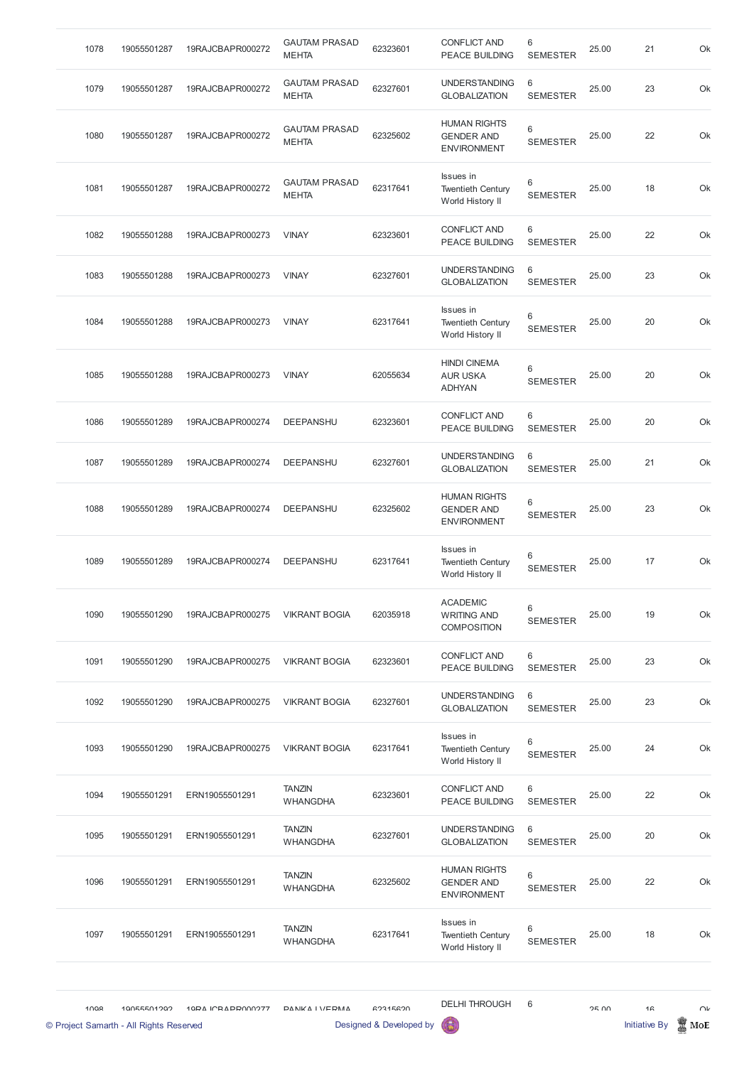| 1078 | 19055501287                                            | 19RAJCBAPR000272  | <b>GAUTAM PRASAD</b>                 | 62323601                            | <b>CONFLICT AND</b>                                            | 6                          | 25.00 | 21                                     | Ok        |
|------|--------------------------------------------------------|-------------------|--------------------------------------|-------------------------------------|----------------------------------------------------------------|----------------------------|-------|----------------------------------------|-----------|
|      |                                                        |                   | <b>MEHTA</b><br><b>GAUTAM PRASAD</b> |                                     | PEACE BUILDING<br><b>UNDERSTANDING</b>                         | <b>SEMESTER</b><br>6       |       |                                        |           |
| 1079 | 19055501287                                            | 19RAJCBAPR000272  | <b>MEHTA</b>                         | 62327601                            | <b>GLOBALIZATION</b>                                           | <b>SEMESTER</b>            | 25.00 | 23                                     | Ok        |
| 1080 | 19055501287                                            | 19RAJCBAPR000272  | <b>GAUTAM PRASAD</b><br><b>MEHTA</b> | 62325602                            | <b>HUMAN RIGHTS</b><br><b>GENDER AND</b><br><b>ENVIRONMENT</b> | $6\,$<br><b>SEMESTER</b>   | 25.00 | 22                                     | Ok        |
| 1081 | 19055501287                                            | 19RAJCBAPR000272  | <b>GAUTAM PRASAD</b><br><b>MEHTA</b> | 62317641                            | Issues in<br><b>Twentieth Century</b><br>World History II      | 6<br><b>SEMESTER</b>       | 25.00 | 18                                     | Ok        |
| 1082 | 19055501288                                            | 19RAJCBAPR000273  | <b>VINAY</b>                         | 62323601                            | <b>CONFLICT AND</b><br>PEACE BUILDING                          | 6<br><b>SEMESTER</b>       | 25.00 | 22                                     | Ok        |
| 1083 | 19055501288                                            | 19RAJCBAPR000273  | <b>VINAY</b>                         | 62327601                            | <b>UNDERSTANDING</b><br><b>GLOBALIZATION</b>                   | $\,6$<br><b>SEMESTER</b>   | 25.00 | 23                                     | Ok        |
| 1084 | 19055501288                                            | 19RAJCBAPR000273  | <b>VINAY</b>                         | 62317641                            | Issues in<br><b>Twentieth Century</b><br>World History II      | 6<br><b>SEMESTER</b>       | 25.00 | 20                                     | Ok        |
| 1085 | 19055501288                                            | 19RAJCBAPR000273  | <b>VINAY</b>                         | 62055634                            | <b>HINDI CINEMA</b><br><b>AUR USKA</b><br><b>ADHYAN</b>        | 6<br><b>SEMESTER</b>       | 25.00 | 20                                     | Ok        |
| 1086 | 19055501289                                            | 19RAJCBAPR000274  | DEEPANSHU                            | 62323601                            | <b>CONFLICT AND</b><br>PEACE BUILDING                          | 6<br><b>SEMESTER</b>       | 25.00 | 20                                     | Ok        |
| 1087 | 19055501289                                            | 19RAJCBAPR000274  | <b>DEEPANSHU</b>                     | 62327601                            | <b>UNDERSTANDING</b><br><b>GLOBALIZATION</b>                   | 6<br><b>SEMESTER</b>       | 25.00 | 21                                     | Ok        |
| 1088 | 19055501289                                            | 19RAJCBAPR000274  | DEEPANSHU                            | 62325602                            | <b>HUMAN RIGHTS</b><br><b>GENDER AND</b><br><b>ENVIRONMENT</b> | $\,6\,$<br><b>SEMESTER</b> | 25.00 | 23                                     | Ok        |
| 1089 | 19055501289                                            | 19RAJCBAPR000274  | DEEPANSHU                            | 62317641                            | Issues in<br><b>Twentieth Century</b><br>World History II      | 6<br><b>SEMESTER</b>       | 25.00 | 17                                     | Ok        |
| 1090 | 19055501290                                            | 19RAJCBAPR000275  | <b>VIKRANT BOGIA</b>                 | 62035918                            | <b>ACADEMIC</b><br><b>WRITING AND</b><br><b>COMPOSITION</b>    | 6<br><b>SEMESTER</b>       | 25.00 | 19                                     | Ok        |
| 1091 | 19055501290                                            | 19RAJCBAPR000275  | <b>VIKRANT BOGIA</b>                 | 62323601                            | <b>CONFLICT AND</b><br>PEACE BUILDING                          | 6<br><b>SEMESTER</b>       | 25.00 | 23                                     | Ok        |
| 1092 | 19055501290                                            | 19RAJCBAPR000275  | <b>VIKRANT BOGIA</b>                 | 62327601                            | <b>UNDERSTANDING</b><br><b>GLOBALIZATION</b>                   | 6<br><b>SEMESTER</b>       | 25.00 | 23                                     | Ok        |
| 1093 | 19055501290                                            | 19RAJCBAPR000275  | <b>VIKRANT BOGIA</b>                 | 62317641                            | Issues in<br><b>Twentieth Century</b><br>World History II      | 6<br><b>SEMESTER</b>       | 25.00 | 24                                     | Ok        |
| 1094 | 19055501291                                            | ERN19055501291    | <b>TANZIN</b><br><b>WHANGDHA</b>     | 62323601                            | <b>CONFLICT AND</b><br>PEACE BUILDING                          | 6<br><b>SEMESTER</b>       | 25.00 | 22                                     | Ok        |
| 1095 | 19055501291                                            | ERN19055501291    | <b>TANZIN</b><br><b>WHANGDHA</b>     | 62327601                            | <b>UNDERSTANDING</b><br><b>GLOBALIZATION</b>                   | -6<br><b>SEMESTER</b>      | 25.00 | 20                                     | Ok        |
| 1096 | 19055501291                                            | ERN19055501291    | <b>TANZIN</b><br><b>WHANGDHA</b>     | 62325602                            | <b>HUMAN RIGHTS</b><br><b>GENDER AND</b><br><b>ENVIRONMENT</b> | 6<br><b>SEMESTER</b>       | 25.00 | 22                                     | Ok        |
| 1097 | 19055501291                                            | ERN19055501291    | <b>TANZIN</b><br><b>WHANGDHA</b>     | 62317641                            | Issues in<br><b>Twentieth Century</b><br>World History II      | 6<br><b>SEMESTER</b>       | 25.00 | 18                                     | Ok        |
| 1008 | 10055501202<br>© Project Samarth - All Rights Reserved | 10DA ICRADD000077 | DANIKA I VEDMA                       | GOR15GON<br>Designed & Developed by | <b>DELHI THROUGH</b><br>6                                      | 6                          | OF UU | 1 <sub>G</sub><br><b>Initiative By</b> | ωr<br>MoE |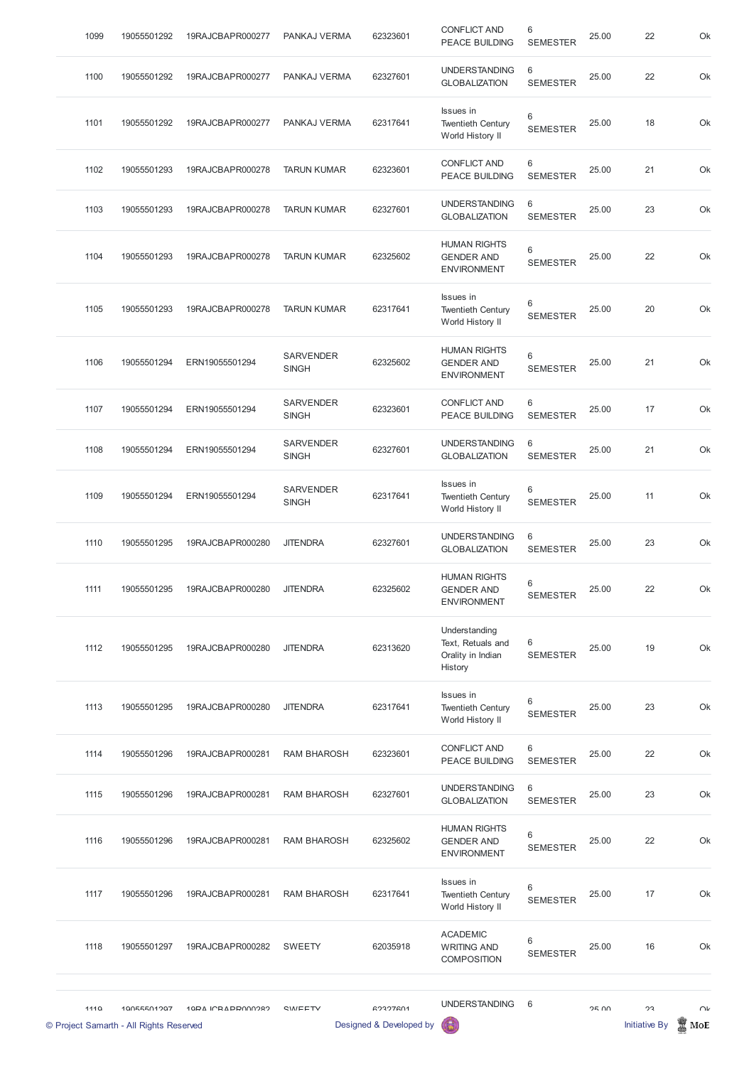| 1099 | 19055501292 | 19RAJCBAPR000277 | PANKAJ VERMA                     | 62323601 | <b>CONFLICT AND</b><br><b>PEACE BUILDING</b>                       | 6<br><b>SEMESTER</b>       | 25.00 | 22 | Ok |
|------|-------------|------------------|----------------------------------|----------|--------------------------------------------------------------------|----------------------------|-------|----|----|
| 1100 | 19055501292 | 19RAJCBAPR000277 | PANKAJ VERMA                     | 62327601 | <b>UNDERSTANDING</b><br><b>GLOBALIZATION</b>                       | 6<br><b>SEMESTER</b>       | 25.00 | 22 | Ok |
| 1101 | 19055501292 | 19RAJCBAPR000277 | PANKAJ VERMA                     | 62317641 | Issues in<br><b>Twentieth Century</b><br>World History II          | 6<br><b>SEMESTER</b>       | 25.00 | 18 | Ok |
| 1102 | 19055501293 | 19RAJCBAPR000278 | <b>TARUN KUMAR</b>               | 62323601 | <b>CONFLICT AND</b><br><b>PEACE BUILDING</b>                       | 6<br><b>SEMESTER</b>       | 25.00 | 21 | Ok |
| 1103 | 19055501293 | 19RAJCBAPR000278 | <b>TARUN KUMAR</b>               | 62327601 | <b>UNDERSTANDING</b><br><b>GLOBALIZATION</b>                       | 6<br><b>SEMESTER</b>       | 25.00 | 23 | Ok |
| 1104 | 19055501293 | 19RAJCBAPR000278 | <b>TARUN KUMAR</b>               | 62325602 | <b>HUMAN RIGHTS</b><br><b>GENDER AND</b><br><b>ENVIRONMENT</b>     | $6\,$<br><b>SEMESTER</b>   | 25.00 | 22 | Ok |
| 1105 | 19055501293 | 19RAJCBAPR000278 | <b>TARUN KUMAR</b>               | 62317641 | Issues in<br><b>Twentieth Century</b><br>World History II          | 6<br><b>SEMESTER</b>       | 25.00 | 20 | Ok |
| 1106 | 19055501294 | ERN19055501294   | <b>SARVENDER</b><br><b>SINGH</b> | 62325602 | <b>HUMAN RIGHTS</b><br><b>GENDER AND</b><br><b>ENVIRONMENT</b>     | 6<br><b>SEMESTER</b>       | 25.00 | 21 | Ok |
| 1107 | 19055501294 | ERN19055501294   | <b>SARVENDER</b><br><b>SINGH</b> | 62323601 | <b>CONFLICT AND</b><br><b>PEACE BUILDING</b>                       | 6<br><b>SEMESTER</b>       | 25.00 | 17 | Ok |
| 1108 | 19055501294 | ERN19055501294   | <b>SARVENDER</b><br><b>SINGH</b> | 62327601 | <b>UNDERSTANDING</b><br><b>GLOBALIZATION</b>                       | 6<br><b>SEMESTER</b>       | 25.00 | 21 | Ok |
| 1109 | 19055501294 | ERN19055501294   | <b>SARVENDER</b><br><b>SINGH</b> | 62317641 | <b>Issues</b> in<br><b>Twentieth Century</b><br>World History II   | 6<br><b>SEMESTER</b>       | 25.00 | 11 | Ok |
| 1110 | 19055501295 | 19RAJCBAPR000280 | <b>JITENDRA</b>                  | 62327601 | <b>UNDERSTANDING</b><br><b>GLOBALIZATION</b>                       | 6<br><b>SEMESTER</b>       | 25.00 | 23 | Ok |
| 1111 | 19055501295 | 19RAJCBAPR000280 | <b>JITENDRA</b>                  | 62325602 | <b>HUMAN RIGHTS</b><br><b>GENDER AND</b><br><b>ENVIRONMENT</b>     | $\,6\,$<br><b>SEMESTER</b> | 25.00 | 22 | Ok |
| 1112 | 19055501295 | 19RAJCBAPR000280 | <b>JITENDRA</b>                  | 62313620 | Understanding<br>Text, Retuals and<br>Orality in Indian<br>History | 6<br><b>SEMESTER</b>       | 25.00 | 19 | Ok |
| 1113 | 19055501295 | 19RAJCBAPR000280 | <b>JITENDRA</b>                  | 62317641 | Issues in<br><b>Twentieth Century</b><br>World History II          | 6<br><b>SEMESTER</b>       | 25.00 | 23 | Ok |
| 1114 | 19055501296 | 19RAJCBAPR000281 | <b>RAM BHAROSH</b>               | 62323601 | <b>CONFLICT AND</b><br><b>PEACE BUILDING</b>                       | 6<br><b>SEMESTER</b>       | 25.00 | 22 | Ok |
| 1115 | 19055501296 | 19RAJCBAPR000281 | <b>RAM BHAROSH</b>               | 62327601 | <b>UNDERSTANDING</b><br><b>GLOBALIZATION</b>                       | 6<br><b>SEMESTER</b>       | 25.00 | 23 | Ok |

|      | © Project Samarth - All Rights Reserved |                   |                    | Designed & Developed by | 偈                                                                |                          |              | <b>Initiative By</b> | MoE    |
|------|-----------------------------------------|-------------------|--------------------|-------------------------|------------------------------------------------------------------|--------------------------|--------------|----------------------|--------|
| 1110 | 10055501207                             | 10PA ICRAPPO00282 | <b>CIMEETV</b>     | 62327601                | <b>UNDERSTANDING</b>                                             | 6                        | <b>25 UU</b> | วว                   | $\cap$ |
| 1118 | 19055501297                             | 19RAJCBAPR000282  | <b>SWEETY</b>      | 62035918                | <b>ACADEMIC</b><br><b>WRITING AND</b><br><b>COMPOSITION</b>      | $6\,$<br><b>SEMESTER</b> | 25.00        | 16                   | Ok     |
| 1117 | 19055501296                             | 19RAJCBAPR000281  | <b>RAM BHAROSH</b> | 62317641                | <b>Issues</b> in<br><b>Twentieth Century</b><br>World History II | 6<br><b>SEMESTER</b>     | 25.00        | 17                   | Ok     |
| 1116 | 19055501296                             | 19RAJCBAPR000281  | <b>RAM BHAROSH</b> | 62325602                | <b>HUMAN RIGHTS</b><br><b>GENDER AND</b><br><b>ENVIRONMENT</b>   | 6<br><b>SEMESTER</b>     | 25.00        | 22                   | Ok     |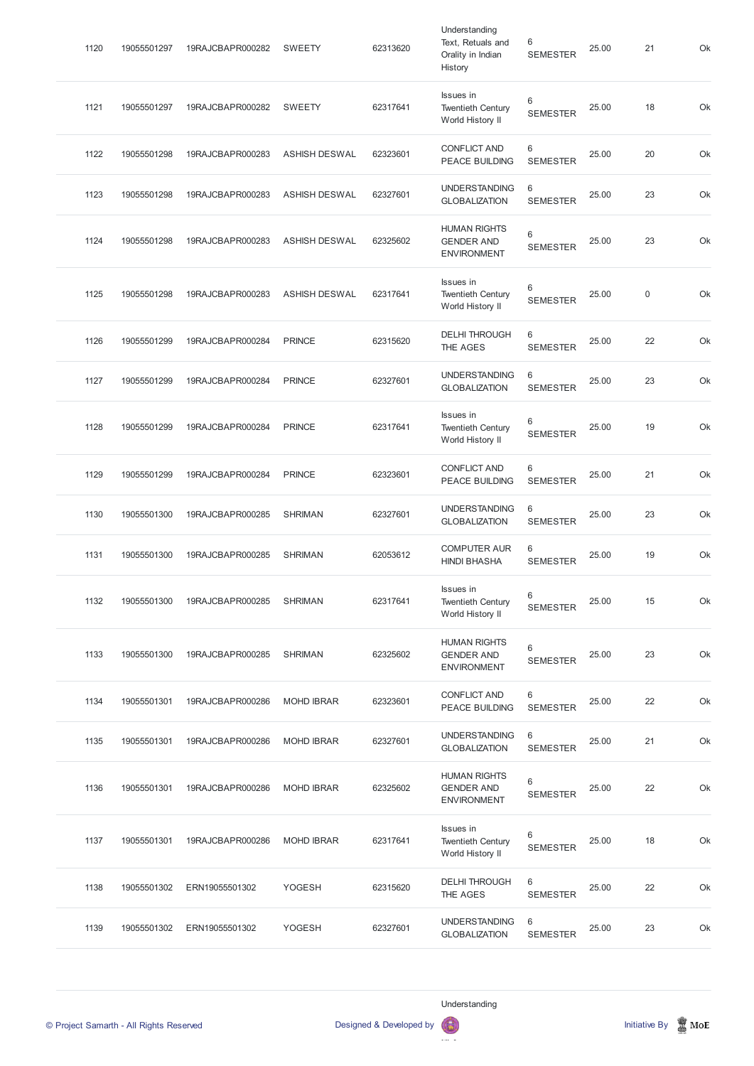| 1120 | 19055501297 | 19RAJCBAPR000282 | <b>SWEETY</b>        | 62313620 | Understanding<br>Text, Retuals and<br>Orality in Indian<br>History | 6<br><b>SEMESTER</b> | 25.00 | 21          | Ok |
|------|-------------|------------------|----------------------|----------|--------------------------------------------------------------------|----------------------|-------|-------------|----|
| 1121 | 19055501297 | 19RAJCBAPR000282 | <b>SWEETY</b>        | 62317641 | Issues in<br><b>Twentieth Century</b><br>World History II          | 6<br><b>SEMESTER</b> | 25.00 | 18          | Ok |
| 1122 | 19055501298 | 19RAJCBAPR000283 | <b>ASHISH DESWAL</b> | 62323601 | <b>CONFLICT AND</b><br>PEACE BUILDING                              | 6<br><b>SEMESTER</b> | 25.00 | 20          | Ok |
| 1123 | 19055501298 | 19RAJCBAPR000283 | <b>ASHISH DESWAL</b> | 62327601 | <b>UNDERSTANDING</b><br><b>GLOBALIZATION</b>                       | 6<br><b>SEMESTER</b> | 25.00 | 23          | Ok |
| 1124 | 19055501298 | 19RAJCBAPR000283 | <b>ASHISH DESWAL</b> | 62325602 | <b>HUMAN RIGHTS</b><br><b>GENDER AND</b><br><b>ENVIRONMENT</b>     | 6<br><b>SEMESTER</b> | 25.00 | 23          | Ok |
| 1125 | 19055501298 | 19RAJCBAPR000283 | <b>ASHISH DESWAL</b> | 62317641 | Issues in<br><b>Twentieth Century</b><br>World History II          | 6<br><b>SEMESTER</b> | 25.00 | $\mathsf 0$ | Ok |
| 1126 | 19055501299 | 19RAJCBAPR000284 | <b>PRINCE</b>        | 62315620 | <b>DELHI THROUGH</b><br>THE AGES                                   | 6<br><b>SEMESTER</b> | 25.00 | 22          | Ok |
| 1127 | 19055501299 | 19RAJCBAPR000284 | <b>PRINCE</b>        | 62327601 | <b>UNDERSTANDING</b><br><b>GLOBALIZATION</b>                       | 6<br><b>SEMESTER</b> | 25.00 | 23          | Ok |
| 1128 | 19055501299 | 19RAJCBAPR000284 | <b>PRINCE</b>        | 62317641 | Issues in<br><b>Twentieth Century</b><br>World History II          | 6<br><b>SEMESTER</b> | 25.00 | 19          | Ok |
| 1129 | 19055501299 | 19RAJCBAPR000284 | <b>PRINCE</b>        | 62323601 | <b>CONFLICT AND</b><br><b>PEACE BUILDING</b>                       | 6<br><b>SEMESTER</b> | 25.00 | 21          | Ok |
| 1130 | 19055501300 | 19RAJCBAPR000285 | <b>SHRIMAN</b>       | 62327601 | <b>UNDERSTANDING</b><br><b>GLOBALIZATION</b>                       | 6<br><b>SEMESTER</b> | 25.00 | 23          | Ok |
| 1131 | 19055501300 | 19RAJCBAPR000285 | <b>SHRIMAN</b>       | 62053612 | <b>COMPUTER AUR</b><br><b>HINDI BHASHA</b>                         | 6<br><b>SEMESTER</b> | 25.00 | 19          | Ok |
| 1132 | 19055501300 | 19RAJCBAPR000285 | <b>SHRIMAN</b>       | 62317641 | Issues in<br><b>Twentieth Century</b><br>World History II          | 6<br><b>SEMESTER</b> | 25.00 | 15          | Ok |
| 1133 | 19055501300 | 19RAJCBAPR000285 | <b>SHRIMAN</b>       | 62325602 | <b>HUMAN RIGHTS</b><br><b>GENDER AND</b><br><b>ENVIRONMENT</b>     | 6<br><b>SEMESTER</b> | 25.00 | 23          | Ok |
| 1134 | 19055501301 | 19RAJCBAPR000286 | <b>MOHD IBRAR</b>    | 62323601 | <b>CONFLICT AND</b><br><b>PEACE BUILDING</b>                       | 6<br><b>SEMESTER</b> | 25.00 | 22          | Ok |
| 1135 | 19055501301 | 19RAJCBAPR000286 | <b>MOHD IBRAR</b>    | 62327601 | <b>UNDERSTANDING</b><br><b>GLOBALIZATION</b>                       | 6<br><b>SEMESTER</b> | 25.00 | 21          | Ok |
| 1136 | 19055501301 | 19RAJCBAPR000286 | <b>MOHD IBRAR</b>    | 62325602 | <b>HUMAN RIGHTS</b><br><b>GENDER AND</b><br><b>ENVIRONMENT</b>     | 6<br><b>SEMESTER</b> | 25.00 | 22          | Ok |

| 1137 | 19055501301 | 19RAJCBAPR000286 | <b>MOHD IBRAR</b> | 62317641 | Issues in<br><b>Twentieth Century</b><br>World History II | 6<br><b>SEMESTER</b>  | 25.00 | 18 | Ok |
|------|-------------|------------------|-------------------|----------|-----------------------------------------------------------|-----------------------|-------|----|----|
| 1138 | 19055501302 | ERN19055501302   | <b>YOGESH</b>     | 62315620 | <b>DELHI THROUGH</b><br>THE AGES                          | -6<br><b>SEMESTER</b> | 25.00 | 22 | Ok |
| 1139 | 19055501302 | ERN19055501302   | <b>YOGESH</b>     | 62327601 | <b>UNDERSTANDING</b><br><b>GLOBALIZATION</b>              | -6<br><b>SEMESTER</b> | 25.00 | 23 | Ok |

Understanding



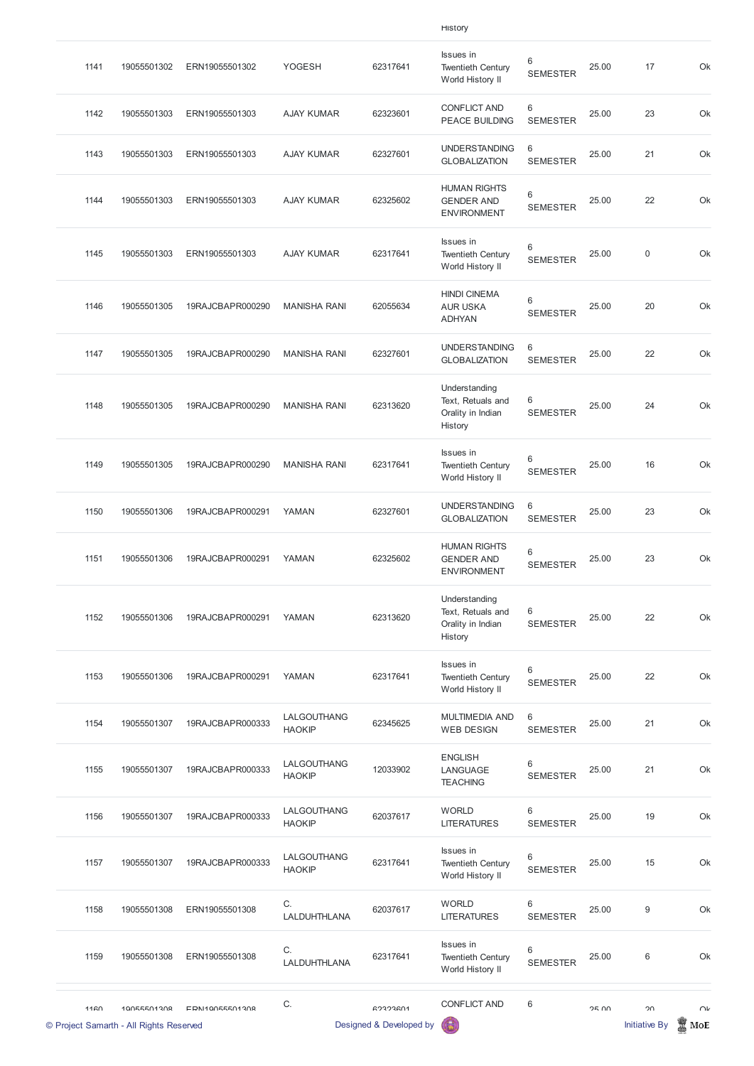|      |             |                  |                              |          | <b>HISTORY</b>                                                     |                      |       |         |    |
|------|-------------|------------------|------------------------------|----------|--------------------------------------------------------------------|----------------------|-------|---------|----|
| 1141 | 19055501302 | ERN19055501302   | <b>YOGESH</b>                | 62317641 | Issues in<br><b>Twentieth Century</b><br>World History II          | 6<br><b>SEMESTER</b> | 25.00 | 17      | Ok |
| 1142 | 19055501303 | ERN19055501303   | <b>AJAY KUMAR</b>            | 62323601 | <b>CONFLICT AND</b><br><b>PEACE BUILDING</b>                       | 6<br><b>SEMESTER</b> | 25.00 | 23      | Ok |
| 1143 | 19055501303 | ERN19055501303   | <b>AJAY KUMAR</b>            | 62327601 | <b>UNDERSTANDING</b><br><b>GLOBALIZATION</b>                       | 6<br><b>SEMESTER</b> | 25.00 | 21      | Ok |
| 1144 | 19055501303 | ERN19055501303   | <b>AJAY KUMAR</b>            | 62325602 | <b>HUMAN RIGHTS</b><br><b>GENDER AND</b><br><b>ENVIRONMENT</b>     | 6<br><b>SEMESTER</b> | 25.00 | 22      | Ok |
| 1145 | 19055501303 | ERN19055501303   | <b>AJAY KUMAR</b>            | 62317641 | Issues in<br><b>Twentieth Century</b><br>World History II          | 6<br><b>SEMESTER</b> | 25.00 | $\,0\,$ | Ok |
| 1146 | 19055501305 | 19RAJCBAPR000290 | <b>MANISHA RANI</b>          | 62055634 | <b>HINDI CINEMA</b><br><b>AUR USKA</b><br><b>ADHYAN</b>            | 6<br><b>SEMESTER</b> | 25.00 | 20      | Ok |
| 1147 | 19055501305 | 19RAJCBAPR000290 | <b>MANISHA RANI</b>          | 62327601 | <b>UNDERSTANDING</b><br><b>GLOBALIZATION</b>                       | 6<br><b>SEMESTER</b> | 25.00 | 22      | Ok |
| 1148 | 19055501305 | 19RAJCBAPR000290 | <b>MANISHA RANI</b>          | 62313620 | Understanding<br>Text, Retuals and<br>Orality in Indian<br>History | 6<br><b>SEMESTER</b> | 25.00 | 24      | Ok |
| 1149 | 19055501305 | 19RAJCBAPR000290 | <b>MANISHA RANI</b>          | 62317641 | Issues in<br><b>Twentieth Century</b><br>World History II          | 6<br><b>SEMESTER</b> | 25.00 | 16      | Ok |
| 1150 | 19055501306 | 19RAJCBAPR000291 | YAMAN                        | 62327601 | <b>UNDERSTANDING</b><br><b>GLOBALIZATION</b>                       | 6<br><b>SEMESTER</b> | 25.00 | 23      | Ok |
| 1151 | 19055501306 | 19RAJCBAPR000291 | YAMAN                        | 62325602 | <b>HUMAN RIGHTS</b><br><b>GENDER AND</b><br><b>ENVIRONMENT</b>     | 6<br><b>SEMESTER</b> | 25.00 | 23      | Ok |
| 1152 | 19055501306 | 19RAJCBAPR000291 | YAMAN                        | 62313620 | Understanding<br>Text, Retuals and<br>Orality in Indian<br>History | 6<br><b>SEMESTER</b> | 25.00 | 22      | Ok |
| 1153 | 19055501306 | 19RAJCBAPR000291 | YAMAN                        | 62317641 | Issues in<br><b>Twentieth Century</b><br>World History II          | 6<br><b>SEMESTER</b> | 25.00 | 22      | Ok |
| 1154 | 19055501307 | 19RAJCBAPR000333 | LALGOUTHANG<br><b>HAOKIP</b> | 62345625 | <b>MULTIMEDIA AND</b><br><b>WEB DESIGN</b>                         | 6<br><b>SEMESTER</b> | 25.00 | 21      | Ok |
| 1155 | 19055501307 | 19RAJCBAPR000333 | LALGOUTHANG<br><b>HAOKIP</b> | 12033902 | <b>ENGLISH</b><br>LANGUAGE<br><b>TEACHING</b>                      | 6<br><b>SEMESTER</b> | 25.00 | 21      | Ok |

|      | © Project Samarth - All Rights Reserved |                  |                              | Designed & Developed by |                                                                  |                      |       | <b>Initiative By</b> | MoE    |
|------|-----------------------------------------|------------------|------------------------------|-------------------------|------------------------------------------------------------------|----------------------|-------|----------------------|--------|
| 1160 | 10055501308                             | EDN10055501308   | C.                           | <b>GORDRAN</b>          | <b>CONFLICT AND</b>                                              | 6                    | 2500  | $\Omega$             | $\cap$ |
| 1159 | 19055501308                             | ERN19055501308   | C.<br>LALDUHTHLANA           | 62317641                | Issues in<br><b>Twentieth Century</b><br>World History II        | 6<br><b>SEMESTER</b> | 25.00 | $\,6$                | Ok     |
| 1158 | 19055501308                             | ERN19055501308   | C.<br>LALDUHTHLANA           | 62037617                | <b>WORLD</b><br><b>LITERATURES</b>                               | 6<br><b>SEMESTER</b> | 25.00 | $\boldsymbol{9}$     | Ok     |
| 1157 | 19055501307                             | 19RAJCBAPR000333 | LALGOUTHANG<br><b>HAOKIP</b> | 62317641                | <b>Issues</b> in<br><b>Twentieth Century</b><br>World History II | 6<br><b>SEMESTER</b> | 25.00 | 15                   | Ok     |
| 1156 | 19055501307                             | 19RAJCBAPR000333 | LALGOUTHANG<br><b>HAOKIP</b> | 62037617                | <b>WORLD</b><br><b>LITERATURES</b>                               | 6<br><b>SEMESTER</b> | 25.00 | 19                   | Ok     |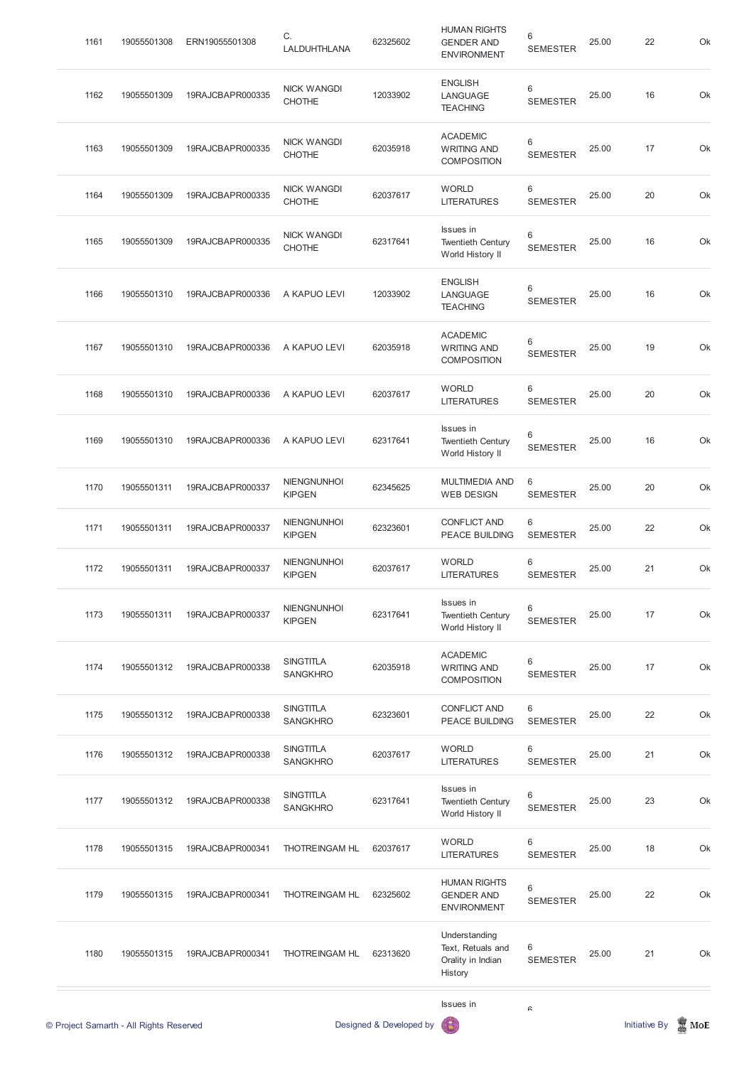| 1161 | 19055501308                             | ERN19055501308   | C.<br>LALDUHTHLANA                  | 62325602                | <b>HUMAN RIGHTS</b><br><b>GENDER AND</b><br><b>ENVIRONMENT</b>     | 6<br><b>SEMESTER</b>              | 25.00 | 22                   | Ok  |
|------|-----------------------------------------|------------------|-------------------------------------|-------------------------|--------------------------------------------------------------------|-----------------------------------|-------|----------------------|-----|
| 1162 | 19055501309                             | 19RAJCBAPR000335 | <b>NICK WANGDI</b><br><b>CHOTHE</b> | 12033902                | <b>ENGLISH</b><br>LANGUAGE<br><b>TEACHING</b>                      | $6\phantom{1}$<br><b>SEMESTER</b> | 25.00 | 16                   | Ok  |
| 1163 | 19055501309                             | 19RAJCBAPR000335 | <b>NICK WANGDI</b><br><b>CHOTHE</b> | 62035918                | <b>ACADEMIC</b><br><b>WRITING AND</b><br><b>COMPOSITION</b>        | 6<br><b>SEMESTER</b>              | 25.00 | 17                   | Ok  |
| 1164 | 19055501309                             | 19RAJCBAPR000335 | <b>NICK WANGDI</b><br><b>CHOTHE</b> | 62037617                | <b>WORLD</b><br><b>LITERATURES</b>                                 | $\,6$<br><b>SEMESTER</b>          | 25.00 | 20                   | Ok  |
| 1165 | 19055501309                             | 19RAJCBAPR000335 | <b>NICK WANGDI</b><br><b>CHOTHE</b> | 62317641                | Issues in<br><b>Twentieth Century</b><br>World History II          | 6<br><b>SEMESTER</b>              | 25.00 | 16                   | Ok  |
| 1166 | 19055501310                             | 19RAJCBAPR000336 | A KAPUO LEVI                        | 12033902                | <b>ENGLISH</b><br>LANGUAGE<br><b>TEACHING</b>                      | $6\phantom{1}$<br><b>SEMESTER</b> | 25.00 | 16                   | Ok  |
| 1167 | 19055501310                             | 19RAJCBAPR000336 | A KAPUO LEVI                        | 62035918                | <b>ACADEMIC</b><br><b>WRITING AND</b><br><b>COMPOSITION</b>        | $6\phantom{1}$<br><b>SEMESTER</b> | 25.00 | 19                   | Ok  |
| 1168 | 19055501310                             | 19RAJCBAPR000336 | A KAPUO LEVI                        | 62037617                | <b>WORLD</b><br><b>LITERATURES</b>                                 | 6<br><b>SEMESTER</b>              | 25.00 | 20                   | Ok  |
| 1169 | 19055501310                             | 19RAJCBAPR000336 | A KAPUO LEVI                        | 62317641                | Issues in<br><b>Twentieth Century</b><br>World History II          | $6\,$<br><b>SEMESTER</b>          | 25.00 | 16                   | Ok  |
| 1170 | 19055501311                             | 19RAJCBAPR000337 | <b>NIENGNUNHOI</b><br><b>KIPGEN</b> | 62345625                | <b>MULTIMEDIA AND</b><br><b>WEB DESIGN</b>                         | 6<br><b>SEMESTER</b>              | 25.00 | 20                   | Ok  |
| 1171 | 19055501311                             | 19RAJCBAPR000337 | <b>NIENGNUNHOI</b><br><b>KIPGEN</b> | 62323601                | <b>CONFLICT AND</b><br>PEACE BUILDING                              | 6<br><b>SEMESTER</b>              | 25.00 | 22                   | Ok  |
| 1172 | 19055501311                             | 19RAJCBAPR000337 | <b>NIENGNUNHOI</b><br><b>KIPGEN</b> | 62037617                | <b>WORLD</b><br><b>LITERATURES</b>                                 | $\,6\,$<br><b>SEMESTER</b>        | 25.00 | 21                   | Ok  |
| 1173 | 19055501311                             | 19RAJCBAPR000337 | <b>NIENGNUNHOI</b><br><b>KIPGEN</b> | 62317641                | Issues in<br><b>Twentieth Century</b><br>World History II          | 6<br><b>SEMESTER</b>              | 25.00 | 17                   | Ok  |
| 1174 | 19055501312                             | 19RAJCBAPR000338 | <b>SINGTITLA</b><br><b>SANGKHRO</b> | 62035918                | <b>ACADEMIC</b><br><b>WRITING AND</b><br><b>COMPOSITION</b>        | 6<br><b>SEMESTER</b>              | 25.00 | 17                   | Ok  |
| 1175 | 19055501312                             | 19RAJCBAPR000338 | <b>SINGTITLA</b><br><b>SANGKHRO</b> | 62323601                | <b>CONFLICT AND</b><br><b>PEACE BUILDING</b>                       | 6<br><b>SEMESTER</b>              | 25.00 | 22                   | Ok  |
| 1176 | 19055501312                             | 19RAJCBAPR000338 | <b>SINGTITLA</b><br><b>SANGKHRO</b> | 62037617                | <b>WORLD</b><br><b>LITERATURES</b>                                 | 6<br><b>SEMESTER</b>              | 25.00 | 21                   | Ok  |
| 1177 | 19055501312                             | 19RAJCBAPR000338 | <b>SINGTITLA</b><br><b>SANGKHRO</b> | 62317641                | Issues in<br><b>Twentieth Century</b><br>World History II          | 6<br><b>SEMESTER</b>              | 25.00 | 23                   | Ok  |
| 1178 | 19055501315                             | 19RAJCBAPR000341 | THOTREINGAM HL                      | 62037617                | <b>WORLD</b><br><b>LITERATURES</b>                                 | $6\phantom{1}$<br><b>SEMESTER</b> | 25.00 | 18                   | Ok  |
| 1179 | 19055501315                             | 19RAJCBAPR000341 | THOTREINGAM HL                      | 62325602                | <b>HUMAN RIGHTS</b><br><b>GENDER AND</b><br><b>ENVIRONMENT</b>     | $6\,$<br><b>SEMESTER</b>          | 25.00 | 22                   | Ok  |
| 1180 | 19055501315                             | 19RAJCBAPR000341 | THOTREINGAM HL                      | 62313620                | Understanding<br>Text, Retuals and<br>Orality in Indian<br>History | 6<br><b>SEMESTER</b>              | 25.00 | 21                   | Ok  |
|      |                                         |                  |                                     |                         | Issues in                                                          | R                                 |       |                      |     |
|      | © Project Samarth - All Rights Reserved |                  |                                     | Designed & Developed by |                                                                    |                                   |       | <b>Initiative By</b> | MoE |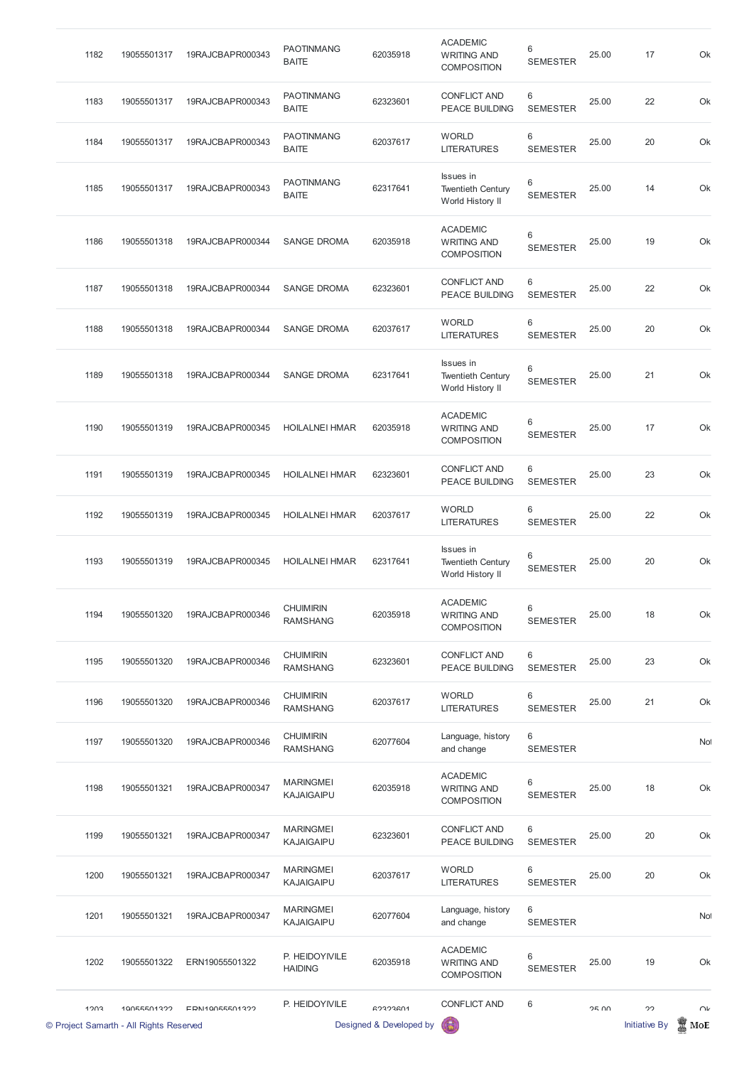| 1182 | 19055501317 | 19RAJCBAPR000343 | <b>PAOTINMANG</b><br><b>BAITE</b>   | 62035918 | <b>ACADEMIC</b><br><b>WRITING AND</b><br><b>COMPOSITION</b> | 6<br><b>SEMESTER</b> | 25.00 | 17 | Ok  |
|------|-------------|------------------|-------------------------------------|----------|-------------------------------------------------------------|----------------------|-------|----|-----|
| 1183 | 19055501317 | 19RAJCBAPR000343 | <b>PAOTINMANG</b><br><b>BAITE</b>   | 62323601 | <b>CONFLICT AND</b><br><b>PEACE BUILDING</b>                | 6<br><b>SEMESTER</b> | 25.00 | 22 | Ok  |
| 1184 | 19055501317 | 19RAJCBAPR000343 | <b>PAOTINMANG</b><br><b>BAITE</b>   | 62037617 | <b>WORLD</b><br><b>LITERATURES</b>                          | 6<br><b>SEMESTER</b> | 25.00 | 20 | Ok  |
| 1185 | 19055501317 | 19RAJCBAPR000343 | <b>PAOTINMANG</b><br><b>BAITE</b>   | 62317641 | Issues in<br><b>Twentieth Century</b><br>World History II   | 6<br><b>SEMESTER</b> | 25.00 | 14 | Ok  |
| 1186 | 19055501318 | 19RAJCBAPR000344 | <b>SANGE DROMA</b>                  | 62035918 | <b>ACADEMIC</b><br><b>WRITING AND</b><br><b>COMPOSITION</b> | 6<br><b>SEMESTER</b> | 25.00 | 19 | Ok  |
| 1187 | 19055501318 | 19RAJCBAPR000344 | <b>SANGE DROMA</b>                  | 62323601 | <b>CONFLICT AND</b><br><b>PEACE BUILDING</b>                | 6<br><b>SEMESTER</b> | 25.00 | 22 | Ok  |
| 1188 | 19055501318 | 19RAJCBAPR000344 | <b>SANGE DROMA</b>                  | 62037617 | <b>WORLD</b><br><b>LITERATURES</b>                          | 6<br><b>SEMESTER</b> | 25.00 | 20 | Ok  |
| 1189 | 19055501318 | 19RAJCBAPR000344 | <b>SANGE DROMA</b>                  | 62317641 | Issues in<br><b>Twentieth Century</b><br>World History II   | 6<br><b>SEMESTER</b> | 25.00 | 21 | Ok  |
| 1190 | 19055501319 | 19RAJCBAPR000345 | <b>HOILALNEI HMAR</b>               | 62035918 | <b>ACADEMIC</b><br><b>WRITING AND</b><br><b>COMPOSITION</b> | 6<br><b>SEMESTER</b> | 25.00 | 17 | Ok  |
| 1191 | 19055501319 | 19RAJCBAPR000345 | <b>HOILALNEI HMAR</b>               | 62323601 | <b>CONFLICT AND</b><br><b>PEACE BUILDING</b>                | 6<br><b>SEMESTER</b> | 25.00 | 23 | Ok  |
| 1192 | 19055501319 | 19RAJCBAPR000345 | <b>HOILALNEI HMAR</b>               | 62037617 | <b>WORLD</b><br><b>LITERATURES</b>                          | 6<br><b>SEMESTER</b> | 25.00 | 22 | Ok  |
| 1193 | 19055501319 | 19RAJCBAPR000345 | <b>HOILALNEI HMAR</b>               | 62317641 | Issues in<br><b>Twentieth Century</b><br>World History II   | 6<br><b>SEMESTER</b> | 25.00 | 20 | Ok  |
| 1194 | 19055501320 | 19RAJCBAPR000346 | <b>CHUIMIRIN</b><br><b>RAMSHANG</b> | 62035918 | <b>ACADEMIC</b><br><b>WRITING AND</b><br><b>COMPOSITION</b> | 6<br><b>SEMESTER</b> | 25.00 | 18 | Ok  |
| 1195 | 19055501320 | 19RAJCBAPR000346 | <b>CHUIMIRIN</b><br><b>RAMSHANG</b> | 62323601 | <b>CONFLICT AND</b><br><b>PEACE BUILDING</b>                | 6<br><b>SEMESTER</b> | 25.00 | 23 | Ok  |
| 1196 | 19055501320 | 19RAJCBAPR000346 | <b>CHUIMIRIN</b><br><b>RAMSHANG</b> | 62037617 | <b>WORLD</b><br><b>LITERATURES</b>                          | 6<br><b>SEMESTER</b> | 25.00 | 21 | Ok  |
| 1197 | 19055501320 | 19RAJCBAPR000346 | <b>CHUIMIRIN</b><br><b>RAMSHANG</b> | 62077604 | Language, history<br>and change                             | 6<br><b>SEMESTER</b> |       |    | Not |
| 1198 | 19055501321 | 19RAJCBAPR000347 | <b>MARINGMEI</b><br>KAJAIGAIPU      | 62035918 | <b>ACADEMIC</b><br><b>WRITING AND</b><br><b>COMPOSITION</b> | 6<br><b>SEMESTER</b> | 25.00 | 18 | Ok  |

|      | © Project Samarth - All Rights Reserved |                  |                                       | Designed & Developed by |                                                             |                      |       | <b>Initiative By</b> | I<br>MoE |
|------|-----------------------------------------|------------------|---------------------------------------|-------------------------|-------------------------------------------------------------|----------------------|-------|----------------------|----------|
| 1003 | 10055501322                             | EDN10055501322   | P. HEIDOYIVILE                        | 62323601                | <b>CONFLICT AND</b>                                         | 6                    | 2500  | 22                   | $\cap$   |
| 1202 | 19055501322                             | ERN19055501322   | P. HEIDOYIVILE<br><b>HAIDING</b>      | 62035918                | <b>ACADEMIC</b><br><b>WRITING AND</b><br><b>COMPOSITION</b> | 6<br><b>SEMESTER</b> | 25.00 | 19                   | Ok       |
| 1201 | 19055501321                             | 19RAJCBAPR000347 | <b>MARINGMEI</b><br><b>KAJAIGAIPU</b> | 62077604                | Language, history<br>and change                             | 6<br><b>SEMESTER</b> |       |                      | Not      |
| 1200 | 19055501321                             | 19RAJCBAPR000347 | <b>MARINGMEI</b><br><b>KAJAIGAIPU</b> | 62037617                | <b>WORLD</b><br><b>LITERATURES</b>                          | 6<br><b>SEMESTER</b> | 25.00 | 20                   | Ok       |
| 1199 | 19055501321                             | 19RAJCBAPR000347 | <b>MARINGMEI</b><br><b>KAJAIGAIPU</b> | 62323601                | <b>CONFLICT AND</b><br><b>PEACE BUILDING</b>                | 6<br><b>SEMESTER</b> | 25.00 | 20                   | Ok       |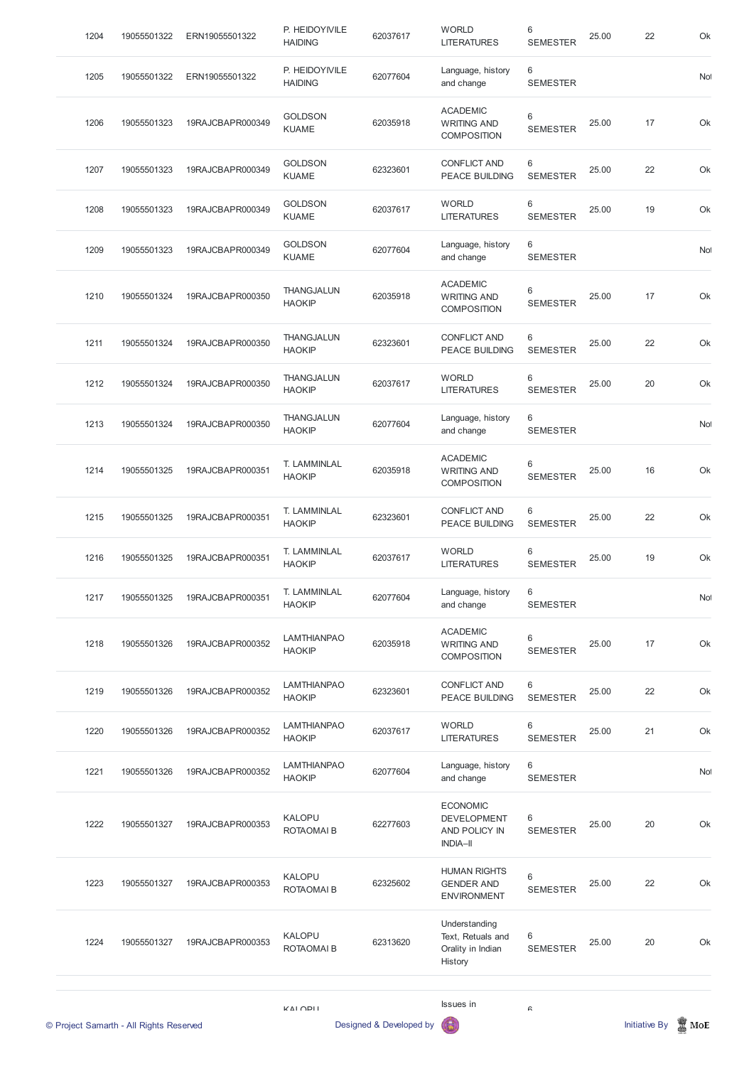| 1204<br>19055501322 | ERN19055501322   | P. HEIDOYIVILE<br><b>HAIDING</b>    | 62037617 | <b>WORLD</b><br><b>LITERATURES</b>                                        | $6\,$<br><b>SEMESTER</b>           | 25.00 | 22 | Ok  |
|---------------------|------------------|-------------------------------------|----------|---------------------------------------------------------------------------|------------------------------------|-------|----|-----|
| 1205<br>19055501322 | ERN19055501322   | P. HEIDOYIVILE<br><b>HAIDING</b>    | 62077604 | Language, history<br>and change                                           | 6<br><b>SEMESTER</b>               |       |    | Not |
| 1206<br>19055501323 | 19RAJCBAPR000349 | <b>GOLDSON</b><br><b>KUAME</b>      | 62035918 | <b>ACADEMIC</b><br><b>WRITING AND</b><br><b>COMPOSITION</b>               | $6\,$<br><b>SEMESTER</b>           | 25.00 | 17 | Ok  |
| 1207<br>19055501323 | 19RAJCBAPR000349 | <b>GOLDSON</b><br><b>KUAME</b>      | 62323601 | <b>CONFLICT AND</b><br><b>PEACE BUILDING</b>                              | $6\phantom{1}6$<br><b>SEMESTER</b> | 25.00 | 22 | Ok  |
| 1208<br>19055501323 | 19RAJCBAPR000349 | <b>GOLDSON</b><br><b>KUAME</b>      | 62037617 | <b>WORLD</b><br><b>LITERATURES</b>                                        | $6\phantom{1}6$<br><b>SEMESTER</b> | 25.00 | 19 | Ok  |
| 1209<br>19055501323 | 19RAJCBAPR000349 | <b>GOLDSON</b><br><b>KUAME</b>      | 62077604 | Language, history<br>and change                                           | 6<br><b>SEMESTER</b>               |       |    | Not |
| 1210<br>19055501324 | 19RAJCBAPR000350 | <b>THANGJALUN</b><br><b>HAOKIP</b>  | 62035918 | <b>ACADEMIC</b><br><b>WRITING AND</b><br><b>COMPOSITION</b>               | 6<br><b>SEMESTER</b>               | 25.00 | 17 | Ok  |
| 1211<br>19055501324 | 19RAJCBAPR000350 | <b>THANGJALUN</b><br><b>HAOKIP</b>  | 62323601 | <b>CONFLICT AND</b><br><b>PEACE BUILDING</b>                              | 6<br><b>SEMESTER</b>               | 25.00 | 22 | Ok  |
| 1212<br>19055501324 | 19RAJCBAPR000350 | <b>THANGJALUN</b><br><b>HAOKIP</b>  | 62037617 | <b>WORLD</b><br><b>LITERATURES</b>                                        | $6\phantom{1}6$<br><b>SEMESTER</b> | 25.00 | 20 | Ok  |
| 1213<br>19055501324 | 19RAJCBAPR000350 | <b>THANGJALUN</b><br><b>HAOKIP</b>  | 62077604 | Language, history<br>and change                                           | 6<br><b>SEMESTER</b>               |       |    | No  |
| 1214<br>19055501325 | 19RAJCBAPR000351 | T. LAMMINLAL<br><b>HAOKIP</b>       | 62035918 | <b>ACADEMIC</b><br><b>WRITING AND</b><br><b>COMPOSITION</b>               | 6<br><b>SEMESTER</b>               | 25.00 | 16 | Ok  |
| 1215<br>19055501325 | 19RAJCBAPR000351 | T. LAMMINLAL<br><b>HAOKIP</b>       | 62323601 | <b>CONFLICT AND</b><br><b>PEACE BUILDING</b>                              | 6<br><b>SEMESTER</b>               | 25.00 | 22 | Ok  |
| 1216<br>19055501325 | 19RAJCBAPR000351 | T. LAMMINLAL<br><b>HAOKIP</b>       | 62037617 | <b>WORLD</b><br><b>LITERATURES</b>                                        | $6\phantom{1}6$<br><b>SEMESTER</b> | 25.00 | 19 | Ok  |
| 1217<br>19055501325 | 19RAJCBAPR000351 | T. LAMMINLAL<br><b>HAOKIP</b>       | 62077604 | Language, history<br>and change                                           | 6<br><b>SEMESTER</b>               |       |    | Not |
| 1218<br>19055501326 | 19RAJCBAPR000352 | <b>LAMTHIANPAO</b><br><b>HAOKIP</b> | 62035918 | <b>ACADEMIC</b><br><b>WRITING AND</b><br><b>COMPOSITION</b>               | 6<br><b>SEMESTER</b>               | 25.00 | 17 | Ok  |
| 1219<br>19055501326 | 19RAJCBAPR000352 | <b>LAMTHIANPAO</b><br><b>HAOKIP</b> | 62323601 | <b>CONFLICT AND</b><br><b>PEACE BUILDING</b>                              | 6<br><b>SEMESTER</b>               | 25.00 | 22 | Ok  |
| 1220<br>19055501326 | 19RAJCBAPR000352 | <b>LAMTHIANPAO</b><br><b>HAOKIP</b> | 62037617 | <b>WORLD</b><br><b>LITERATURES</b>                                        | $6\phantom{1}6$<br><b>SEMESTER</b> | 25.00 | 21 | Ok  |
| 1221<br>19055501326 | 19RAJCBAPR000352 | <b>LAMTHIANPAO</b><br><b>HAOKIP</b> | 62077604 | Language, history<br>and change                                           | 6<br><b>SEMESTER</b>               |       |    | Not |
| 19055501327<br>1222 | 19RAJCBAPR000353 | <b>KALOPU</b><br>ROTAOMAI B         | 62277603 | <b>ECONOMIC</b><br><b>DEVELOPMENT</b><br>AND POLICY IN<br><b>INDIA-II</b> | 6<br><b>SEMESTER</b>               | 25.00 | 20 | Ok  |
|                     | 19RAJCBAPR000353 | <b>KALOPU</b><br>ROTAOMAI B         | 62325602 | <b>HUMAN RIGHTS</b><br><b>GENDER AND</b><br><b>ENVIRONMENT</b>            | 6<br><b>SEMESTER</b>               | 25.00 | 22 | Ok  |
| 1223<br>19055501327 |                  |                                     |          | Understanding                                                             |                                    |       |    |     |
| 1224<br>19055501327 | 19RAJCBAPR000353 | <b>KALOPU</b><br>ROTAOMAI B         | 62313620 | Text, Retuals and<br>Orality in Indian<br>History                         | 6<br><b>SEMESTER</b>               | 25.00 | 20 | Ok  |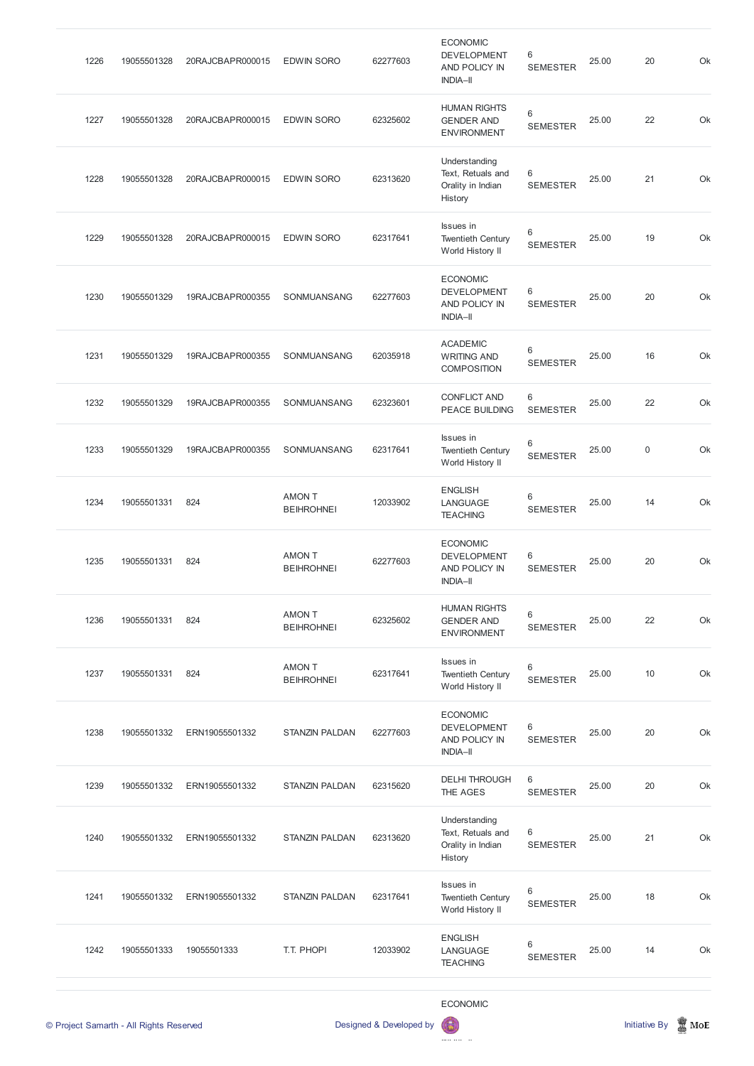| 1226 | 19055501328 | 20RAJCBAPR000015 | <b>EDWIN SORO</b>                  | 62277603 | <b>ECONOMIC</b><br><b>DEVELOPMENT</b><br>AND POLICY IN<br><b>INDIA-II</b> | 6<br><b>SEMESTER</b> | 25.00 | 20          | Ok |
|------|-------------|------------------|------------------------------------|----------|---------------------------------------------------------------------------|----------------------|-------|-------------|----|
| 1227 | 19055501328 | 20RAJCBAPR000015 | <b>EDWIN SORO</b>                  | 62325602 | <b>HUMAN RIGHTS</b><br><b>GENDER AND</b><br><b>ENVIRONMENT</b>            | 6<br><b>SEMESTER</b> | 25.00 | 22          | Ok |
| 1228 | 19055501328 | 20RAJCBAPR000015 | <b>EDWIN SORO</b>                  | 62313620 | Understanding<br>Text, Retuals and<br>Orality in Indian<br>History        | 6<br><b>SEMESTER</b> | 25.00 | 21          | Ok |
| 1229 | 19055501328 | 20RAJCBAPR000015 | <b>EDWIN SORO</b>                  | 62317641 | Issues in<br><b>Twentieth Century</b><br>World History II                 | 6<br><b>SEMESTER</b> | 25.00 | 19          | Ok |
| 1230 | 19055501329 | 19RAJCBAPR000355 | SONMUANSANG                        | 62277603 | <b>ECONOMIC</b><br>DEVELOPMENT<br><b>AND POLICY IN</b><br><b>INDIA-II</b> | 6<br><b>SEMESTER</b> | 25.00 | 20          | Ok |
| 1231 | 19055501329 | 19RAJCBAPR000355 | SONMUANSANG                        | 62035918 | <b>ACADEMIC</b><br><b>WRITING AND</b><br><b>COMPOSITION</b>               | 6<br><b>SEMESTER</b> | 25.00 | 16          | Ok |
| 1232 | 19055501329 | 19RAJCBAPR000355 | SONMUANSANG                        | 62323601 | <b>CONFLICT AND</b><br>PEACE BUILDING                                     | 6<br><b>SEMESTER</b> | 25.00 | 22          | Ok |
| 1233 | 19055501329 | 19RAJCBAPR000355 | SONMUANSANG                        | 62317641 | Issues in<br><b>Twentieth Century</b><br>World History II                 | 6<br><b>SEMESTER</b> | 25.00 | $\mathbf 0$ | Ok |
| 1234 | 19055501331 | 824              | <b>AMON T</b><br><b>BEIHROHNEI</b> | 12033902 | <b>ENGLISH</b><br>LANGUAGE<br><b>TEACHING</b>                             | 6<br><b>SEMESTER</b> | 25.00 | 14          | Ok |
| 1235 | 19055501331 | 824              | <b>AMON T</b><br><b>BEIHROHNEI</b> | 62277603 | <b>ECONOMIC</b><br><b>DEVELOPMENT</b><br>AND POLICY IN<br><b>INDIA-II</b> | 6<br><b>SEMESTER</b> | 25.00 | 20          | Ok |
| 1236 | 19055501331 | 824              | <b>AMON T</b><br><b>BEIHROHNEI</b> | 62325602 | <b>HUMAN RIGHTS</b><br><b>GENDER AND</b><br><b>ENVIRONMENT</b>            | 6<br><b>SEMESTER</b> | 25.00 | 22          | Ok |
| 1237 | 19055501331 | 824              | <b>AMON T</b><br><b>BEIHROHNEI</b> | 62317641 | Issues in<br><b>Twentieth Century</b><br>World History II                 | 6<br><b>SEMESTER</b> | 25.00 | 10          | Ok |
| 1238 | 19055501332 | ERN19055501332   | <b>STANZIN PALDAN</b>              | 62277603 | <b>ECONOMIC</b><br><b>DEVELOPMENT</b><br>AND POLICY IN<br><b>INDIA-II</b> | 6<br><b>SEMESTER</b> | 25.00 | 20          | Ok |
| 1239 | 19055501332 | ERN19055501332   | <b>STANZIN PALDAN</b>              | 62315620 | <b>DELHI THROUGH</b><br>THE AGES                                          | 6<br><b>SEMESTER</b> | 25.00 | 20          | Ok |

|      | © Project Samarth - All Rights Reserved |                |                       | Designed & Developed by | <b>ECONOMIC</b><br>63                                              |                      |       | <b>Initiative By</b> | $\mathbb Z$ MoE |
|------|-----------------------------------------|----------------|-----------------------|-------------------------|--------------------------------------------------------------------|----------------------|-------|----------------------|-----------------|
| 1242 | 19055501333                             | 19055501333    | T.T. PHOPI            | 12033902                | <b>ENGLISH</b><br>LANGUAGE<br><b>TEACHING</b>                      | 6<br><b>SEMESTER</b> | 25.00 | 14                   | Ok              |
| 1241 | 19055501332                             | ERN19055501332 | <b>STANZIN PALDAN</b> | 62317641                | Issues in<br><b>Twentieth Century</b><br>World History II          | 6<br><b>SEMESTER</b> | 25.00 | 18                   | Ok              |
| 1240 | 19055501332                             | ERN19055501332 | <b>STANZIN PALDAN</b> | 62313620                | Understanding<br>Text, Retuals and<br>Orality in Indian<br>History | 6<br><b>SEMESTER</b> | 25.00 | 21                   | Ok              |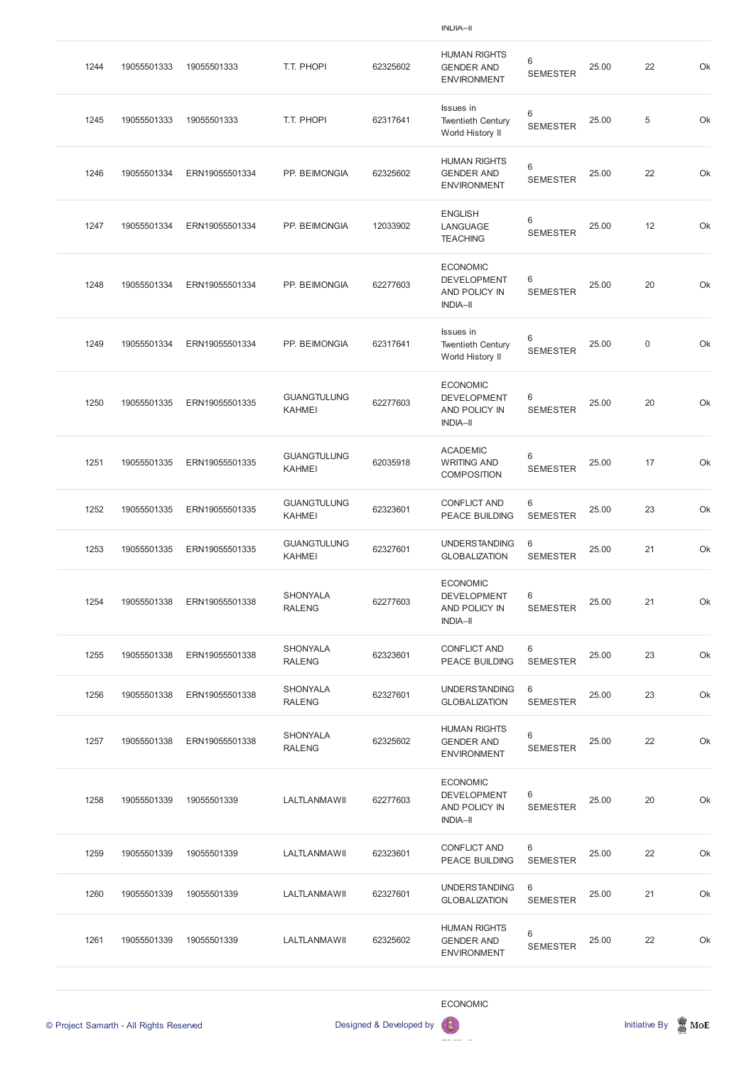| 1244 | 19055501333 | 19055501333    | T.T. PHOPI                          | 62325602 | <b>HUMAN RIGHTS</b><br><b>GENDER AND</b><br><b>ENVIRONMENT</b>            | $\,6$<br><b>SEMESTER</b> | 25.00 | 22          | Ok |
|------|-------------|----------------|-------------------------------------|----------|---------------------------------------------------------------------------|--------------------------|-------|-------------|----|
| 1245 | 19055501333 | 19055501333    | T.T. PHOPI                          | 62317641 | Issues in<br><b>Twentieth Century</b><br>World History II                 | 6<br><b>SEMESTER</b>     | 25.00 | $\sqrt{5}$  | Ok |
| 1246 | 19055501334 | ERN19055501334 | PP. BEIMONGIA                       | 62325602 | <b>HUMAN RIGHTS</b><br><b>GENDER AND</b><br><b>ENVIRONMENT</b>            | 6<br><b>SEMESTER</b>     | 25.00 | 22          | Ok |
| 1247 | 19055501334 | ERN19055501334 | PP. BEIMONGIA                       | 12033902 | <b>ENGLISH</b><br>LANGUAGE<br><b>TEACHING</b>                             | 6<br><b>SEMESTER</b>     | 25.00 | 12          | Ok |
| 1248 | 19055501334 | ERN19055501334 | PP. BEIMONGIA                       | 62277603 | <b>ECONOMIC</b><br><b>DEVELOPMENT</b><br>AND POLICY IN<br><b>INDIA-II</b> | 6<br><b>SEMESTER</b>     | 25.00 | 20          | Ok |
| 1249 | 19055501334 | ERN19055501334 | PP. BEIMONGIA                       | 62317641 | Issues in<br><b>Twentieth Century</b><br>World History II                 | 6<br><b>SEMESTER</b>     | 25.00 | $\mathsf 0$ | Ok |
| 1250 | 19055501335 | ERN19055501335 | <b>GUANGTULUNG</b><br><b>KAHMEI</b> | 62277603 | <b>ECONOMIC</b><br><b>DEVELOPMENT</b><br>AND POLICY IN<br><b>INDIA-II</b> | 6<br><b>SEMESTER</b>     | 25.00 | 20          | Ok |
| 1251 | 19055501335 | ERN19055501335 | <b>GUANGTULUNG</b><br><b>KAHMEI</b> | 62035918 | <b>ACADEMIC</b><br><b>WRITING AND</b><br><b>COMPOSITION</b>               | 6<br><b>SEMESTER</b>     | 25.00 | 17          | Ok |
| 1252 | 19055501335 | ERN19055501335 | <b>GUANGTULUNG</b><br><b>KAHMEI</b> | 62323601 | <b>CONFLICT AND</b><br><b>PEACE BUILDING</b>                              | 6<br><b>SEMESTER</b>     | 25.00 | 23          | Ok |
| 1253 | 19055501335 | ERN19055501335 | <b>GUANGTULUNG</b><br><b>KAHMEI</b> | 62327601 | <b>UNDERSTANDING</b><br><b>GLOBALIZATION</b>                              | 6<br><b>SEMESTER</b>     | 25.00 | 21          | Ok |
| 1254 | 19055501338 | ERN19055501338 | <b>SHONYALA</b><br><b>RALENG</b>    | 62277603 | <b>ECONOMIC</b><br><b>DEVELOPMENT</b><br>AND POLICY IN<br><b>INDIA-II</b> | 6<br><b>SEMESTER</b>     | 25.00 | 21          | Ok |
| 1255 | 19055501338 | ERN19055501338 | <b>SHONYALA</b><br><b>RALENG</b>    | 62323601 | <b>CONFLICT AND</b><br>PEACE BUILDING                                     | 6<br><b>SEMESTER</b>     | 25.00 | 23          | Ok |
| 1256 | 19055501338 | ERN19055501338 | <b>SHONYALA</b><br><b>RALENG</b>    | 62327601 | <b>UNDERSTANDING</b><br><b>GLOBALIZATION</b>                              | 6<br><b>SEMESTER</b>     | 25.00 | 23          | Ok |
| 1257 | 19055501338 | ERN19055501338 | <b>SHONYALA</b><br><b>RALENG</b>    | 62325602 | <b>HUMAN RIGHTS</b><br><b>GENDER AND</b><br><b>ENVIRONMENT</b>            | 6<br><b>SEMESTER</b>     | 25.00 | 22          | Ok |
| 1258 | 19055501339 | 19055501339    | LALTLANMAWII                        | 62277603 | <b>ECONOMIC</b><br><b>DEVELOPMENT</b>                                     | 6                        | 25.00 | 20          | Ok |

#### AND POLICY IN INDIA–II SEMESTER

| 1259 | 19055501339 | 19055501339 | LALTLANMAWII | 62323601 | CONFLICT AND<br><b>PEACE BUILDING</b>                          | 6<br><b>SEMESTER</b> | 25.00 | 22 | Ok |
|------|-------------|-------------|--------------|----------|----------------------------------------------------------------|----------------------|-------|----|----|
| 1260 | 19055501339 | 19055501339 | LALTLANMAWII | 62327601 | <b>UNDERSTANDING</b><br><b>GLOBALIZATION</b>                   | 6<br><b>SEMESTER</b> | 25.00 | 21 | Ok |
| 1261 | 19055501339 | 19055501339 | LALTLANMAWII | 62325602 | <b>HUMAN RIGHTS</b><br><b>GENDER AND</b><br><b>ENVIRONMENT</b> | 6<br><b>SEMESTER</b> | 25.00 | 22 | Ok |

# ECONOMIC



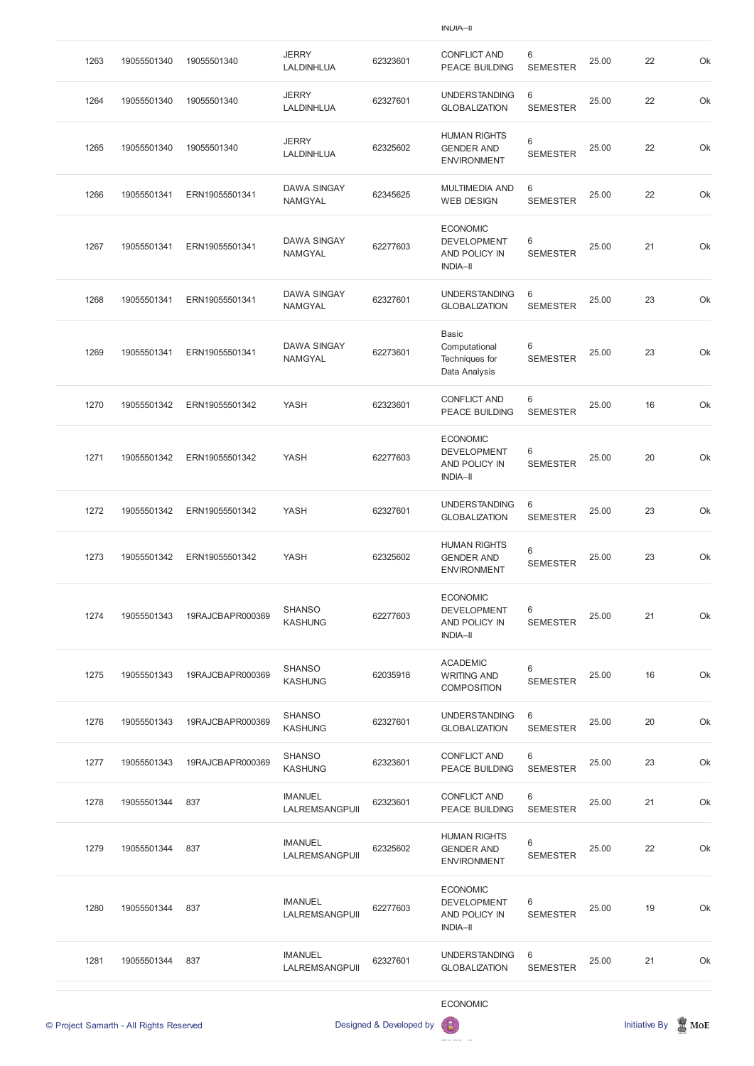| 1263                                    | 19055501340 | 19055501340      | <b>JERRY</b><br>LALDINHLUA           | 62323601                | <b>CONFLICT AND</b><br><b>PEACE BUILDING</b>                                     | 6<br><b>SEMESTER</b> | 25.00 | 22                   | Ok              |
|-----------------------------------------|-------------|------------------|--------------------------------------|-------------------------|----------------------------------------------------------------------------------|----------------------|-------|----------------------|-----------------|
| 1264                                    | 19055501340 | 19055501340      | <b>JERRY</b><br>LALDINHLUA           | 62327601                | <b>UNDERSTANDING</b><br><b>GLOBALIZATION</b>                                     | 6<br><b>SEMESTER</b> | 25.00 | 22                   | Ok              |
| 1265                                    | 19055501340 | 19055501340      | <b>JERRY</b><br>LALDINHLUA           | 62325602                | <b>HUMAN RIGHTS</b><br><b>GENDER AND</b><br><b>ENVIRONMENT</b>                   | 6<br><b>SEMESTER</b> | 25.00 | 22                   | Ok              |
| 1266                                    | 19055501341 | ERN19055501341   | <b>DAWA SINGAY</b><br><b>NAMGYAL</b> | 62345625                | <b>MULTIMEDIA AND</b><br><b>WEB DESIGN</b>                                       | 6<br><b>SEMESTER</b> | 25.00 | 22                   | Ok              |
| 1267                                    | 19055501341 | ERN19055501341   | <b>DAWA SINGAY</b><br><b>NAMGYAL</b> | 62277603                | <b>ECONOMIC</b><br><b>DEVELOPMENT</b><br>AND POLICY IN<br><b>INDIA-II</b>        | 6<br><b>SEMESTER</b> | 25.00 | 21                   | Ok              |
| 1268                                    | 19055501341 | ERN19055501341   | <b>DAWA SINGAY</b><br><b>NAMGYAL</b> | 62327601                | <b>UNDERSTANDING</b><br><b>GLOBALIZATION</b>                                     | 6<br><b>SEMESTER</b> | 25.00 | 23                   | Ok              |
| 1269                                    | 19055501341 | ERN19055501341   | <b>DAWA SINGAY</b><br><b>NAMGYAL</b> | 62273601                | <b>Basic</b><br>Computational<br>Techniques for<br>Data Analysis                 | 6<br><b>SEMESTER</b> | 25.00 | 23                   | Ok              |
| 1270                                    | 19055501342 | ERN19055501342   | <b>YASH</b>                          | 62323601                | <b>CONFLICT AND</b><br><b>PEACE BUILDING</b>                                     | 6<br><b>SEMESTER</b> | 25.00 | 16                   | Ok              |
| 1271                                    | 19055501342 | ERN19055501342   | <b>YASH</b>                          | 62277603                | <b>ECONOMIC</b><br><b>DEVELOPMENT</b><br>AND POLICY IN<br><b>INDIA-II</b>        | 6<br><b>SEMESTER</b> | 25.00 | 20                   | Ok              |
| 1272                                    | 19055501342 | ERN19055501342   | <b>YASH</b>                          | 62327601                | <b>UNDERSTANDING</b><br><b>GLOBALIZATION</b>                                     | 6<br><b>SEMESTER</b> | 25.00 | 23                   | Ok              |
| 1273                                    | 19055501342 | ERN19055501342   | <b>YASH</b>                          | 62325602                | <b>HUMAN RIGHTS</b><br><b>GENDER AND</b><br><b>ENVIRONMENT</b>                   | 6<br><b>SEMESTER</b> | 25.00 | 23                   | Ok              |
| 1274                                    | 19055501343 | 19RAJCBAPR000369 | <b>SHANSO</b><br><b>KASHUNG</b>      | 62277603                | <b>ECONOMIC</b><br><b>DEVELOPMENT</b><br><b>AND POLICY IN</b><br><b>INDIA-II</b> | 6<br><b>SEMESTER</b> | 25.00 | 21                   | Ok              |
| 1275                                    | 19055501343 | 19RAJCBAPR000369 | <b>SHANSO</b><br><b>KASHUNG</b>      | 62035918                | <b>ACADEMIC</b><br><b>WRITING AND</b><br><b>COMPOSITION</b>                      | 6<br><b>SEMESTER</b> | 25.00 | 16                   | Ok              |
| 1276                                    | 19055501343 | 19RAJCBAPR000369 | <b>SHANSO</b><br><b>KASHUNG</b>      | 62327601                | <b>UNDERSTANDING</b><br><b>GLOBALIZATION</b>                                     | 6<br><b>SEMESTER</b> | 25.00 | 20                   | Ok              |
| 1277                                    | 19055501343 | 19RAJCBAPR000369 | <b>SHANSO</b><br><b>KASHUNG</b>      | 62323601                | <b>CONFLICT AND</b><br>PEACE BUILDING                                            | 6<br><b>SEMESTER</b> | 25.00 | 23                   | Ok              |
| 1278                                    | 19055501344 | 837              | <b>IMANUEL</b><br>LALREMSANGPUII     | 62323601                | <b>CONFLICT AND</b><br><b>PEACE BUILDING</b>                                     | 6<br><b>SEMESTER</b> | 25.00 | 21                   | Ok              |
| 1279                                    | 19055501344 | 837              | <b>IMANUEL</b><br>LALREMSANGPUII     | 62325602                | <b>HUMAN RIGHTS</b><br><b>GENDER AND</b><br><b>ENVIRONMENT</b>                   | 6<br><b>SEMESTER</b> | 25.00 | 22                   | Ok              |
| 1280                                    | 19055501344 | 837              | <b>IMANUEL</b><br>LALREMSANGPUII     | 62277603                | <b>ECONOMIC</b><br><b>DEVELOPMENT</b><br>AND POLICY IN<br><b>INDIA-II</b>        | 6<br><b>SEMESTER</b> | 25.00 | 19                   | Ok              |
| 1281                                    | 19055501344 | 837              | <b>IMANUEL</b><br>LALREMSANGPUII     | 62327601                | <b>UNDERSTANDING</b><br><b>GLOBALIZATION</b>                                     | 6<br><b>SEMESTER</b> | 25.00 | 21                   | Ok              |
|                                         |             |                  |                                      |                         | <b>ECONOMIC</b>                                                                  |                      |       |                      |                 |
| © Project Samarth - All Rights Reserved |             |                  |                                      | Designed & Developed by |                                                                                  |                      |       | <b>Initiative By</b> | $\mathbb Z$ MoE |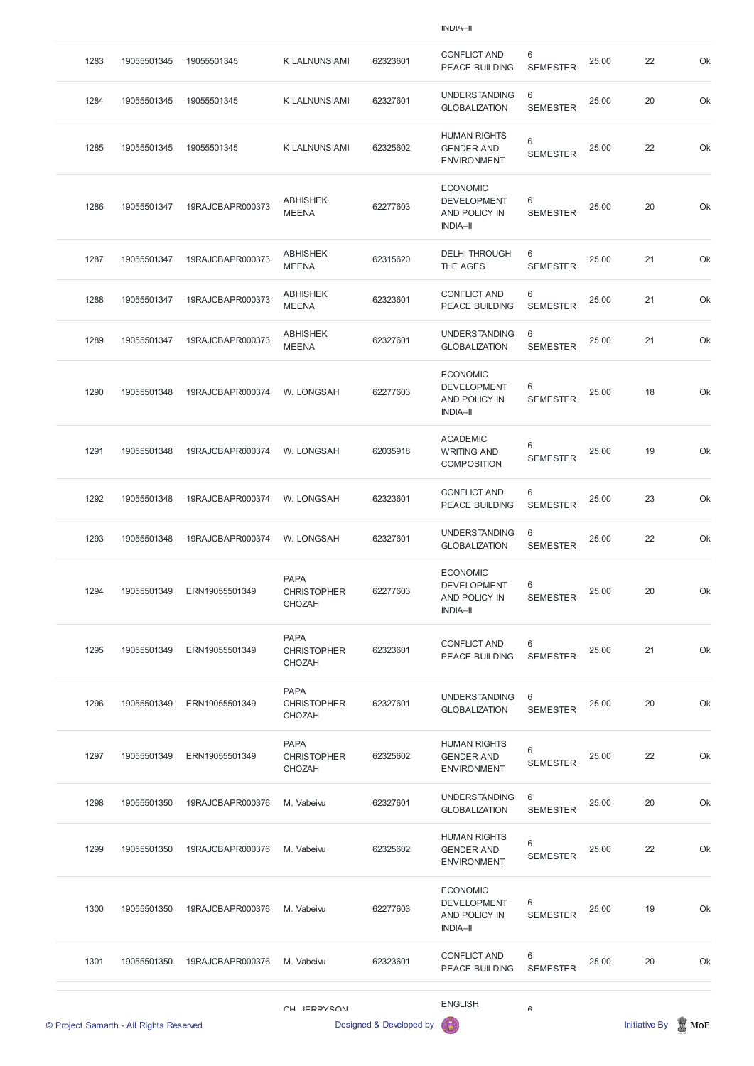| 1283 | 19055501345                             | 19055501345      | <b>K LALNUNSIAMI</b>                               | 62323601                | <b>CONFLICT AND</b><br><b>PEACE BUILDING</b>                              | $6\phantom{1}$<br><b>SEMESTER</b> | 25.00 | 22            | Ok                 |
|------|-----------------------------------------|------------------|----------------------------------------------------|-------------------------|---------------------------------------------------------------------------|-----------------------------------|-------|---------------|--------------------|
| 1284 | 19055501345                             | 19055501345      | <b>K LALNUNSIAMI</b>                               | 62327601                | <b>UNDERSTANDING</b><br><b>GLOBALIZATION</b>                              | 6<br><b>SEMESTER</b>              | 25.00 | 20            | Ok                 |
| 1285 | 19055501345                             | 19055501345      | <b>K LALNUNSIAMI</b>                               | 62325602                | <b>HUMAN RIGHTS</b><br><b>GENDER AND</b><br><b>ENVIRONMENT</b>            | $6\,$<br><b>SEMESTER</b>          | 25.00 | 22            | Ok                 |
| 1286 | 19055501347                             | 19RAJCBAPR000373 | <b>ABHISHEK</b><br><b>MEENA</b>                    | 62277603                | <b>ECONOMIC</b><br><b>DEVELOPMENT</b><br>AND POLICY IN<br><b>INDIA-II</b> | 6<br><b>SEMESTER</b>              | 25.00 | 20            | Ok                 |
| 1287 | 19055501347                             | 19RAJCBAPR000373 | <b>ABHISHEK</b><br><b>MEENA</b>                    | 62315620                | <b>DELHI THROUGH</b><br>THE AGES                                          | 6<br><b>SEMESTER</b>              | 25.00 | 21            | Ok                 |
| 1288 | 19055501347                             | 19RAJCBAPR000373 | <b>ABHISHEK</b><br><b>MEENA</b>                    | 62323601                | <b>CONFLICT AND</b><br><b>PEACE BUILDING</b>                              | 6<br><b>SEMESTER</b>              | 25.00 | 21            | Ok                 |
| 1289 | 19055501347                             | 19RAJCBAPR000373 | <b>ABHISHEK</b><br><b>MEENA</b>                    | 62327601                | <b>UNDERSTANDING</b><br><b>GLOBALIZATION</b>                              | 6<br><b>SEMESTER</b>              | 25.00 | 21            | Ok                 |
| 1290 | 19055501348                             | 19RAJCBAPR000374 | W. LONGSAH                                         | 62277603                | <b>ECONOMIC</b><br><b>DEVELOPMENT</b><br>AND POLICY IN<br><b>INDIA-II</b> | 6<br><b>SEMESTER</b>              | 25.00 | 18            | Ok                 |
| 1291 | 19055501348                             | 19RAJCBAPR000374 | W. LONGSAH                                         | 62035918                | <b>ACADEMIC</b><br><b>WRITING AND</b><br><b>COMPOSITION</b>               | $6\,$<br><b>SEMESTER</b>          | 25.00 | 19            | Ok                 |
| 1292 | 19055501348                             | 19RAJCBAPR000374 | W. LONGSAH                                         | 62323601                | <b>CONFLICT AND</b><br><b>PEACE BUILDING</b>                              | 6<br><b>SEMESTER</b>              | 25.00 | 23            | Ok                 |
| 1293 | 19055501348                             | 19RAJCBAPR000374 | W. LONGSAH                                         | 62327601                | <b>UNDERSTANDING</b><br><b>GLOBALIZATION</b>                              | 6<br><b>SEMESTER</b>              | 25.00 | 22            | Ok                 |
| 1294 | 19055501349                             | ERN19055501349   | <b>PAPA</b><br><b>CHRISTOPHER</b><br><b>CHOZAH</b> | 62277603                | <b>ECONOMIC</b><br><b>DEVELOPMENT</b><br>AND POLICY IN<br><b>INDIA-II</b> | 6<br><b>SEMESTER</b>              | 25.00 | 20            | Ok                 |
| 1295 | 19055501349                             | ERN19055501349   | <b>PAPA</b><br><b>CHRISTOPHER</b><br><b>CHOZAH</b> | 62323601                | <b>CONFLICT AND</b><br><b>PEACE BUILDING</b>                              | 6<br><b>SEMESTER</b>              | 25.00 | 21            | Ok                 |
| 1296 | 19055501349                             | ERN19055501349   | <b>PAPA</b><br><b>CHRISTOPHER</b><br>CHOZAH        | 62327601                | <b>UNDERSTANDING</b><br><b>GLOBALIZATION</b>                              | 6<br><b>SEMESTER</b>              | 25.00 | 20            | Ok                 |
| 1297 | 19055501349                             | ERN19055501349   | <b>PAPA</b><br><b>CHRISTOPHER</b><br><b>CHOZAH</b> | 62325602                | <b>HUMAN RIGHTS</b><br><b>GENDER AND</b><br><b>ENVIRONMENT</b>            | 6<br><b>SEMESTER</b>              | 25.00 | 22            | Ok                 |
| 1298 | 19055501350                             | 19RAJCBAPR000376 | M. Vabeivu                                         | 62327601                | <b>UNDERSTANDING</b><br><b>GLOBALIZATION</b>                              | 6<br><b>SEMESTER</b>              | 25.00 | 20            | Ok                 |
| 1299 | 19055501350                             | 19RAJCBAPR000376 | M. Vabeivu                                         | 62325602                | <b>HUMAN RIGHTS</b><br><b>GENDER AND</b><br><b>ENVIRONMENT</b>            | 6<br><b>SEMESTER</b>              | 25.00 | 22            | Ok                 |
| 1300 | 19055501350                             | 19RAJCBAPR000376 | M. Vabeivu                                         | 62277603                | <b>ECONOMIC</b><br><b>DEVELOPMENT</b><br>AND POLICY IN<br><b>INDIA-II</b> | 6<br><b>SEMESTER</b>              | 25.00 | 19            | Ok                 |
| 1301 | 19055501350                             | 19RAJCBAPR000376 | M. Vabeivu                                         | 62323601                | <b>CONFLICT AND</b><br>PEACE BUILDING                                     | 6<br><b>SEMESTER</b>              | 25.00 | 20            | Ok                 |
|      |                                         |                  | <b>CH IEDDVSUVI</b>                                |                         | <b>ENGLISH</b>                                                            | $\mathrel{\mathsf{G}}$            |       |               |                    |
|      | © Project Samarth - All Rights Reserved |                  |                                                    | Designed & Developed by | G                                                                         |                                   |       | Initiative By | $\blacksquare$ MoE |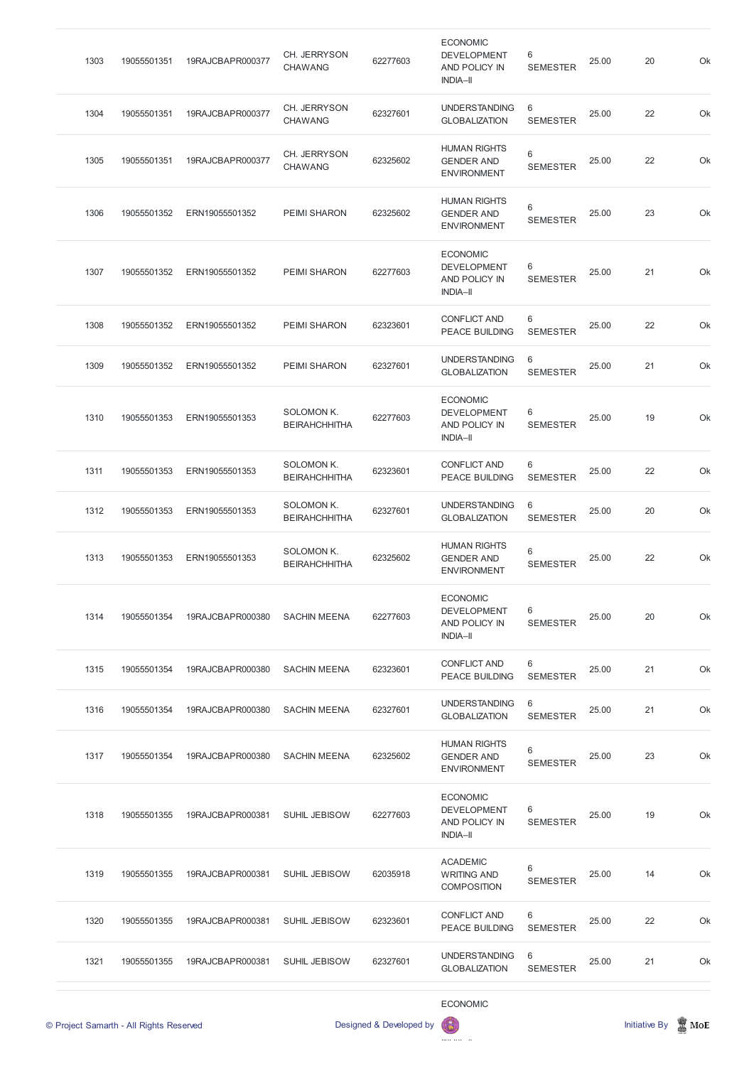| 1303 | 19055501351 | 19RAJCBAPR000377 | CH. JERRYSON<br><b>CHAWANG</b>            | 62277603 | <b>ECONOMIC</b><br><b>DEVELOPMENT</b><br>AND POLICY IN<br><b>INDIA-II</b> | 6<br><b>SEMESTER</b> | 25.00 | 20 | Ok |
|------|-------------|------------------|-------------------------------------------|----------|---------------------------------------------------------------------------|----------------------|-------|----|----|
| 1304 | 19055501351 | 19RAJCBAPR000377 | CH. JERRYSON<br><b>CHAWANG</b>            | 62327601 | <b>UNDERSTANDING</b><br><b>GLOBALIZATION</b>                              | 6<br><b>SEMESTER</b> | 25.00 | 22 | Ok |
| 1305 | 19055501351 | 19RAJCBAPR000377 | CH. JERRYSON<br><b>CHAWANG</b>            | 62325602 | <b>HUMAN RIGHTS</b><br><b>GENDER AND</b><br><b>ENVIRONMENT</b>            | 6<br><b>SEMESTER</b> | 25.00 | 22 | Ok |
| 1306 | 19055501352 | ERN19055501352   | <b>PEIMI SHARON</b>                       | 62325602 | <b>HUMAN RIGHTS</b><br><b>GENDER AND</b><br><b>ENVIRONMENT</b>            | 6<br><b>SEMESTER</b> | 25.00 | 23 | Ok |
| 1307 | 19055501352 | ERN19055501352   | <b>PEIMI SHARON</b>                       | 62277603 | <b>ECONOMIC</b><br><b>DEVELOPMENT</b><br>AND POLICY IN<br><b>INDIA-II</b> | 6<br><b>SEMESTER</b> | 25.00 | 21 | Ok |
| 1308 | 19055501352 | ERN19055501352   | <b>PEIMI SHARON</b>                       | 62323601 | <b>CONFLICT AND</b><br><b>PEACE BUILDING</b>                              | 6<br><b>SEMESTER</b> | 25.00 | 22 | Ok |
| 1309 | 19055501352 | ERN19055501352   | <b>PEIMI SHARON</b>                       | 62327601 | <b>UNDERSTANDING</b><br><b>GLOBALIZATION</b>                              | 6<br><b>SEMESTER</b> | 25.00 | 21 | Ok |
| 1310 | 19055501353 | ERN19055501353   | <b>SOLOMON K.</b><br><b>BEIRAHCHHITHA</b> | 62277603 | <b>ECONOMIC</b><br><b>DEVELOPMENT</b><br>AND POLICY IN<br><b>INDIA-II</b> | 6<br><b>SEMESTER</b> | 25.00 | 19 | Ok |
| 1311 | 19055501353 | ERN19055501353   | SOLOMON K.<br><b>BEIRAHCHHITHA</b>        | 62323601 | <b>CONFLICT AND</b><br><b>PEACE BUILDING</b>                              | 6<br><b>SEMESTER</b> | 25.00 | 22 | Ok |
| 1312 | 19055501353 | ERN19055501353   | SOLOMON K.<br><b>BEIRAHCHHITHA</b>        | 62327601 | <b>UNDERSTANDING</b><br><b>GLOBALIZATION</b>                              | 6<br><b>SEMESTER</b> | 25.00 | 20 | Ok |
| 1313 | 19055501353 | ERN19055501353   | SOLOMON K.<br><b>BEIRAHCHHITHA</b>        | 62325602 | <b>HUMAN RIGHTS</b><br><b>GENDER AND</b><br><b>ENVIRONMENT</b>            | 6<br><b>SEMESTER</b> | 25.00 | 22 | Ok |
| 1314 | 19055501354 | 19RAJCBAPR000380 | <b>SACHIN MEENA</b>                       | 62277603 | <b>ECONOMIC</b><br><b>DEVELOPMENT</b><br>AND POLICY IN<br><b>INDIA-II</b> | 6<br><b>SEMESTER</b> | 25.00 | 20 | Ok |
| 1315 | 19055501354 | 19RAJCBAPR000380 | <b>SACHIN MEENA</b>                       | 62323601 | <b>CONFLICT AND</b><br><b>PEACE BUILDING</b>                              | 6<br><b>SEMESTER</b> | 25.00 | 21 | Ok |
| 1316 | 19055501354 | 19RAJCBAPR000380 | <b>SACHIN MEENA</b>                       | 62327601 | <b>UNDERSTANDING</b><br><b>GLOBALIZATION</b>                              | 6<br><b>SEMESTER</b> | 25.00 | 21 | Ok |
| 1317 | 19055501354 | 19RAJCBAPR000380 | <b>SACHIN MEENA</b>                       | 62325602 | <b>HUMAN RIGHTS</b><br><b>GENDER AND</b><br><b>ENVIRONMENT</b>            | 6<br><b>SEMESTER</b> | 25.00 | 23 | Ok |
|      |             |                  |                                           |          |                                                                           |                      |       |    |    |

|      | © Project Samarth - All Rights Reserved |                  |                      | Designed & Developed by | <b>ECONOMIC</b><br>63                                       |                      |       | <b>Initiative By</b> | $\mathbb Z$ MoE |
|------|-----------------------------------------|------------------|----------------------|-------------------------|-------------------------------------------------------------|----------------------|-------|----------------------|-----------------|
| 1321 | 19055501355                             | 19RAJCBAPR000381 | <b>SUHIL JEBISOW</b> | 62327601                | <b>UNDERSTANDING</b><br><b>GLOBALIZATION</b>                | 6<br><b>SEMESTER</b> | 25.00 | 21                   | Ok              |
| 1320 | 19055501355                             | 19RAJCBAPR000381 | <b>SUHIL JEBISOW</b> | 62323601                | <b>CONFLICT AND</b><br>PEACE BUILDING                       | 6<br><b>SEMESTER</b> | 25.00 | 22                   | Ok              |
| 1319 | 19055501355                             | 19RAJCBAPR000381 | <b>SUHIL JEBISOW</b> | 62035918                | <b>ACADEMIC</b><br><b>WRITING AND</b><br><b>COMPOSITION</b> | 6<br><b>SEMESTER</b> | 25.00 | 14                   | Ok              |
| 1318 | 19055501355                             | 19RAJCBAPR000381 | <b>SUHIL JEBISOW</b> | 62277603                | <b>DEVELOPMENT</b><br>AND POLICY IN<br><b>INDIA-II</b>      | 6<br><b>SEMESTER</b> | 25.00 | 19                   | Ok              |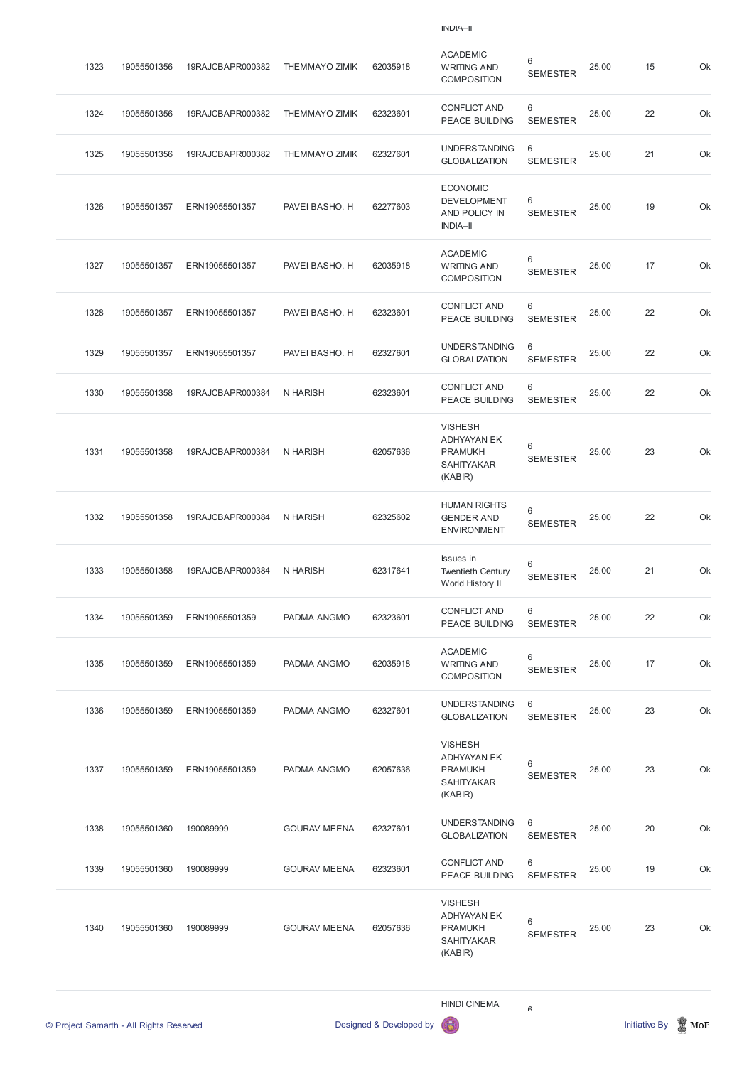INDIA–II

|      | © Project Samarth - All Rights Reserved |                  |                       | Designed & Developed by | <b>HINDI CINEMA</b>                                                                    | R                        |       | <b>Initiative By</b> | $\mathbb Z$ MoE |
|------|-----------------------------------------|------------------|-----------------------|-------------------------|----------------------------------------------------------------------------------------|--------------------------|-------|----------------------|-----------------|
| 1340 | 19055501360                             | 190089999        | <b>GOURAV MEENA</b>   | 62057636                | <b>VISHESH</b><br><b>ADHYAYAN EK</b><br><b>PRAMUKH</b><br><b>SAHITYAKAR</b><br>(KABIR) | 6<br><b>SEMESTER</b>     | 25.00 | 23                   | Ok              |
| 1339 | 19055501360                             | 190089999        | <b>GOURAV MEENA</b>   | 62323601                | <b>CONFLICT AND</b><br>PEACE BUILDING                                                  | 6<br><b>SEMESTER</b>     | 25.00 | 19                   | Ok              |
| 1338 | 19055501360                             | 190089999        | <b>GOURAV MEENA</b>   | 62327601                | <b>UNDERSTANDING</b><br><b>GLOBALIZATION</b>                                           | 6<br><b>SEMESTER</b>     | 25.00 | 20                   | Ok              |
| 1337 | 19055501359                             | ERN19055501359   | PADMA ANGMO           | 62057636                | <b>VISHESH</b><br><b>ADHYAYAN EK</b><br><b>PRAMUKH</b><br><b>SAHITYAKAR</b><br>(KABIR) | 6<br><b>SEMESTER</b>     | 25.00 | 23                   | Ok              |
| 1336 | 19055501359                             | ERN19055501359   | PADMA ANGMO           | 62327601                | <b>UNDERSTANDING</b><br><b>GLOBALIZATION</b>                                           | 6<br><b>SEMESTER</b>     | 25.00 | 23                   | Ok              |
| 1335 | 19055501359                             | ERN19055501359   | PADMA ANGMO           | 62035918                | <b>ACADEMIC</b><br><b>WRITING AND</b><br><b>COMPOSITION</b>                            | 6<br><b>SEMESTER</b>     | 25.00 | 17                   | Ok              |
| 1334 | 19055501359                             | ERN19055501359   | PADMA ANGMO           | 62323601                | <b>CONFLICT AND</b><br>PEACE BUILDING                                                  | 6<br><b>SEMESTER</b>     | 25.00 | 22                   | Ok              |
| 1333 | 19055501358                             | 19RAJCBAPR000384 | N HARISH              | 62317641                | Issues in<br><b>Twentieth Century</b><br>World History II                              | 6<br><b>SEMESTER</b>     | 25.00 | 21                   | Ok              |
| 1332 | 19055501358                             | 19RAJCBAPR000384 | N HARISH              | 62325602                | <b>HUMAN RIGHTS</b><br><b>GENDER AND</b><br><b>ENVIRONMENT</b>                         | 6<br><b>SEMESTER</b>     | 25.00 | 22                   | Ok              |
| 1331 | 19055501358                             | 19RAJCBAPR000384 | <b>N HARISH</b>       | 62057636                | <b>VISHESH</b><br><b>ADHYAYAN EK</b><br><b>PRAMUKH</b><br><b>SAHITYAKAR</b><br>(KABIR) | $\,6$<br><b>SEMESTER</b> | 25.00 | 23                   | Ok              |
| 1330 | 19055501358                             | 19RAJCBAPR000384 | N HARISH              | 62323601                | <b>CONFLICT AND</b><br><b>PEACE BUILDING</b>                                           | 6<br><b>SEMESTER</b>     | 25.00 | 22                   | Ok              |
| 1329 | 19055501357                             | ERN19055501357   | PAVEI BASHO. H        | 62327601                | <b>UNDERSTANDING</b><br><b>GLOBALIZATION</b>                                           | 6<br><b>SEMESTER</b>     | 25.00 | 22                   | Ok              |
| 1328 | 19055501357                             | ERN19055501357   | PAVEI BASHO. H        | 62323601                | <b>CONFLICT AND</b><br>PEACE BUILDING                                                  | 6<br><b>SEMESTER</b>     | 25.00 | 22                   | Ok              |
| 1327 | 19055501357                             | ERN19055501357   | PAVEI BASHO. H        | 62035918                | <b>ACADEMIC</b><br><b>WRITING AND</b><br><b>COMPOSITION</b>                            | 6<br><b>SEMESTER</b>     | 25.00 | 17                   | Ok              |
| 1326 | 19055501357                             | ERN19055501357   | PAVEI BASHO. H        | 62277603                | <b>ECONOMIC</b><br><b>DEVELOPMENT</b><br>AND POLICY IN<br><b>INDIA-II</b>              | 6<br><b>SEMESTER</b>     | 25.00 | 19                   | Ok              |
| 1325 | 19055501356                             | 19RAJCBAPR000382 | <b>THEMMAYO ZIMIK</b> | 62327601                | <b>UNDERSTANDING</b><br><b>GLOBALIZATION</b>                                           | 6<br><b>SEMESTER</b>     | 25.00 | 21                   | Ok              |
| 1324 | 19055501356                             | 19RAJCBAPR000382 | <b>THEMMAYO ZIMIK</b> | 62323601                | <b>CONFLICT AND</b><br>PEACE BUILDING                                                  | 6<br><b>SEMESTER</b>     | 25.00 | 22                   | Ok              |
| 1323 | 19055501356                             | 19RAJCBAPR000382 | <b>THEMMAYO ZIMIK</b> | 62035918                | <b>ACADEMIC</b><br><b>WRITING AND</b><br><b>COMPOSITION</b>                            | 6<br><b>SEMESTER</b>     | 25.00 | 15                   | Ok              |
|      |                                         |                  |                       |                         |                                                                                        |                          |       |                      |                 |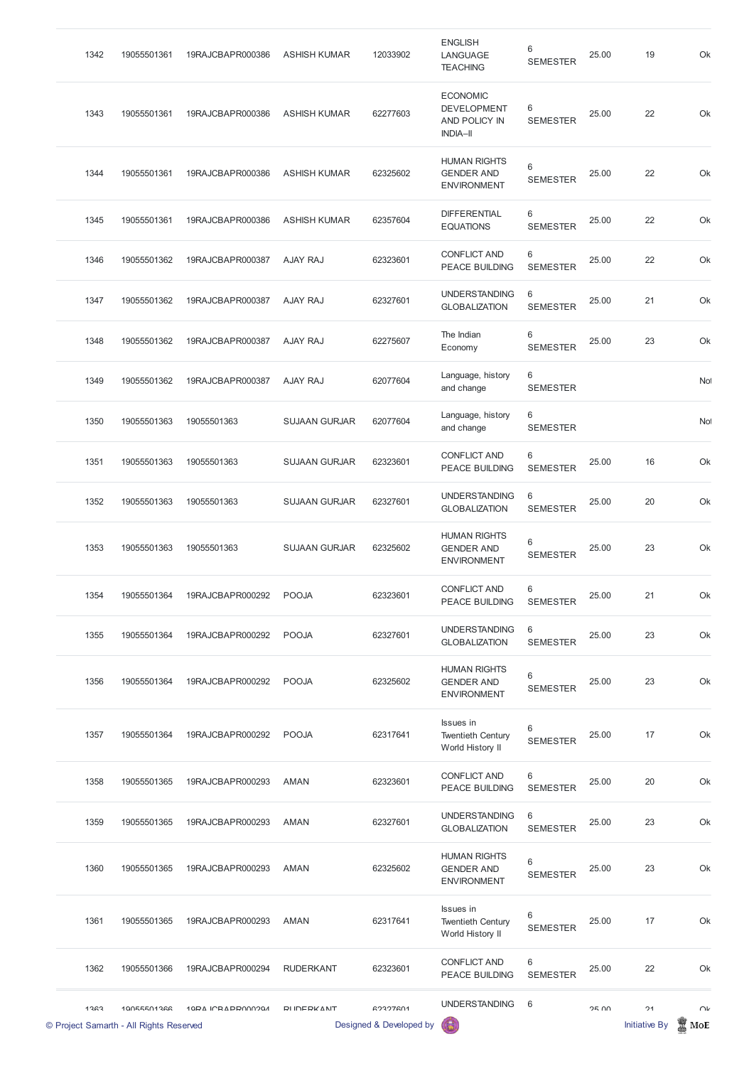| 1342 | 19055501361 | 19RAJCBAPR000386 | <b>ASHISH KUMAR</b>  | 12033902 | <b>ENGLISH</b><br>LANGUAGE<br><b>TEACHING</b>                             | 6<br><b>SEMESTER</b> | 25.00 | 19 | Ok              |
|------|-------------|------------------|----------------------|----------|---------------------------------------------------------------------------|----------------------|-------|----|-----------------|
| 1343 | 19055501361 | 19RAJCBAPR000386 | <b>ASHISH KUMAR</b>  | 62277603 | <b>ECONOMIC</b><br><b>DEVELOPMENT</b><br>AND POLICY IN<br><b>INDIA-II</b> | 6<br><b>SEMESTER</b> | 25.00 | 22 | Ok              |
| 1344 | 19055501361 | 19RAJCBAPR000386 | <b>ASHISH KUMAR</b>  | 62325602 | <b>HUMAN RIGHTS</b><br><b>GENDER AND</b><br><b>ENVIRONMENT</b>            | 6<br><b>SEMESTER</b> | 25.00 | 22 | Ok              |
| 1345 | 19055501361 | 19RAJCBAPR000386 | <b>ASHISH KUMAR</b>  | 62357604 | <b>DIFFERENTIAL</b><br><b>EQUATIONS</b>                                   | 6<br><b>SEMESTER</b> | 25.00 | 22 | Ok              |
| 1346 | 19055501362 | 19RAJCBAPR000387 | AJAY RAJ             | 62323601 | <b>CONFLICT AND</b><br><b>PEACE BUILDING</b>                              | 6<br><b>SEMESTER</b> | 25.00 | 22 | Ok              |
| 1347 | 19055501362 | 19RAJCBAPR000387 | AJAY RAJ             | 62327601 | <b>UNDERSTANDING</b><br><b>GLOBALIZATION</b>                              | 6<br><b>SEMESTER</b> | 25.00 | 21 | Ok              |
| 1348 | 19055501362 | 19RAJCBAPR000387 | <b>AJAY RAJ</b>      | 62275607 | The Indian<br>Economy                                                     | 6<br><b>SEMESTER</b> | 25.00 | 23 | Ok              |
| 1349 | 19055501362 | 19RAJCBAPR000387 | AJAY RAJ             | 62077604 | Language, history<br>and change                                           | 6<br><b>SEMESTER</b> |       |    | No <sup>1</sup> |
| 1350 | 19055501363 | 19055501363      | <b>SUJAAN GURJAR</b> | 62077604 | Language, history<br>and change                                           | 6<br><b>SEMESTER</b> |       |    | <b>No</b>       |
| 1351 | 19055501363 | 19055501363      | <b>SUJAAN GURJAR</b> | 62323601 | <b>CONFLICT AND</b><br>PEACE BUILDING                                     | 6<br><b>SEMESTER</b> | 25.00 | 16 | Ok              |
| 1352 | 19055501363 | 19055501363      | <b>SUJAAN GURJAR</b> | 62327601 | <b>UNDERSTANDING</b><br><b>GLOBALIZATION</b>                              | 6<br><b>SEMESTER</b> | 25.00 | 20 | Ok              |
| 1353 | 19055501363 | 19055501363      | <b>SUJAAN GURJAR</b> | 62325602 | <b>HUMAN RIGHTS</b><br><b>GENDER AND</b><br><b>ENVIRONMENT</b>            | 6<br><b>SEMESTER</b> | 25.00 | 23 | Ok              |
| 1354 | 19055501364 | 19RAJCBAPR000292 | <b>POOJA</b>         | 62323601 | <b>CONFLICT AND</b><br><b>PEACE BUILDING</b>                              | 6<br><b>SEMESTER</b> | 25.00 | 21 | Ok              |
| 1355 | 19055501364 | 19RAJCBAPR000292 | <b>POOJA</b>         | 62327601 | <b>UNDERSTANDING</b><br><b>GLOBALIZATION</b>                              | 6<br><b>SEMESTER</b> | 25.00 | 23 | Ok              |
| 1356 | 19055501364 | 19RAJCBAPR000292 | <b>POOJA</b>         | 62325602 | <b>HUMAN RIGHTS</b><br><b>GENDER AND</b><br><b>ENVIRONMENT</b>            | 6<br><b>SEMESTER</b> | 25.00 | 23 | Ok              |
| 1357 | 19055501364 | 19RAJCBAPR000292 | <b>POOJA</b>         | 62317641 | Issues in<br><b>Twentieth Century</b><br>World History II                 | 6<br><b>SEMESTER</b> | 25.00 | 17 | Ok              |
| 1358 | 19055501365 | 19RAJCBAPR000293 | <b>AMAN</b>          | 62323601 | <b>CONFLICT AND</b><br>PEACE BUILDING                                     | 6<br><b>SEMESTER</b> | 25.00 | 20 | Ok              |

| 1359 | 19055501365                                            | 19RAJCBAPR000293 | <b>AMAN</b>         | 62327601                            | <b>UNDERSTANDING</b><br><b>GLOBALIZATION</b>                   | 6<br><b>SEMESTER</b> | 25.00        | 23                         | Ok            |
|------|--------------------------------------------------------|------------------|---------------------|-------------------------------------|----------------------------------------------------------------|----------------------|--------------|----------------------------|---------------|
| 1360 | 19055501365                                            | 19RAJCBAPR000293 | AMAN                | 62325602                            | <b>HUMAN RIGHTS</b><br><b>GENDER AND</b><br><b>ENVIRONMENT</b> | 6<br><b>SEMESTER</b> | 25.00        | 23                         | Ok            |
| 1361 | 19055501365                                            | 19RAJCBAPR000293 | <b>AMAN</b>         | 62317641                            | Issues in<br><b>Twentieth Century</b><br>World History II      | 6<br><b>SEMESTER</b> | 25.00        | 17                         | Ok            |
| 1362 | 19055501366                                            | 19RAJCBAPR000294 | <b>RUDERKANT</b>    | 62323601                            | <b>CONFLICT AND</b><br><b>PEACE BUILDING</b>                   | 6<br><b>SEMESTER</b> | 25.00        | 22                         | Ok            |
| 1363 | 10055501366<br>© Project Samarth - All Rights Reserved | 10PA ICRAPPOOOOA | <b>DI INEDIZANT</b> | 62327601<br>Designed & Developed by | <b>UNDERSTANDING</b><br>G                                      | 6                    | <b>25 UU</b> | 21<br><b>Initiative By</b> | $\cap$<br>MoE |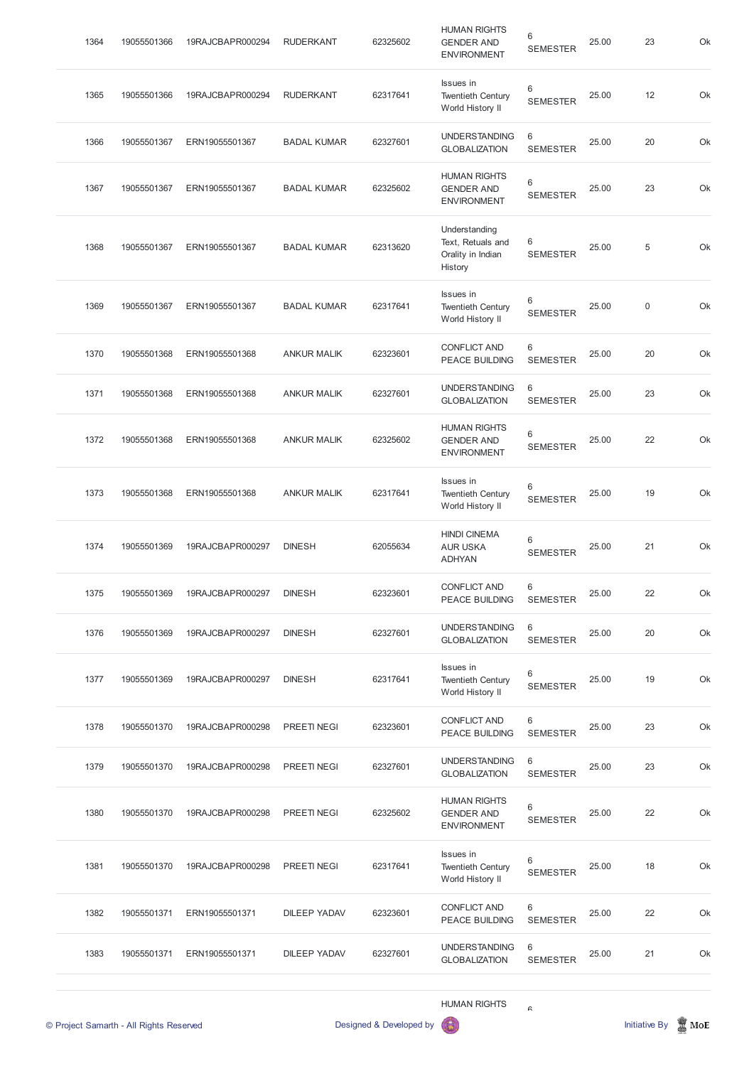|      |             |                  |                     |          | <b>HUMAN RIGHTS</b>                                                |                      |       |             |  |
|------|-------------|------------------|---------------------|----------|--------------------------------------------------------------------|----------------------|-------|-------------|--|
| 1383 | 19055501371 | ERN19055501371   | <b>DILEEP YADAV</b> | 62327601 | <b>UNDERSTANDING</b><br><b>GLOBALIZATION</b>                       | 6<br><b>SEMESTER</b> | 25.00 | 21          |  |
| 1382 | 19055501371 | ERN19055501371   | <b>DILEEP YADAV</b> | 62323601 | <b>CONFLICT AND</b><br><b>PEACE BUILDING</b>                       | 6<br><b>SEMESTER</b> | 25.00 | 22          |  |
| 1381 | 19055501370 | 19RAJCBAPR000298 | PREETINEGI          | 62317641 | Issues in<br><b>Twentieth Century</b><br>World History II          | 6<br><b>SEMESTER</b> | 25.00 | 18          |  |
| 1380 | 19055501370 | 19RAJCBAPR000298 | <b>PREETINEGI</b>   | 62325602 | <b>HUMAN RIGHTS</b><br><b>GENDER AND</b><br><b>ENVIRONMENT</b>     | 6<br><b>SEMESTER</b> | 25.00 | 22          |  |
| 1379 | 19055501370 | 19RAJCBAPR000298 | <b>PREETINEGI</b>   | 62327601 | <b>UNDERSTANDING</b><br><b>GLOBALIZATION</b>                       | 6<br><b>SEMESTER</b> | 25.00 | 23          |  |
| 1378 | 19055501370 | 19RAJCBAPR000298 | <b>PREETINEGI</b>   | 62323601 | <b>CONFLICT AND</b><br>PEACE BUILDING                              | 6<br><b>SEMESTER</b> | 25.00 | 23          |  |
| 1377 | 19055501369 | 19RAJCBAPR000297 | <b>DINESH</b>       | 62317641 | Issues in<br><b>Twentieth Century</b><br>World History II          | 6<br><b>SEMESTER</b> | 25.00 | 19          |  |
| 1376 | 19055501369 | 19RAJCBAPR000297 | <b>DINESH</b>       | 62327601 | <b>UNDERSTANDING</b><br><b>GLOBALIZATION</b>                       | 6<br><b>SEMESTER</b> | 25.00 | 20          |  |
| 1375 | 19055501369 | 19RAJCBAPR000297 | <b>DINESH</b>       | 62323601 | <b>CONFLICT AND</b><br>PEACE BUILDING                              | 6<br><b>SEMESTER</b> | 25.00 | 22          |  |
| 1374 | 19055501369 | 19RAJCBAPR000297 | <b>DINESH</b>       | 62055634 | <b>HINDI CINEMA</b><br><b>AUR USKA</b><br><b>ADHYAN</b>            | 6<br><b>SEMESTER</b> | 25.00 | 21          |  |
| 1373 | 19055501368 | ERN19055501368   | <b>ANKUR MALIK</b>  | 62317641 | Issues in<br><b>Twentieth Century</b><br>World History II          | 6<br><b>SEMESTER</b> | 25.00 | 19          |  |
| 1372 | 19055501368 | ERN19055501368   | <b>ANKUR MALIK</b>  | 62325602 | <b>HUMAN RIGHTS</b><br><b>GENDER AND</b><br><b>ENVIRONMENT</b>     | 6<br><b>SEMESTER</b> | 25.00 | 22          |  |
| 1371 | 19055501368 | ERN19055501368   | <b>ANKUR MALIK</b>  | 62327601 | <b>UNDERSTANDING</b><br><b>GLOBALIZATION</b>                       | 6<br><b>SEMESTER</b> | 25.00 | 23          |  |
| 1370 | 19055501368 | ERN19055501368   | <b>ANKUR MALIK</b>  | 62323601 | <b>CONFLICT AND</b><br>PEACE BUILDING                              | 6<br><b>SEMESTER</b> | 25.00 | 20          |  |
| 1369 | 19055501367 | ERN19055501367   | <b>BADAL KUMAR</b>  | 62317641 | Issues in<br><b>Twentieth Century</b><br>World History II          | 6<br><b>SEMESTER</b> | 25.00 | $\mathbf 0$ |  |
| 1368 | 19055501367 | ERN19055501367   | <b>BADAL KUMAR</b>  | 62313620 | Understanding<br>Text, Retuals and<br>Orality in Indian<br>History | 6<br><b>SEMESTER</b> | 25.00 | $\,$ 5 $\,$ |  |
| 1367 | 19055501367 | ERN19055501367   | <b>BADAL KUMAR</b>  | 62325602 | <b>HUMAN RIGHTS</b><br><b>GENDER AND</b><br><b>ENVIRONMENT</b>     | 6<br><b>SEMESTER</b> | 25.00 | 23          |  |
| 1366 | 19055501367 | ERN19055501367   | <b>BADAL KUMAR</b>  | 62327601 | <b>UNDERSTANDING</b><br><b>GLOBALIZATION</b>                       | 6<br><b>SEMESTER</b> | 25.00 | 20          |  |
| 1365 | 19055501366 | 19RAJCBAPR000294 | <b>RUDERKANT</b>    | 62317641 | Issues in<br><b>Twentieth Century</b><br>World History II          | 6<br><b>SEMESTER</b> | 25.00 | 12          |  |
| 1364 | 19055501366 | 19RAJCBAPR000294 | <b>RUDERKANT</b>    | 62325602 | <b>HUMAN RIGHTS</b><br><b>GENDER AND</b><br><b>ENVIRONMENT</b>     | 6<br><b>SEMESTER</b> | 25.00 | 23          |  |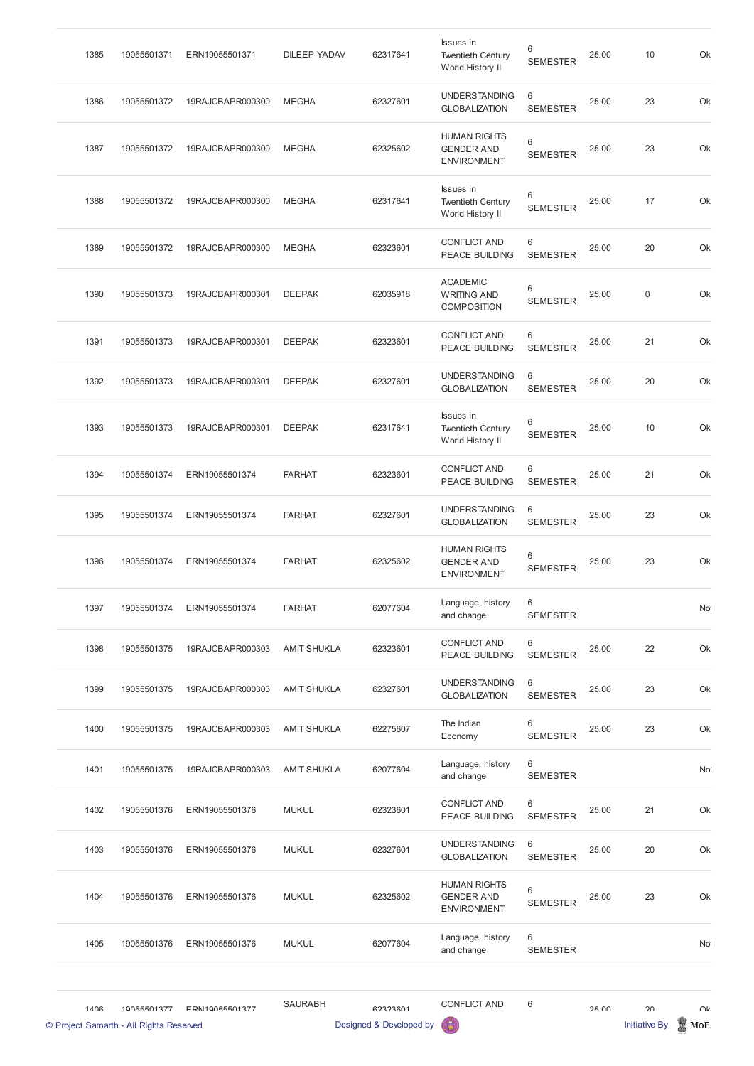| 1385 | 19055501371 | ERN19055501371   | <b>DILEEP YADAV</b> | 62317641 | <b>Issues</b> in<br><b>Twentieth Century</b><br>World History II | 6<br><b>SEMESTER</b> | 25.00 | 10 | Ok  |
|------|-------------|------------------|---------------------|----------|------------------------------------------------------------------|----------------------|-------|----|-----|
| 1386 | 19055501372 | 19RAJCBAPR000300 | <b>MEGHA</b>        | 62327601 | <b>UNDERSTANDING</b><br><b>GLOBALIZATION</b>                     | 6<br><b>SEMESTER</b> | 25.00 | 23 | Ok  |
| 1387 | 19055501372 | 19RAJCBAPR000300 | <b>MEGHA</b>        | 62325602 | <b>HUMAN RIGHTS</b><br><b>GENDER AND</b><br><b>ENVIRONMENT</b>   | 6<br><b>SEMESTER</b> | 25.00 | 23 | Ok  |
| 1388 | 19055501372 | 19RAJCBAPR000300 | <b>MEGHA</b>        | 62317641 | Issues in<br><b>Twentieth Century</b><br>World History II        | 6<br><b>SEMESTER</b> | 25.00 | 17 | Ok  |
| 1389 | 19055501372 | 19RAJCBAPR000300 | <b>MEGHA</b>        | 62323601 | <b>CONFLICT AND</b><br><b>PEACE BUILDING</b>                     | 6<br><b>SEMESTER</b> | 25.00 | 20 | Ok  |
| 1390 | 19055501373 | 19RAJCBAPR000301 | <b>DEEPAK</b>       | 62035918 | <b>ACADEMIC</b><br><b>WRITING AND</b><br><b>COMPOSITION</b>      | 6<br><b>SEMESTER</b> | 25.00 | 0  | Ok  |
| 1391 | 19055501373 | 19RAJCBAPR000301 | <b>DEEPAK</b>       | 62323601 | <b>CONFLICT AND</b><br>PEACE BUILDING                            | 6<br><b>SEMESTER</b> | 25.00 | 21 | Ok  |
| 1392 | 19055501373 | 19RAJCBAPR000301 | <b>DEEPAK</b>       | 62327601 | <b>UNDERSTANDING</b><br><b>GLOBALIZATION</b>                     | 6<br><b>SEMESTER</b> | 25.00 | 20 | Ok  |
| 1393 | 19055501373 | 19RAJCBAPR000301 | <b>DEEPAK</b>       | 62317641 | Issues in<br><b>Twentieth Century</b><br>World History II        | 6<br><b>SEMESTER</b> | 25.00 | 10 | Ok  |
| 1394 | 19055501374 | ERN19055501374   | <b>FARHAT</b>       | 62323601 | <b>CONFLICT AND</b><br>PEACE BUILDING                            | 6<br><b>SEMESTER</b> | 25.00 | 21 | Ok  |
| 1395 | 19055501374 | ERN19055501374   | <b>FARHAT</b>       | 62327601 | <b>UNDERSTANDING</b><br><b>GLOBALIZATION</b>                     | 6<br><b>SEMESTER</b> | 25.00 | 23 | Ok  |
| 1396 | 19055501374 | ERN19055501374   | <b>FARHAT</b>       | 62325602 | <b>HUMAN RIGHTS</b><br><b>GENDER AND</b><br><b>ENVIRONMENT</b>   | 6<br><b>SEMESTER</b> | 25.00 | 23 | Ok  |
| 1397 | 19055501374 | ERN19055501374   | <b>FARHAT</b>       | 62077604 | Language, history<br>and change                                  | 6<br><b>SEMESTER</b> |       |    | Not |
| 1398 | 19055501375 | 19RAJCBAPR000303 | <b>AMIT SHUKLA</b>  | 62323601 | <b>CONFLICT AND</b><br>PEACE BUILDING                            | 6<br><b>SEMESTER</b> | 25.00 | 22 | Ok  |
| 1399 | 19055501375 | 19RAJCBAPR000303 | <b>AMIT SHUKLA</b>  | 62327601 | <b>UNDERSTANDING</b><br><b>GLOBALIZATION</b>                     | 6<br><b>SEMESTER</b> | 25.00 | 23 | Ok  |
| 1400 | 19055501375 | 19RAJCBAPR000303 | <b>AMIT SHUKLA</b>  | 62275607 | The Indian<br>Economy                                            | 6<br><b>SEMESTER</b> | 25.00 | 23 | Ok  |
| 1401 | 19055501375 | 19RAJCBAPR000303 | <b>AMIT SHUKLA</b>  | 62077604 | Language, history<br>and change                                  | 6<br><b>SEMESTER</b> |       |    | Not |

CONFLICT AND

6

|      | © Project Samarth - All Rights Reserved |                |                | Designed & Developed by | 侷                                                              |                      |       | Initiative By | MoE    |
|------|-----------------------------------------|----------------|----------------|-------------------------|----------------------------------------------------------------|----------------------|-------|---------------|--------|
| 1106 | 10055501377                             | EDN10055501377 | <b>SAURABH</b> | 62323601                | <b>CONFLICT AND</b>                                            | 6                    | OF UU | $\Omega$      | $\cap$ |
| 1405 | 19055501376                             | ERN19055501376 | <b>MUKUL</b>   | 62077604                | Language, history<br>and change                                | 6<br><b>SEMESTER</b> |       |               | Not    |
| 1404 | 19055501376                             | ERN19055501376 | <b>MUKUL</b>   | 62325602                | <b>HUMAN RIGHTS</b><br><b>GENDER AND</b><br><b>ENVIRONMENT</b> | 6<br><b>SEMESTER</b> | 25.00 | 23            | Ok     |
| 1403 | 19055501376                             | ERN19055501376 | <b>MUKUL</b>   | 62327601                | <b>UNDERSTANDING</b><br><b>GLOBALIZATION</b>                   | 6<br><b>SEMESTER</b> | 25.00 | 20            | Ok     |
| 1402 | 19055501376                             | ERN19055501376 | <b>MUKUL</b>   | 62323601                | <b>PEACE BUILDING</b>                                          | <b>SEMESTER</b>      | 25.00 | 21            | Ok     |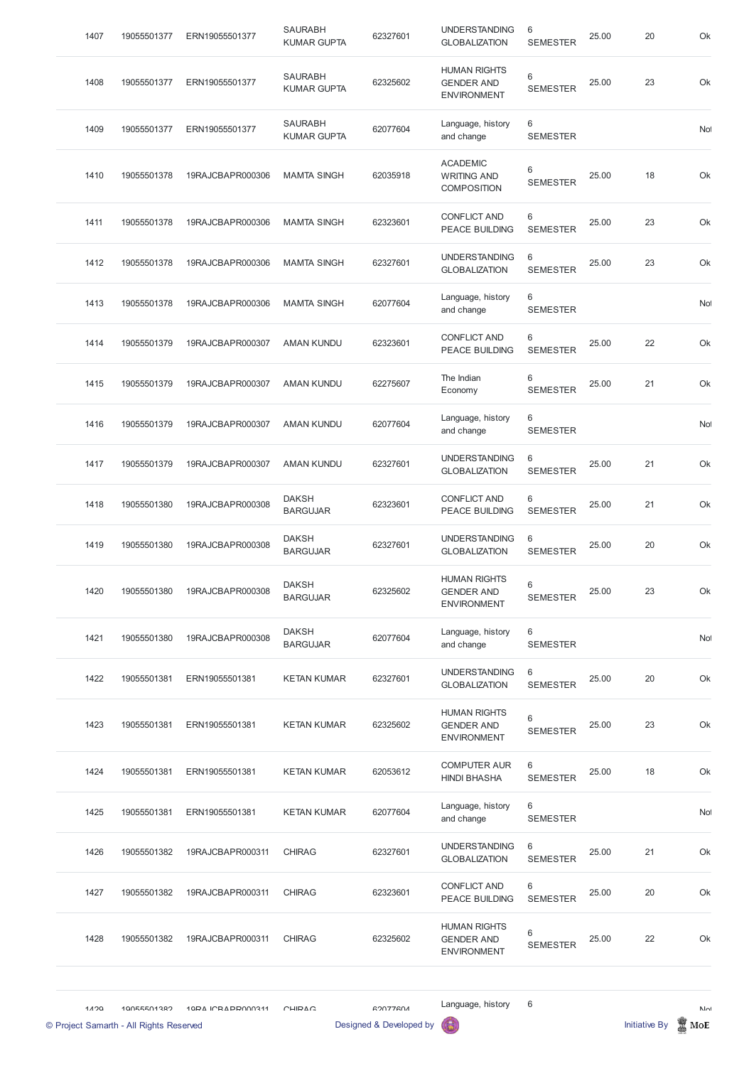| 1120 | 10055501382<br>© Project Samarth - All Rights Reserved | 10DA ICRADD000311 | CHIDAC                               | GON77GNA<br>Designed & Developed by |                                                                |                      |       | <b>Initiative By</b> | $N_{\Omega}$<br>MoE |
|------|--------------------------------------------------------|-------------------|--------------------------------------|-------------------------------------|----------------------------------------------------------------|----------------------|-------|----------------------|---------------------|
|      |                                                        |                   |                                      |                                     | Language, history                                              | 6                    |       |                      |                     |
| 1428 | 19055501382                                            | 19RAJCBAPR000311  | <b>CHIRAG</b>                        | 62325602                            | <b>HUMAN RIGHTS</b><br><b>GENDER AND</b><br><b>ENVIRONMENT</b> | 6<br><b>SEMESTER</b> | 25.00 | 22                   | Ok                  |
| 1427 | 19055501382                                            | 19RAJCBAPR000311  | <b>CHIRAG</b>                        | 62323601                            | <b>CONFLICT AND</b><br><b>PEACE BUILDING</b>                   | 6<br><b>SEMESTER</b> | 25.00 | 20                   | Ok                  |
| 1426 | 19055501382                                            | 19RAJCBAPR000311  | <b>CHIRAG</b>                        | 62327601                            | <b>UNDERSTANDING</b><br><b>GLOBALIZATION</b>                   | 6<br><b>SEMESTER</b> | 25.00 | 21                   | Ok                  |
| 1425 | 19055501381                                            | ERN19055501381    | <b>KETAN KUMAR</b>                   | 62077604                            | Language, history<br>and change                                | 6<br><b>SEMESTER</b> |       |                      | No                  |
| 1424 | 19055501381                                            | ERN19055501381    | <b>KETAN KUMAR</b>                   | 62053612                            | <b>COMPUTER AUR</b><br><b>HINDI BHASHA</b>                     | 6<br><b>SEMESTER</b> | 25.00 | 18                   | Ok                  |
| 1423 | 19055501381                                            | ERN19055501381    | <b>KETAN KUMAR</b>                   | 62325602                            | <b>HUMAN RIGHTS</b><br><b>GENDER AND</b><br><b>ENVIRONMENT</b> | 6<br><b>SEMESTER</b> | 25.00 | 23                   | Ok                  |
| 1422 | 19055501381                                            | ERN19055501381    | <b>KETAN KUMAR</b>                   | 62327601                            | <b>UNDERSTANDING</b><br><b>GLOBALIZATION</b>                   | 6<br><b>SEMESTER</b> | 25.00 | 20                   | Ok                  |
| 1421 | 19055501380                                            | 19RAJCBAPR000308  | <b>DAKSH</b><br><b>BARGUJAR</b>      | 62077604                            | Language, history<br>and change                                | 6<br><b>SEMESTER</b> |       |                      | Not                 |
| 1420 | 19055501380                                            | 19RAJCBAPR000308  | <b>DAKSH</b><br><b>BARGUJAR</b>      | 62325602                            | <b>HUMAN RIGHTS</b><br><b>GENDER AND</b><br><b>ENVIRONMENT</b> | 6<br><b>SEMESTER</b> | 25.00 | 23                   | Ok                  |
| 1419 | 19055501380                                            | 19RAJCBAPR000308  | <b>DAKSH</b><br><b>BARGUJAR</b>      | 62327601                            | <b>UNDERSTANDING</b><br><b>GLOBALIZATION</b>                   | 6<br><b>SEMESTER</b> | 25.00 | 20                   | Ok                  |
| 1418 | 19055501380                                            | 19RAJCBAPR000308  | <b>DAKSH</b><br><b>BARGUJAR</b>      | 62323601                            | <b>CONFLICT AND</b><br><b>PEACE BUILDING</b>                   | 6<br><b>SEMESTER</b> | 25.00 | 21                   | Ok                  |
| 1417 | 19055501379                                            | 19RAJCBAPR000307  | <b>AMAN KUNDU</b>                    | 62327601                            | <b>UNDERSTANDING</b><br><b>GLOBALIZATION</b>                   | 6<br><b>SEMESTER</b> | 25.00 | 21                   | Ok                  |
| 1416 | 19055501379                                            | 19RAJCBAPR000307  | <b>AMAN KUNDU</b>                    | 62077604                            | Language, history<br>and change                                | 6<br><b>SEMESTER</b> |       |                      | Not                 |
| 1415 | 19055501379                                            | 19RAJCBAPR000307  | <b>AMAN KUNDU</b>                    | 62275607                            | The Indian<br>Economy                                          | 6<br><b>SEMESTER</b> | 25.00 | 21                   | Ok                  |
| 1414 | 19055501379                                            | 19RAJCBAPR000307  | <b>AMAN KUNDU</b>                    | 62323601                            | <b>CONFLICT AND</b><br><b>PEACE BUILDING</b>                   | 6<br><b>SEMESTER</b> | 25.00 | 22                   | Ok                  |
| 1413 | 19055501378                                            | 19RAJCBAPR000306  | <b>MAMTA SINGH</b>                   | 62077604                            | Language, history<br>and change                                | 6<br><b>SEMESTER</b> |       |                      | <b>No</b>           |
| 1412 | 19055501378                                            | 19RAJCBAPR000306  | <b>MAMTA SINGH</b>                   | 62327601                            | <b>UNDERSTANDING</b><br><b>GLOBALIZATION</b>                   | 6<br><b>SEMESTER</b> | 25.00 | 23                   | Ok                  |
| 1411 | 19055501378                                            | 19RAJCBAPR000306  | <b>MAMTA SINGH</b>                   | 62323601                            | <b>CONFLICT AND</b><br><b>PEACE BUILDING</b>                   | 6<br><b>SEMESTER</b> | 25.00 | 23                   | Ok                  |
| 1410 | 19055501378                                            | 19RAJCBAPR000306  | <b>MAMTA SINGH</b>                   | 62035918                            | <b>ACADEMIC</b><br><b>WRITING AND</b><br><b>COMPOSITION</b>    | 6<br><b>SEMESTER</b> | 25.00 | 18                   | Ok                  |
| 1409 | 19055501377                                            | ERN19055501377    | <b>SAURABH</b><br><b>KUMAR GUPTA</b> | 62077604                            | Language, history<br>and change                                | 6<br><b>SEMESTER</b> |       |                      | No <sup>1</sup>     |
| 1408 | 19055501377                                            | ERN19055501377    | <b>SAURABH</b><br><b>KUMAR GUPTA</b> | 62325602                            | <b>HUMAN RIGHTS</b><br><b>GENDER AND</b><br><b>ENVIRONMENT</b> | 6<br><b>SEMESTER</b> | 25.00 | 23                   | Ok                  |
| 1407 | 19055501377                                            | ERN19055501377    | <b>SAURABH</b><br><b>KUMAR GUPTA</b> | 62327601                            | <b>UNDERSTANDING</b><br><b>GLOBALIZATION</b>                   | 6<br><b>SEMESTER</b> | 25.00 | 20                   | Ok                  |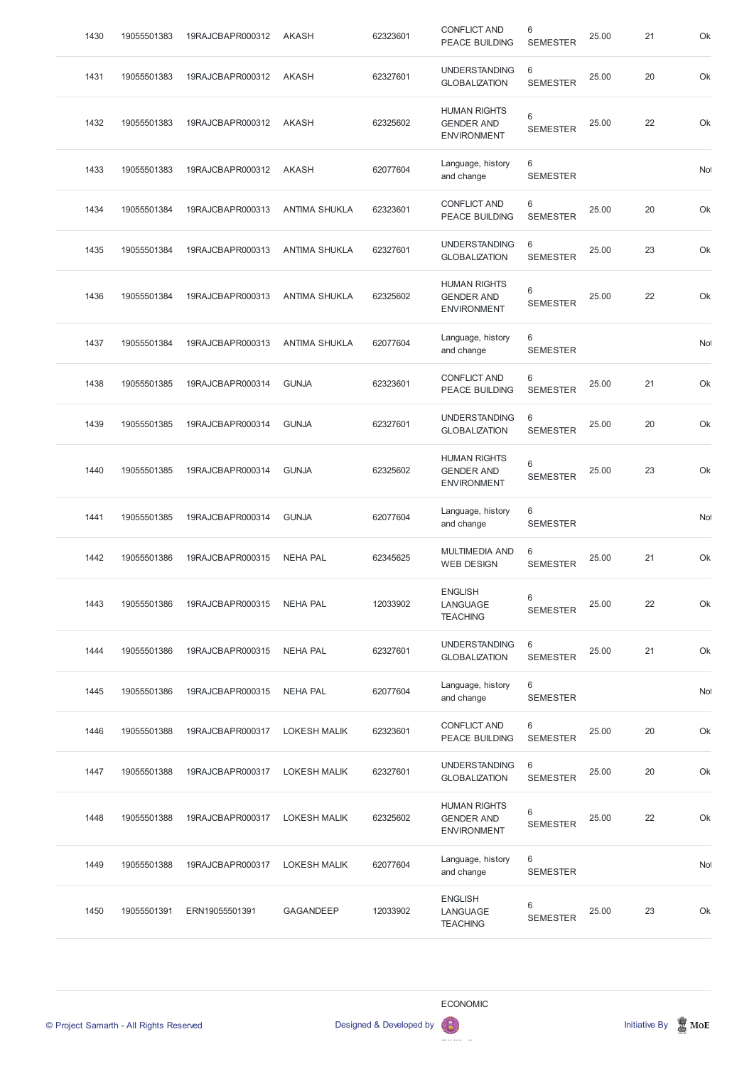| 1430 | 19055501383 | 19RAJCBAPR000312 | <b>AKASH</b>         | 62323601 | <b>CONFLICT AND</b><br><b>PEACE BUILDING</b>                   | 6<br><b>SEMESTER</b>     | 25.00 | 21 | Ok              |
|------|-------------|------------------|----------------------|----------|----------------------------------------------------------------|--------------------------|-------|----|-----------------|
| 1431 | 19055501383 | 19RAJCBAPR000312 | AKASH                | 62327601 | <b>UNDERSTANDING</b><br><b>GLOBALIZATION</b>                   | 6<br><b>SEMESTER</b>     | 25.00 | 20 | Ok              |
| 1432 | 19055501383 | 19RAJCBAPR000312 | <b>AKASH</b>         | 62325602 | <b>HUMAN RIGHTS</b><br><b>GENDER AND</b><br><b>ENVIRONMENT</b> | 6<br><b>SEMESTER</b>     | 25.00 | 22 | Ok              |
| 1433 | 19055501383 | 19RAJCBAPR000312 | <b>AKASH</b>         | 62077604 | Language, history<br>and change                                | 6<br><b>SEMESTER</b>     |       |    | <b>No</b>       |
| 1434 | 19055501384 | 19RAJCBAPR000313 | <b>ANTIMA SHUKLA</b> | 62323601 | <b>CONFLICT AND</b><br><b>PEACE BUILDING</b>                   | 6<br><b>SEMESTER</b>     | 25.00 | 20 | Ok              |
| 1435 | 19055501384 | 19RAJCBAPR000313 | <b>ANTIMA SHUKLA</b> | 62327601 | <b>UNDERSTANDING</b><br><b>GLOBALIZATION</b>                   | 6<br><b>SEMESTER</b>     | 25.00 | 23 | Ok              |
| 1436 | 19055501384 | 19RAJCBAPR000313 | <b>ANTIMA SHUKLA</b> | 62325602 | <b>HUMAN RIGHTS</b><br><b>GENDER AND</b><br><b>ENVIRONMENT</b> | 6<br><b>SEMESTER</b>     | 25.00 | 22 | Ok              |
| 1437 | 19055501384 | 19RAJCBAPR000313 | <b>ANTIMA SHUKLA</b> | 62077604 | Language, history<br>and change                                | 6<br><b>SEMESTER</b>     |       |    | No              |
| 1438 | 19055501385 | 19RAJCBAPR000314 | <b>GUNJA</b>         | 62323601 | <b>CONFLICT AND</b><br><b>PEACE BUILDING</b>                   | 6<br><b>SEMESTER</b>     | 25.00 | 21 | Ok              |
| 1439 | 19055501385 | 19RAJCBAPR000314 | <b>GUNJA</b>         | 62327601 | <b>UNDERSTANDING</b><br><b>GLOBALIZATION</b>                   | 6<br><b>SEMESTER</b>     | 25.00 | 20 | Ok              |
| 1440 | 19055501385 | 19RAJCBAPR000314 | <b>GUNJA</b>         | 62325602 | <b>HUMAN RIGHTS</b><br><b>GENDER AND</b><br><b>ENVIRONMENT</b> | $\,6$<br><b>SEMESTER</b> | 25.00 | 23 | Ok              |
| 1441 | 19055501385 | 19RAJCBAPR000314 | <b>GUNJA</b>         | 62077604 | Language, history<br>and change                                | 6<br><b>SEMESTER</b>     |       |    | No <sup>1</sup> |
| 1442 | 19055501386 | 19RAJCBAPR000315 | <b>NEHA PAL</b>      | 62345625 | <b>MULTIMEDIA AND</b><br><b>WEB DESIGN</b>                     | 6<br><b>SEMESTER</b>     | 25.00 | 21 | Ok              |
| 1443 | 19055501386 | 19RAJCBAPR000315 | <b>NEHA PAL</b>      | 12033902 | <b>ENGLISH</b><br><b>LANGUAGE</b><br><b>TEACHING</b>           | 6<br><b>SEMESTER</b>     | 25.00 | 22 | Ok              |
| 1444 | 19055501386 | 19RAJCBAPR000315 | <b>NEHA PAL</b>      | 62327601 | <b>UNDERSTANDING</b><br><b>GLOBALIZATION</b>                   | 6<br><b>SEMESTER</b>     | 25.00 | 21 | Ok              |
| 1445 | 19055501386 | 19RAJCBAPR000315 | <b>NEHA PAL</b>      | 62077604 | Language, history<br>and change                                | 6<br><b>SEMESTER</b>     |       |    | <b>No</b>       |
| 1446 | 19055501388 | 19RAJCBAPR000317 | <b>LOKESH MALIK</b>  | 62323601 | <b>CONFLICT AND</b><br>PEACE BUILDING                          | 6<br><b>SEMESTER</b>     | 25.00 | 20 | Ok              |
| 1447 | 19055501388 | 19RAJCBAPR000317 | <b>LOKESH MALIK</b>  | 62327601 | <b>UNDERSTANDING</b><br><b>GLOBALIZATION</b>                   | 6<br><b>SEMESTER</b>     | 25.00 | 20 | Ok              |
| 1448 | 19055501388 | 19RAJCBAPR000317 | <b>LOKESH MALIK</b>  | 62325602 | <b>HUMAN RIGHTS</b><br><b>GENDER AND</b><br><b>ENVIRONMENT</b> | 6<br><b>SEMESTER</b>     | 25.00 | 22 | Ok              |
| 1449 | 19055501388 | 19RAJCBAPR000317 | <b>LOKESH MALIK</b>  | 62077604 | Language, history<br>and change                                | 6<br><b>SEMESTER</b>     |       |    | Not             |
| 1450 | 19055501391 | ERN19055501391   | <b>GAGANDEEP</b>     | 12033902 | <b>ENGLISH</b><br>LANGUAGE<br><b>TEACHING</b>                  | 6<br><b>SEMESTER</b>     | 25.00 | 23 | Ok              |

ECONOMIC

© Project Samarth - All Rights Reserved **Designed & Developed by Initiative By Initiative By Initiative By Initiative By Initiative By Initiative By Initiative By Initiative By Initiative By Initiative By Initiative By Ini** 

DEVELOPMENT OF STATISTICS  $\boldsymbol{\Theta}$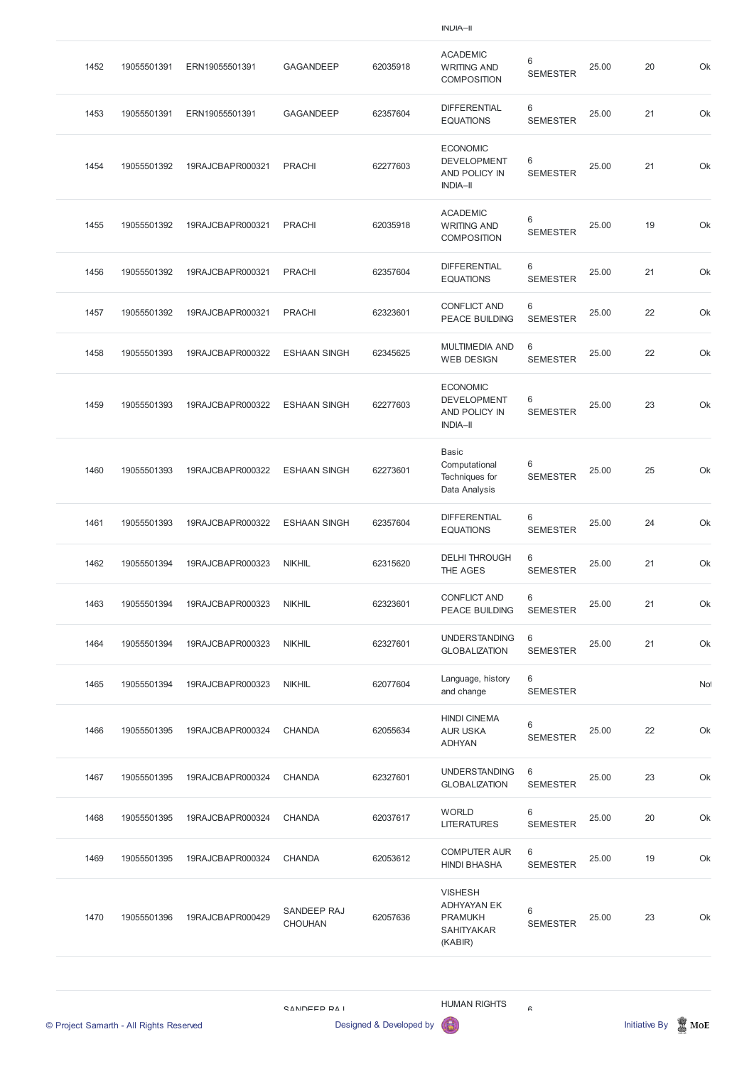INDIA–II

| 1452 | 19055501391 | ERN19055501391   | <b>GAGANDEEP</b>    | 62035918 | <b>ACADEMIC</b><br><b>WRITING AND</b><br><b>COMPOSITION</b>               | 6<br><b>SEMESTER</b> | 25.00 | 20 | Ok        |
|------|-------------|------------------|---------------------|----------|---------------------------------------------------------------------------|----------------------|-------|----|-----------|
| 1453 | 19055501391 | ERN19055501391   | <b>GAGANDEEP</b>    | 62357604 | <b>DIFFERENTIAL</b><br><b>EQUATIONS</b>                                   | 6<br><b>SEMESTER</b> | 25.00 | 21 | Ok        |
| 1454 | 19055501392 | 19RAJCBAPR000321 | <b>PRACHI</b>       | 62277603 | <b>ECONOMIC</b><br><b>DEVELOPMENT</b><br>AND POLICY IN<br><b>INDIA-II</b> | 6<br><b>SEMESTER</b> | 25.00 | 21 | Ok        |
| 1455 | 19055501392 | 19RAJCBAPR000321 | <b>PRACHI</b>       | 62035918 | <b>ACADEMIC</b><br><b>WRITING AND</b><br><b>COMPOSITION</b>               | 6<br><b>SEMESTER</b> | 25.00 | 19 | Ok        |
| 1456 | 19055501392 | 19RAJCBAPR000321 | <b>PRACHI</b>       | 62357604 | <b>DIFFERENTIAL</b><br><b>EQUATIONS</b>                                   | 6<br><b>SEMESTER</b> | 25.00 | 21 | Ok        |
| 1457 | 19055501392 | 19RAJCBAPR000321 | <b>PRACHI</b>       | 62323601 | <b>CONFLICT AND</b><br><b>PEACE BUILDING</b>                              | 6<br><b>SEMESTER</b> | 25.00 | 22 | Ok        |
| 1458 | 19055501393 | 19RAJCBAPR000322 | <b>ESHAAN SINGH</b> | 62345625 | <b>MULTIMEDIA AND</b><br><b>WEB DESIGN</b>                                | 6<br><b>SEMESTER</b> | 25.00 | 22 | Ok        |
| 1459 | 19055501393 | 19RAJCBAPR000322 | <b>ESHAAN SINGH</b> | 62277603 | <b>ECONOMIC</b><br><b>DEVELOPMENT</b><br>AND POLICY IN<br><b>INDIA-II</b> | 6<br><b>SEMESTER</b> | 25.00 | 23 | Ok        |
| 1460 | 19055501393 | 19RAJCBAPR000322 | <b>ESHAAN SINGH</b> | 62273601 | <b>Basic</b><br>Computational<br>Techniques for<br>Data Analysis          | 6<br><b>SEMESTER</b> | 25.00 | 25 | Ok        |
| 1461 | 19055501393 | 19RAJCBAPR000322 | <b>ESHAAN SINGH</b> | 62357604 | <b>DIFFERENTIAL</b><br><b>EQUATIONS</b>                                   | 6<br><b>SEMESTER</b> | 25.00 | 24 | Ok        |
| 1462 | 19055501394 | 19RAJCBAPR000323 | <b>NIKHIL</b>       | 62315620 | <b>DELHI THROUGH</b><br>THE AGES                                          | 6<br><b>SEMESTER</b> | 25.00 | 21 | Ok        |
| 1463 | 19055501394 | 19RAJCBAPR000323 | <b>NIKHIL</b>       | 62323601 | <b>CONFLICT AND</b><br><b>PEACE BUILDING</b>                              | 6<br><b>SEMESTER</b> | 25.00 | 21 | Ok        |
| 1464 | 19055501394 | 19RAJCBAPR000323 | <b>NIKHIL</b>       | 62327601 | <b>UNDERSTANDING</b><br><b>GLOBALIZATION</b>                              | 6<br><b>SEMESTER</b> | 25.00 | 21 | Ok        |
| 1465 | 19055501394 | 19RAJCBAPR000323 | <b>NIKHIL</b>       | 62077604 | Language, history<br>and change                                           | 6<br><b>SEMESTER</b> |       |    | <b>No</b> |
| 1466 | 19055501395 | 19RAJCBAPR000324 | <b>CHANDA</b>       | 62055634 | <b>HINDI CINEMA</b><br><b>AUR USKA</b><br><b>ADHYAN</b>                   | 6<br><b>SEMESTER</b> | 25.00 | 22 | Ok        |
| 1467 | 19055501395 | 19RAJCBAPR000324 | <b>CHANDA</b>       | 62327601 | <b>UNDERSTANDING</b><br><b>GLOBALIZATION</b>                              | 6<br><b>SEMESTER</b> | 25.00 | 23 | Ok        |

| 1470 | 19055501396 | 19RAJCBAPR000429 | SANDEEP RAJ<br><b>CHOUHAN</b> | 62057636 | <b>VISHESH</b><br>ADHYAYAN EK<br><b>PRAMUKH</b> | 6<br><b>SEMESTER</b> | 25.00 | 23 | Ok |
|------|-------------|------------------|-------------------------------|----------|-------------------------------------------------|----------------------|-------|----|----|
|      |             |                  |                               |          | <b>HINDI BHASHA</b>                             | <b>SEMESTER</b>      |       |    |    |
| 1469 | 19055501395 | 19RAJCBAPR000324 | <b>CHANDA</b>                 | 62053612 | <b>COMPUTER AUR</b>                             | 6                    | 25.00 | 19 | Ok |
| 1468 | 19055501395 | 19RAJCBAPR000324 | <b>CHANDA</b>                 | 62037617 | <b>WORLD</b><br><b>LITERATURES</b>              | 6<br><b>SEMESTER</b> | 25.00 | 20 | Ok |

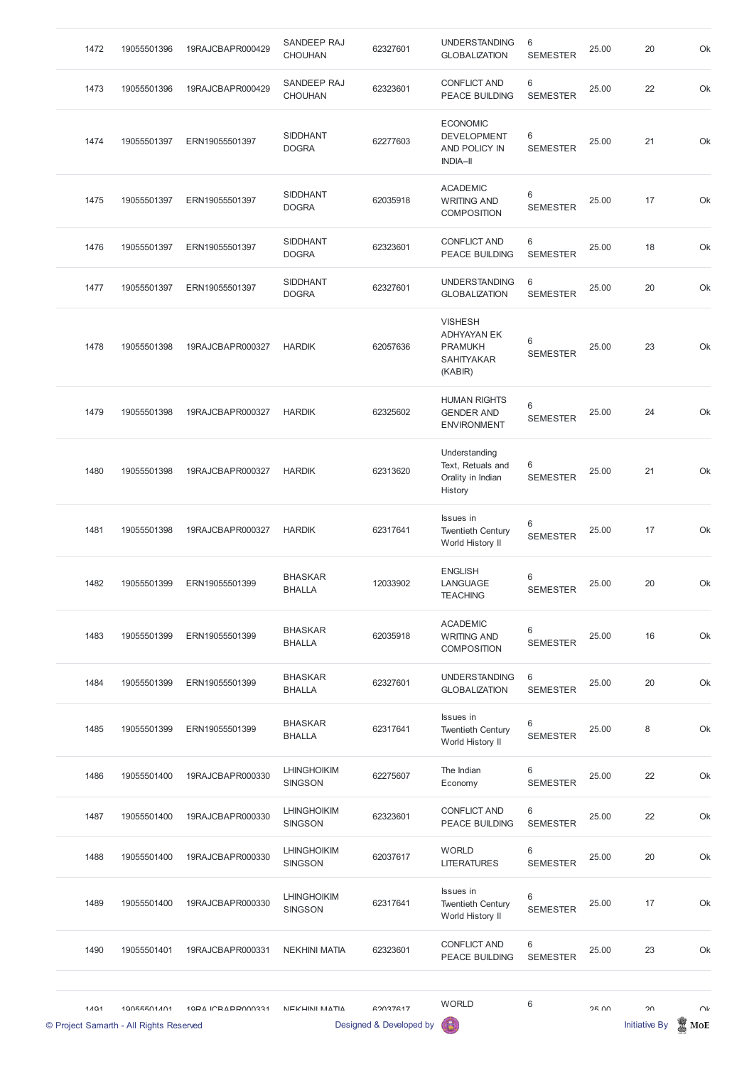| 1472 | 19055501396 | 19RAJCBAPR000429 | SANDEEP RAJ<br><b>CHOUHAN</b>        | 62327601 | <b>UNDERSTANDING</b><br><b>GLOBALIZATION</b>                                           | 6<br><b>SEMESTER</b> | 25.00 | 20 | Ok |
|------|-------------|------------------|--------------------------------------|----------|----------------------------------------------------------------------------------------|----------------------|-------|----|----|
| 1473 | 19055501396 | 19RAJCBAPR000429 | SANDEEP RAJ<br><b>CHOUHAN</b>        | 62323601 | <b>CONFLICT AND</b><br><b>PEACE BUILDING</b>                                           | 6<br><b>SEMESTER</b> | 25.00 | 22 | Ok |
| 1474 | 19055501397 | ERN19055501397   | <b>SIDDHANT</b><br><b>DOGRA</b>      | 62277603 | <b>ECONOMIC</b><br><b>DEVELOPMENT</b><br><b>AND POLICY IN</b><br><b>INDIA-II</b>       | 6<br><b>SEMESTER</b> | 25.00 | 21 | Ok |
| 1475 | 19055501397 | ERN19055501397   | <b>SIDDHANT</b><br><b>DOGRA</b>      | 62035918 | <b>ACADEMIC</b><br><b>WRITING AND</b><br><b>COMPOSITION</b>                            | 6<br><b>SEMESTER</b> | 25.00 | 17 | Ok |
| 1476 | 19055501397 | ERN19055501397   | <b>SIDDHANT</b><br><b>DOGRA</b>      | 62323601 | <b>CONFLICT AND</b><br><b>PEACE BUILDING</b>                                           | 6<br><b>SEMESTER</b> | 25.00 | 18 | Ok |
| 1477 | 19055501397 | ERN19055501397   | <b>SIDDHANT</b><br><b>DOGRA</b>      | 62327601 | <b>UNDERSTANDING</b><br><b>GLOBALIZATION</b>                                           | 6<br><b>SEMESTER</b> | 25.00 | 20 | Ok |
| 1478 | 19055501398 | 19RAJCBAPR000327 | <b>HARDIK</b>                        | 62057636 | <b>VISHESH</b><br><b>ADHYAYAN EK</b><br><b>PRAMUKH</b><br><b>SAHITYAKAR</b><br>(KABIR) | 6<br><b>SEMESTER</b> | 25.00 | 23 | Ok |
| 1479 | 19055501398 | 19RAJCBAPR000327 | <b>HARDIK</b>                        | 62325602 | <b>HUMAN RIGHTS</b><br><b>GENDER AND</b><br><b>ENVIRONMENT</b>                         | 6<br><b>SEMESTER</b> | 25.00 | 24 | Ok |
| 1480 | 19055501398 | 19RAJCBAPR000327 | <b>HARDIK</b>                        | 62313620 | Understanding<br>Text, Retuals and<br>Orality in Indian<br>History                     | 6<br><b>SEMESTER</b> | 25.00 | 21 | Ok |
| 1481 | 19055501398 | 19RAJCBAPR000327 | <b>HARDIK</b>                        | 62317641 | Issues in<br><b>Twentieth Century</b><br>World History II                              | 6<br><b>SEMESTER</b> | 25.00 | 17 | Ok |
| 1482 | 19055501399 | ERN19055501399   | <b>BHASKAR</b><br><b>BHALLA</b>      | 12033902 | <b>ENGLISH</b><br>LANGUAGE<br><b>TEACHING</b>                                          | 6<br><b>SEMESTER</b> | 25.00 | 20 | Ok |
| 1483 | 19055501399 | ERN19055501399   | <b>BHASKAR</b><br><b>BHALLA</b>      | 62035918 | <b>ACADEMIC</b><br><b>WRITING AND</b><br><b>COMPOSITION</b>                            | 6<br><b>SEMESTER</b> | 25.00 | 16 | Ok |
| 1484 | 19055501399 | ERN19055501399   | <b>BHASKAR</b><br><b>BHALLA</b>      | 62327601 | <b>UNDERSTANDING</b><br><b>GLOBALIZATION</b>                                           | 6<br><b>SEMESTER</b> | 25.00 | 20 | Ok |
| 1485 | 19055501399 | ERN19055501399   | <b>BHASKAR</b><br><b>BHALLA</b>      | 62317641 | Issues in<br><b>Twentieth Century</b><br>World History II                              | 6<br><b>SEMESTER</b> | 25.00 | 8  | Ok |
| 1486 | 19055501400 | 19RAJCBAPR000330 | <b>LHINGHOIKIM</b><br><b>SINGSON</b> | 62275607 | The Indian<br>Economy                                                                  | 6<br><b>SEMESTER</b> | 25.00 | 22 | Ok |

|      | © Project Samarth - All Rights Reserved |                   |                                      | Designed & Developed by |                                                           |                      |       | <b>Initiative By</b> | MoE    |
|------|-----------------------------------------|-------------------|--------------------------------------|-------------------------|-----------------------------------------------------------|----------------------|-------|----------------------|--------|
| 1101 | 10055501401                             | 10PA ICRAPPO00331 | NEKHINI MATIA                        | 62037617                | <b>WORLD</b>                                              | $\,6\,$              | 2500  | 20                   | $\cap$ |
| 1490 | 19055501401                             | 19RAJCBAPR000331  | <b>NEKHINI MATIA</b>                 | 62323601                | <b>CONFLICT AND</b><br><b>PEACE BUILDING</b>              | 6<br><b>SEMESTER</b> | 25.00 | 23                   | Ok     |
| 1489 | 19055501400                             | 19RAJCBAPR000330  | <b>LHINGHOIKIM</b><br><b>SINGSON</b> | 62317641                | Issues in<br><b>Twentieth Century</b><br>World History II | 6<br><b>SEMESTER</b> | 25.00 | 17                   | Ok     |
| 1488 | 19055501400                             | 19RAJCBAPR000330  | <b>LHINGHOIKIM</b><br><b>SINGSON</b> | 62037617                | <b>WORLD</b><br><b>LITERATURES</b>                        | 6<br><b>SEMESTER</b> | 25.00 | 20                   | Ok     |
| 1487 | 19055501400                             | 19RAJCBAPR000330  | <b>LHINGHOIKIM</b><br><b>SINGSON</b> | 62323601                | <b>CONFLICT AND</b><br><b>PEACE BUILDING</b>              | 6<br><b>SEMESTER</b> | 25.00 | 22                   | Ok     |